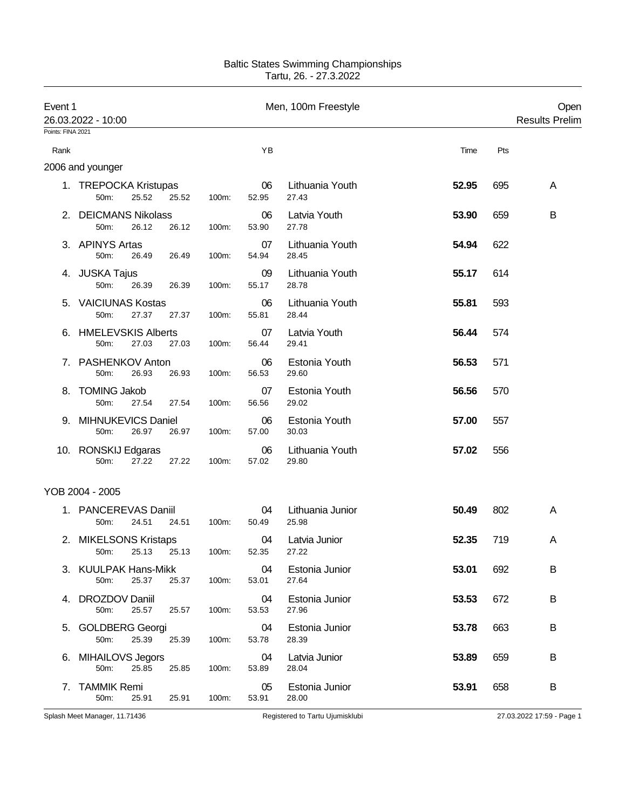| Event 1           | 26.03.2022 - 10:00                              |             |             | Men, 100m Freestyle       |       | Open<br><b>Results Prelim</b> |
|-------------------|-------------------------------------------------|-------------|-------------|---------------------------|-------|-------------------------------|
| Points: FINA 2021 |                                                 |             |             |                           |       |                               |
| Rank              |                                                 |             | ΥB          |                           | Time  | Pts                           |
|                   | 2006 and younger                                |             |             |                           |       |                               |
|                   | 1. TREPOCKA Kristupas<br>50m:<br>25.52<br>25.52 | 100m:       | 06<br>52.95 | Lithuania Youth<br>27.43  | 52.95 | 695<br>A                      |
|                   | 2. DEICMANS Nikolass<br>50m:<br>26.12<br>26.12  | 100m:       | 06<br>53.90 | Latvia Youth<br>27.78     | 53.90 | 659<br>B                      |
|                   | 3. APINYS Artas<br>50m:<br>26.49<br>26.49       | 100m:       | 07<br>54.94 | Lithuania Youth<br>28.45  | 54.94 | 622                           |
|                   | 4. JUSKA Tajus<br>50m:<br>26.39<br>26.39        | 100m:       | 09<br>55.17 | Lithuania Youth<br>28.78  | 55.17 | 614                           |
|                   | 5. VAICIUNAS Kostas<br>50m:<br>27.37<br>27.37   | 100m:       | 06<br>55.81 | Lithuania Youth<br>28.44  | 55.81 | 593                           |
|                   | 6. HMELEVSKIS Alberts<br>50m:<br>27.03<br>27.03 | 100m:       | 07<br>56.44 | Latvia Youth<br>29.41     | 56.44 | 574                           |
|                   | 7. PASHENKOV Anton<br>50m:<br>26.93<br>26.93    | 100m:       | 06<br>56.53 | Estonia Youth<br>29.60    | 56.53 | 571                           |
| 8.                | <b>TOMING Jakob</b><br>27.54<br>50m:<br>27.54   | 100m:       | 07<br>56.56 | Estonia Youth<br>29.02    | 56.56 | 570                           |
| 9.                | MIHNUKEVICS Daniel<br>50m:<br>26.97<br>26.97    | 100m:       | 06<br>57.00 | Estonia Youth<br>30.03    | 57.00 | 557                           |
|                   | 10. RONSKIJ Edgaras<br>27.22<br>27.22<br>50m:   | 100m:       | 06<br>57.02 | Lithuania Youth<br>29.80  | 57.02 | 556                           |
|                   | YOB 2004 - 2005                                 |             |             |                           |       |                               |
|                   | 1. PANCEREVAS Daniil<br>50m:<br>24.51<br>24.51  | 100m:       | 04<br>50.49 | Lithuania Junior<br>25.98 | 50.49 | 802<br>A                      |
|                   | 2. MIKELSONS Kristaps<br>25.13<br>50m:          | 25.13 100m: | 04<br>52.35 | Latvia Junior<br>27.22    | 52.35 | 719<br>A                      |
|                   | 3. KUULPAK Hans-Mikk<br>50m:<br>25.37<br>25.37  | 100m:       | 04<br>53.01 | Estonia Junior<br>27.64   | 53.01 | 692<br>B                      |
|                   | 4. DROZDOV Daniil<br>25.57<br>50m:<br>25.57     | 100m:       | 04<br>53.53 | Estonia Junior<br>27.96   | 53.53 | 672<br>B                      |
|                   | 5. GOLDBERG Georgi<br>25.39<br>50m:<br>25.39    | 100m:       | 04<br>53.78 | Estonia Junior<br>28.39   | 53.78 | 663<br>B                      |
|                   | 6. MIHAILOVS Jegors<br>50m:<br>25.85<br>25.85   | 100m:       | 04<br>53.89 | Latvia Junior<br>28.04    | 53.89 | B<br>659                      |
| 7.                | <b>TAMMIK Remi</b><br>50m:<br>25.91<br>25.91    | 100m:       | 05<br>53.91 | Estonia Junior<br>28.00   | 53.91 | 658<br>B                      |

Splash Meet Manager, 11.71436 **Registered to Tartu Ujumisklubi** 27.03.2022 17:59 - Page 1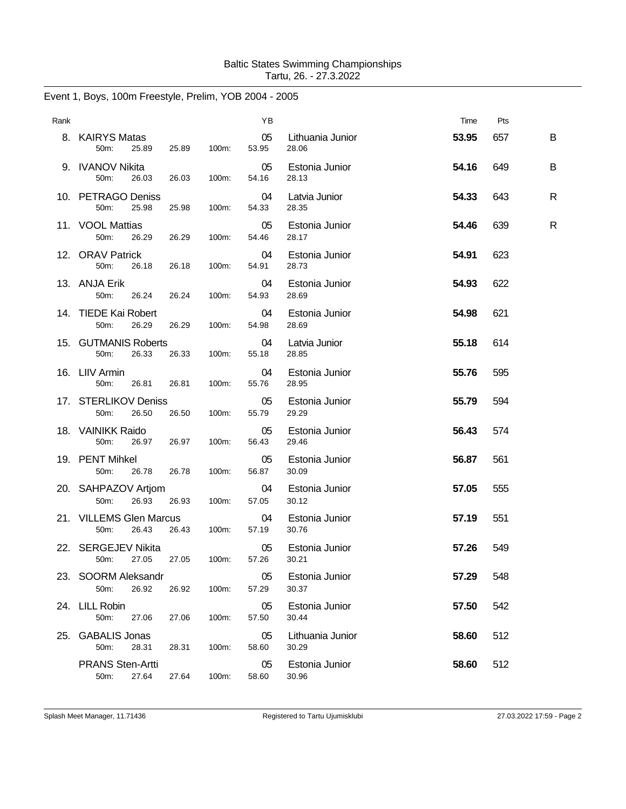| Rank |                                                |       |       | ΥB          |                           | Time  | Pts |   |
|------|------------------------------------------------|-------|-------|-------------|---------------------------|-------|-----|---|
|      | 8. KAIRYS Matas<br>50m:<br>25.89               | 25.89 | 100m: | 05<br>53.95 | Lithuania Junior<br>28.06 | 53.95 | 657 | B |
|      | 9. IVANOV Nikita<br>50m:<br>26.03              | 26.03 | 100m: | 05<br>54.16 | Estonia Junior<br>28.13   | 54.16 | 649 | B |
|      | 10. PETRAGO Deniss<br>50m:<br>25.98            | 25.98 | 100m: | 04<br>54.33 | Latvia Junior<br>28.35    | 54.33 | 643 | R |
|      | 11. VOOL Mattias<br>50m:<br>26.29              | 26.29 | 100m: | 05<br>54.46 | Estonia Junior<br>28.17   | 54.46 | 639 | R |
|      | 12. ORAV Patrick<br>50 <sub>m</sub> :<br>26.18 | 26.18 | 100m: | 04<br>54.91 | Estonia Junior<br>28.73   | 54.91 | 623 |   |
|      | 13. ANJA Erik<br>50m:<br>26.24                 | 26.24 | 100m: | 04<br>54.93 | Estonia Junior<br>28.69   | 54.93 | 622 |   |
|      | 14. TIEDE Kai Robert<br>50m:<br>26.29          | 26.29 | 100m: | 04<br>54.98 | Estonia Junior<br>28.69   | 54.98 | 621 |   |
|      | 15. GUTMANIS Roberts<br>50m:<br>26.33          | 26.33 | 100m: | 04<br>55.18 | Latvia Junior<br>28.85    | 55.18 | 614 |   |
|      | 16. LIIV Armin<br>50m:<br>26.81                | 26.81 | 100m: | 04<br>55.76 | Estonia Junior<br>28.95   | 55.76 | 595 |   |
|      | 17. STERLIKOV Deniss<br>50m:<br>26.50          | 26.50 | 100m: | 05<br>55.79 | Estonia Junior<br>29.29   | 55.79 | 594 |   |
|      | 18. VAINIKK Raido<br>26.97<br>50m:             | 26.97 | 100m: | 05<br>56.43 | Estonia Junior<br>29.46   | 56.43 | 574 |   |
|      | 19. PENT Mihkel<br>50m:<br>26.78               | 26.78 | 100m: | 05<br>56.87 | Estonia Junior<br>30.09   | 56.87 | 561 |   |
|      | 20. SAHPAZOV Artjom<br>26.93<br>50m:           | 26.93 | 100m: | 04<br>57.05 | Estonia Junior<br>30.12   | 57.05 | 555 |   |
|      | 21. VILLEMS Glen Marcus<br>50m:<br>26.43       | 26.43 | 100m: | 04<br>57.19 | Estonia Junior<br>30.76   | 57.19 | 551 |   |
|      | 22. SERGEJEV Nikita<br>50m:<br>27.05           | 27.05 | 100m: | 05<br>57.26 | Estonia Junior<br>30.21   | 57.26 | 549 |   |
|      | 23. SOORM Aleksandr<br>50m:<br>26.92           | 26.92 | 100m: | 05<br>57.29 | Estonia Junior<br>30.37   | 57.29 | 548 |   |
|      | 24. LILL Robin<br>50m:<br>27.06                | 27.06 | 100m: | 05<br>57.50 | Estonia Junior<br>30.44   | 57.50 | 542 |   |
| 25.  | <b>GABALIS Jonas</b><br>50m:<br>28.31          | 28.31 | 100m: | 05<br>58.60 | Lithuania Junior<br>30.29 | 58.60 | 512 |   |
|      | <b>PRANS Sten-Artti</b><br>50m:<br>27.64       | 27.64 | 100m: | 05<br>58.60 | Estonia Junior<br>30.96   | 58.60 | 512 |   |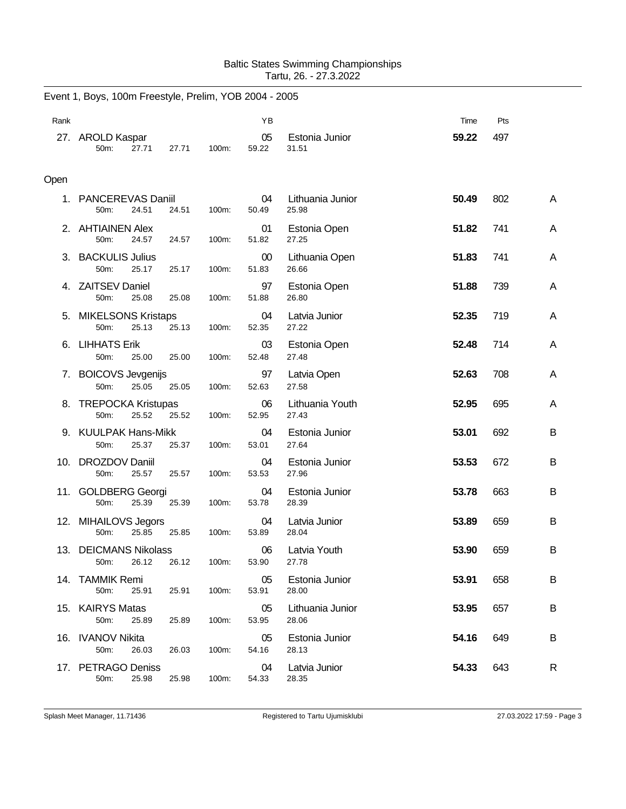|      | Event 1, Boys, 100m Freestyle, Prelim, YOB 2004 - 2005 |       |       |             |                           |       |     |   |
|------|--------------------------------------------------------|-------|-------|-------------|---------------------------|-------|-----|---|
| Rank |                                                        |       |       | YB          |                           | Time  | Pts |   |
|      | 27. AROLD Kaspar<br>50m:<br>27.71                      | 27.71 | 100m: | 05<br>59.22 | Estonia Junior<br>31.51   | 59.22 | 497 |   |
| Open |                                                        |       |       |             |                           |       |     |   |
| 1.   | <b>PANCEREVAS Daniil</b><br>50m:<br>24.51              | 24.51 | 100m: | 04<br>50.49 | Lithuania Junior<br>25.98 | 50.49 | 802 | A |
|      | 2. AHTIAINEN Alex<br>50m:<br>24.57                     | 24.57 | 100m: | 01<br>51.82 | Estonia Open<br>27.25     | 51.82 | 741 | Α |
| З.   | <b>BACKULIS Julius</b><br>50m:<br>25.17                | 25.17 | 100m: | 00<br>51.83 | Lithuania Open<br>26.66   | 51.83 | 741 | A |
|      | 4. ZAITSEV Daniel<br>50m:<br>25.08                     | 25.08 | 100m: | 97<br>51.88 | Estonia Open<br>26.80     | 51.88 | 739 | Α |
| 5.   | <b>MIKELSONS Kristaps</b><br>25.13<br>50m:             | 25.13 | 100m: | 04<br>52.35 | Latvia Junior<br>27.22    | 52.35 | 719 | A |
| 6.   | <b>LIHHATS Erik</b><br>50m:<br>25.00                   | 25.00 | 100m: | 03<br>52.48 | Estonia Open<br>27.48     | 52.48 | 714 | Α |
| 7.   | <b>BOICOVS Jevgenijs</b><br>50m:<br>25.05              | 25.05 | 100m: | 97<br>52.63 | Latvia Open<br>27.58      | 52.63 | 708 | Α |
| 8.   | <b>TREPOCKA Kristupas</b><br>50m:<br>25.52             | 25.52 | 100m: | 06<br>52.95 | Lithuania Youth<br>27.43  | 52.95 | 695 | A |
|      | 9. KUULPAK Hans-Mikk<br>50m:<br>25.37                  | 25.37 | 100m: | 04<br>53.01 | Estonia Junior<br>27.64   | 53.01 | 692 | B |
|      | 10. DROZDOV Daniil<br>50m:<br>25.57                    | 25.57 | 100m: | 04<br>53.53 | Estonia Junior<br>27.96   | 53.53 | 672 | B |
|      | 11. GOLDBERG Georgi<br>25.39<br>50m:                   | 25.39 | 100m: | 04<br>53.78 | Estonia Junior<br>28.39   | 53.78 | 663 | B |
|      | 12. MIHAILOVS Jegors<br>50m:<br>25.85                  | 25.85 | 100m: | 04<br>53.89 | Latvia Junior<br>28.04    | 53.89 | 659 | В |
|      | 13. DEICMANS Nikolass<br>50m:<br>26.12                 | 26.12 | 100m: | 06<br>53.90 | Latvia Youth<br>27.78     | 53.90 | 659 | B |
|      | 14. TAMMIK Remi<br>50m:<br>25.91                       | 25.91 | 100m: | 05<br>53.91 | Estonia Junior<br>28.00   | 53.91 | 658 | B |
|      | 15. KAIRYS Matas<br>50m:<br>25.89                      | 25.89 | 100m: | 05<br>53.95 | Lithuania Junior<br>28.06 | 53.95 | 657 | В |
|      | 16. IVANOV Nikita<br>50m:<br>26.03                     | 26.03 | 100m: | 05<br>54.16 | Estonia Junior<br>28.13   | 54.16 | 649 | B |
|      | 17. PETRAGO Deniss<br>50m:<br>25.98                    | 25.98 | 100m: | 04<br>54.33 | Latvia Junior<br>28.35    | 54.33 | 643 | R |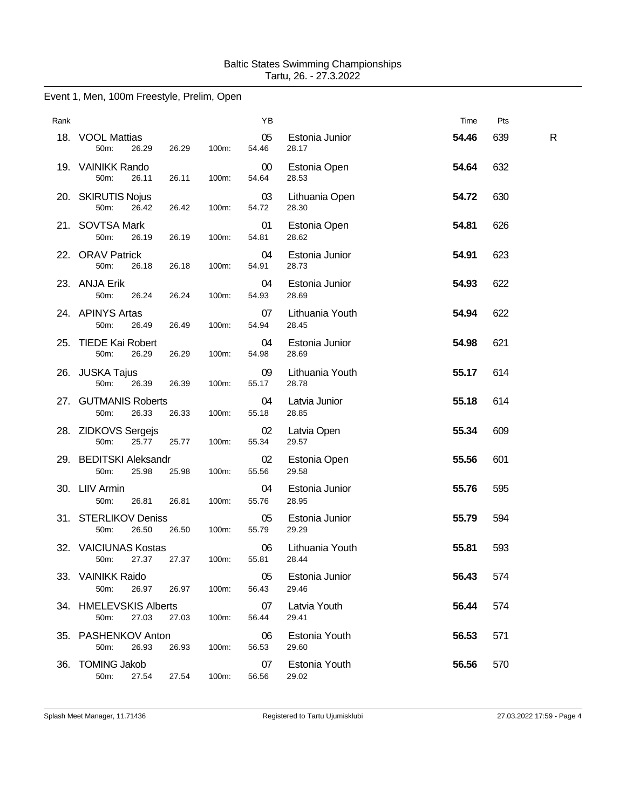# Event 1, Men, 100m Freestyle, Prelim, Open

| Rank |                                         |       |       | YB          |                          | Time  | Pts |              |
|------|-----------------------------------------|-------|-------|-------------|--------------------------|-------|-----|--------------|
|      | 18. VOOL Mattias<br>50m:<br>26.29       | 26.29 | 100m: | 05<br>54.46 | Estonia Junior<br>28.17  | 54.46 | 639 | $\mathsf{R}$ |
|      | 19. VAINIKK Rando<br>50m:<br>26.11      | 26.11 | 100m: | 00<br>54.64 | Estonia Open<br>28.53    | 54.64 | 632 |              |
|      | 20. SKIRUTIS Nojus<br>50m:<br>26.42     | 26.42 | 100m: | 03<br>54.72 | Lithuania Open<br>28.30  | 54.72 | 630 |              |
|      | 21. SOVTSA Mark<br>50m:<br>26.19        | 26.19 | 100m: | 01<br>54.81 | Estonia Open<br>28.62    | 54.81 | 626 |              |
|      | 22. ORAV Patrick<br>50m:<br>26.18       | 26.18 | 100m: | 04<br>54.91 | Estonia Junior<br>28.73  | 54.91 | 623 |              |
|      | 23. ANJA Erik<br>50m:<br>26.24          | 26.24 | 100m: | 04<br>54.93 | Estonia Junior<br>28.69  | 54.93 | 622 |              |
|      | 24. APINYS Artas<br>50m:<br>26.49       | 26.49 | 100m: | 07<br>54.94 | Lithuania Youth<br>28.45 | 54.94 | 622 |              |
|      | 25. TIEDE Kai Robert<br>50m:<br>26.29   | 26.29 | 100m: | 04<br>54.98 | Estonia Junior<br>28.69  | 54.98 | 621 |              |
|      | 26. JUSKA Tajus<br>50m:<br>26.39        | 26.39 | 100m: | 09<br>55.17 | Lithuania Youth<br>28.78 | 55.17 | 614 |              |
|      | 27. GUTMANIS Roberts<br>50m:<br>26.33   | 26.33 | 100m: | 04<br>55.18 | Latvia Junior<br>28.85   | 55.18 | 614 |              |
|      | 28. ZIDKOVS Sergejs<br>50m:<br>25.77    | 25.77 | 100m: | 02<br>55.34 | Latvia Open<br>29.57     | 55.34 | 609 |              |
|      | 29. BEDITSKI Aleksandr<br>50m:<br>25.98 | 25.98 | 100m: | 02<br>55.56 | Estonia Open<br>29.58    | 55.56 | 601 |              |
|      | 30. LIIV Armin<br>50m:<br>26.81         | 26.81 | 100m: | 04<br>55.76 | Estonia Junior<br>28.95  | 55.76 | 595 |              |
|      | 31. STERLIKOV Deniss<br>50m:<br>26.50   | 26.50 | 100m: | 05<br>55.79 | Estonia Junior<br>29.29  | 55.79 | 594 |              |
|      | 32. VAICIUNAS Kostas<br>50m:<br>27.37   | 27.37 | 100m: | 06<br>55.81 | Lithuania Youth<br>28.44 | 55.81 | 593 |              |
|      | 33. VAINIKK Raido<br>50m:<br>26.97      | 26.97 | 100m: | 05<br>56.43 | Estonia Junior<br>29.46  | 56.43 | 574 |              |
|      | 34. HMELEVSKIS Alberts<br>27.03<br>50m: | 27.03 | 100m: | 07<br>56.44 | Latvia Youth<br>29.41    | 56.44 | 574 |              |
|      | 35. PASHENKOV Anton<br>50m:<br>26.93    | 26.93 | 100m: | 06<br>56.53 | Estonia Youth<br>29.60   | 56.53 | 571 |              |
|      | 36. TOMING Jakob<br>50m:<br>27.54       | 27.54 | 100m: | 07<br>56.56 | Estonia Youth<br>29.02   | 56.56 | 570 |              |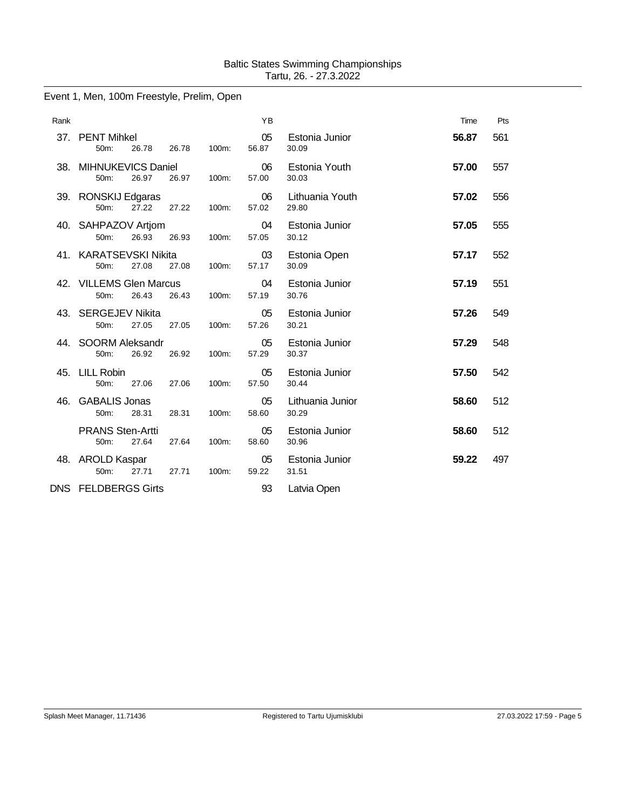# Event 1, Men, 100m Freestyle, Prelim, Open

| Rank |                                                       |       |       | YB          |                           | Time  | Pts |
|------|-------------------------------------------------------|-------|-------|-------------|---------------------------|-------|-----|
|      | 37. PENT Mihkel<br>50m:<br>26.78                      | 26.78 | 100m: | 05<br>56.87 | Estonia Junior<br>30.09   | 56.87 | 561 |
| 38.  | MIHNUKEVICS Daniel<br>26.97<br>50m:                   | 26.97 | 100m: | 06<br>57.00 | Estonia Youth<br>30.03    | 57.00 | 557 |
|      | 39. RONSKIJ Edgaras<br>50m:<br>27.22                  | 27.22 | 100m: | 06<br>57.02 | Lithuania Youth<br>29.80  | 57.02 | 556 |
|      | 40. SAHPAZOV Artjom<br>50m:<br>26.93                  | 26.93 | 100m: | 04<br>57.05 | Estonia Junior<br>30.12   | 57.05 | 555 |
|      | 41. KARATSEVSKI Nikita<br>50m:<br>27.08               | 27.08 | 100m: | 03<br>57.17 | Estonia Open<br>30.09     | 57.17 | 552 |
|      | 42. VILLEMS Glen Marcus<br>26.43<br>50 <sub>m</sub> : | 26.43 | 100m: | 04<br>57.19 | Estonia Junior<br>30.76   | 57.19 | 551 |
|      | 43. SERGEJEV Nikita<br>27.05<br>50m:                  | 27.05 | 100m: | 05<br>57.26 | Estonia Junior<br>30.21   | 57.26 | 549 |
|      | 44. SOORM Aleksandr<br>50m:<br>26.92                  | 26.92 | 100m: | 05<br>57.29 | Estonia Junior<br>30.37   | 57.29 | 548 |
| 45.  | LILL Robin<br>50m:<br>27.06                           | 27.06 | 100m: | 05<br>57.50 | Estonia Junior<br>30.44   | 57.50 | 542 |
| 46.  | <b>GABALIS Jonas</b><br>50m:<br>28.31                 | 28.31 | 100m: | 05<br>58.60 | Lithuania Junior<br>30.29 | 58.60 | 512 |
|      | <b>PRANS Sten-Artti</b><br>27.64<br>50m:              | 27.64 | 100m: | 05<br>58.60 | Estonia Junior<br>30.96   | 58.60 | 512 |
|      | 48. AROLD Kaspar<br>27.71<br>50m:                     | 27.71 | 100m: | 05<br>59.22 | Estonia Junior<br>31.51   | 59.22 | 497 |
|      | DNS FELDBERGS Girts                                   |       |       | 93          | Latvia Open               |       |     |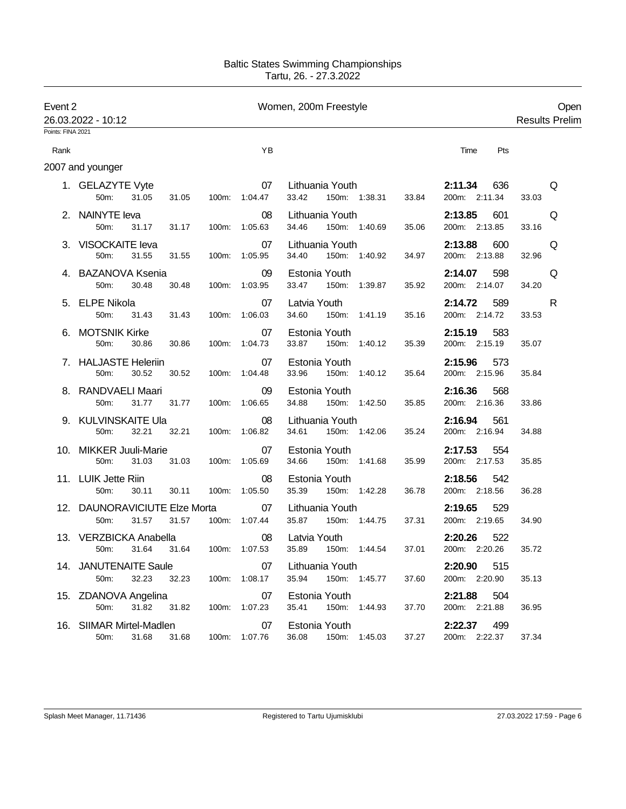| Event 2           | 26.03.2022 - 10:12                             |                | Women, 200m Freestyle | Open<br><b>Results Prelim</b>                      |                                 |            |
|-------------------|------------------------------------------------|----------------|-----------------------|----------------------------------------------------|---------------------------------|------------|
| Points: FINA 2021 |                                                |                |                       |                                                    |                                 |            |
| Rank              |                                                |                | YB                    |                                                    | Time<br>Pts                     |            |
|                   | 2007 and younger                               |                |                       |                                                    |                                 |            |
|                   | 1. GELAZYTE Vyte<br>50m:<br>31.05              | 31.05          | 07<br>100m: 1:04.47   | Lithuania Youth<br>150m: 1:38.31<br>33.42<br>33.84 | 2:11.34<br>636<br>200m: 2:11.34 | Q<br>33.03 |
|                   | 2. NAINYTE leva<br>50m:<br>31.17               | 31.17          | 08<br>100m: 1:05.63   | Lithuania Youth<br>34.46<br>150m: 1:40.69<br>35.06 | 2:13.85<br>601<br>200m: 2:13.85 | Q<br>33.16 |
|                   | 3. VISOCKAITE leva<br>50m:<br>31.55            | 31.55          | 07<br>100m: 1:05.95   | Lithuania Youth<br>34.40<br>150m: 1:40.92<br>34.97 | 2:13.88<br>600<br>200m: 2:13.88 | Q<br>32.96 |
|                   | 4. BAZANOVA Ksenia<br>50m:<br>30.48            | 30.48          | 09<br>100m: 1:03.95   | Estonia Youth<br>33.47<br>150m: 1:39.87<br>35.92   | 2:14.07<br>598<br>200m: 2:14.07 | Q<br>34.20 |
|                   | 5. ELPE Nikola<br>50m:<br>31.43                | 31.43          | 07<br>100m: 1:06.03   | Latvia Youth<br>34.60<br>150m: 1:41.19<br>35.16    | 2:14.72<br>589<br>200m: 2:14.72 | R<br>33.53 |
|                   | 6. MOTSNIK Kirke<br>50m:<br>30.86              | 30.86<br>100m: | 07<br>1:04.73         | Estonia Youth<br>33.87<br>150m: 1:40.12<br>35.39   | 2:15.19<br>583<br>200m: 2:15.19 | 35.07      |
|                   | 7. HALJASTE Heleriin<br>50m:<br>30.52          | 30.52          | 07<br>100m: 1:04.48   | Estonia Youth<br>33.96<br>150m: 1:40.12<br>35.64   | 2:15.96<br>573<br>200m: 2:15.96 | 35.84      |
|                   | 8. RANDVAELI Maari<br>50m:<br>31.77            | 31.77          | 09<br>100m: 1:06.65   | Estonia Youth<br>34.88<br>150m: 1:42.50<br>35.85   | 2:16.36<br>568<br>200m: 2:16.36 | 33.86      |
|                   | 9. KULVINSKAITE Ula<br>50m:<br>32.21           | 32.21          | 08<br>100m: 1:06.82   | Lithuania Youth<br>34.61<br>150m: 1:42.06<br>35.24 | 2:16.94<br>561<br>200m: 2:16.94 | 34.88      |
|                   | 10. MIKKER Juuli-Marie<br>50m:<br>31.03        | 31.03          | 07<br>100m: 1:05.69   | Estonia Youth<br>34.66<br>150m: 1:41.68<br>35.99   | 2:17.53<br>554<br>200m: 2:17.53 | 35.85      |
|                   | 11. LUIK Jette Riin<br>50m:<br>30.11           | 30.11<br>100m: | 08<br>1:05.50         | Estonia Youth<br>35.39<br>150m: 1:42.28<br>36.78   | 2:18.56<br>542<br>200m: 2:18.56 | 36.28      |
|                   | 12. DAUNORAVICIUTE Elze Morta<br>50m:<br>31.57 | 31.57          | 07<br>100m: 1:07.44   | Lithuania Youth<br>35.87<br>150m: 1:44.75<br>37.31 | 2:19.65<br>529<br>200m: 2:19.65 | 34.90      |
|                   | 13. VERZBICKA Anabella<br>31.64<br>50m:        | 31.64          | 08<br>100m: 1:07.53   | Latvia Youth<br>35.89<br>37.01<br>150m: 1:44.54    | 2:20.26<br>522<br>200m: 2:20.26 | 35.72      |
|                   | 14. JANUTENAITE Saule<br>32.23<br>50m:         | 32.23          | 07<br>100m: 1:08.17   | Lithuania Youth<br>35.94 150m: 1:45.77<br>37.60    | 2:20.90<br>515<br>200m: 2:20.90 | 35.13      |
|                   | 15. ZDANOVA Angelina<br>31.82<br>50m:          | 31.82          | 07<br>100m: 1:07.23   | Estonia Youth<br>35.41<br>150m: 1:44.93<br>37.70   | 2:21.88<br>504<br>200m: 2:21.88 | 36.95      |
|                   | 16. SIIMAR Mirtel-Madlen<br>50m:<br>31.68      | 31.68          | 07<br>100m: 1:07.76   | Estonia Youth<br>150m: 1:45.03<br>36.08<br>37.27   | 2:22.37 499<br>200m: 2:22.37    | 37.34      |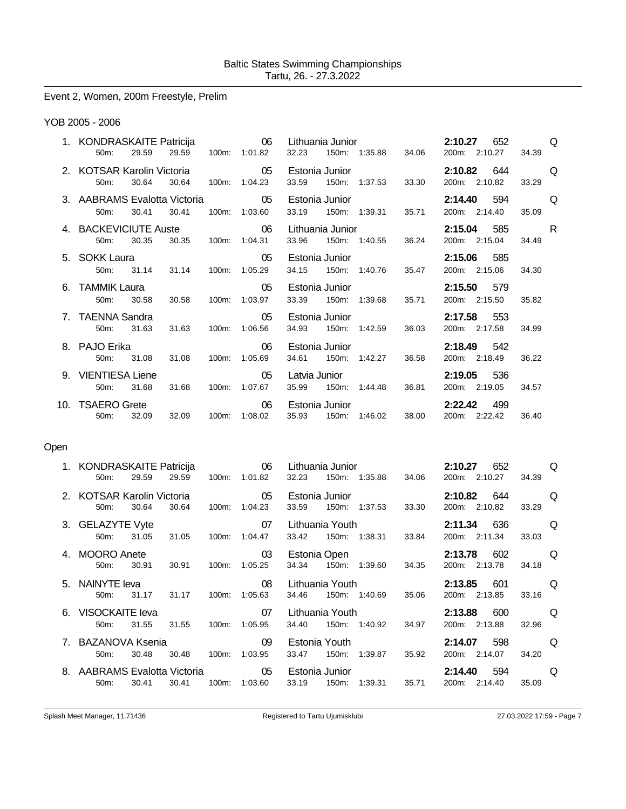# Event 2, Women, 200m Freestyle, Prelim

#### YOB 2005 - 2006

| 1. KONDRASKAITE Patricija 66 Lithuania Junior<br>$50m$ :                                           | 29.59 29.59 |           |       | 100m: 1:01.82 32.23                            |                         |       | 150m: 1:35.88 34.06                                        |       | 2:10.27          | 652<br>200m: 2:10.27                  | <b>O</b><br>34.39 |  |
|----------------------------------------------------------------------------------------------------|-------------|-----------|-------|------------------------------------------------|-------------------------|-------|------------------------------------------------------------|-------|------------------|---------------------------------------|-------------------|--|
| $50m$ :                                                                                            | 30.64       |           |       | 30.64 100m: 1:04.23                            | 33.59                   |       | 150m: 1:37.53                                              | 33.30 |                  | <b>2:10.82</b> 644 Q<br>200m: 2:10.82 | 33.29             |  |
| 3. AABRAMS Evalotta Victoria 60000000 0500 Estonia Junior<br>50m:                                  | 30.41       | 30.41     |       | 100m: 1:03.60                                  |                         |       | 33.19  150m: 1:39.31  35.71                                |       |                  | <b>2:14.40</b> 594 Q<br>200m: 2:14.40 | 35.09             |  |
| 4. BACKEVICIUTE Auste <b>6. COMPOSE 10. COMPOSE 10. COMPOSE 10.</b> O6 Lithuania Junior<br>$50m$ : | 30.35       |           |       | 30.35 100m: 1:04.31                            |                         |       | 33.96 150m: 1:40.55 36.24                                  |       |                  | 2:15.04 585<br>200m: 2:15.04          | <b>R</b><br>34.49 |  |
| 5. SOKK Laura<br>$50m$ :                                                                           |             |           |       | 05 Estonia Junior<br>31.14 31.14 100m: 1:05.29 |                         |       | 34.15 150m: 1:40.76                                        | 35.47 |                  | 2:15.06 585<br>200m: 2:15.06          | 34.30             |  |
| $50m$ :                                                                                            | 30.58       | 30.58     |       | 100m: 1:03.97                                  | Estonia Junior<br>33.39 |       | 150m: 1:39.68                                              | 35.71 |                  | 2:15.50 579<br>200m: 2:15.50          | 35.82             |  |
| 7. TAENNA Sandra<br>$50m$ :                                                                        | 31.63       |           |       | $\sim$ 05<br>31.63  100m: 1:06.56              | Estonia Junior          |       | 34.93 150m: 1:42.59                                        | 36.03 |                  | <b>2:17.58</b> 553<br>200m: 2:17.58   | 34.99             |  |
| 8. PAJO Erika<br>$50m$ :                                                                           | 31.08       | $\sim$ 06 |       | 31.08 100m: 1:05.69                            | Estonia Junior          |       | 34.61 150m: 1:42.27                                        | 36.58 |                  | 2:18.49 542<br>200m: 2:18.49          | 36.22             |  |
| 9. VIENTIESA Liene<br>$50m$ :                                                                      | 31.68       | 31.68     |       | $\sim$ 05<br>100m: 1:07.67                     |                         |       | Latvia Junior <b>Exercise State</b><br>35.99 150m: 1:44.48 | 36.81 |                  | 2:19.05 536<br>200m: 2:19.05          | 34.57             |  |
| 10. TSAERO Grete<br>$50m$ :                                                                        | 32.09       | 32.09     | 100m: | 06 Estonia Junior<br>1:08.02                   | 35.93                   | 150m: | 1:46.02                                                    | 38.00 | 2:22.42<br>200m: | 499<br>2:22.42                        | 36.40             |  |
|                                                                                                    |             |           |       |                                                |                         |       |                                                            |       |                  |                                       |                   |  |

# Open

|    | 1. KONDRASKAITE Patricija<br>$50m$ : | 29.59 | 29.59 | $100m$ : | $\sim$ 06<br>1:01.82 | Lithuania Junior<br>32.23 | 150m:           | 1:35.88             | 34.06 | 2:10.27 | 652<br>200m: 2:10.27   | 34.39 | O |
|----|--------------------------------------|-------|-------|----------|----------------------|---------------------------|-----------------|---------------------|-------|---------|------------------------|-------|---|
|    | 2. KOTSAR Karolin Victoria<br>50m:   | 30.64 | 30.64 | 100m:    | 05<br>1:04.23        | Estonia Junior<br>33.59   | 150m:           | 1:37.53 33.30       |       | 2:10.82 | 644<br>200m: 2:10.82   | 33.29 | O |
|    | 3. GELAZYTE Vyte<br>50m:             | 31.05 | 31.05 | 100m:    | 07<br>1:04.47        | Lithuania Youth<br>33.42  | 150m:           | 1:38.31 33.84       |       | 2:11.34 | 636<br>200m: 2:11.34   | 33.03 | O |
|    | <b>MOORO</b> Anete<br>50m:           | 30.91 | 30.91 | 100m:    | 03<br>1:05.25        | Estonia Open<br>34.34     | 150m:           | 1:39.60 34.35       |       | 2:13.78 | - 602<br>200m: 2:13.78 | 34.18 | O |
|    |                                      |       |       |          |                      |                           |                 |                     |       |         |                        |       |   |
|    | 5. NAINYTE leva<br>$50m$ :           | 31.17 | 31.17 | $100m$ : | 08<br>1:05.63        | 34.46                     | Lithuania Youth | 150m: 1:40.69 35.06 |       | 2:13.85 | 601<br>200m: 2:13.85   | 33.16 | O |
| 6. | VISOCKAITE leva<br>50m:              | 31.55 | 31.55 | 100m:    | 07<br>1:05.95        | Lithuania Youth<br>34.40  | 150m:           | 1:40.92 34.97       |       | 2:13.88 | 600<br>200m: 2:13.88   | 32.96 | O |
|    | 7. BAZANOVA Ksenia<br>50m:           | 30.48 | 30.48 | 100m:    | -09<br>1:03.95       | Estonia Youth<br>33.47    | 150m:           | 1:39.87             | 35.92 | 2:14.07 | 598<br>200m: 2:14.07   | 34.20 | O |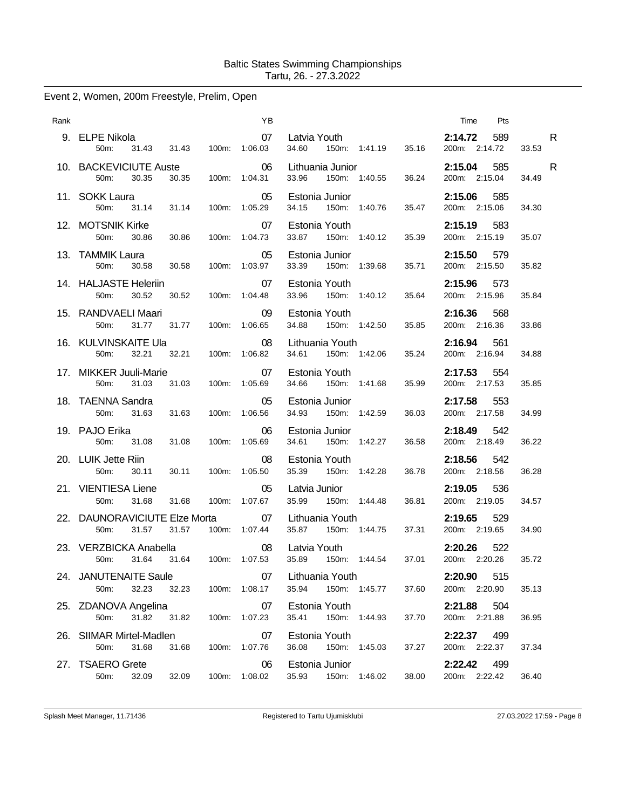# Event 2, Women, 200m Freestyle, Prelim, Open

| Rank |                                                      |                        | ΥB                         |                                          |                        | Pts<br>Time                     |            |
|------|------------------------------------------------------|------------------------|----------------------------|------------------------------------------|------------------------|---------------------------------|------------|
|      | 9. ELPE Nikola<br>31.43<br>50m:                      | 100m: 1:06.03<br>31.43 | 07                         | Latvia Youth<br>34.60                    | 35.16<br>150m: 1:41.19 | 2:14.72<br>589<br>200m: 2:14.72 | R<br>33.53 |
|      | 10. BACKEVICIUTE Auste<br>30.35<br>50m:              | 30.35                  | 06<br>100m: 1:04.31        | Lithuania Junior<br>33.96                | 150m: 1:40.55<br>36.24 | 2:15.04<br>585<br>200m: 2:15.04 | R<br>34.49 |
|      | 11. SOKK Laura<br>50m: 31.14                         | 100m: 1:05.29<br>31.14 | 05                         | Estonia Junior<br>34.15                  | 150m: 1:40.76<br>35.47 | 2:15.06<br>585<br>200m: 2:15.06 | 34.30      |
|      | 12. MOTSNIK Kirke<br>$50m$ :<br>30.86                | 30.86                  | 07<br>100m: 1:04.73        | Estonia Youth<br>33.87 150m: 1:40.12     | 35.39                  | 2:15.19<br>583<br>200m: 2:15.19 | 35.07      |
|      | 13. TAMMIK Laura<br>50m:<br>30.58                    | 30.58                  | 05<br>100m: 1:03.97        | Estonia Junior<br>33.39                  | 150m: 1:39.68<br>35.71 | 2:15.50<br>579<br>200m: 2:15.50 | 35.82      |
|      | 14. HALJASTE Heleriin<br>30.52<br>50m:               | 30.52                  | 07<br>100m: 1:04.48        | Estonia Youth<br>33.96 150m: 1:40.12     | 35.64                  | 2:15.96<br>573<br>200m: 2:15.96 | 35.84      |
|      | 15. RANDVAELI Maari<br>50 <sub>m</sub> :<br>31.77    | 31.77                  | 09<br>100m: 1:06.65        | Estonia Youth<br>34.88                   | 150m: 1:42.50<br>35.85 | 2:16.36<br>568<br>200m: 2:16.36 | 33.86      |
|      | 16. KULVINSKAITE Ula<br>32.21<br>50m:                | 32.21                  | 08<br>100m: 1:06.82        | Lithuania Youth<br>34.61 150m: 1:42.06   | 35.24                  | 2:16.94<br>561<br>200m: 2:16.94 | 34.88      |
|      | 17. MIKKER Juuli-Marie<br>31.03<br>50 <sub>m</sub> : | 31.03                  | 07<br>100m: 1:05.69        | Estonia Youth<br>34.66                   | 150m: 1:41.68<br>35.99 | 2:17.53<br>554<br>200m: 2:17.53 | 35.85      |
|      | 18. TAENNA Sandra<br>50m:<br>31.63                   | 31.63<br>100m: 1:06.56 | 05                         | Estonia Junior<br>34.93<br>150m: 1:42.59 | 36.03                  | 2:17.58<br>553<br>200m: 2:17.58 | 34.99      |
|      | 19. PAJO Erika<br>50m: 31.08                         | 31.08                  | 06<br>100m: 1:05.69        | Estonia Junior<br>34.61 150m: 1:42.27    | 36.58                  | 2:18.49<br>542<br>200m: 2:18.49 | 36.22      |
|      | 20. LUIK Jette Riin<br>50m:<br>30.11                 | 30.11                  | 08<br>100m: 1:05.50        | Estonia Youth<br>35.39                   | 150m: 1:42.28<br>36.78 | 2:18.56<br>542<br>200m: 2:18.56 | 36.28      |
|      | 21. VIENTIESA Liene<br>31.68<br>50 <sub>m</sub> :    | 100m: 1:07.67<br>31.68 | 05                         | Latvia Junior<br>35.99 150m: 1:44.48     | 36.81                  | 536<br>2:19.05<br>200m: 2:19.05 | 34.57      |
|      | 22. DAUNORAVICIUTE Elze Morta<br>31.57<br>$50m$ :    | 31.57                  | $\sim$ 07<br>100m: 1:07.44 | Lithuania Youth<br>35.87 150m: 1:44.75   | 37.31                  | 2:19.65<br>529<br>200m: 2:19.65 | 34.90      |
|      | 23. VERZBICKA Anabella<br>31.64<br>50 <sub>m</sub> : | 31.64<br>100m: 1:07.53 | 08                         | Latvia Youth<br>35.89                    | 150m: 1:44.54<br>37.01 | 2:20.26<br>522<br>200m: 2:20.26 | 35.72      |
|      | 24. JANUTENAITE Saule<br>50m:<br>32.23               | 32.23                  | 07<br>100m: 1:08.17        | Lithuania Youth<br>35.94                 | 150m: 1:45.77<br>37.60 | 2:20.90<br>515<br>200m: 2:20.90 | 35.13      |
|      | 25. ZDANOVA Angelina<br>50m:<br>31.82                | 31.82                  | 07<br>100m: 1:07.23        | Estonia Youth<br>35.41                   | 150m: 1:44.93<br>37.70 | 504<br>2:21.88<br>200m: 2:21.88 | 36.95      |
|      | 26. SIIMAR Mirtel-Madlen<br>50m:<br>31.68            | 31.68                  | 07<br>100m: 1:07.76        | Estonia Youth<br>36.08                   | 150m: 1:45.03<br>37.27 | 2:22.37<br>499<br>200m: 2:22.37 | 37.34      |
|      | 27. TSAERO Grete<br>50m:<br>32.09                    | 32.09<br>100m:         | 06<br>1:08.02              | Estonia Junior<br>35.93                  | 150m: 1:46.02<br>38.00 | 499<br>2:22.42<br>200m: 2:22.42 | 36.40      |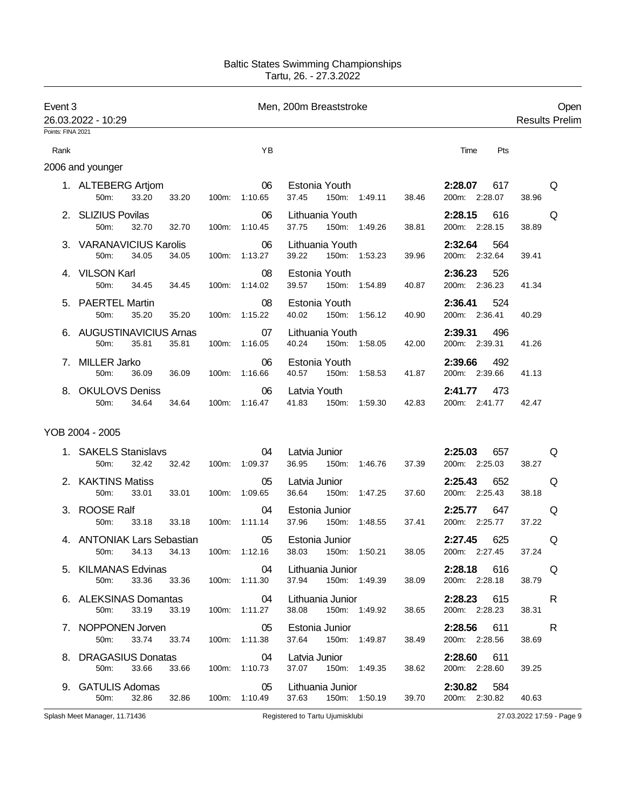| Event 3           | 26.03.2022 - 10:29                                       |                           |                                  | Men, 200m Breaststroke                                                      |                                     | Open<br><b>Results Prelim</b> |  |
|-------------------|----------------------------------------------------------|---------------------------|----------------------------------|-----------------------------------------------------------------------------|-------------------------------------|-------------------------------|--|
| Points: FINA 2021 |                                                          |                           |                                  |                                                                             |                                     |                               |  |
| Rank              |                                                          |                           | YB                               |                                                                             | Time<br>Pts                         |                               |  |
|                   | 2006 and younger                                         |                           |                                  |                                                                             |                                     |                               |  |
|                   | 1. ALTEBERG Artjom<br>33.20<br>50m:<br>33.20             | 100m:                     | 06<br>1:10.65                    | Estonia Youth<br>37.45<br>150m: 1:49.11<br>38.46                            | 2:28.07<br>617<br>200m: 2:28.07     | Q<br>38.96                    |  |
|                   | 2. SLIZIUS Povilas<br>50m:<br>32.70<br>32.70             | 100m:                     | 06<br>1:10.45                    | Lithuania Youth<br>37.75<br>150m: 1:49.26<br>38.81                          | 2:28.15<br>616<br>200m: 2:28.15     | Q<br>38.89                    |  |
|                   | 3. VARANAVICIUS Karolis<br>34.05<br>50m:<br>34.05        |                           | 06<br>100m: 1:13.27              | Lithuania Youth<br>39.22<br>150m: 1:53.23<br>39.96                          | 2:32.64<br>564<br>200m: 2:32.64     | 39.41                         |  |
|                   | 4. VILSON Karl<br>50m:<br>34.45<br>34.45                 | 100m:                     | 08<br>1:14.02                    | Estonia Youth<br>39.57<br>150m: 1:54.89<br>40.87                            | 2:36.23<br>526<br>200m: 2:36.23     | 41.34                         |  |
|                   | 5. PAERTEL Martin<br>35.20<br>50m:<br>35.20              |                           | 08<br>100m: 1:15.22              | Estonia Youth<br>40.02<br>150m: 1:56.12<br>40.90                            | 2:36.41<br>524<br>200m: 2:36.41     | 40.29                         |  |
|                   | 6. AUGUSTINAVICIUS Arnas<br>35.81<br>35.81<br>50m:       | 100m:                     | 07<br>1:16.05                    | Lithuania Youth<br>40.24<br>150m: 1:58.05<br>42.00                          | 2:39.31<br>496<br>200m: 2:39.31     | 41.26                         |  |
| 7.                | <b>MILLER Jarko</b><br>50m:<br>36.09<br>36.09            | 100m:                     | 06<br>1:16.66                    | Estonia Youth<br>40.57<br>150m: 1:58.53<br>41.87                            | 2:39.66<br>492<br>200m: 2:39.66     | 41.13                         |  |
| 8.                | <b>OKULOVS Deniss</b><br>34.64<br>34.64<br>50m:          | 100m:                     | 06<br>1:16.47                    | Latvia Youth<br>41.83<br>150m: 1:59.30<br>42.83                             | 2:41.77<br>473<br>200m: 2:41.77     | 42.47                         |  |
|                   | YOB 2004 - 2005                                          |                           |                                  |                                                                             |                                     |                               |  |
|                   | 1. SAKELS Stanislavs<br>32.42<br>50m:<br>32.42           | 100m:                     | 04<br>1:09.37                    | Latvia Junior<br>36.95<br>150m: 1:46.76<br>37.39                            | 2:25.03<br>657<br>200m: 2:25.03     | Q<br>38.27                    |  |
|                   | 2. KAKTINS Matiss<br>50m:<br>33.01<br>33.01              | 100m:                     | 05<br>1:09.65                    | Latvia Junior<br>36.64<br>150m: 1:47.25<br>37.60                            | 652<br>2:25.43<br>200m: 2:25.43     | Q<br>38.18                    |  |
|                   | 3. ROOSE Ralf<br>50m:<br>33.18<br>33.18                  | 100m:                     | 04<br>1:11.14                    | Estonia Junior<br>37.96<br>150m:<br>1:48.55<br>37.41                        | 647<br>2:25.77<br>200m: 2:25.77     | Q<br>37.22                    |  |
|                   | 4. ANTONIAK Lars Sebastian<br>50m:<br>34.13<br>34.13     | 100m:                     | 05<br>1:12.16                    | Estonia Junior<br>38.05<br>38.03<br>150m:<br>1:50.21                        | 2:27.45<br>625<br>200m: 2:27.45     | Q<br>37.24                    |  |
|                   | 5. KILMANAS Edvinas 04<br>50m: 33.36 33.36 100m: 1:11.30 |                           |                                  | Lithuania Junior<br>37.94  150m: 1:49.39<br>38.09                           | <b>2:28.18</b> 616<br>200m: 2:28.18 | Q<br>38.79                    |  |
|                   | 6. ALEKSINAS Domantas<br>50m: 33.19 33.19                |                           | $\overline{04}$<br>100m: 1:11.27 | Lithuania Junior <b>Exercise Structure</b><br>38.08  150m: 1:49.92<br>38.65 | 2:28.23 615<br>200m: 2:28.23        | R<br>38.31                    |  |
|                   | 7. NOPPONEN Jorven<br>50m:                               | 33.74 33.74 100m: 1:11.38 | 05                               | Estonia Junior<br>37.64 150m: 1:49.87<br>38.49                              | 2:28.56 611<br>200m: 2:28.56        | <b>R</b><br>38.69             |  |
|                   | 8. DRAGASIUS Donatas<br>50m: 33.66 33.66 100m: 1:10.73   |                           | 04                               | Latvia Junior<br>37.07 150m: 1:49.35<br>38.62                               | <b>2:28.60</b> 611<br>200m: 2:28.60 | 39.25                         |  |
|                   | 9. GATULIS Adomas<br>50m: 32.86 32.86                    |                           | 05<br>100m: 1:10.49              | Lithuania Junior<br>37.63 150m: 1:50.19<br>39.70                            | 2:30.82 584<br>200m: 2:30.82        | 40.63                         |  |

Splash Meet Manager, 11.71436 **Registered to Tartu Ujumisklubi** 27.03.2022 17:59 - Page 9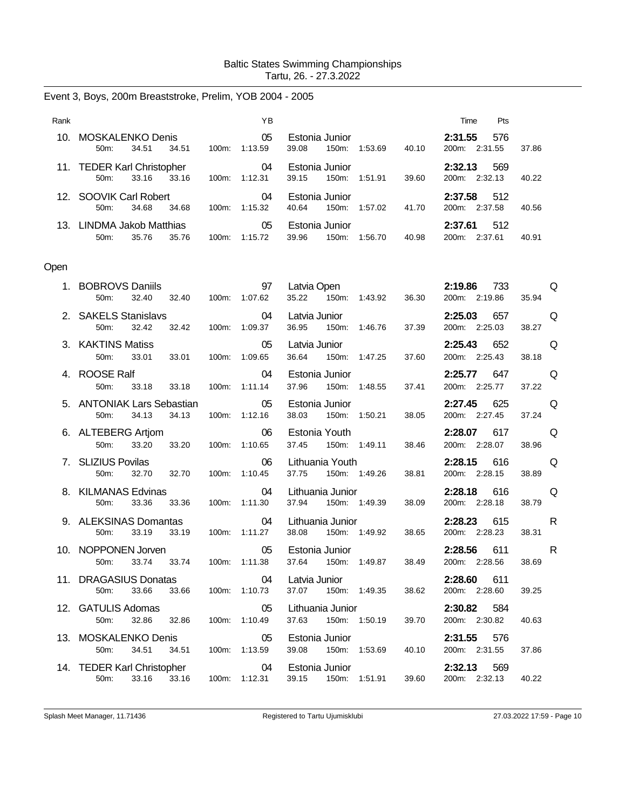|  |  | Event 3, Boys, 200m Breaststroke, Prelim, YOB 2004 - 2005 |  |  |  |
|--|--|-----------------------------------------------------------|--|--|--|
|--|--|-----------------------------------------------------------|--|--|--|

| Rank |                                         |       |       |          | ΥB            |       |                            |         |       | <b>Pts</b><br>Time                    |       |
|------|-----------------------------------------|-------|-------|----------|---------------|-------|----------------------------|---------|-------|---------------------------------------|-------|
| 10.  | MOSKALENKO Denis<br>$50m$ :             | 34.51 | 34.51 | 100m:    | 05<br>1:13.59 | 39.08 | Estonia Junior<br>$150m$ : | 1:53.69 | 40.10 | 576<br>2:31.55<br>2:31.55<br>200m:    | 37.86 |
|      | 11. TEDER Karl Christopher<br>$50m$ :   | 33.16 | 33.16 | $100m$ : | 04<br>1:12.31 | 39.15 | Estonia Junior<br>$150m$ : | 1:51.91 | 39.60 | 2:32.13<br>569<br>2:32.13<br>200m:    | 40.22 |
|      | 12. SOOVIK Carl Robert<br>$50m$ :       | 34.68 | 34.68 | 100m:    | 04<br>1:15.32 | 40.64 | Estonia Junior<br>150m:    | 1:57.02 | 41.70 | 512<br>2:37.58<br>2:37.58<br>200m     | 40.56 |
| 13   | <b>LINDMA Jakob Matthias</b><br>$50m$ : | 35.76 | 35.76 | 100m:    | 05<br>1:15.72 | 39.96 | Estonia Junior<br>$150m$ : | 1:56.70 | 40.98 | 512<br>2:37.61<br>2:37.61<br>$200m$ : | 40.91 |

# Open

| 1. BOBROVS Daniils<br>50m:<br>32.40                                                        | 97<br>32.40  100m: 1:07.62              | Latvia Open<br>35.22 150m: 1:43.92                                           | 36.30 | 2:19.86 733<br>200m: 2:19.86        | Q<br>35.94                      |
|--------------------------------------------------------------------------------------------|-----------------------------------------|------------------------------------------------------------------------------|-------|-------------------------------------|---------------------------------|
| 2. SAKELS Stanislavs 04<br>32.42<br>50m:                                                   | 32.42 100m: 1:09.37                     | Latvia Junior <b>Exercise Service Service Service</b><br>36.95 150m: 1:46.76 | 37.39 | <b>2:25.03</b> 657<br>200m: 2:25.03 | <b>O</b><br>38.27               |
| 3. KAKTINS Matiss<br>33.01<br>33.01<br>50m:                                                | $\sim$ 05<br>100m: 1:09.65              | Latvia Junior<br>36.64 150m: 1:47.25                                         | 37.60 | 2:25.43 652<br>200m: 2:25.43        | <b>O</b><br>38.18               |
| 4. ROOSE Ralf<br>33.18 33.18 100m: 1:11.14<br>50m:                                         | $\sim$ 04                               | Estonia Junior<br>37.96 150m: 1:48.55                                        | 37.41 | 2:25.77 647<br>200m: 2:25.77        | a da que de la contrad<br>37.22 |
| 5. ANTONIAK Lars Sebastian<br>34.13 34.13<br>50 <sub>m</sub> :                             | $\sim$ 05<br>100m: 1:12.16              | Estonia Junior<br>38.03 150m: 1:50.21                                        | 38.05 | 2:27.45 625<br>200m: 2:27.45        | a da que de la contrad<br>37.24 |
| 6. ALTEBERG Artjom 06<br>33.20 33.20 100m: 1:10.65<br>50m:                                 |                                         | Estonia Youth<br>37.45 150m: 1:49.11                                         | 38.46 | 2:28.07 617 Q<br>200m: 2:28.07      | 38.96                           |
| 7. SLIZIUS Povilas<br>50m: 32.70 32.70 100m: 1:10.45                                       |                                         | 06 Lithuania Youth<br>37.75  150m: 1:49.26  38.81                            |       | 2:28.15 616<br>200m: 2:28.15        | <b>DESCRIPTION</b><br>38.89     |
| 8. KILMANAS Edvinas<br>50m:<br>33.36<br>33.36                                              | $\overline{04}$<br>100m: 1:11.30        | Lithuania Junior<br>37.94  150m: 1:49.39                                     | 38.09 | 2:28.18 616<br>200m: 2:28.18        | Q<br>38.79                      |
| 9. ALEKSINAS Domantas 04                                                                   |                                         |                                                                              |       | 2:28.23 615                         | <b>Example</b> R                |
| 33.19<br>33.19<br>50m:                                                                     | 100m: 1:11.27                           | Lithuania Junior<br>38.08 150m: 1:49.92                                      | 38.65 | 200m: 2:28.23                       | 38.31                           |
| 10. NOPPONEN Jorven 65 Estonia Junior<br>33.74 33.74 100m: 1:11.38<br>50m:                 |                                         | 37.64 150m: 1:49.87                                                          | 38.49 | 2:28.56 611<br>200m: 2:28.56        | R<br>38.69                      |
| 11. DRAGASIUS Donatas<br>50m:<br>33.66                                                     | $\overline{0}$ 4<br>33.66 100m: 1:10.73 | Latvia Junior<br>37.07 150m: 1:49.35                                         | 38.62 | 2:28.60 611<br>200m: 2:28.60        | 39.25                           |
| 12. GATULIS Adomas<br>32.86 32.86<br>50m:                                                  | $\sim$ 05<br>100m: 1:10.49              | Lithuania Junior<br>37.63 150m: 1:50.19                                      | 39.70 | 2:30.82 584<br>200m: 2:30.82        | 40.63                           |
| 13. MOSKALENKO Denis 05<br>34.51 34.51<br>50m:                                             | 100m: 1:13.59                           | Estonia Junior <b>Example 19</b><br>39.08 150m: 1:53.69                      | 40.10 | 2:31.55 576<br>200m: 2:31.55        | 37.86                           |
| 14. TEDER Karl Christopher 04 Estonia Junior<br>50m: 33.16 33.16 100m: 1:12.31 39.15 150m: |                                         | 39.15 150m: 1:51.91                                                          | 39.60 | 2:32.13<br>569<br>200m: 2:32.13     | 40.22                           |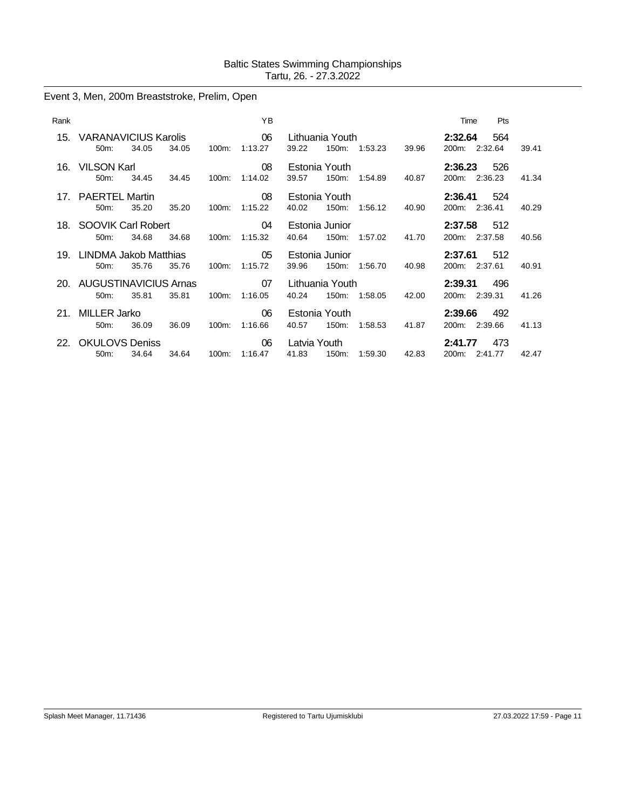# Event 3, Men, 200m Breaststroke, Prelim, Open

| Rank |                                         |       |       |       | YB                  |                          |       |                                                            |       | Time                                |                | Pts   |  |
|------|-----------------------------------------|-------|-------|-------|---------------------|--------------------------|-------|------------------------------------------------------------|-------|-------------------------------------|----------------|-------|--|
|      | 15. VARANAVICIUS Karolis 66<br>$50m$ :  | 34.05 | 34.05 | 100m: | 1:13.27             | 39.22                    | 150m: | Lithuania Youth <b>Exercise Structure</b><br>1:53.23       | 39.96 | 2:32.64 564<br>200m:                | 2:32.64        | 39.41 |  |
|      | 16. VILSON Karl<br>$50m$ :              | 34.45 | 34.45 |       | 08<br>100m: 1:14.02 | Estonia Youth<br>39.57   | 150m: | 1:54.89 40.87                                              |       | <b>2:36.23</b> 526<br>200m: 2:36.23 |                | 41.34 |  |
|      | 17. PAERTEL Martin<br>$50m$ :           | 35.20 | 35.20 | 100m: | 08<br>1:15.22       | Estonia Youth<br>40.02   | 150m: | 1:56.12                                                    | 40.90 | <b>2:36.41</b> 524<br>200m: 2:36.41 |                | 40.29 |  |
|      | 18. SOOVIK Carl Robert<br>$50m$ :       | 34.68 | 34.68 |       | 04<br>100m: 1:15.32 | Estonia Junior<br>40.64  | 150m: | 1:57.02                                                    | 41.70 | 2:37.58 512<br>200m: 2:37.58        |                | 40.56 |  |
|      | 19. LINDMA Jakob Matthias 65<br>$50m$ : | 35.76 | 35.76 | 100m: | 1:15.72             | Estonia Junior<br>39.96  | 150m: | 1:56.70                                                    | 40.98 | $2:37.61$ 512<br>200m: 2:37.61      |                | 40.91 |  |
|      | 20. AUGUSTINAVICIUS Arnas<br>$50m$ :    | 35.81 | 35.81 |       | 07<br>100m: 1:16.05 | Lithuania Youth<br>40.24 | 150m: | 1:58.05 42.00                                              |       | <b>2:39.31</b> 496<br>200m: 2:39.31 |                | 41.26 |  |
|      | 21. MILLER Jarko<br>$50m$ :             | 36.09 | 36.09 | 100m: | 06<br>1:16.66       | Estonia Youth<br>40.57   | 150m: | 1:58.53                                                    | 41.87 | 2:39.66<br>200m: 2:39.66            | 492            | 41.13 |  |
|      | 22. OKULOVS Deniss<br>50m:              | 34.64 | 34.64 |       | 06<br>100m: 1:16.47 | 41.83                    | 150m: | Latvia Youth <b>Santa</b> Province and Security<br>1:59.30 | 42.83 | 2:41.77<br>200m:                    | 473<br>2:41.77 | 42.47 |  |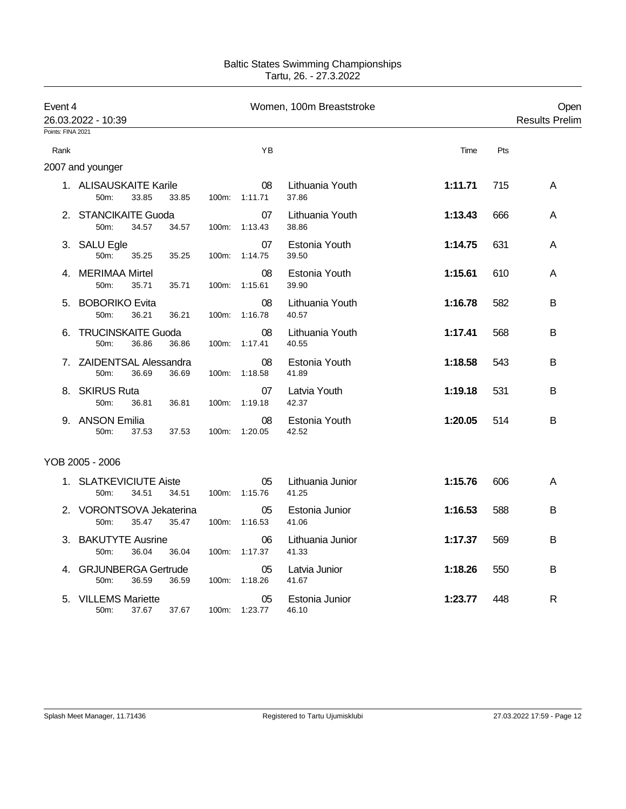| Event 4           | 26.03.2022 - 10:39                            |       |       |                     | Women, 100m Breaststroke  |         |     | Open<br><b>Results Prelim</b> |
|-------------------|-----------------------------------------------|-------|-------|---------------------|---------------------------|---------|-----|-------------------------------|
| Points: FINA 2021 |                                               |       |       |                     |                           |         |     |                               |
| Rank              |                                               |       |       | YB                  |                           | Time    | Pts |                               |
|                   | 2007 and younger                              |       |       |                     |                           |         |     |                               |
|                   | 1. ALISAUSKAITE Karile<br>50m:<br>33.85       | 33.85 | 100m: | 08<br>1:11.71       | Lithuania Youth<br>37.86  | 1:11.71 | 715 | Α                             |
|                   | 2. STANCIKAITE Guoda<br>50m:<br>34.57         | 34.57 | 100m: | 07<br>1:13.43       | Lithuania Youth<br>38.86  | 1:13.43 | 666 | A                             |
| 3.                | <b>SALU Egle</b><br>50m:<br>35.25             | 35.25 | 100m: | 07<br>1:14.75       | Estonia Youth<br>39.50    | 1:14.75 | 631 | A                             |
| 4.                | <b>MERIMAA Mirtel</b><br>35.71<br>50m:        | 35.71 | 100m: | 08<br>1:15.61       | Estonia Youth<br>39.90    | 1:15.61 | 610 | A                             |
| 5.                | <b>BOBORIKO Evita</b><br>50m:<br>36.21        | 36.21 | 100m: | 08<br>1:16.78       | Lithuania Youth<br>40.57  | 1:16.78 | 582 | в                             |
| 6.                | <b>TRUCINSKAITE Guoda</b><br>50m:<br>36.86    | 36.86 | 100m: | 08<br>1:17.41       | Lithuania Youth<br>40.55  | 1:17.41 | 568 | B                             |
|                   | 7. ZAIDENTSAL Alessandra<br>50m:<br>36.69     | 36.69 | 100m: | 08<br>1:18.58       | Estonia Youth<br>41.89    | 1:18.58 | 543 | B                             |
|                   | 8. SKIRUS Ruta<br>50m:<br>36.81               | 36.81 | 100m: | 07<br>1:19.18       | Latvia Youth<br>42.37     | 1:19.18 | 531 | В                             |
|                   | 9. ANSON Emilia<br>50m:<br>37.53              | 37.53 | 100m: | 08<br>1:20.05       | Estonia Youth<br>42.52    | 1:20.05 | 514 | B                             |
|                   | YOB 2005 - 2006                               |       |       |                     |                           |         |     |                               |
| 1.                | <b>SLATKEVICIUTE Aiste</b><br>50m:<br>34.51   | 34.51 |       | 05<br>100m: 1:15.76 | Lithuania Junior<br>41.25 | 1:15.76 | 606 | A                             |
|                   | <b>VORONTSOVA Jekaterina</b><br>50m:<br>35.47 | 35.47 | 100m: | 05<br>1:16.53       | Estonia Junior<br>41.06   | 1:16.53 | 588 | В                             |
| 3.                | <b>BAKUTYTE Ausrine</b><br>36.04<br>50m:      | 36.04 | 100m: | 06<br>1:17.37       | Lithuania Junior<br>41.33 | 1:17.37 | 569 | В                             |
| 4.                | <b>GRJUNBERGA Gertrude</b><br>50m:<br>36.59   | 36.59 |       | 05<br>100m: 1:18.26 | Latvia Junior<br>41.67    | 1:18.26 | 550 | B                             |
|                   | 5. VILLEMS Mariette<br>50m:<br>37.67          | 37.67 | 100m: | 05<br>1:23.77       | Estonia Junior<br>46.10   | 1:23.77 | 448 | R                             |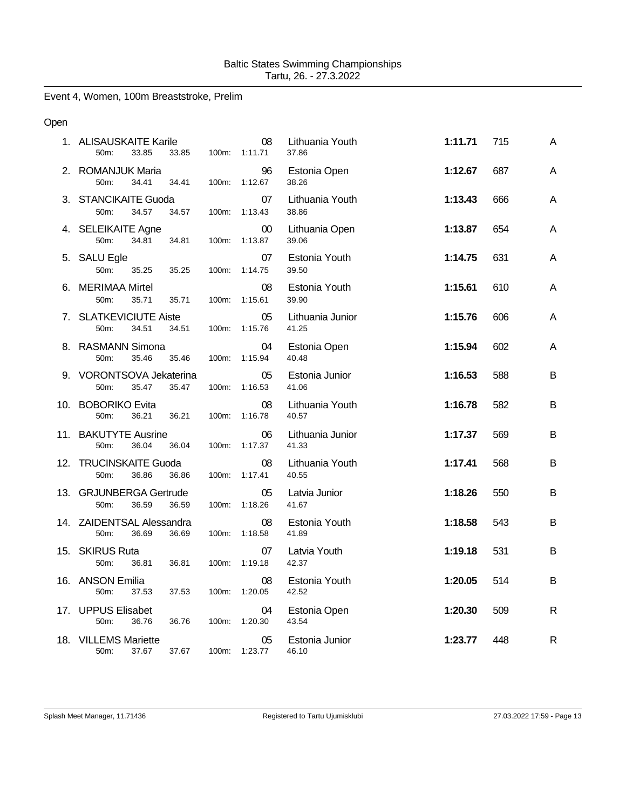Event 4, Women, 100m Breaststroke, Prelim

### Open

| 1. ALISAUSKAITE Karile<br>50m:<br>33.85<br>33.85    | 100m: | 08<br>1:11.71 | Lithuania Youth<br>37.86  | 1:11.71 | 715 | A |
|-----------------------------------------------------|-------|---------------|---------------------------|---------|-----|---|
| 2. ROMANJUK Maria<br>50m:<br>34.41<br>34.41         | 100m: | 96<br>1:12.67 | Estonia Open<br>38.26     | 1:12.67 | 687 | A |
| 3. STANCIKAITE Guoda<br>50m:<br>34.57<br>34.57      | 100m: | 07<br>1:13.43 | Lithuania Youth<br>38.86  | 1:13.43 | 666 | A |
| 4. SELEIKAITE Agne<br>34.81<br>50m:<br>34.81        | 100m: | 00<br>1:13.87 | Lithuania Open<br>39.06   | 1:13.87 | 654 | A |
| 5. SALU Egle<br>50m:<br>35.25<br>35.25              | 100m: | 07<br>1:14.75 | Estonia Youth<br>39.50    | 1:14.75 | 631 | A |
| 6. MERIMAA Mirtel<br>50m:<br>35.71<br>35.71         | 100m: | 08<br>1:15.61 | Estonia Youth<br>39.90    | 1:15.61 | 610 | A |
| 7. SLATKEVICIUTE Aiste<br>50m:<br>34.51<br>34.51    | 100m: | 05<br>1:15.76 | Lithuania Junior<br>41.25 | 1:15.76 | 606 | A |
| 8. RASMANN Simona<br>35.46<br>35.46<br>50m:         | 100m: | 04<br>1:15.94 | Estonia Open<br>40.48     | 1:15.94 | 602 | A |
| 9. VORONTSOVA Jekaterina<br>50m:<br>35.47<br>35.47  | 100m: | 05<br>1:16.53 | Estonia Junior<br>41.06   | 1:16.53 | 588 | B |
| 10. BOBORIKO Evita<br>50m:<br>36.21<br>36.21        | 100m: | 08<br>1:16.78 | Lithuania Youth<br>40.57  | 1:16.78 | 582 | B |
| 11. BAKUTYTE Ausrine<br>50m:<br>36.04<br>36.04      | 100m: | 06<br>1:17.37 | Lithuania Junior<br>41.33 | 1:17.37 | 569 | B |
| 12. TRUCINSKAITE Guoda<br>50m:<br>36.86<br>36.86    | 100m: | 08<br>1:17.41 | Lithuania Youth<br>40.55  | 1:17.41 | 568 | B |
| 13. GRJUNBERGA Gertrude<br>50m:<br>36.59<br>36.59   | 100m: | 05<br>1:18.26 | Latvia Junior<br>41.67    | 1:18.26 | 550 | B |
| 14. ZAIDENTSAL Alessandra<br>50m:<br>36.69<br>36.69 | 100m: | 08<br>1:18.58 | Estonia Youth<br>41.89    | 1:18.58 | 543 | B |
| 15. SKIRUS Ruta<br>50m:<br>36.81<br>36.81           | 100m: | 07<br>1:19.18 | Latvia Youth<br>42.37     | 1:19.18 | 531 | B |
| 16. ANSON Emilia<br>50m:<br>37.53<br>37.53          | 100m: | 08<br>1:20.05 | Estonia Youth<br>42.52    | 1:20.05 | 514 | B |
| 17. UPPUS Elisabet<br>36.76<br>50m:<br>36.76        | 100m: | 04<br>1:20.30 | Estonia Open<br>43.54     | 1:20.30 | 509 | R |
| 18. VILLEMS Mariette<br>37.67<br>50m:<br>37.67      | 100m: | 05<br>1:23.77 | Estonia Junior<br>46.10   | 1:23.77 | 448 | R |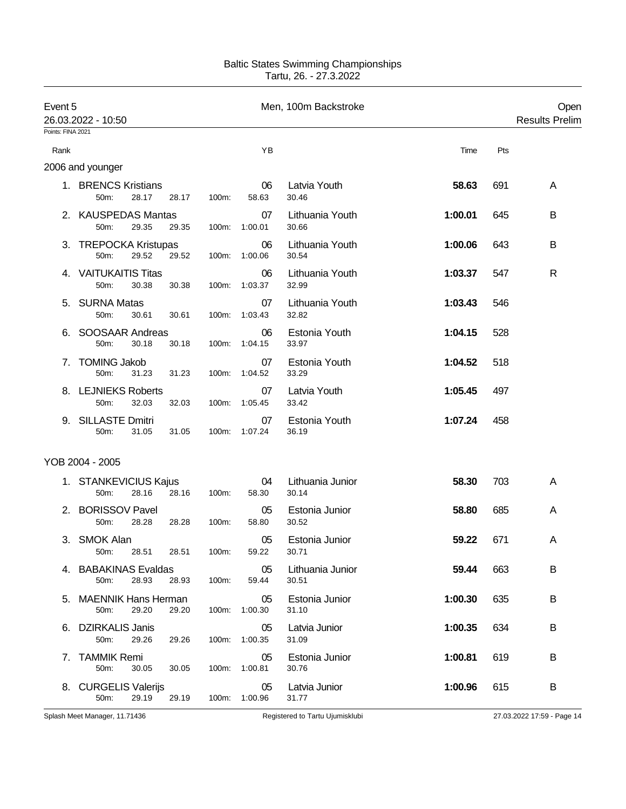| Event 5 | 26.03.2022 - 10:50<br>Points: FINA 2021   |       |       |                     | Men, 100m Backstroke      |         |     | Open<br><b>Results Prelim</b> |
|---------|-------------------------------------------|-------|-------|---------------------|---------------------------|---------|-----|-------------------------------|
|         |                                           |       |       |                     |                           |         |     |                               |
| Rank    |                                           |       |       | ΥB                  |                           | Time    | Pts |                               |
|         | 2006 and younger                          |       |       |                     |                           |         |     |                               |
|         | 1. BRENCS Kristians<br>50m:<br>28.17      | 28.17 | 100m: | 06<br>58.63         | Latvia Youth<br>30.46     | 58.63   | 691 | A                             |
|         | 2. KAUSPEDAS Mantas<br>29.35<br>50m:      | 29.35 | 100m: | 07<br>1:00.01       | Lithuania Youth<br>30.66  | 1:00.01 | 645 | B                             |
|         | 3. TREPOCKA Kristupas<br>29.52<br>50m:    | 29.52 | 100m: | 06<br>1:00.06       | Lithuania Youth<br>30.54  | 1:00.06 | 643 | B                             |
|         | 4. VAITUKAITIS Titas<br>50m:<br>30.38     | 30.38 |       | 06<br>100m: 1:03.37 | Lithuania Youth<br>32.99  | 1:03.37 | 547 | R                             |
|         | 5. SURNA Matas<br>50m:<br>30.61           | 30.61 | 100m: | 07<br>1:03.43       | Lithuania Youth<br>32.82  | 1:03.43 | 546 |                               |
|         | SOOSAAR Andreas<br>50m:<br>30.18          | 30.18 | 100m: | 06<br>1:04.15       | Estonia Youth<br>33.97    | 1:04.15 | 528 |                               |
| 7.      | <b>TOMING Jakob</b><br>50m:<br>31.23      | 31.23 | 100m: | 07<br>1:04.52       | Estonia Youth<br>33.29    | 1:04.52 | 518 |                               |
|         | 8. LEJNIEKS Roberts<br>50m:<br>32.03      | 32.03 | 100m: | 07<br>1:05.45       | Latvia Youth<br>33.42     | 1:05.45 | 497 |                               |
|         | 9. SILLASTE Dmitri<br>50m:<br>31.05       | 31.05 | 100m: | 07<br>1:07.24       | Estonia Youth<br>36.19    | 1:07.24 | 458 |                               |
|         | YOB 2004 - 2005                           |       |       |                     |                           |         |     |                               |
|         | 1. STANKEVICIUS Kajus<br>28.16<br>$50m$ : | 28.16 | 100m: | 04<br>58.30         | Lithuania Junior<br>30.14 | 58.30   | 703 | A                             |
|         | 2. BORISSOV Pavel<br>28.28<br>50m:        | 28.28 | 100m: | 05<br>58.80         | Estonia Junior<br>30.52   | 58.80   | 685 | A                             |
|         | 3. SMOK Alan<br>28.51 28.51<br>50m:       |       | 100m: | 05<br>59.22         | Estonia Junior<br>30.71   | 59.22   | 671 | A                             |
|         | 4. BABAKINAS Evaldas<br>28.93<br>50m:     | 28.93 | 100m: | 05<br>59.44         | Lithuania Junior<br>30.51 | 59.44   | 663 | B                             |
|         | 5. MAENNIK Hans Herman<br>50m:<br>29.20   | 29.20 | 100m: | 05<br>1:00.30       | Estonia Junior<br>31.10   | 1:00.30 | 635 | В                             |
|         | 6. DZIRKALIS Janis<br>29.26<br>50m:       | 29.26 | 100m: | 05<br>1:00.35       | Latvia Junior<br>31.09    | 1:00.35 | 634 | В                             |
|         | 7. TAMMIK Remi<br>50m:<br>30.05           | 30.05 | 100m: | 05<br>1:00.81       | Estonia Junior<br>30.76   | 1:00.81 | 619 | В                             |
|         | 8. CURGELIS Valerijs<br>29.19<br>50m:     | 29.19 |       | 05<br>100m: 1:00.96 | Latvia Junior<br>31.77    | 1:00.96 | 615 | B                             |

Splash Meet Manager, 11.71436 **Registered to Tartu Ujumisklubi** 27.03.2022 17:59 - Page 14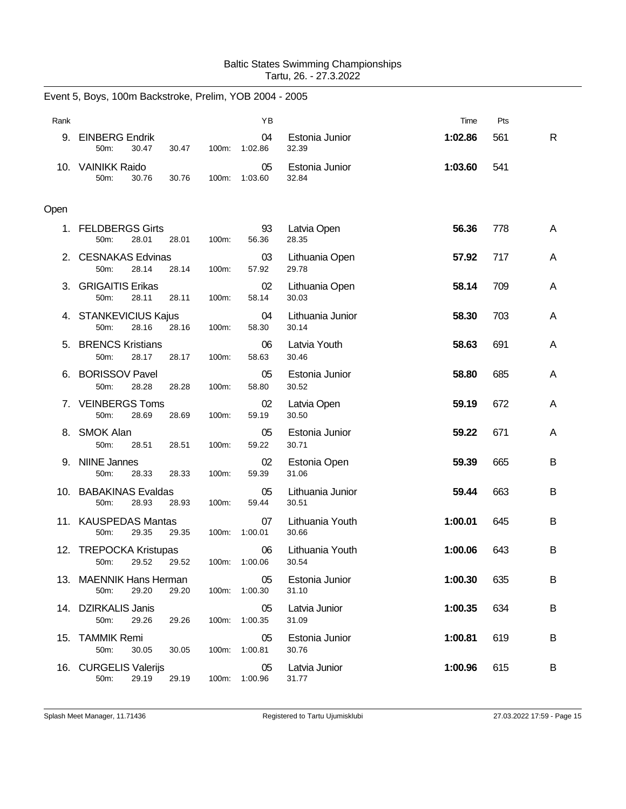|      | Event 5, Boys, 100m Backstroke, Prelim, YOB 2004 - 2005 |                |                     |                           |         |     |    |
|------|---------------------------------------------------------|----------------|---------------------|---------------------------|---------|-----|----|
| Rank |                                                         |                | YB                  |                           | Time    | Pts |    |
| 9.   | <b>EINBERG Endrik</b><br>50m:<br>30.47                  | 30.47<br>100m: | 04<br>1:02.86       | Estonia Junior<br>32.39   | 1:02.86 | 561 | R. |
|      | 10. VAINIKK Raido<br>50m:<br>30.76                      | 30.76<br>100m: | 05<br>1:03.60       | Estonia Junior<br>32.84   | 1:03.60 | 541 |    |
| Open |                                                         |                |                     |                           |         |     |    |
|      | 1. FELDBERGS Girts<br>50m:<br>28.01                     | 28.01<br>100m: | 93<br>56.36         | Latvia Open<br>28.35      | 56.36   | 778 | A  |
| 2.   | <b>CESNAKAS Edvinas</b><br>50m:<br>28.14                | 28.14<br>100m: | 03<br>57.92         | Lithuania Open<br>29.78   | 57.92   | 717 | A  |
|      | 3. GRIGAITIS Erikas<br>28.11<br>50m:                    | 28.11<br>100m: | 02<br>58.14         | Lithuania Open<br>30.03   | 58.14   | 709 | A  |
|      | 4. STANKEVICIUS Kajus<br>28.16<br>50m:                  | 28.16<br>100m: | 04<br>58.30         | Lithuania Junior<br>30.14 | 58.30   | 703 | A  |
| 5.   | <b>BRENCS Kristians</b><br>28.17<br>50m:                | 28.17<br>100m: | 06<br>58.63         | Latvia Youth<br>30.46     | 58.63   | 691 | A  |
| 6.   | <b>BORISSOV Pavel</b><br>28.28<br>50m:                  | 100m:<br>28.28 | 05<br>58.80         | Estonia Junior<br>30.52   | 58.80   | 685 | A  |
|      | 7. VEINBERGS Toms<br>50m:<br>28.69                      | 28.69<br>100m: | 02<br>59.19         | Latvia Open<br>30.50      | 59.19   | 672 | A  |
|      | 8. SMOK Alan<br>50m:<br>28.51                           | 28.51<br>100m: | 05<br>59.22         | Estonia Junior<br>30.71   | 59.22   | 671 | A  |
| 9.   | <b>NIINE Jannes</b><br>50m:<br>28.33                    | 28.33<br>100m: | 02<br>59.39         | Estonia Open<br>31.06     | 59.39   | 665 | В  |
|      | 10. BABAKINAS Evaldas<br>28.93<br>50m:                  | 28.93<br>100m: | 05<br>59.44         | Lithuania Junior<br>30.51 | 59.44   | 663 | B  |
|      | 11. KAUSPEDAS Mantas<br>50m:<br>29.35                   | 29.35<br>100m: | 07<br>1:00.01       | Lithuania Youth<br>30.66  | 1:00.01 | 645 | B  |
|      | 12. TREPOCKA Kristupas<br>29.52<br>50m:                 | 29.52          | 06<br>100m: 1:00.06 | Lithuania Youth<br>30.54  | 1:00.06 | 643 | В  |
|      | 13. MAENNIK Hans Herman<br>50m:<br>29.20                | 29.20<br>100m: | 05<br>1:00.30       | Estonia Junior<br>31.10   | 1:00.30 | 635 | В  |
|      | 14. DZIRKALIS Janis<br>50m:<br>29.26                    | 29.26<br>100m: | 05<br>1:00.35       | Latvia Junior<br>31.09    | 1:00.35 | 634 | В  |
|      | 15. TAMMIK Remi<br>50m:<br>30.05                        | 30.05<br>100m: | 05<br>1:00.81       | Estonia Junior<br>30.76   | 1:00.81 | 619 | B  |
|      | 16. CURGELIS Valerijs<br>50m:<br>29.19                  | 29.19          | 05<br>100m: 1:00.96 | Latvia Junior<br>31.77    | 1:00.96 | 615 | В  |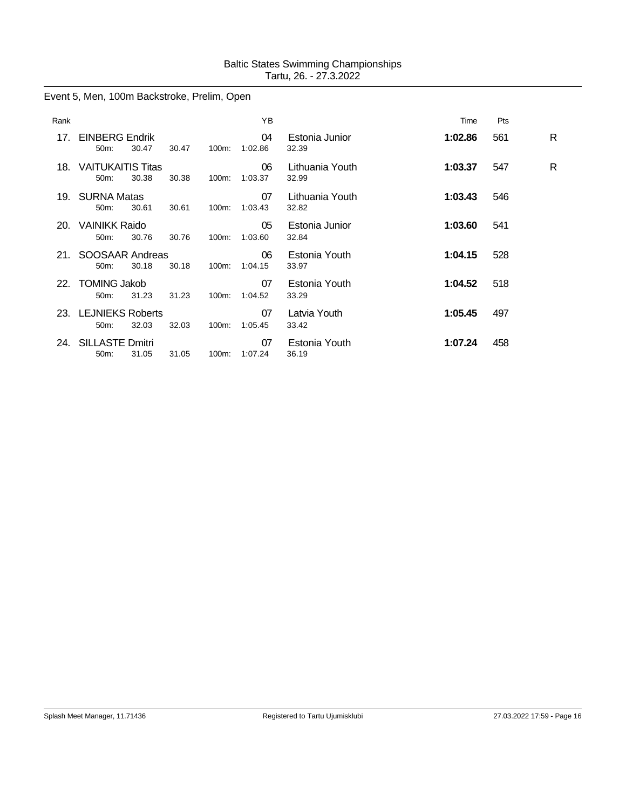# Event 5, Men, 100m Backstroke, Prelim, Open

| Rank |                                               |       |       |       | YB            |                          | Time    | Pts |    |
|------|-----------------------------------------------|-------|-------|-------|---------------|--------------------------|---------|-----|----|
| 17.  | <b>EINBERG Endrik</b><br>$50m$ :              | 30.47 | 30.47 | 100m: | 04<br>1:02.86 | Estonia Junior<br>32.39  | 1:02.86 | 561 | R. |
| 18.  | <b>VAITUKAITIS Titas</b><br>50 <sub>m</sub> : | 30.38 | 30.38 | 100m: | 06<br>1:03.37 | Lithuania Youth<br>32.99 | 1:03.37 | 547 | R  |
|      | 19. SURNA Matas<br>50 <sub>m</sub> :          | 30.61 | 30.61 | 100m: | 07<br>1:03.43 | Lithuania Youth<br>32.82 | 1:03.43 | 546 |    |
| 20.  | <b>VAINIKK Raido</b><br>50m:                  | 30.76 | 30.76 | 100m: | 05<br>1:03.60 | Estonia Junior<br>32.84  | 1:03.60 | 541 |    |
| 21.  | SOOSAAR Andreas<br>$50m$ :                    | 30.18 | 30.18 | 100m: | 06<br>1:04.15 | Estonia Youth<br>33.97   | 1:04.15 | 528 |    |
|      | 22. TOMING Jakob<br>50 <sub>m</sub> :         | 31.23 | 31.23 | 100m: | 07<br>1:04.52 | Estonia Youth<br>33.29   | 1:04.52 | 518 |    |
| 23.  | <b>LEJNIEKS Roberts</b><br>50 <sub>m</sub> :  | 32.03 | 32.03 | 100m: | 07<br>1:05.45 | Latvia Youth<br>33.42    | 1:05.45 | 497 |    |
| 24.  | <b>SILLASTE Dmitri</b><br>50m:                | 31.05 | 31.05 | 100m: | 07<br>1:07.24 | Estonia Youth<br>36.19   | 1:07.24 | 458 |    |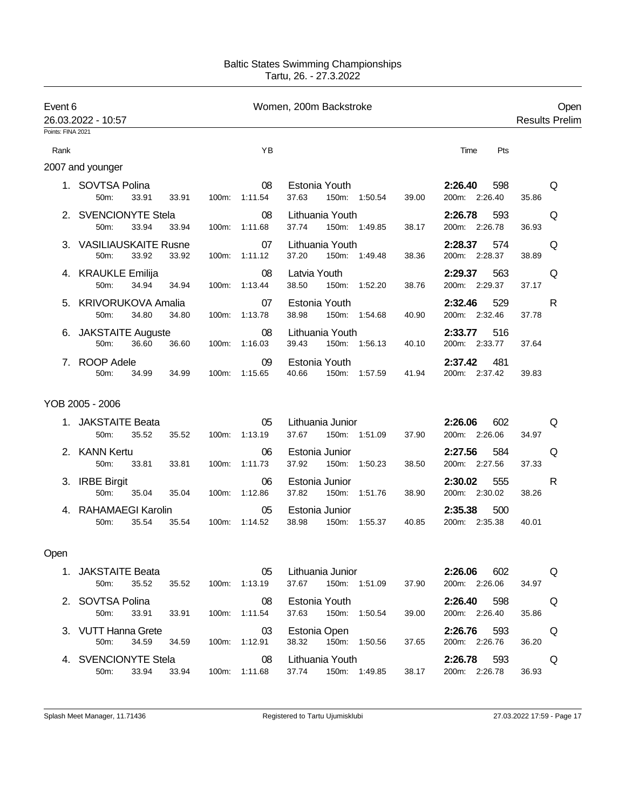| Event 6           |                                          |       |                     | Women, 200m Backstroke                             |                                       | Open                  |
|-------------------|------------------------------------------|-------|---------------------|----------------------------------------------------|---------------------------------------|-----------------------|
| Points: FINA 2021 | 26.03.2022 - 10:57                       |       |                     |                                                    |                                       | <b>Results Prelim</b> |
| Rank              |                                          |       | YB                  |                                                    | Time<br>Pts                           |                       |
|                   |                                          |       |                     |                                                    |                                       |                       |
|                   | 2007 and younger                         |       |                     |                                                    |                                       |                       |
|                   | 1. SOVTSA Polina<br>33.91<br>50m:        | 33.91 | 08<br>100m: 1:11.54 | Estonia Youth<br>37.63<br>150m: 1:50.54<br>39.00   | 2:26.40<br>598<br>200m: 2:26.40       | Q<br>35.86            |
|                   | 2. SVENCIONYTE Stela<br>50m:<br>33.94    | 33.94 | 08<br>100m: 1:11.68 | Lithuania Youth<br>37.74 150m: 1:49.85<br>38.17    | 2:26.78<br>593<br>200m: 2:26.78       | Q<br>36.93            |
|                   | 3. VASILIAUSKAITE Rusne<br>50m:<br>33.92 | 33.92 | 07<br>100m: 1:11.12 | Lithuania Youth<br>37.20<br>150m: 1:49.48<br>38.36 | 2:28.37<br>574<br>200m: 2:28.37       | Q<br>38.89            |
|                   | 4. KRAUKLE Emilija<br>50m:<br>34.94      | 34.94 | 08<br>100m: 1:13.44 | Latvia Youth<br>38.50<br>150m: 1:52.20<br>38.76    | 2:29.37<br>563<br>200m: 2:29.37       | Q<br>37.17            |
|                   | 5. KRIVORUKOVA Amalia<br>34.80<br>50m:   | 34.80 | 07<br>100m: 1:13.78 | Estonia Youth<br>38.98<br>150m: 1:54.68<br>40.90   | 529<br>2:32.46<br>200m: 2:32.46       | R<br>37.78            |
|                   | 6. JAKSTAITE Auguste<br>50m:<br>36.60    | 36.60 | 08<br>100m: 1:16.03 | Lithuania Youth<br>150m: 1:56.13<br>39.43<br>40.10 | 2:33.77<br>516<br>200m: 2:33.77       | 37.64                 |
|                   | 7. ROOP Adele<br>50m:<br>34.99           | 34.99 | 09<br>100m: 1:15.65 | Estonia Youth<br>150m: 1:57.59<br>40.66<br>41.94   | 2:37.42 481<br>200m: 2:37.42          | 39.83                 |
|                   | YOB 2005 - 2006                          |       |                     |                                                    |                                       |                       |
|                   | 1. JAKSTAITE Beata<br>50m:<br>35.52      | 35.52 | 05<br>100m: 1:13.19 | Lithuania Junior<br>37.67 150m: 1:51.09<br>37.90   | 2:26.06<br>602<br>200m: 2:26.06       | Q<br>34.97            |
|                   | 2. KANN Kertu<br>50m:<br>33.81           | 33.81 | 06<br>100m: 1:11.73 | Estonia Junior<br>37.92<br>150m: 1:50.23<br>38.50  | 2:27.56<br>584<br>200m: 2:27.56       | Q<br>37.33            |
|                   | 3. IRBE Birgit<br>50m:<br>35.04          | 35.04 | 06<br>100m: 1:12.86 | Estonia Junior<br>37.82  150m: 1:51.76<br>38.90    | 2:30.02<br>555<br>200m: 2:30.02       | R<br>38.26            |
|                   | 4. RAHAMAEGI Karolin<br>50m:<br>35.54    | 35.54 | 05<br>100m: 1:14.52 | Estonia Junior<br>38.98<br>150m: 1:55.37<br>40.85  | 2:35.38<br>500<br>200m: 2:35.38       | 40.01                 |
| Open              |                                          |       |                     |                                                    |                                       |                       |
|                   | 1. JAKSTAITE Beata<br>50m:<br>35.52      | 35.52 | 05<br>100m: 1:13.19 | Lithuania Junior<br>37.67 150m: 1:51.09<br>37.90   | 602<br>2:26.06<br>200m: 2:26.06       | Q<br>34.97            |
|                   | 2. SOVTSA Polina<br>50m:<br>33.91        | 33.91 | 08<br>100m: 1:11.54 | Estonia Youth<br>37.63 150m: 1:50.54<br>39.00      | 2:26.40 598<br>200m: 2:26.40          | Q<br>35.86            |
|                   | 3. VUTT Hanna Grete<br>50m:<br>34.59     | 34.59 | 03<br>100m: 1:12.91 | Estonia Open<br>38.32 150m: 1:50.56<br>37.65       | 2:26.76 593<br>200m: 2:26.76          | Q<br>36.20            |
|                   | 4. SVENCIONYTE Stela<br>50m:<br>33.94    | 33.94 | 08<br>100m: 1:11.68 | Lithuania Youth<br>37.74 150m: 1:49.85             | 2:26.78 593<br>200m: 2:26.78<br>38.17 | Q<br>36.93            |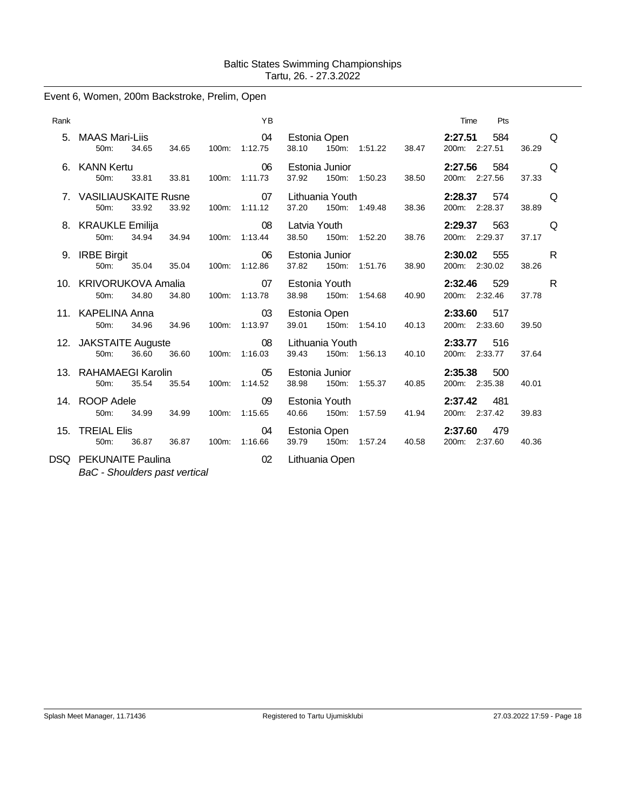# Event 6, Women, 200m Backstroke, Prelim, Open

| Rank |                                      |       |       |       | <b>YB</b>           |                          |       |               |       | Time                     | Pts |       |   |
|------|--------------------------------------|-------|-------|-------|---------------------|--------------------------|-------|---------------|-------|--------------------------|-----|-------|---|
|      | 5. MAAS Mari-Liis<br>50m:            | 34.65 | 34.65 |       | 04<br>100m: 1:12.75 | Estonia Open<br>38.10    |       | 150m: 1:51.22 | 38.47 | 2:27.51<br>200m: 2:27.51 | 584 | 36.29 | Q |
|      | 6. KANN Kertu<br>50m:                | 33.81 | 33.81 | 100m: | 06<br>1:11.73       | Estonia Junior<br>37.92  |       | 150m: 1:50.23 | 38.50 | 2:27.56<br>200m: 2:27.56 | 584 | 37.33 | Q |
|      | 7. VASILIAUSKAITE Rusne<br>50m:      | 33.92 | 33.92 | 100m: | 07<br>1:11.12       | Lithuania Youth<br>37.20 |       | 150m: 1:49.48 | 38.36 | 2:28.37<br>200m: 2:28.37 | 574 | 38.89 | Q |
|      | 8. KRAUKLE Emilija<br>50m:           | 34.94 | 34.94 | 100m: | 08<br>1:13.44       | Latvia Youth<br>38.50    |       | 150m: 1:52.20 | 38.76 | 2:29.37<br>200m: 2:29.37 | 563 | 37.17 | Q |
| 9.   | <b>IRBE Birgit</b><br>50m:           | 35.04 | 35.04 | 100m: | 06<br>1:12.86       | Estonia Junior<br>37.82  |       | 150m: 1:51.76 | 38.90 | 2:30.02<br>200m: 2:30.02 | 555 | 38.26 | R |
|      | 10. KRIVORUKOVA Amalia<br>50m:       | 34.80 | 34.80 | 100m: | 07<br>1:13.78       | Estonia Youth<br>38.98   |       | 150m: 1:54.68 | 40.90 | 2:32.46<br>200m: 2:32.46 | 529 | 37.78 | R |
|      | 11. KAPELINA Anna<br>50m:            | 34.96 | 34.96 | 100m: | 03<br>1:13.97       | Estonia Open<br>39.01    | 150m: | 1:54.10       | 40.13 | 2:33.60<br>200m: 2:33.60 | 517 | 39.50 |   |
|      | 12. JAKSTAITE Auguste<br>50m:        | 36.60 | 36.60 | 100m: | 08<br>1:16.03       | Lithuania Youth<br>39.43 |       | 150m: 1:56.13 | 40.10 | 2:33.77<br>200m: 2:33.77 | 516 | 37.64 |   |
|      | 13. RAHAMAEGI Karolin<br>50m:        | 35.54 | 35.54 | 100m: | 05<br>1:14.52       | Estonia Junior<br>38.98  |       | 150m: 1:55.37 | 40.85 | 2:35.38<br>200m: 2:35.38 | 500 | 40.01 |   |
|      | 14. ROOP Adele<br>50m:               | 34.99 | 34.99 | 100m: | 09<br>1:15.65       | Estonia Youth<br>40.66   |       | 150m: 1:57.59 | 41.94 | 2:37.42<br>200m: 2:37.42 | 481 | 39.83 |   |
|      | 15. TREIAL Elis<br>50 <sub>m</sub> : | 36.87 | 36.87 | 100m: | 04<br>1:16.66       | Estonia Open<br>39.79    |       | 150m: 1:57.24 | 40.58 | 2:37.60<br>200m: 2:37.60 | 479 | 40.36 |   |
|      | <b>DSQ</b> PEKUNAITE Paulina         |       |       |       | 02                  | Lithuania Open           |       |               |       |                          |     |       |   |

*BaC - Shoulders past vertical*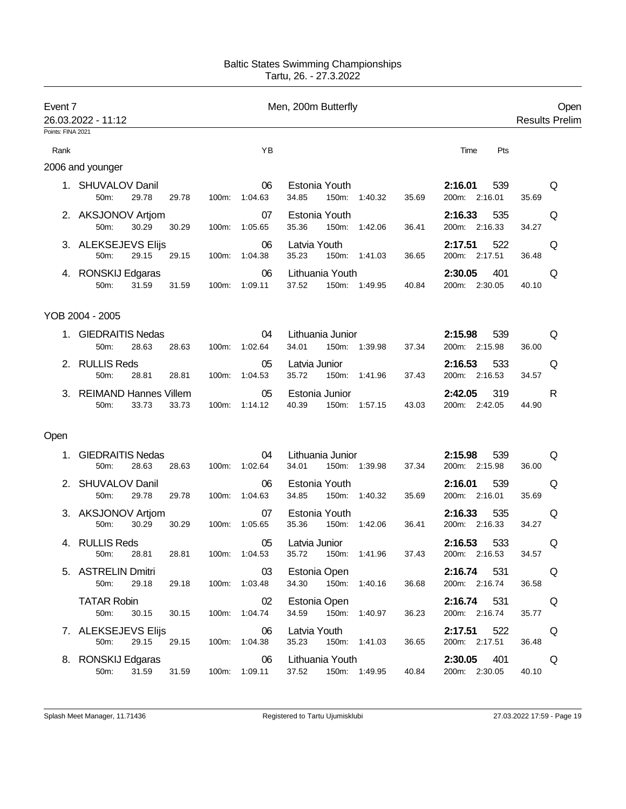| Event 7           | 26.03.2022 - 11:12                        |       |       |                     | Men, 200m Butterfly                        |       |                                 |       | Open<br><b>Results Prelim</b> |
|-------------------|-------------------------------------------|-------|-------|---------------------|--------------------------------------------|-------|---------------------------------|-------|-------------------------------|
| Points: FINA 2021 |                                           |       |       |                     |                                            |       |                                 |       |                               |
| Rank              |                                           |       |       | YB                  |                                            |       | Pts<br>Time                     |       |                               |
|                   | 2006 and younger                          |       |       |                     |                                            |       |                                 |       |                               |
|                   | 1. SHUVALOV Danil<br>29.78<br>50m:        | 29.78 | 100m: | 06<br>1:04.63       | Estonia Youth<br>34.85<br>150m: 1:40.32    | 35.69 | 2:16.01<br>539<br>200m: 2:16.01 | 35.69 | Q                             |
|                   | 2. AKSJONOV Artjom<br>50m:<br>30.29       | 30.29 |       | 07<br>100m: 1:05.65 | Estonia Youth<br>35.36<br>150m: 1:42.06    | 36.41 | 2:16.33<br>535<br>200m: 2:16.33 | 34.27 | Q                             |
|                   | 3. ALEKSEJEVS Elijs<br>29.15<br>50m:      | 29.15 |       | 06<br>100m: 1:04.38 | Latvia Youth<br>35.23<br>150m: 1:41.03     | 36.65 | 2:17.51<br>522<br>200m: 2:17.51 | 36.48 | Q                             |
|                   | 4. RONSKIJ Edgaras<br>50m:<br>31.59       | 31.59 |       | 06<br>100m: 1:09.11 | Lithuania Youth<br>37.52<br>150m: 1:49.95  | 40.84 | 2:30.05<br>401<br>200m: 2:30.05 | 40.10 | Q                             |
|                   | YOB 2004 - 2005                           |       |       |                     |                                            |       |                                 |       |                               |
|                   | 1. GIEDRAITIS Nedas<br>50m:<br>28.63      | 28.63 |       | 04<br>100m: 1:02.64 | Lithuania Junior<br>34.01<br>150m: 1:39.98 | 37.34 | 2:15.98<br>539<br>200m: 2:15.98 | 36.00 | Q                             |
|                   | 2. RULLIS Reds<br>50m:<br>28.81           | 28.81 |       | 05<br>100m: 1:04.53 | Latvia Junior<br>35.72<br>150m: 1:41.96    | 37.43 | 2:16.53<br>533<br>200m: 2:16.53 | 34.57 | Q                             |
|                   | 3. REIMAND Hannes Villem<br>50m:<br>33.73 | 33.73 | 100m: | 05<br>1:14.12       | Estonia Junior<br>40.39<br>150m: 1:57.15   | 43.03 | 2:42.05<br>319<br>200m: 2:42.05 | 44.90 | R                             |
| Open              |                                           |       |       |                     |                                            |       |                                 |       |                               |
|                   | 1. GIEDRAITIS Nedas<br>50m:<br>28.63      | 28.63 | 100m: | 04<br>1:02.64       | Lithuania Junior<br>34.01<br>150m: 1:39.98 | 37.34 | 2:15.98<br>539<br>200m: 2:15.98 | 36.00 | Q                             |
|                   | 2. SHUVALOV Danil<br>50m:<br>29.78        | 29.78 |       | 06<br>100m: 1:04.63 | Estonia Youth<br>34.85<br>150m:<br>1:40.32 | 35.69 | 539<br>2:16.01<br>200m: 2:16.01 | 35.69 | Q                             |
|                   | 3. AKSJONOV Artjom<br>50m:<br>30.29       | 30.29 | 100m: | 07<br>1:05.65       | Estonia Youth<br>35.36<br>150m:<br>1:42.06 | 36.41 | 2:16.33<br>535<br>200m: 2:16.33 | 34.27 | Q                             |
|                   | 4. RULLIS Reds<br>50m: 28.81              | 28.81 |       | 05<br>100m: 1:04.53 | Latvia Junior<br>35.72<br>150m: 1:41.96    | 37.43 | 2:16.53<br>533<br>200m: 2:16.53 | 34.57 | Q                             |
|                   | 5. ASTRELIN Dmitri<br>29.18<br>50m:       | 29.18 |       | 03<br>100m: 1:03.48 | Estonia Open<br>34.30 150m: 1:40.16        | 36.68 | 2:16.74 531<br>200m: 2:16.74    | 36.58 | Q                             |
|                   | <b>TATAR Robin</b><br>50m:<br>30.15       | 30.15 |       | 02<br>100m: 1:04.74 | Estonia Open<br>34.59 150m: 1:40.97        | 36.23 | 2:16.74<br>531<br>200m: 2:16.74 | 35.77 | Q                             |
|                   | 7. ALEKSEJEVS Elijs<br>29.15<br>50m:      | 29.15 |       | 06<br>100m: 1:04.38 | Latvia Youth<br>35.23 150m: 1:41.03        | 36.65 | 2:17.51 522<br>200m: 2:17.51    | 36.48 | Q                             |
|                   | 8. RONSKIJ Edgaras<br>31.59<br>50m:       | 31.59 |       | 06<br>100m: 1:09.11 | Lithuania Youth<br>37.52<br>150m: 1:49.95  | 40.84 | 2:30.05 401<br>200m: 2:30.05    | 40.10 | Q                             |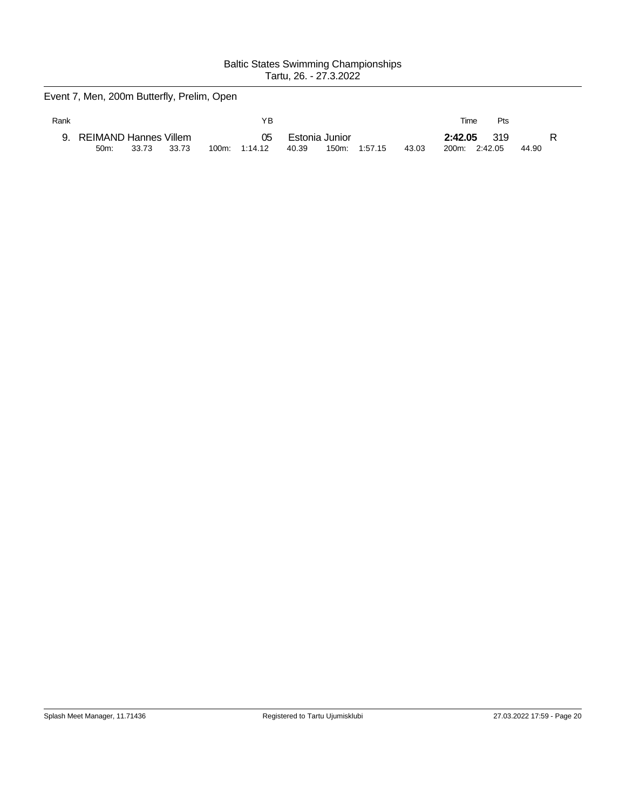Event 7, Men, 200m Butterfly, Prelim, Open

| Rank |                                            |       |       | ΥB                  |       |                         |         |       | Time             | Pts            |            |
|------|--------------------------------------------|-------|-------|---------------------|-------|-------------------------|---------|-------|------------------|----------------|------------|
|      | REIMAND Hannes Villem<br>50 <sub>m</sub> : | 33.73 | 33.73 | 05<br>100m: 1:14.12 | 40.39 | Estonia Junior<br>150m: | 1:57.15 | 43.03 | 2:42.05<br>200m: | 319<br>2:42.05 | R<br>44.90 |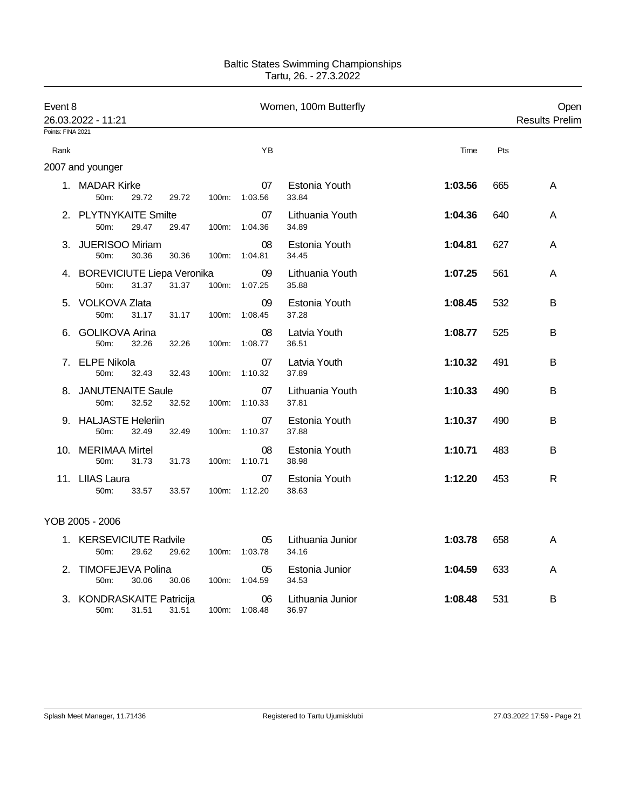| Event 8<br>26.03.2022 - 11:21 |                                       |       |       |       |                     | Women, 100m Butterfly     |         |     | Open<br><b>Results Prelim</b> |
|-------------------------------|---------------------------------------|-------|-------|-------|---------------------|---------------------------|---------|-----|-------------------------------|
| Points: FINA 2021             |                                       |       |       |       |                     |                           |         |     |                               |
| Rank                          |                                       |       |       |       | YB                  |                           | Time    | Pts |                               |
|                               | 2007 and younger                      |       |       |       |                     |                           |         |     |                               |
|                               | 1. MADAR Kirke<br>50m:                | 29.72 | 29.72 | 100m: | 07<br>1:03.56       | Estonia Youth<br>33.84    | 1:03.56 | 665 | A                             |
| 2.                            | <b>PLYTNYKAITE Smilte</b><br>50m:     | 29.47 | 29.47 | 100m: | 07<br>1:04.36       | Lithuania Youth<br>34.89  | 1:04.36 | 640 | A                             |
| 3.                            | <b>JUERISOO Miriam</b><br>50m:        | 30.36 | 30.36 | 100m: | 08<br>1:04.81       | Estonia Youth<br>34.45    | 1:04.81 | 627 | A                             |
|                               | 4. BOREVICIUTE Liepa Veronika<br>50m: | 31.37 | 31.37 |       | 09<br>100m: 1:07.25 | Lithuania Youth<br>35.88  | 1:07.25 | 561 | A                             |
| 5.                            | <b>VOLKOVA Zlata</b><br>50m:          | 31.17 | 31.17 | 100m: | 09<br>1:08.45       | Estonia Youth<br>37.28    | 1:08.45 | 532 | в                             |
| 6.                            | <b>GOLIKOVA Arina</b><br>50m:         | 32.26 | 32.26 | 100m: | 08<br>1:08.77       | Latvia Youth<br>36.51     | 1:08.77 | 525 | B                             |
| 7.                            | <b>ELPE Nikola</b><br>50m:            | 32.43 | 32.43 | 100m: | 07<br>1:10.32       | Latvia Youth<br>37.89     | 1:10.32 | 491 | В                             |
|                               | 8. JANUTENAITE Saule<br>50m:          | 32.52 | 32.52 | 100m: | 07<br>1:10.33       | Lithuania Youth<br>37.81  | 1:10.33 | 490 | B                             |
| 9.                            | <b>HALJASTE Heleriin</b><br>50m:      | 32.49 | 32.49 | 100m: | 07<br>1:10.37       | Estonia Youth<br>37.88    | 1:10.37 | 490 | B                             |
|                               | 10. MERIMAA Mirtel<br>50m:            | 31.73 | 31.73 | 100m: | 08<br>1:10.71       | Estonia Youth<br>38.98    | 1:10.71 | 483 | В                             |
|                               | 11. LIIAS Laura<br>50m:               | 33.57 | 33.57 | 100m: | 07<br>1:12.20       | Estonia Youth<br>38.63    | 1:12.20 | 453 | R                             |
|                               | YOB 2005 - 2006                       |       |       |       |                     |                           |         |     |                               |
|                               | 1. KERSEVICIUTE Radvile<br>50m:       | 29.62 | 29.62 | 100m: | 05<br>1:03.78       | Lithuania Junior<br>34.16 | 1:03.78 | 658 | A                             |
| 2.                            | <b>TIMOFEJEVA Polina</b><br>50m:      | 30.06 | 30.06 | 100m: | 05<br>1:04.59       | Estonia Junior<br>34.53   | 1:04.59 | 633 | A                             |
|                               | 3. KONDRASKAITE Patricija<br>50m:     | 31.51 | 31.51 | 100m: | 06<br>1:08.48       | Lithuania Junior<br>36.97 | 1:08.48 | 531 | B                             |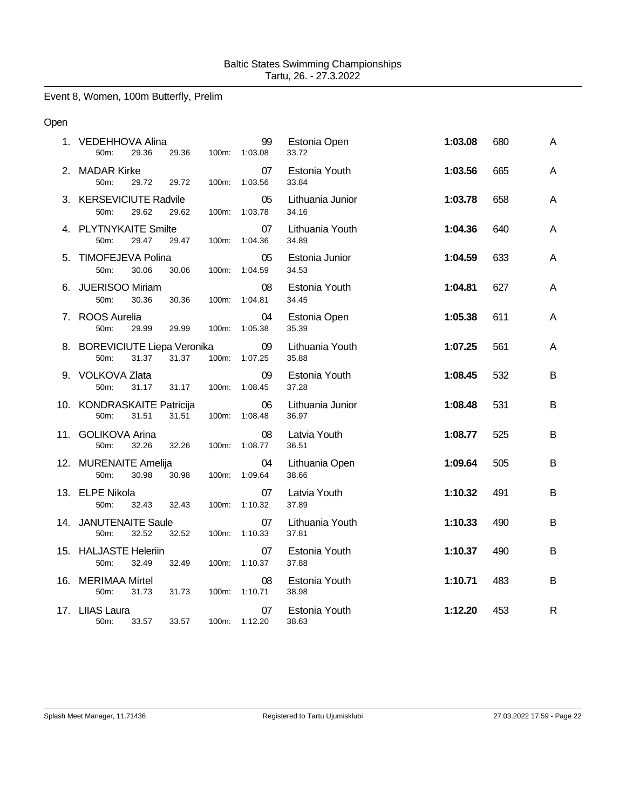Event 8, Women, 100m Butterfly, Prelim

### Open

|    | 1. VEDEHHOVA Alina<br>50m:<br>29.36            | 29.36<br>100m: | 99<br>1:03.08 | Estonia Open<br>33.72     | 1:03.08 | 680 | A |
|----|------------------------------------------------|----------------|---------------|---------------------------|---------|-----|---|
|    | 2. MADAR Kirke<br>50m:<br>29.72                | 29.72<br>100m: | 07<br>1:03.56 | Estonia Youth<br>33.84    | 1:03.56 | 665 | A |
|    | 3. KERSEVICIUTE Radvile<br>29.62<br>50m:       | 29.62<br>100m: | 05<br>1:03.78 | Lithuania Junior<br>34.16 | 1:03.78 | 658 | A |
|    | 4. PLYTNYKAITE Smilte<br>29.47<br>50m:         | 29.47<br>100m: | 07<br>1:04.36 | Lithuania Youth<br>34.89  | 1:04.36 | 640 | A |
| 5. | <b>TIMOFEJEVA Polina</b><br>50m:<br>30.06      | 30.06<br>100m: | 05<br>1:04.59 | Estonia Junior<br>34.53   | 1:04.59 | 633 | A |
|    | 6. JUERISOO Miriam<br>50m:<br>30.36            | 30.36<br>100m: | 08<br>1:04.81 | Estonia Youth<br>34.45    | 1:04.81 | 627 | A |
|    | 7. ROOS Aurelia<br>50m:<br>29.99               | 29.99<br>100m: | 04<br>1:05.38 | Estonia Open<br>35.39     | 1:05.38 | 611 | A |
|    | 8. BOREVICIUTE Liepa Veronika<br>31.37<br>50m: | 31.37<br>100m: | 09<br>1:07.25 | Lithuania Youth<br>35.88  | 1:07.25 | 561 | A |
|    | 9. VOLKOVA Zlata<br>50m:<br>31.17              | 31.17<br>100m: | 09<br>1:08.45 | Estonia Youth<br>37.28    | 1:08.45 | 532 | B |
|    | 10. KONDRASKAITE Patricija<br>50m:<br>31.51    | 31.51<br>100m: | 06<br>1:08.48 | Lithuania Junior<br>36.97 | 1:08.48 | 531 | B |
|    | 11. GOLIKOVA Arina<br>32.26<br>50m:            | 32.26<br>100m: | 08<br>1:08.77 | Latvia Youth<br>36.51     | 1:08.77 | 525 | B |
|    | 12. MURENAITE Amelija<br>50m:<br>30.98         | 30.98<br>100m: | 04<br>1:09.64 | Lithuania Open<br>38.66   | 1:09.64 | 505 | B |
|    | 13. ELPE Nikola<br>50m:<br>32.43               | 100m:<br>32.43 | 07<br>1:10.32 | Latvia Youth<br>37.89     | 1:10.32 | 491 | B |
|    | 14. JANUTENAITE Saule<br>50m:<br>32.52         | 32.52<br>100m: | 07<br>1:10.33 | Lithuania Youth<br>37.81  | 1:10.33 | 490 | B |
|    | 15. HALJASTE Heleriin<br>50m:<br>32.49         | 32.49<br>100m: | 07<br>1:10.37 | Estonia Youth<br>37.88    | 1:10.37 | 490 | B |
|    | 16. MERIMAA Mirtel<br>50m:<br>31.73            | 31.73<br>100m: | 08<br>1:10.71 | Estonia Youth<br>38.98    | 1:10.71 | 483 | B |
|    | 17. LIIAS Laura<br>50m:<br>33.57               | 33.57<br>100m: | 07<br>1:12.20 | Estonia Youth<br>38.63    | 1:12.20 | 453 | R |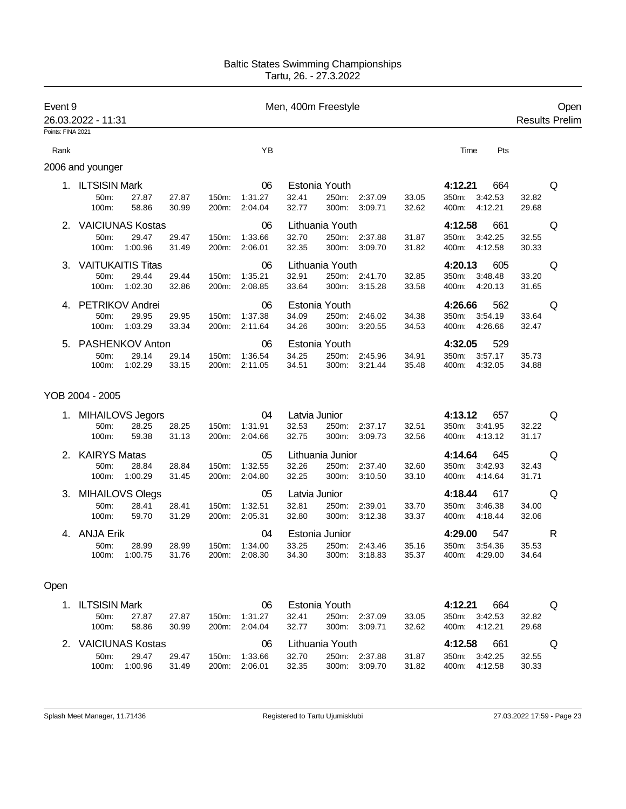| Event 9           |                          |                  |                |                |                    | Men, 400m Freestyle |                        |                          |                |                        |                    |                | Open                  |
|-------------------|--------------------------|------------------|----------------|----------------|--------------------|---------------------|------------------------|--------------------------|----------------|------------------------|--------------------|----------------|-----------------------|
|                   | 26.03.2022 - 11:31       |                  |                |                |                    |                     |                        |                          |                |                        |                    |                | <b>Results Prelim</b> |
| Points: FINA 2021 |                          |                  |                |                |                    |                     |                        |                          |                |                        |                    |                |                       |
| Rank              |                          |                  |                |                | YB                 |                     |                        |                          |                | Time                   | Pts                |                |                       |
|                   | 2006 and younger         |                  |                |                |                    |                     |                        |                          |                |                        |                    |                |                       |
|                   | 1. ILTSISIN Mark         |                  |                |                | 06                 |                     | Estonia Youth          |                          |                | 4:12.21                | 664                |                | Q                     |
|                   | 50m:                     | 27.87            | 27.87          | 150m:          | 1:31.27            | 32.41               | 250m:                  | 2:37.09                  | 33.05          | 350m:                  | 3:42.53            | 32.82          |                       |
|                   | 100m:                    | 58.86            | 30.99          | 200m:          | 2:04.04            | 32.77               | 300m:                  | 3:09.71                  | 32.62          | 400m:                  | 4:12.21            | 29.68          |                       |
|                   | 2. VAICIUNAS Kostas      |                  |                |                | 06                 |                     | Lithuania Youth        |                          |                | 4:12.58                | 661                |                | Q                     |
|                   | 50m:                     | 29.47            | 29.47          | 150m:          | 1:33.66            | 32.70               |                        | 250m: 2:37.88            | 31.87          | 350m:                  | 3:42.25            | 32.55          |                       |
|                   | 100m:                    | 1:00.96          | 31.49          | 200m:          | 2:06.01            | 32.35               |                        | 300m: 3:09.70            | 31.82          | 400m:                  | 4:12.58            | 30.33          |                       |
| 3.                | <b>VAITUKAITIS Titas</b> |                  |                |                | 06                 |                     | Lithuania Youth        |                          |                | 4:20.13                | 605                |                | Q                     |
|                   | 50m:<br>100m:            | 29.44<br>1:02.30 | 29.44<br>32.86 | 150m:<br>200m: | 1:35.21<br>2:08.85 | 32.91<br>33.64      | 300m:                  | 250m: 2:41.70<br>3:15.28 | 32.85<br>33.58 | 350m:<br>400m:         | 3:48.48<br>4:20.13 | 33.20<br>31.65 |                       |
|                   |                          |                  |                |                |                    |                     |                        |                          |                |                        |                    |                |                       |
|                   | 4. PETRIKOV Andrei       |                  |                |                | 06                 |                     | Estonia Youth          |                          |                | 4:26.66                | 562                |                | Q                     |
|                   | 50m:<br>100m:            | 29.95<br>1:03.29 | 29.95<br>33.34 | 150m:<br>200m: | 1:37.38<br>2:11.64 | 34.09<br>34.26      | 250m:<br>300m:         | 2:46.02<br>3:20.55       | 34.38<br>34.53 | 350m:<br>400m:         | 3:54.19<br>4:26.66 | 33.64<br>32.47 |                       |
|                   |                          |                  |                |                |                    |                     |                        |                          |                |                        |                    |                |                       |
| 5.                | PASHENKOV Anton<br>50m:  | 29.14            | 29.14          | 150m:          | 06<br>1:36.54      | 34.25               | Estonia Youth<br>250m: | 2:45.96                  | 34.91          | 4:32.05<br>350m:       | 529<br>3:57.17     | 35.73          |                       |
|                   | 100m:                    | 1:02.29          | 33.15          | 200m:          | 2:11.05            | 34.51               | 300m:                  | 3:21.44                  | 35.48          | 400m:                  | 4:32.05            | 34.88          |                       |
|                   | YOB 2004 - 2005          |                  |                |                |                    |                     |                        |                          |                |                        |                    |                |                       |
|                   | 1. MIHAILOVS Jegors      |                  |                |                | 04                 | Latvia Junior       |                        |                          |                | 4:13.12                | 657                |                | Q                     |
|                   | 50m:                     | 28.25            | 28.25          | 150m:          | 1:31.91            | 32.53               | 250m:                  | 2:37.17                  | 32.51          | 350m:                  | 3:41.95            | 32.22          |                       |
|                   | 100m:                    | 59.38            | 31.13          | 200m:          | 2:04.66            | 32.75               | 300m:                  | 3:09.73                  | 32.56          | 400m:                  | 4:13.12            | 31.17          |                       |
| 2.                | <b>KAIRYS Matas</b>      |                  |                |                | 05                 |                     | Lithuania Junior       |                          |                | 4:14.64                | 645                |                | Q                     |
|                   | 50m:                     | 28.84            | 28.84          | 150m:          | 1:32.55            | 32.26               | 250m:                  | 2:37.40                  | 32.60          | 350m:                  | 3:42.93            | 32.43          |                       |
|                   | 100m:                    | 1:00.29          | 31.45          | 200m:          | 2:04.80            | 32.25               | 300m:                  | 3:10.50                  | 33.10          | 400m:                  | 4:14.64            | 31.71          |                       |
| 3.                | <b>MIHAILOVS Olegs</b>   |                  |                |                | 05                 | Latvia Junior       |                        |                          |                | 4:18.44                | 617                |                | Q                     |
|                   | 50m:<br>100m:            | 28.41<br>59.70   | 28.41<br>31.29 | 150m:<br>200m: | 1:32.51<br>2:05.31 | 32.81<br>32.80      | 250m:<br>300m:         | 2:39.01<br>3:12.38       | 33.70<br>33.37 | 350m:<br>400m:         | 3:46.38<br>4:18.44 | 34.00<br>32.06 |                       |
|                   |                          |                  |                |                |                    |                     |                        |                          |                |                        |                    |                |                       |
|                   | 4. ANJA Erik             |                  |                |                | 04                 |                     | Estonia Junior         |                          |                | 4:29.00                | 547                |                | R                     |
|                   | 50m:<br>100m:            | 28.99<br>1:00.75 | 28.99<br>31.76 | 150m:<br>200m: | 1:34.00<br>2:08.30 | 33.25<br>34.30      | 250m:<br>300m:         | 2:43.46<br>3:18.83       | 35.16<br>35.37 | 350m:<br>400m: 4:29.00 | 3:54.36            | 35.53<br>34.64 |                       |
| Open              |                          |                  |                |                |                    |                     |                        |                          |                |                        |                    |                |                       |
|                   |                          |                  |                |                |                    |                     |                        |                          |                |                        |                    |                |                       |
|                   | 1. ILTSISIN Mark<br>50m: | 27.87            | 27.87          | 150m:          | 06<br>1:31.27      | 32.41               | Estonia Youth          | 250m: 2:37.09            | 33.05          | 4:12.21<br>350m:       | 664<br>3:42.53     | 32.82          | Q                     |
|                   | 100m:                    | 58.86            | 30.99          | 200m:          | 2:04.04            | 32.77               |                        | 300m: 3:09.71            | 32.62          | 400m:                  | 4:12.21            | 29.68          |                       |
|                   | 2. VAICIUNAS Kostas      |                  |                |                | 06                 |                     | Lithuania Youth        |                          |                | 4:12.58                | 661                |                | Q                     |
|                   | 50m:                     | 29.47            | 29.47          | 150m:          | 1:33.66            | 32.70               |                        | 250m: 2:37.88            | 31.87          | 350m:                  | 3:42.25            | 32.55          |                       |
|                   | 100m:                    | 1:00.96          | 31.49          | 200m:          | 2:06.01            | 32.35               |                        | 300m: 3:09.70            | 31.82          | 400m:                  | 4:12.58            | 30.33          |                       |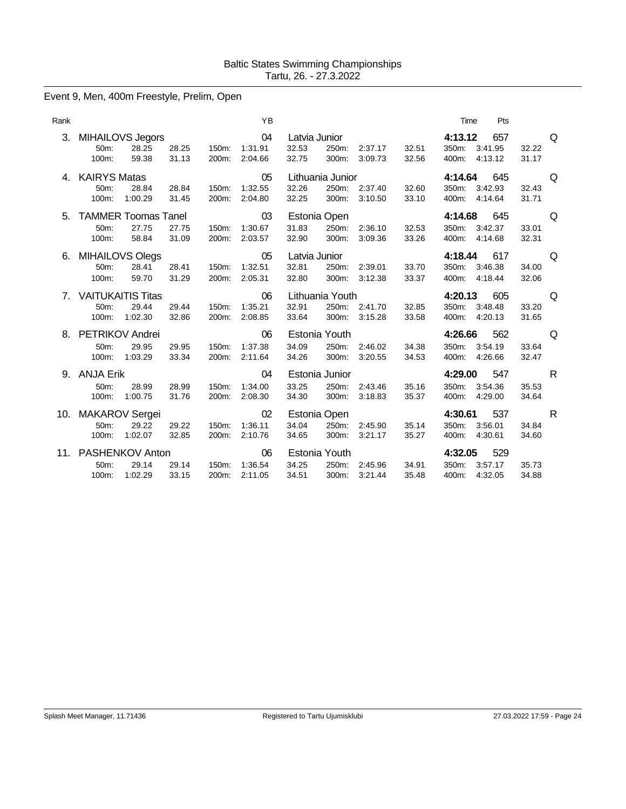# Event 9, Men, 400m Freestyle, Prelim, Open

| Rank |                                                   |                                  |                | YB                       |                                 |                                    |                    |                | Time                      | Pts                       |                |   |
|------|---------------------------------------------------|----------------------------------|----------------|--------------------------|---------------------------------|------------------------------------|--------------------|----------------|---------------------------|---------------------------|----------------|---|
| 3.   | <b>MIHAILOVS Jegors</b><br>50m:<br>100m:          | 28.25<br>28.25<br>59.38<br>31.13 | 150m:<br>200m: | 04<br>1:31.91<br>2:04.66 | Latvia Junior<br>32.53<br>32.75 | 250m:<br>300m:                     | 2:37.17<br>3:09.73 | 32.51<br>32.56 | 4:13.12<br>350m:<br>400m: | 657<br>3:41.95<br>4:13.12 | 32.22<br>31.17 | Q |
|      | <b>KAIRYS Matas</b><br>50m:<br>1:00.29<br>100m:   | 28.84<br>28.84<br>31.45          | 150m:<br>200m: | 05<br>1:32.55<br>2:04.80 | 32.26<br>32.25                  | Lithuania Junior<br>250m:<br>300m: | 2:37.40<br>3:10.50 | 32.60<br>33.10 | 4:14.64<br>350m:<br>400m: | 645<br>3:42.93<br>4:14.64 | 32.43<br>31.71 | Q |
| 5.   | <b>TAMMER Toomas Tanel</b><br>50m:<br>100m:       | 27.75<br>27.75<br>58.84<br>31.09 | 150m:<br>200m: | 03<br>1:30.67<br>2:03.57 | 31.83<br>32.90                  | Estonia Open<br>250m:<br>300m:     | 2:36.10<br>3:09.36 | 32.53<br>33.26 | 4:14.68<br>350m:<br>400m: | 645<br>3:42.37<br>4:14.68 | 33.01<br>32.31 | Q |
| 6.   | MIHAILOVS Olegs<br>50m:<br>100m:                  | 28.41<br>28.41<br>59.70<br>31.29 | 150m:<br>200m: | 05<br>1:32.51<br>2:05.31 | Latvia Junior<br>32.81<br>32.80 | 250m:<br>300m:                     | 2:39.01<br>3:12.38 | 33.70<br>33.37 | 4:18.44<br>350m:<br>400m: | 617<br>3:46.38<br>4:18.44 | 34.00<br>32.06 | Q |
|      | 7. VAITUKAITIS Titas<br>50m:<br>1:02.30<br>100m:  | 29.44<br>29.44<br>32.86          | 150m:<br>200m: | 06<br>1:35.21<br>2:08.85 | 32.91<br>33.64                  | Lithuania Youth<br>250m:<br>300m:  | 2:41.70<br>3:15.28 | 32.85<br>33.58 | 4:20.13<br>350m:<br>400m: | 605<br>3:48.48<br>4:20.13 | 33.20<br>31.65 | Q |
|      | 8. PETRIKOV Andrei<br>50m:<br>1:03.29<br>100m:    | 29.95<br>29.95<br>33.34          | 150m:<br>200m: | 06<br>1:37.38<br>2:11.64 | 34.09<br>34.26                  | Estonia Youth<br>250m:<br>300m:    | 2:46.02<br>3:20.55 | 34.38<br>34.53 | 4:26.66<br>350m:<br>400m: | 562<br>3:54.19<br>4:26.66 | 33.64<br>32.47 | Q |
| 9.   | <b>ANJA Erik</b><br>50m:<br>1:00.75<br>100m:      | 28.99<br>28.99<br>31.76          | 150m:<br>200m: | 04<br>1:34.00<br>2:08.30 | 33.25<br>34.30                  | Estonia Junior<br>250m:<br>300m:   | 2:43.46<br>3:18.83 | 35.16<br>35.37 | 4:29.00<br>350m:<br>400m: | 547<br>3:54.36<br>4:29.00 | 35.53<br>34.64 | R |
| 10.  | <b>MAKAROV</b> Sergei<br>50m:<br>1:02.07<br>100m: | 29.22<br>29.22<br>32.85          | 150m:<br>200m: | 02<br>1:36.11<br>2:10.76 | 34.04<br>34.65                  | Estonia Open<br>250m:<br>300m:     | 2:45.90<br>3:21.17 | 35.14<br>35.27 | 4:30.61<br>350m:<br>400m: | 537<br>3:56.01<br>4:30.61 | 34.84<br>34.60 | R |
| 11.  | PASHENKOV Anton<br>50m:<br>1:02.29<br>100m:       | 29.14<br>29.14<br>33.15          | 150m:<br>200m: | 06<br>1:36.54<br>2:11.05 | 34.25<br>34.51                  | Estonia Youth<br>250m:<br>300m:    | 2:45.96<br>3:21.44 | 34.91<br>35.48 | 4:32.05<br>350m:<br>400m: | 529<br>3:57.17<br>4:32.05 | 35.73<br>34.88 |   |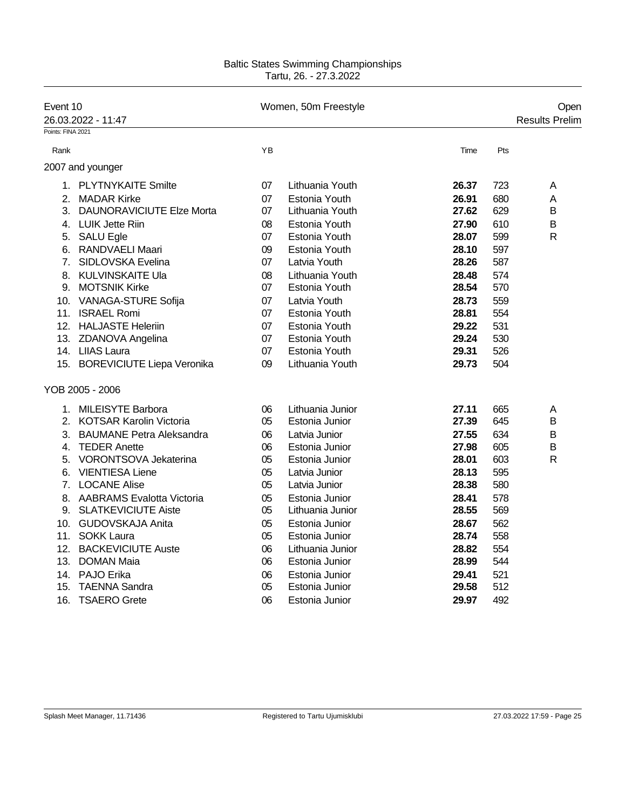| Event 10          | 26.03.2022 - 11:47               |    | Women, 50m Freestyle |       | Open<br>Results Prelim |
|-------------------|----------------------------------|----|----------------------|-------|------------------------|
| Points: FINA 2021 |                                  |    |                      |       |                        |
| Rank              |                                  | YB |                      | Time  | Pts                    |
|                   | 2007 and younger                 |    |                      |       |                        |
|                   | 1. PLYTNYKAITE Smilte            | 07 | Lithuania Youth      | 26.37 | 723<br>A               |
| 2.                | <b>MADAR Kirke</b>               | 07 | Estonia Youth        | 26.91 | 680<br>A               |
| 3.                | <b>DAUNORAVICIUTE Elze Morta</b> | 07 | Lithuania Youth      | 27.62 | 629<br>B               |
|                   | 4. LUIK Jette Riin               | 08 | Estonia Youth        | 27.90 | B<br>610               |
|                   | 5. SALU Egle                     | 07 | Estonia Youth        | 28.07 | 599<br>$\mathsf{R}$    |
|                   | 6. RANDVAELI Maari               | 09 | Estonia Youth        | 28.10 | 597                    |
| 7.                | SIDLOVSKA Evelina                | 07 | Latvia Youth         | 28.26 | 587                    |
|                   | 8. KULVINSKAITE Ula              | 08 | Lithuania Youth      | 28.48 | 574                    |
| 9.                | <b>MOTSNIK Kirke</b>             | 07 | Estonia Youth        | 28.54 | 570                    |
|                   | 10. VANAGA-STURE Sofija          | 07 | Latvia Youth         | 28.73 | 559                    |
|                   | 11. ISRAEL Romi                  | 07 | Estonia Youth        | 28.81 | 554                    |
|                   | 12. HALJASTE Heleriin            | 07 | Estonia Youth        | 29.22 | 531                    |
|                   | 13. ZDANOVA Angelina             | 07 | Estonia Youth        | 29.24 | 530                    |
|                   | 14. LIIAS Laura                  | 07 | Estonia Youth        | 29.31 | 526                    |
|                   | 15. BOREVICIUTE Liepa Veronika   | 09 | Lithuania Youth      | 29.73 | 504                    |
|                   | YOB 2005 - 2006                  |    |                      |       |                        |
|                   | 1. MILEISYTE Barbora             | 06 | Lithuania Junior     | 27.11 | 665<br>A               |
|                   | 2. KOTSAR Karolin Victoria       | 05 | Estonia Junior       | 27.39 | 645<br>B               |
|                   | 3. BAUMANE Petra Aleksandra      | 06 | Latvia Junior        | 27.55 | 634<br>B               |
|                   | 4. TEDER Anette                  | 06 | Estonia Junior       | 27.98 | 605<br>B               |
| 5.                | VORONTSOVA Jekaterina            | 05 | Estonia Junior       | 28.01 | 603<br>$\mathsf{R}$    |
| 6.                | <b>VIENTIESA Liene</b>           | 05 | Latvia Junior        | 28.13 | 595                    |
|                   | 7. LOCANE Alise                  | 05 | Latvia Junior        | 28.38 | 580                    |
|                   | 8. AABRAMS Evalotta Victoria     | 05 | Estonia Junior       | 28.41 | 578                    |
|                   | 9. SLATKEVICIUTE Aiste           | 05 | Lithuania Junior     | 28.55 | 569                    |
|                   | 10. GUDOVSKAJA Anita             | 05 | Estonia Junior       | 28.67 | 562                    |
|                   | 11. SOKK Laura                   | 05 | Estonia Junior       | 28.74 | 558                    |
|                   | 12. BACKEVICIUTE Auste           | 06 | Lithuania Junior     | 28.82 | 554                    |
|                   | 13. DOMAN Maia                   | 06 | Estonia Junior       | 28.99 | 544                    |
|                   | 14. PAJO Erika                   | 06 | Estonia Junior       | 29.41 | 521                    |
| 15.               | <b>TAENNA Sandra</b>             | 05 | Estonia Junior       | 29.58 | 512                    |
| 16.               | <b>TSAERO Grete</b>              | 06 | Estonia Junior       | 29.97 | 492                    |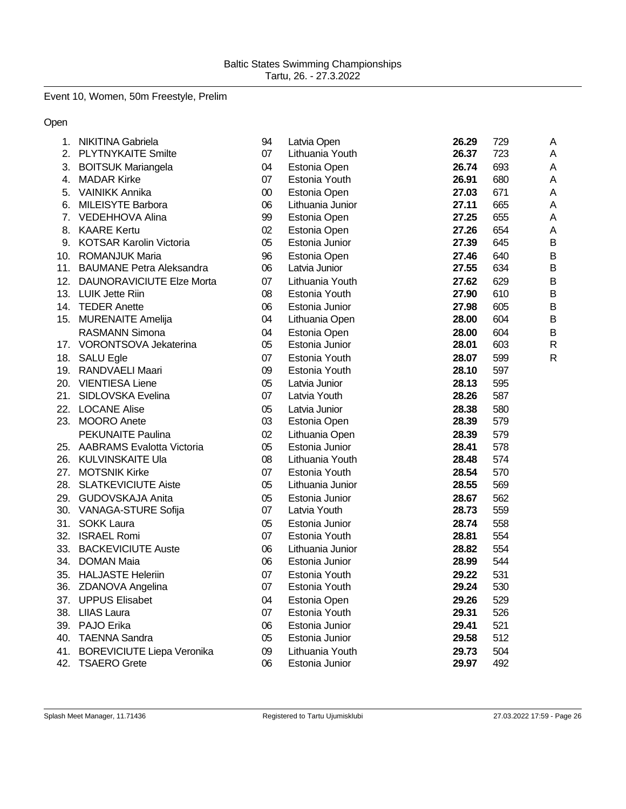# Event 10, Women, 50m Freestyle, Prelim

### Open

| 1.             | NIKITINA Gabriela                 | 94     | Latvia Open      | 26.29 | 729 | A              |
|----------------|-----------------------------------|--------|------------------|-------|-----|----------------|
| 2.             | <b>PLYTNYKAITE Smilte</b>         | 07     | Lithuania Youth  | 26.37 | 723 | A              |
| 3.             | <b>BOITSUK Mariangela</b>         | 04     | Estonia Open     | 26.74 | 693 | Α              |
| 4.             | <b>MADAR Kirke</b>                | 07     | Estonia Youth    | 26.91 | 680 | A              |
| 5.             | <b>VAINIKK Annika</b>             | $00\,$ | Estonia Open     | 27.03 | 671 | A              |
| 6.             | <b>MILEISYTE Barbora</b>          | 06     | Lithuania Junior | 27.11 | 665 | A              |
| 7 <sub>1</sub> | <b>VEDEHHOVA Alina</b>            | 99     | Estonia Open     | 27.25 | 655 | A              |
| 8.             | <b>KAARE Kertu</b>                | 02     | Estonia Open     | 27.26 | 654 | A              |
| 9.             | <b>KOTSAR Karolin Victoria</b>    | 05     | Estonia Junior   | 27.39 | 645 | B              |
|                | 10. ROMANJUK Maria                | 96     | Estonia Open     | 27.46 | 640 | B              |
|                | 11. BAUMANE Petra Aleksandra      | 06     | Latvia Junior    | 27.55 | 634 | B              |
|                | 12. DAUNORAVICIUTE Elze Morta     | 07     | Lithuania Youth  | 27.62 | 629 | B              |
|                | 13. LUIK Jette Riin               | 08     | Estonia Youth    | 27.90 | 610 | B              |
|                | 14. TEDER Anette                  | 06     | Estonia Junior   | 27.98 | 605 | $\overline{B}$ |
| 15.            | <b>MURENAITE Amelija</b>          | 04     | Lithuania Open   | 28.00 | 604 | $\mathsf B$    |
|                | <b>RASMANN Simona</b>             | 04     | Estonia Open     | 28.00 | 604 | B              |
|                | 17. VORONTSOVA Jekaterina         | 05     | Estonia Junior   | 28.01 | 603 | $\mathsf{R}$   |
|                | 18. SALU Egle                     | 07     | Estonia Youth    | 28.07 | 599 | $\mathsf{R}$   |
|                | 19. RANDVAELI Maari               | 09     | Estonia Youth    | 28.10 | 597 |                |
|                | 20. VIENTIESA Liene               | 05     | Latvia Junior    | 28.13 | 595 |                |
|                | 21. SIDLOVSKA Evelina             | 07     | Latvia Youth     | 28.26 | 587 |                |
|                | 22. LOCANE Alise                  | 05     | Latvia Junior    | 28.38 | 580 |                |
|                | 23. MOORO Anete                   | 03     | Estonia Open     | 28.39 | 579 |                |
|                | <b>PEKUNAITE Paulina</b>          | 02     | Lithuania Open   | 28.39 | 579 |                |
|                | 25. AABRAMS Evalotta Victoria     | 05     | Estonia Junior   | 28.41 | 578 |                |
| 26.            | KULVINSKAITE Ula                  | 08     | Lithuania Youth  | 28.48 | 574 |                |
| 27.            | <b>MOTSNIK Kirke</b>              | 07     | Estonia Youth    | 28.54 | 570 |                |
|                | 28. SLATKEVICIUTE Aiste           | 05     | Lithuania Junior | 28.55 | 569 |                |
|                | 29. GUDOVSKAJA Anita              | 05     | Estonia Junior   | 28.67 | 562 |                |
|                | 30. VANAGA-STURE Sofija           | 07     | Latvia Youth     | 28.73 | 559 |                |
|                | 31. SOKK Laura                    | 05     | Estonia Junior   | 28.74 | 558 |                |
|                | 32. ISRAEL Romi                   | 07     | Estonia Youth    | 28.81 | 554 |                |
|                | 33. BACKEVICIUTE Auste            | 06     | Lithuania Junior | 28.82 | 554 |                |
|                | 34. DOMAN Maia                    | 06     | Estonia Junior   | 28.99 | 544 |                |
| 35.            | <b>HALJASTE Heleriin</b>          | 07     | Estonia Youth    | 29.22 | 531 |                |
|                | 36. ZDANOVA Angelina              | 07     | Estonia Youth    | 29.24 | 530 |                |
| 37.            | <b>UPPUS Elisabet</b>             | 04     | Estonia Open     | 29.26 | 529 |                |
|                | 38. LIIAS Laura                   | 07     | Estonia Youth    | 29.31 | 526 |                |
|                | 39. PAJO Erika                    | 06     | Estonia Junior   | 29.41 | 521 |                |
| 40.            | <b>TAENNA Sandra</b>              | 05     | Estonia Junior   | 29.58 | 512 |                |
| 41.            | <b>BOREVICIUTE Liepa Veronika</b> | 09     | Lithuania Youth  | 29.73 | 504 |                |
| 42.            | <b>TSAERO Grete</b>               | 06     | Estonia Junior   | 29.97 | 492 |                |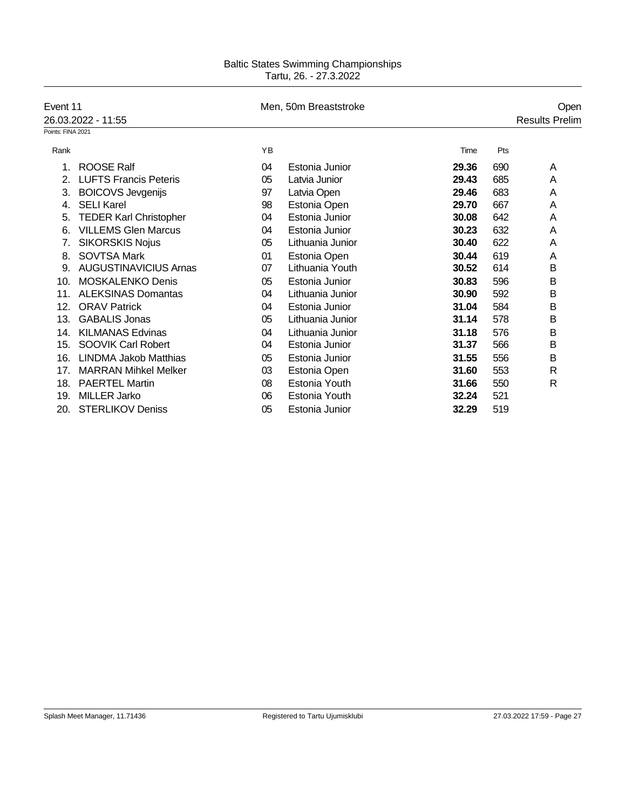| Event 11          |                               |    | Men, 50m Breaststroke |       |     | Open                  |
|-------------------|-------------------------------|----|-----------------------|-------|-----|-----------------------|
|                   | 26.03.2022 - 11:55            |    |                       |       |     | <b>Results Prelim</b> |
| Points: FINA 2021 |                               |    |                       |       |     |                       |
| Rank              |                               | YB |                       | Time  | Pts |                       |
| 1.                | <b>ROOSE Ralf</b>             | 04 | Estonia Junior        | 29.36 | 690 | A                     |
| 2.                | <b>LUFTS Francis Peteris</b>  | 05 | Latvia Junior         | 29.43 | 685 | A                     |
| 3.                | <b>BOICOVS Jevgenijs</b>      | 97 | Latvia Open           | 29.46 | 683 | A                     |
| 4.                | <b>SELI Karel</b>             | 98 | Estonia Open          | 29.70 | 667 | Α                     |
| 5.                | <b>TEDER Karl Christopher</b> | 04 | Estonia Junior        | 30.08 | 642 | A                     |
| 6.                | <b>VILLEMS Glen Marcus</b>    | 04 | Estonia Junior        | 30.23 | 632 | Α                     |
| 7.                | <b>SIKORSKIS Nojus</b>        | 05 | Lithuania Junior      | 30.40 | 622 | Α                     |
| 8.                | <b>SOVTSA Mark</b>            | 01 | Estonia Open          | 30.44 | 619 | A                     |
| 9.                | <b>AUGUSTINAVICIUS Arnas</b>  | 07 | Lithuania Youth       | 30.52 | 614 | B                     |
| 10.               | <b>MOSKALENKO Denis</b>       | 05 | Estonia Junior        | 30.83 | 596 | B                     |
| 11.               | <b>ALEKSINAS Domantas</b>     | 04 | Lithuania Junior      | 30.90 | 592 | B                     |
| 12.               | <b>ORAV Patrick</b>           | 04 | Estonia Junior        | 31.04 | 584 | B                     |
| 13.               | <b>GABALIS Jonas</b>          | 05 | Lithuania Junior      | 31.14 | 578 | B                     |
| 14.               | <b>KILMANAS Edvinas</b>       | 04 | Lithuania Junior      | 31.18 | 576 | B                     |
| 15.               | SOOVIK Carl Robert            | 04 | Estonia Junior        | 31.37 | 566 | B                     |
| 16.               | <b>LINDMA Jakob Matthias</b>  | 05 | Estonia Junior        | 31.55 | 556 | B                     |
| 17.               | <b>MARRAN Mihkel Melker</b>   | 03 | Estonia Open          | 31.60 | 553 | R                     |
| 18.               | <b>PAERTEL Martin</b>         | 08 | Estonia Youth         | 31.66 | 550 | R                     |
| 19.               | <b>MILLER Jarko</b>           | 06 | Estonia Youth         | 32.24 | 521 |                       |
| 20.               | <b>STERLIKOV Deniss</b>       | 05 | Estonia Junior        | 32.29 | 519 |                       |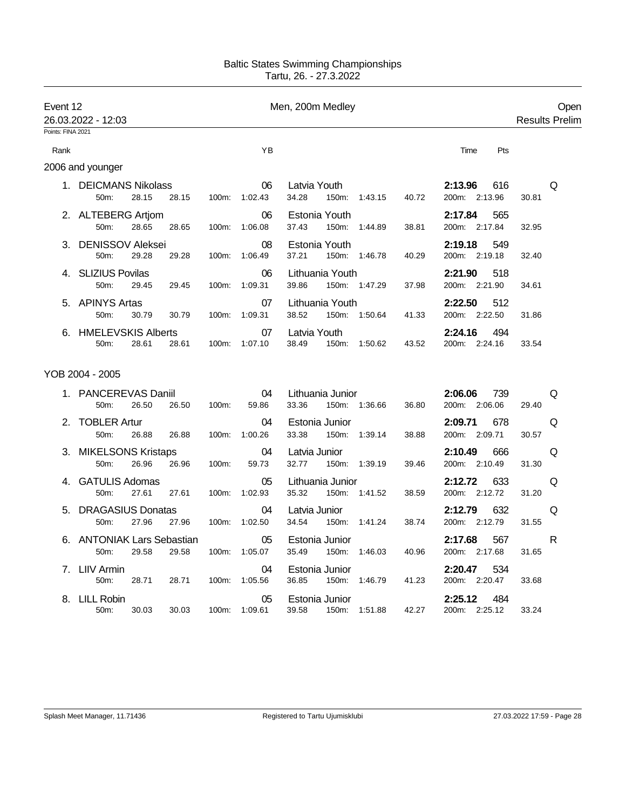| Event 12          | 26.03.2022 - 12:03                 |       |       |          | Open<br><b>Results Prelim</b> |                                                                                  |                              |
|-------------------|------------------------------------|-------|-------|----------|-------------------------------|----------------------------------------------------------------------------------|------------------------------|
| Points: FINA 2021 |                                    |       |       |          |                               |                                                                                  |                              |
| Rank              |                                    |       |       |          | YB                            | Time                                                                             | Pts                          |
|                   | 2006 and younger                   |       |       |          |                               |                                                                                  |                              |
|                   | 1. DEICMANS Nikolass<br>50m:       | 28.15 | 28.15 | $100m$ : | 06<br>1:02.43                 | 2:13.96<br>Latvia Youth<br>34.28<br>150m: 1:43.15<br>40.72<br>200m: 2:13.96      | 616<br>Q<br>30.81            |
|                   | 2. ALTEBERG Artjom<br>50m:         | 28.65 | 28.65 | 100m:    | 06<br>1:06.08                 | 2:17.84<br>Estonia Youth<br>37.43<br>200m: 2:17.84<br>150m:<br>1:44.89<br>38.81  | 565<br>32.95                 |
| 3.                | <b>DENISSOV Aleksei</b><br>50m:    | 29.28 | 29.28 | 100m:    | 08<br>1:06.49                 | 2:19.18<br>Estonia Youth<br>37.21<br>150m: 1:46.78<br>40.29<br>200m:<br>2:19.18  | 549<br>32.40                 |
|                   | 4. SLIZIUS Povilas<br>50m:         | 29.45 | 29.45 | 100m:    | 06<br>1:09.31                 | Lithuania Youth<br>2:21.90<br>39.86<br>150m: 1:47.29<br>200m: 2:21.90<br>37.98   | 518<br>34.61                 |
|                   | 5. APINYS Artas<br>50m:            | 30.79 | 30.79 | 100m:    | 07<br>1:09.31                 | Lithuania Youth<br>2:22.50<br>38.52<br>150m: 1:50.64<br>200m: 2:22.50<br>41.33   | 512<br>31.86                 |
|                   | 6. HMELEVSKIS Alberts<br>50m:      | 28.61 | 28.61 |          | 07<br>100m: 1:07.10           | 2:24.16<br>Latvia Youth<br>38.49<br>150m: 1:50.62<br>43.52<br>200m: 2:24.16      | 494<br>33.54                 |
|                   | YOB 2004 - 2005                    |       |       |          |                               |                                                                                  |                              |
|                   | 1. PANCEREVAS Daniil<br>50m:       | 26.50 | 26.50 | 100m:    | 04<br>59.86                   | 2:06.06<br>Lithuania Junior<br>33.36<br>200m: 2:06.06<br>150m: 1:36.66<br>36.80  | 739<br>Q<br>29.40            |
|                   | 2. TOBLER Artur<br>50m:            | 26.88 | 26.88 | 100m:    | 04<br>1:00.26                 | Estonia Junior<br>2:09.71<br>33.38<br>200m: 2:09.71<br>150m:<br>1:39.14<br>38.88 | 678<br>Q<br>30.57            |
|                   | 3. MIKELSONS Kristaps<br>50m:      | 26.96 | 26.96 | 100m:    | 04<br>59.73                   | Latvia Junior<br>2:10.49<br>32.77<br>200m: 2:10.49<br>150m: 1:39.19<br>39.46     | 666<br>Q<br>31.30            |
|                   | <b>GATULIS Adomas</b><br>50m:      | 27.61 | 27.61 | 100m:    | 05<br>1:02.93                 | Lithuania Junior<br>2:12.72<br>35.32<br>200m: 2:12.72<br>150m: 1:41.52<br>38.59  | 633<br>Q<br>31.20            |
| 5.                | <b>DRAGASIUS Donatas</b><br>50m:   | 27.96 | 27.96 | 100m:    | 04<br>1:02.50                 | 2:12.79<br>Latvia Junior<br>34.54<br>150m:<br>200m: 2:12.79<br>1:41.24<br>38.74  | 632<br>Q<br>31.55            |
|                   | 6. ANTONIAK Lars Sebastian<br>50m: | 29.58 | 29.58 | 100m:    | 05<br>1:05.07                 | 2:17.68<br>Estonia Junior<br>35.49<br>150m:<br>200m: 2:17.68<br>1:46.03<br>40.96 | 567<br>$\mathsf{R}$<br>31.65 |
|                   | 7. LIIV Armin<br>50m:              | 28.71 | 28.71 | 100m:    | 04<br>1:05.56                 | 2:20.47<br>Estonia Junior<br>36.85<br>200m: 2:20.47<br>150m:<br>1:46.79<br>41.23 | 534<br>33.68                 |
|                   | 8. LILL Robin<br>50m:              | 30.03 | 30.03 | $100m$ : | 05<br>1:09.61                 | 2:25.12<br>Estonia Junior<br>39.58<br>42.27<br>200m: 2:25.12<br>150m:<br>1:51.88 | 484<br>33.24                 |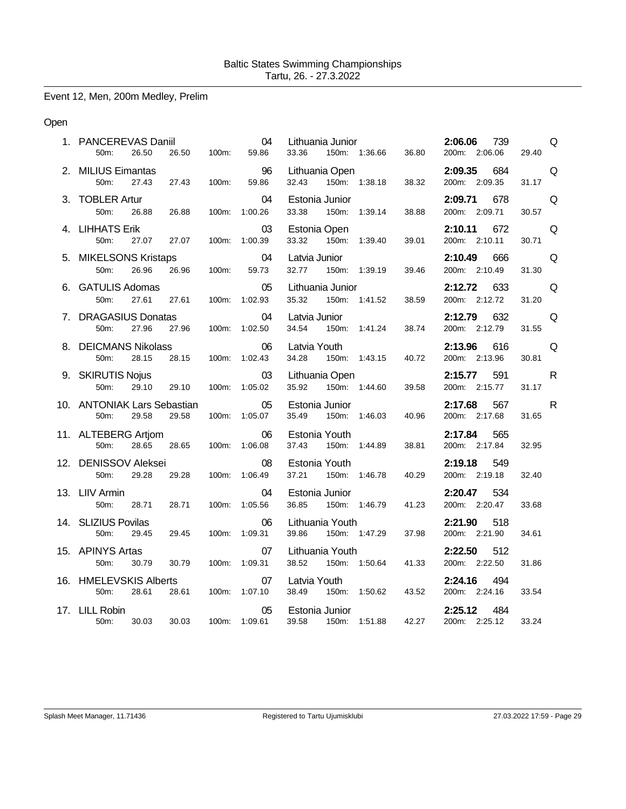Event 12, Men, 200m Medley, Prelim

### Open

| 1. PANCEREVAS Daniil<br>50m:<br>26.50<br>26.50                | 100m: | 04<br>59.86         | Lithuania Junior<br>33.36<br>150m: 1:36.66  | 36.80            | 2:06.06<br>739<br>200m: 2:06.06 | Q<br>29.40            |
|---------------------------------------------------------------|-------|---------------------|---------------------------------------------|------------------|---------------------------------|-----------------------|
| 2. MILIUS Eimantas<br>27.43<br>50m:<br>27.43                  | 100m: | 96<br>59.86         | Lithuania Open<br>150m: 1:38.18<br>32.43    | 38.32            | 2:09.35<br>684<br>200m: 2:09.35 | Q<br>31.17            |
| 3. TOBLER Artur<br>50 <sub>m</sub> :<br>26.88<br>26.88        |       | 04<br>100m: 1:00.26 | Estonia Junior<br>33.38<br>150m: 1:39.14    | 38.88            | 2:09.71<br>678<br>200m: 2:09.71 | Q<br>30.57            |
| 4. LIHHATS Erik<br>27.07<br>50m:<br>27.07                     |       | 03<br>100m: 1:00.39 | Estonia Open<br>33.32<br>150m: 1:39.40      | 39.01            | 2:10.11<br>672<br>200m: 2:10.11 | Q<br>30.71            |
| 5. MIKELSONS Kristaps<br>50m:<br>26.96<br>26.96               | 100m: | 04<br>59.73         | Latvia Junior<br>32.77<br>150m: 1:39.19     | 39.46            | 2:10.49<br>666<br>200m: 2:10.49 | Q<br>31.30            |
| 6. GATULIS Adomas<br>50m:<br>27.61<br>27.61                   |       | 05<br>100m: 1:02.93 | Lithuania Junior<br>35.32<br>150m: 1:41.52  | 38.59            | 2:12.72<br>633<br>200m: 2:12.72 | Q<br>31.20            |
| 7. DRAGASIUS Donatas<br>27.96<br>50m:<br>27.96                |       | 04<br>100m: 1:02.50 | Latvia Junior<br>34.54<br>150m: 1:41.24     | 38.74            | 2:12.79<br>632<br>200m: 2:12.79 | Q<br>31.55            |
| 8. DEICMANS Nikolass<br>50 <sub>m</sub> :<br>28.15<br>28.15   |       | 06<br>100m: 1:02.43 | Latvia Youth<br>34.28<br>150m: 1:43.15      | 40.72            | 2:13.96<br>616<br>200m: 2:13.96 | Q<br>30.81            |
| 9. SKIRUTIS Nojus<br>50m:<br>29.10<br>29.10                   | 100m: | 03<br>1:05.02       | Lithuania Open<br>35.92<br>150m: 1:44.60    | 39.58            | 2:15.77<br>591<br>200m: 2:15.77 | $\mathsf{R}$<br>31.17 |
| 10. ANTONIAK Lars Sebastian<br>50m:<br>29.58<br>29.58         |       | 05<br>100m: 1:05.07 | Estonia Junior<br>35.49<br>150m:            | 1:46.03<br>40.96 | 2:17.68<br>567<br>200m: 2:17.68 | $\mathsf{R}$<br>31.65 |
| 11. ALTEBERG Artjom<br>50m:<br>28.65<br>28.65                 |       | 06<br>100m: 1:06.08 | Estonia Youth<br>37.43<br>150m:<br>1:44.89  | 38.81            | 2:17.84<br>565<br>200m: 2:17.84 | 32.95                 |
| 12. DENISSOV Aleksei<br>50m:<br>29.28<br>29.28                |       | 08<br>100m: 1:06.49 | Estonia Youth<br>37.21  150m: 1:46.78       | 40.29            | 2:19.18<br>549<br>200m: 2:19.18 | 32.40                 |
| 13. LIIV Armin<br>50m:<br>28.71<br>28.71                      | 100m: | 04<br>1:05.56       | Estonia Junior<br>36.85<br>150m:<br>1:46.79 | 41.23            | 534<br>2:20.47<br>200m: 2:20.47 | 33.68                 |
| 14. SLIZIUS Povilas<br>50m:<br>29.45<br>29.45                 |       | 06<br>100m: 1:09.31 | Lithuania Youth<br>39.86<br>150m: 1:47.29   | 37.98            | 518<br>2:21.90<br>200m: 2:21.90 | 34.61                 |
| 15. APINYS Artas<br>50m:<br>30.79<br>30.79                    |       | 07<br>100m: 1:09.31 | Lithuania Youth<br>38.52<br>150m: 1:50.64   | 41.33            | 512<br>2:22.50<br>200m: 2:22.50 | 31.86                 |
| 16. HMELEVSKIS Alberts<br>50 <sub>m</sub> :<br>28.61<br>28.61 |       | 07<br>100m: 1:07.10 | Latvia Youth<br>38.49<br>150m: 1:50.62      | 43.52            | 2:24.16<br>494<br>200m: 2:24.16 | 33.54                 |
| 17. LILL Robin<br>30.03<br>30.03<br>50m:                      |       | 05<br>100m: 1:09.61 | Estonia Junior<br>39.58<br>150m: 1:51.88    | 42.27            | 2:25.12<br>484<br>200m: 2:25.12 | 33.24                 |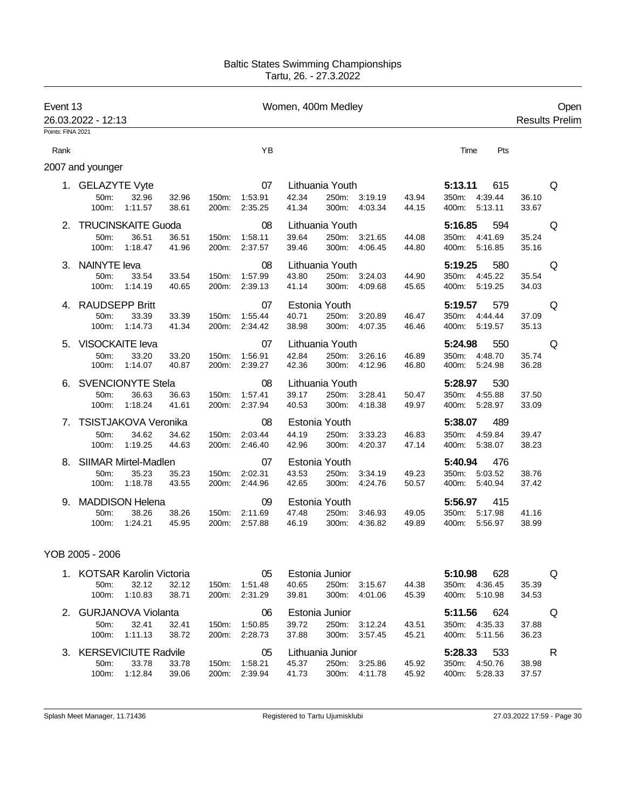| Event 13          | 26.03.2022 - 12:13                           |                  |                |                |                          | Women, 400m Medley |                                   |                                | Open<br><b>Results Prelim</b> |                                                        |                |   |
|-------------------|----------------------------------------------|------------------|----------------|----------------|--------------------------|--------------------|-----------------------------------|--------------------------------|-------------------------------|--------------------------------------------------------|----------------|---|
| Points: FINA 2021 |                                              |                  |                |                |                          |                    |                                   |                                |                               |                                                        |                |   |
| Rank              |                                              |                  |                |                | YB                       |                    |                                   |                                |                               | Time<br>Pts                                            |                |   |
|                   | 2007 and younger                             |                  |                |                |                          |                    |                                   |                                |                               |                                                        |                |   |
|                   | 1. GELAZYTE Vyte<br>50m:<br>100m:            | 32.96<br>1:11.57 | 32.96<br>38.61 | 150m:<br>200m: | 07<br>1:53.91<br>2:35.25 | 42.34<br>41.34     | Lithuania Youth                   | 250m: 3:19.19<br>300m: 4:03.34 | 43.94<br>44.15                | 5:13.11<br>615<br>350m: 4:39.44<br>400m: 5:13.11       | 36.10<br>33.67 | Q |
|                   | <b>TRUCINSKAITE Guoda</b><br>50m:<br>100m:   | 36.51<br>1:18.47 | 36.51<br>41.96 | 150m:<br>200m: | 08<br>1:58.11<br>2:37.57 | 39.64<br>39.46     | Lithuania Youth<br>250m:<br>300m: | 3:21.65<br>4:06.45             | 44.08<br>44.80                | 5:16.85<br>594<br>350m:<br>4:41.69<br>5:16.85<br>400m: | 35.24<br>35.16 | Q |
| 3.                | <b>NAINYTE leva</b><br>50m:<br>100m:         | 33.54<br>1:14.19 | 33.54<br>40.65 | 150m:<br>200m: | 08<br>1:57.99<br>2:39.13 | 43.80<br>41.14     | Lithuania Youth<br>300m:          | 250m: 3:24.03<br>4:09.68       | 44.90<br>45.65                | 5:19.25<br>580<br>350m: 4:45.22<br>400m:<br>5:19.25    | 35.54<br>34.03 | Q |
|                   | 4. RAUDSEPP Britt<br>50m:<br>100m:           | 33.39<br>1:14.73 | 33.39<br>41.34 | 150m:<br>200m: | 07<br>1:55.44<br>2:34.42 | 40.71<br>38.98     | Estonia Youth<br>250m:<br>300m:   | 3:20.89<br>4:07.35             | 46.47<br>46.46                | 5:19.57<br>579<br>350m:<br>4:44.44<br>400m: 5:19.57    | 37.09<br>35.13 | Q |
|                   | 5. VISOCKAITE leva<br>50m:<br>100m:          | 33.20<br>1:14.07 | 33.20<br>40.87 | 150m:<br>200m: | 07<br>1:56.91<br>2:39.27 | 42.84<br>42.36     | Lithuania Youth<br>250m:<br>300m: | 3:26.16<br>4:12.96             | 46.89<br>46.80                | 5:24.98<br>550<br>350m:<br>4:48.70<br>400m:<br>5:24.98 | 35.74<br>36.28 | Q |
|                   | <b>SVENCIONYTE Stela</b><br>50m:<br>100m:    | 36.63<br>1:18.24 | 36.63<br>41.61 | 150m:<br>200m: | 08<br>1:57.41<br>2:37.94 | 39.17<br>40.53     | Lithuania Youth<br>300m:          | 250m: 3:28.41<br>4:18.38       | 50.47<br>49.97                | 5:28.97<br>530<br>350m: 4:55.88<br>400m:<br>5:28.97    | 37.50<br>33.09 |   |
|                   | TSISTJAKOVA Veronika<br>50m:<br>100m:        | 34.62<br>1:19.25 | 34.62<br>44.63 | 150m:<br>200m: | 08<br>2:03.44<br>2:46.40 | 44.19<br>42.96     | Estonia Youth<br>250m:<br>300m:   | 3:33.23<br>4:20.37             | 46.83<br>47.14                | 5:38.07<br>489<br>350m:<br>4:59.84<br>400m: 5:38.07    | 39.47<br>38.23 |   |
| 8.                | <b>SIIMAR Mirtel-Madlen</b><br>50m:<br>100m: | 35.23<br>1:18.78 | 35.23<br>43.55 | 150m:<br>200m: | 07<br>2:02.31<br>2:44.96 | 43.53<br>42.65     | Estonia Youth<br>250m:<br>300m:   | 3:34.19<br>4:24.76             | 49.23<br>50.57                | 5:40.94<br>476<br>5:03.52<br>350m:<br>400m:<br>5:40.94 | 38.76<br>37.42 |   |
| 9.                | <b>MADDISON Helena</b><br>50m:<br>100m:      | 38.26<br>1:24.21 | 38.26<br>45.95 | 150m:<br>200m: | 09<br>2:11.69<br>2:57.88 | 47.48<br>46.19     | Estonia Youth<br>250m:<br>300m:   | 3:46.93<br>4:36.82             | 49.05<br>49.89                | 5:56.97<br>415<br>350m:<br>5:17.98<br>5:56.97<br>400m: | 41.16<br>38.99 |   |

## YOB 2005 - 2006

|              | 1. KOTSAR Karolin Victoria  |         |       |                    | 05      |       | Estonia Junior   |         |       | 5:10.98 | 628     |       | Q |
|--------------|-----------------------------|---------|-------|--------------------|---------|-------|------------------|---------|-------|---------|---------|-------|---|
|              | 50 <sub>m</sub> :           | 32.12   | 32.12 | 150m:              | 1:51.48 | 40.65 | 250m:            | 3:15.67 | 44.38 | 350m:   | 4:36.45 | 35.39 |   |
|              | $100m$ :                    | 1:10.83 | 38.71 | 200 <sub>m</sub> : | 2:31.29 | 39.81 | 300m:            | 4:01.06 | 45.39 | 400m:   | 5:10.98 | 34.53 |   |
| 2            | <b>GURJANOVA Violanta</b>   |         |       |                    | 06      |       | Estonia Junior   |         |       | 5:11.56 | 624     |       | O |
|              | 50 <sub>m</sub> :           | 32.41   | 32.41 | $150m$ :           | 1:50.85 | 39.72 | 250m:            | 3:12.24 | 43.51 | 350m:   | 4:35.33 | 37.88 |   |
|              | $100m$ :                    | 1:11.13 | 38.72 | 200m:              | 2:28.73 | 37.88 | 300m:            | 3.57.45 | 45.21 | 400m:   | 5:11.56 | 36.23 |   |
| $\mathbf{3}$ | <b>KERSEVICIUTE Radvile</b> |         |       |                    | 05      |       | Lithuania Junior |         |       | 5:28.33 | 533     |       | R |
|              | $50m$ :                     | 33.78   | 33.78 | $150m$ :           | 1:58.21 | 45.37 | 250m:            | 3:25.86 | 45.92 | 350m:   | 4:50.76 | 38.98 |   |
|              | $100m$ :                    | 1:12.84 | 39.06 | $200m$ :           | 2:39.94 | 41.73 | 300m:            | 4:11.78 | 45.92 | 400m:   | 5:28.33 | 37.57 |   |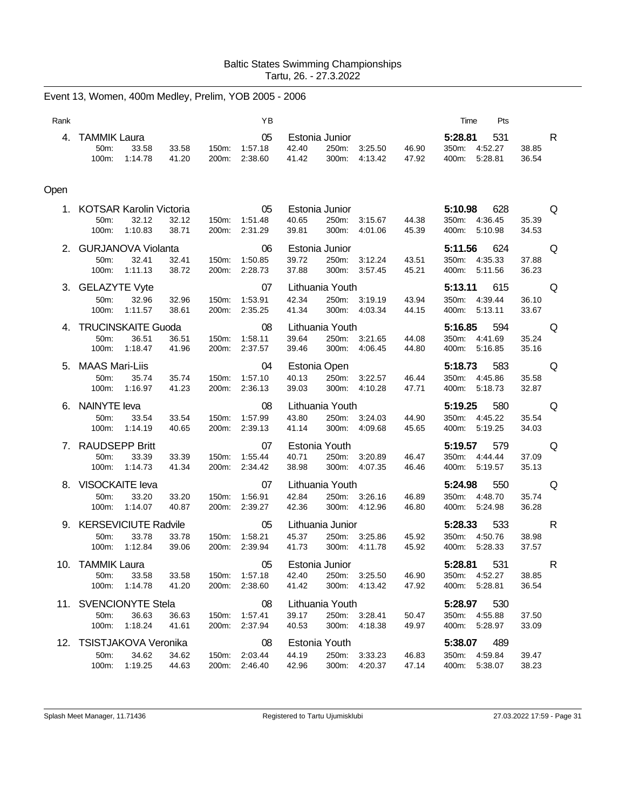|      | Event 13, Women, 400m Medley, Prelim, YOB 2005 - 2006 |                  |                |                |                                |                                  |                                   |                                |                |                                                  |                                       |
|------|-------------------------------------------------------|------------------|----------------|----------------|--------------------------------|----------------------------------|-----------------------------------|--------------------------------|----------------|--------------------------------------------------|---------------------------------------|
| Rank |                                                       |                  |                |                | YB                             |                                  |                                   |                                |                | Time                                             | Pts                                   |
| 4.   | <b>TAMMIK Laura</b><br>50m:<br>100m:                  | 33.58<br>1:14.78 | 33.58<br>41.20 | 150m:<br>200m: | 05<br>1:57.18<br>2:38.60       | Estonia Junior<br>42.40<br>41.42 | 250m:<br>300m:                    | 3:25.50<br>4:13.42             | 46.90<br>47.92 | 5:28.81<br>350m:<br>4:52.27<br>400m:<br>5:28.81  | 531<br>R<br>38.85<br>36.54            |
| Open |                                                       |                  |                |                |                                |                                  |                                   |                                |                |                                                  |                                       |
|      | 1. KOTSAR Karolin Victoria<br>50m:<br>100m:           | 32.12<br>1:10.83 | 32.12<br>38.71 | 150m:<br>200m: | 05<br>1:51.48<br>2:31.29       | Estonia Junior<br>40.65<br>39.81 | 250m:<br>300m:                    | 3:15.67<br>4:01.06             | 44.38<br>45.39 | 5:10.98<br>350m:<br>4:36.45<br>400m:<br>5.10.98  | 628<br>Q<br>35.39<br>34.53            |
|      | 2. GURJANOVA Violanta<br>50m:<br>100m:                | 32.41<br>1:11.13 | 32.41<br>38.72 | 150m:<br>200m: | 06<br>1:50.85<br>2:28.73       | Estonia Junior<br>39.72<br>37.88 | 250m:<br>300m:                    | 3:12.24<br>3:57.45             | 43.51<br>45.21 | 5:11.56<br>350m: 4:35.33<br>400m: 5:11.56        | 624<br>Q<br>37.88<br>36.23            |
|      | 3. GELAZYTE Vyte<br>50m:<br>100m:                     | 32.96<br>1:11.57 | 32.96<br>38.61 | 150m:<br>200m: | 07<br>1:53.91<br>2:35.25       | 42.34<br>41.34                   | Lithuania Youth                   | 250m: 3:19.19<br>300m: 4:03.34 | 43.94<br>44.15 | 5:13.11<br>350m: 4:39.44<br>400m:<br>5:13.11     | Q<br>615<br>36.10<br>33.67            |
|      | 4. TRUCINSKAITE Guoda<br>50m:<br>100m:                | 36.51<br>1:18.47 | 36.51<br>41.96 | 150m:<br>200m: | 08<br>1:58.11<br>2:37.57       | 39.64<br>39.46                   | Lithuania Youth<br>300m:          | 250m: 3:21.65<br>4:06.45       | 44.08<br>44.80 | 5:16.85<br>350m: 4:41.69<br>400m: 5:16.85        | 594<br>Q<br>35.24<br>35.16            |
|      | 5. MAAS Mari-Liis<br>50m:<br>100m:                    | 35.74<br>1:16.97 | 35.74<br>41.23 | 150m:<br>200m: | 04<br>1:57.10<br>2:36.13       | Estonia Open<br>40.13<br>39.03   | 250m:<br>300m:                    | 3:22.57<br>4:10.28             | 46.44<br>47.71 | 5:18.73<br>350m:<br>4:45.86<br>400m:<br>5:18.73  | 583<br>Q<br>35.58<br>32.87            |
|      | 6. NAINYTE leva<br>50m:<br>100m:                      | 33.54<br>1:14.19 | 33.54<br>40.65 | 150m:<br>200m: | 08<br>1:57.99<br>2:39.13       | 43.80<br>41.14                   | Lithuania Youth<br>250m:<br>300m: | 3:24.03<br>4:09.68             | 44.90<br>45.65 | 5:19.25<br>350m: 4:45.22<br>400m:<br>5:19.25     | 580<br>Q<br>35.54<br>34.03            |
|      | 7. RAUDSEPP Britt<br>50m:<br>100m: 1:14.73            | 33.39            | 33.39<br>41.34 | 150m:          | 07<br>1:55.44<br>200m: 2:34.42 | Estonia Youth<br>40.71<br>38.98  | 250m:<br>300m:                    | 3:20.89<br>4:07.35             | 46.47<br>46.46 | 5:19.57<br>350m: 4:44.44<br>400m: 5:19.57        | 579<br>Q<br>37.09<br>35.13            |
|      | 8. VISOCKAITE leva<br>50m:<br>100m:                   | 33.20<br>1:14.07 | 33.20<br>40.87 | 150m:<br>200m: | 07<br>1:56.91<br>2:39.27       | 42.84<br>42.36                   | Lithuania Youth                   | 250m: 3:26.16<br>300m: 4:12.96 | 46.89<br>46.80 | 5:24.98<br>350m:<br>4:48.70<br>400m: 5:24.98     | 550<br>Q<br>35.74<br>36.28            |
|      | 9. KERSEVICIUTE Radvile<br>50m:<br>100m: 1:12.84      | 33.78            | 33.78<br>39.06 | 150m:<br>200m: | 05<br>1:58.21<br>2:39.94       | 45.37<br>41.73                   | Lithuania Junior                  | 250m: 3:25.86<br>300m: 4:11.78 | 45.92<br>45.92 | 5:28.33<br>350m: 4:50.76<br>400m: 5:28.33        | 533<br>R<br>38.98<br>37.57            |
|      | 10. TAMMIK Laura<br>50m:<br>100m: 1:14.78             | 33.58            | 33.58<br>41.20 | 150m:<br>200m: | 05<br>1:57.18<br>2:38.60       | 42.40<br>41.42                   | Estonia Junior                    | 250m: 3:25.50<br>300m: 4:13.42 | 46.90<br>47.92 | 5:28.81<br>350m: 4:52.27<br>400m: 5:28.81        | 531<br>in Richard R<br>38.85<br>36.54 |
|      | 11. SVENCIONYTE Stela<br>50m:<br>100m:                | 36.63<br>1:18.24 | 36.63<br>41.61 | 150m:<br>200m: | 08<br>1:57.41<br>2:37.94       | 39.17<br>40.53                   | Lithuania Youth                   | 250m: 3:28.41<br>300m: 4:18.38 | 50.47<br>49.97 | 5:28.97 530<br>350m: 4:55.88<br>400m:<br>5:28.97 | 37.50<br>33.09                        |
|      | 12. TSISTJAKOVA Veronika<br>50m:<br>100m: 1:19.25     | 34.62            | 34.62<br>44.63 | 150m:          | 08<br>2:03.44<br>200m: 2:46.40 | Estonia Youth<br>44.19<br>42.96  |                                   | 250m: 3:33.23<br>300m: 4:20.37 | 46.83<br>47.14 | 5:38.07<br>350m: 4:59.84<br>400m: 5:38.07        | 489<br>39.47<br>38.23                 |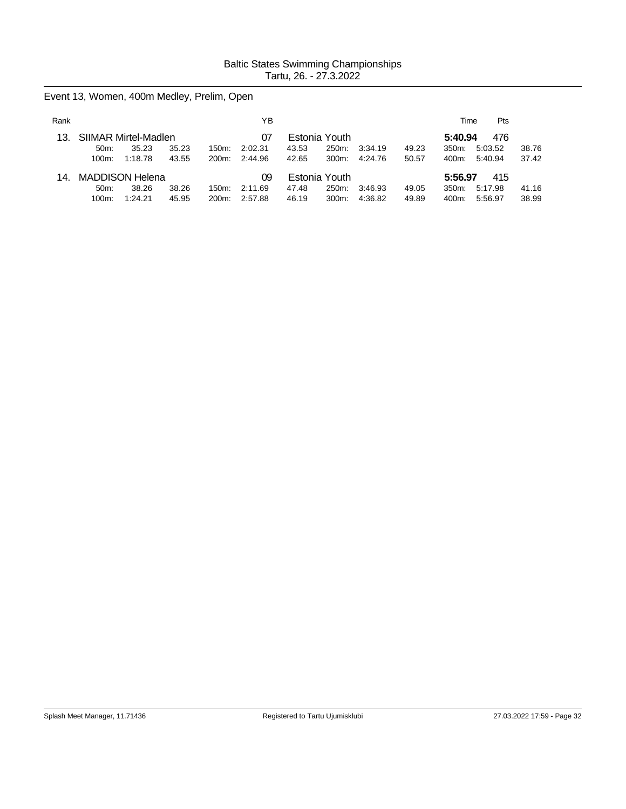Event 13, Women, 400m Medley, Prelim, Open

| Rank  |                      |         |       |       | ΥB      |               |               |         |                | Time     | Pts     |       |
|-------|----------------------|---------|-------|-------|---------|---------------|---------------|---------|----------------|----------|---------|-------|
|       | SIIMAR Mirtel-Madlen |         |       |       | 07      | Estonia Youth |               |         | 5:40.94<br>476 |          |         |       |
|       | $50m$ :              | 35.23   | 35.23 | 150m: | 2:02.31 | 43.53         | 250m:         | 3:34.19 | 49.23          | $350m$ : | 5:03.52 | 38.76 |
|       | $100m$ :             | 1:18.78 | 43.55 | 200m: | 2:44.96 | 42.65         | $300m$ :      | 4:24.76 | 50.57          | 400m:    | 5:40.94 | 37.42 |
| - 14. | MADDISON Helena      |         |       |       | 09      |               | Estonia Youth |         |                | 5:56.97  | 415     |       |
|       | $50m$ :              | 38.26   | 38.26 | 150m: | 2:11.69 | 47.48         | 250m:         | 3:46.93 | 49.05          | $350m$ : | 5:17.98 | 41.16 |
|       | 100m:                | 1:24.21 | 45.95 | 200m: | 2:57.88 | 46.19         | 300m:         | 4:36.82 | 49.89          | 400m:    | 5:56.97 | 38.99 |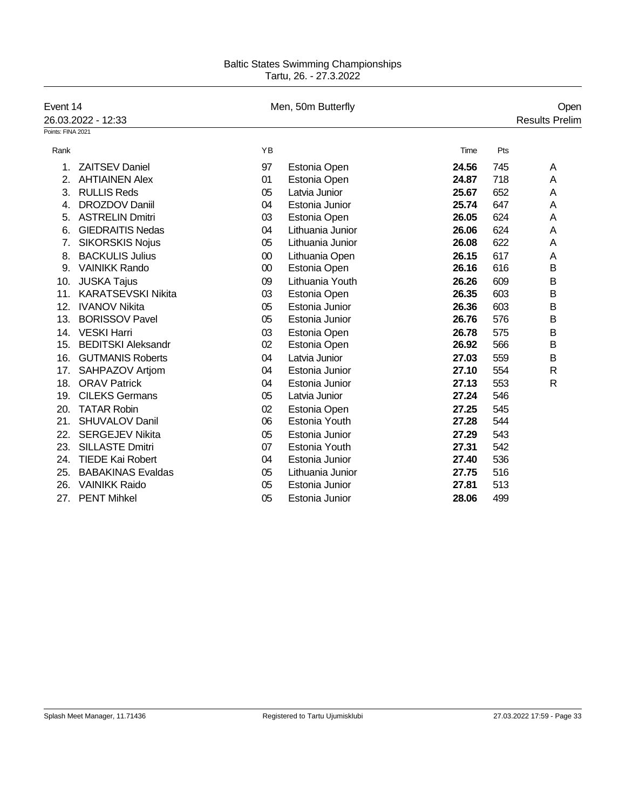| Event 14          | 26.03.2022 - 12:33        |        | Men, 50m Butterfly |       | Open<br><b>Results Prelim</b> |
|-------------------|---------------------------|--------|--------------------|-------|-------------------------------|
| Points: FINA 2021 |                           |        |                    |       |                               |
|                   |                           | YB     |                    |       | Pts                           |
| Rank              |                           |        |                    | Time  |                               |
| 1.                | <b>ZAITSEV Daniel</b>     | 97     | Estonia Open       | 24.56 | 745<br>A                      |
| 2.                | <b>AHTIAINEN Alex</b>     | 01     | Estonia Open       | 24.87 | 718<br>Α                      |
| 3.                | <b>RULLIS Reds</b>        | 05     | Latvia Junior      | 25.67 | 652<br>A                      |
| 4.                | <b>DROZDOV Daniil</b>     | 04     | Estonia Junior     | 25.74 | 647<br>Α                      |
| 5.                | <b>ASTRELIN Dmitri</b>    | 03     | Estonia Open       | 26.05 | 624<br>Α                      |
| 6.                | <b>GIEDRAITIS Nedas</b>   | 04     | Lithuania Junior   | 26.06 | 624<br>Α                      |
| 7.                | <b>SIKORSKIS Nojus</b>    | 05     | Lithuania Junior   | 26.08 | 622<br>A                      |
| 8.                | <b>BACKULIS Julius</b>    | $00\,$ | Lithuania Open     | 26.15 | 617<br>A                      |
| 9.                | <b>VAINIKK Rando</b>      | $00\,$ | Estonia Open       | 26.16 | 616<br>B                      |
| 10.               | <b>JUSKA Tajus</b>        | 09     | Lithuania Youth    | 26.26 | 609<br>B                      |
| 11.               | <b>KARATSEVSKI Nikita</b> | 03     | Estonia Open       | 26.35 | 603<br>B                      |
| 12.               | <b>IVANOV Nikita</b>      | 05     | Estonia Junior     | 26.36 | 603<br>B                      |
| 13.               | <b>BORISSOV Pavel</b>     | 05     | Estonia Junior     | 26.76 | 576<br>B                      |
| 14.               | <b>VESKI Harri</b>        | 03     | Estonia Open       | 26.78 | 575<br>B                      |
| 15.               | <b>BEDITSKI Aleksandr</b> | 02     | Estonia Open       | 26.92 | 566<br>B                      |
| 16.               | <b>GUTMANIS Roberts</b>   | 04     | Latvia Junior      | 27.03 | 559<br>В                      |
| 17.               | SAHPAZOV Artjom           | 04     | Estonia Junior     | 27.10 | $\mathsf{R}$<br>554           |
| 18.               | <b>ORAV Patrick</b>       | 04     | Estonia Junior     | 27.13 | 553<br>$\mathsf{R}$           |
| 19.               | <b>CILEKS Germans</b>     | 05     | Latvia Junior      | 27.24 | 546                           |
| 20.               | <b>TATAR Robin</b>        | 02     | Estonia Open       | 27.25 | 545                           |
| 21.               | <b>SHUVALOV Danil</b>     | 06     | Estonia Youth      | 27.28 | 544                           |
| 22.               | <b>SERGEJEV Nikita</b>    | 05     | Estonia Junior     | 27.29 | 543                           |
| 23.               | <b>SILLASTE Dmitri</b>    | 07     | Estonia Youth      | 27.31 | 542                           |
| 24.               | <b>TIEDE Kai Robert</b>   | 04     | Estonia Junior     | 27.40 | 536                           |
| 25.               | <b>BABAKINAS Evaldas</b>  | 05     | Lithuania Junior   | 27.75 | 516                           |
| 26.               | <b>VAINIKK Raido</b>      | 05     | Estonia Junior     | 27.81 | 513                           |
| 27.               | <b>PENT Mihkel</b>        | 05     | Estonia Junior     | 28.06 | 499                           |
|                   |                           |        |                    |       |                               |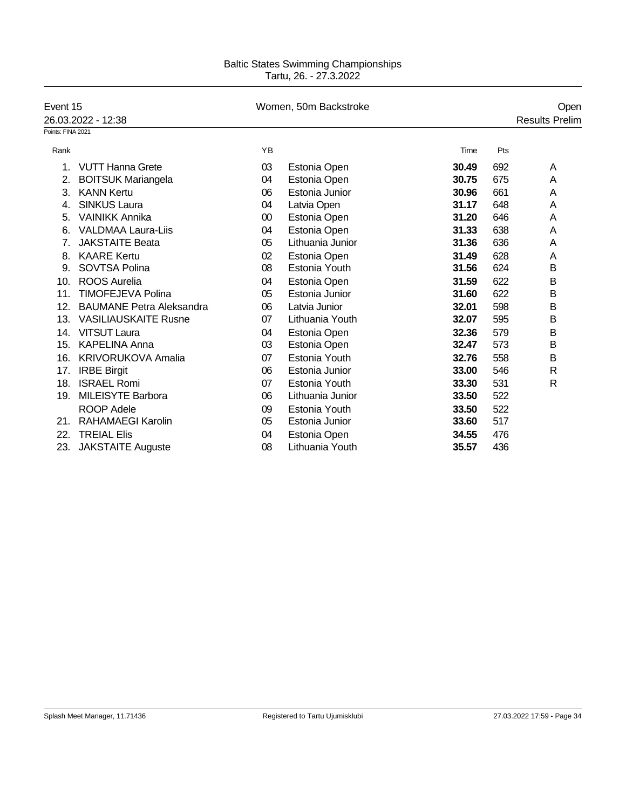| Event 15          |                                 |        | Women, 50m Backstroke |       |     |                       |  |  |
|-------------------|---------------------------------|--------|-----------------------|-------|-----|-----------------------|--|--|
|                   | 26.03.2022 - 12:38              |        |                       |       |     | <b>Results Prelim</b> |  |  |
| Points: FINA 2021 |                                 |        |                       |       |     |                       |  |  |
| Rank              |                                 | YB     |                       | Time  | Pts |                       |  |  |
| 1.                | <b>VUTT Hanna Grete</b>         | 03     | Estonia Open          | 30.49 | 692 | A                     |  |  |
| 2.                | <b>BOITSUK Mariangela</b>       | 04     | Estonia Open          | 30.75 | 675 | A                     |  |  |
| 3.                | <b>KANN Kertu</b>               | 06     | Estonia Junior        | 30.96 | 661 | A                     |  |  |
| 4.                | <b>SINKUS Laura</b>             | 04     | Latvia Open           | 31.17 | 648 | A                     |  |  |
| 5.                | <b>VAINIKK Annika</b>           | $00\,$ | Estonia Open          | 31.20 | 646 | A                     |  |  |
| 6.                | <b>VALDMAA Laura-Liis</b>       | 04     | Estonia Open          | 31.33 | 638 | Α                     |  |  |
| 7.                | <b>JAKSTAITE Beata</b>          | 05     | Lithuania Junior      | 31.36 | 636 | Α                     |  |  |
| 8.                | <b>KAARE Kertu</b>              | 02     | Estonia Open          | 31.49 | 628 | Α                     |  |  |
| 9.                | SOVTSA Polina                   | 08     | Estonia Youth         | 31.56 | 624 | B                     |  |  |
| 10.               | <b>ROOS Aurelia</b>             | 04     | Estonia Open          | 31.59 | 622 | B                     |  |  |
| 11.               | <b>TIMOFEJEVA Polina</b>        | 05     | Estonia Junior        | 31.60 | 622 | B                     |  |  |
| 12.               | <b>BAUMANE Petra Aleksandra</b> | 06     | Latvia Junior         | 32.01 | 598 | B                     |  |  |
| 13.               | <b>VASILIAUSKAITE Rusne</b>     | 07     | Lithuania Youth       | 32.07 | 595 | B                     |  |  |
| 14.               | <b>VITSUT Laura</b>             | 04     | Estonia Open          | 32.36 | 579 | B                     |  |  |
| 15.               | <b>KAPELINA Anna</b>            | 03     | Estonia Open          | 32.47 | 573 | B                     |  |  |
| 16.               | <b>KRIVORUKOVA Amalia</b>       | 07     | Estonia Youth         | 32.76 | 558 | B                     |  |  |
| 17.               | <b>IRBE Birgit</b>              | 06     | Estonia Junior        | 33.00 | 546 | R                     |  |  |
| 18.               | <b>ISRAEL Romi</b>              | 07     | Estonia Youth         | 33.30 | 531 | $\mathsf{R}$          |  |  |
| 19.               | <b>MILEISYTE Barbora</b>        | 06     | Lithuania Junior      | 33.50 | 522 |                       |  |  |
|                   | <b>ROOP Adele</b>               | 09     | Estonia Youth         | 33.50 | 522 |                       |  |  |
| 21.               | <b>RAHAMAEGI Karolin</b>        | 05     | Estonia Junior        | 33.60 | 517 |                       |  |  |
| 22.               | <b>TREIAL Elis</b>              | 04     | Estonia Open          | 34.55 | 476 |                       |  |  |
| 23.               | <b>JAKSTAITE Auguste</b>        | 08     | Lithuania Youth       | 35.57 | 436 |                       |  |  |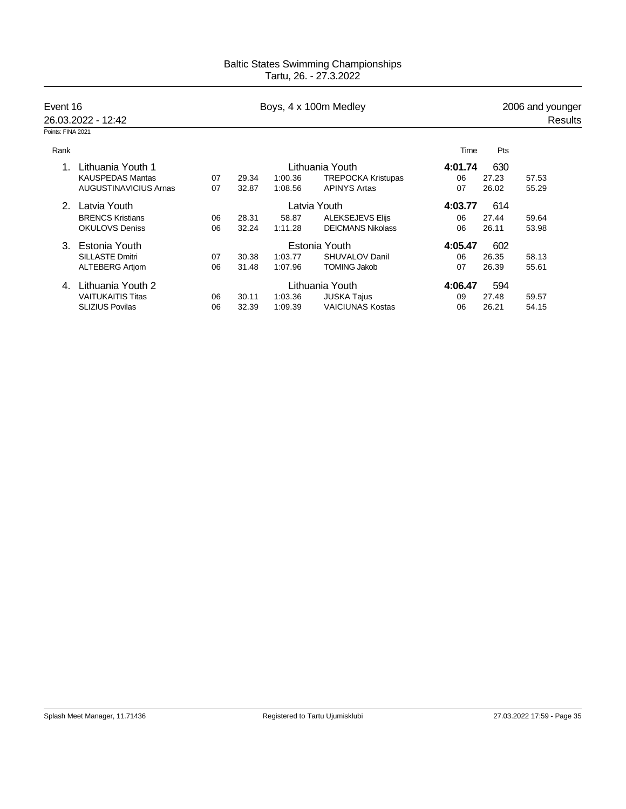| Event 16          |                              |    |              | Boys, 4 x 100m Medley |                           |         | 2006 and younger |         |  |
|-------------------|------------------------------|----|--------------|-----------------------|---------------------------|---------|------------------|---------|--|
|                   | 26.03.2022 - 12:42           |    |              |                       |                           |         |                  | Results |  |
| Points: FINA 2021 |                              |    |              |                       |                           |         |                  |         |  |
| Rank              |                              |    |              |                       |                           | Time    | <b>Pts</b>       |         |  |
| Lithuania Youth 1 |                              |    |              |                       | Lithuania Youth           | 4:01.74 | 630              |         |  |
|                   | <b>KAUSPEDAS Mantas</b>      | 07 | 29.34        | 1:00.36               | <b>TREPOCKA Kristupas</b> | 06      | 27.23            | 57.53   |  |
|                   | <b>AUGUSTINAVICIUS Arnas</b> | 07 | 32.87        | 1:08.56               | <b>APINYS Artas</b>       | 07      | 26.02            | 55.29   |  |
| 2.                | Latvia Youth                 |    | Latvia Youth |                       |                           |         | 614              |         |  |
|                   | <b>BRENCS Kristians</b>      | 06 | 28.31        | 58.87                 | <b>ALEKSEJEVS Elijs</b>   | 06      | 27.44            | 59.64   |  |
|                   | <b>OKULOVS Deniss</b>        | 06 | 32.24        | 1:11.28               | <b>DEICMANS Nikolass</b>  | 06      | 26.11            | 53.98   |  |
| 3.                | Estonia Youth                |    |              |                       | Estonia Youth             | 4:05.47 | 602              |         |  |
|                   | <b>SILLASTE Dmitri</b>       | 07 | 30.38        | 1:03.77               | SHUVALOV Danil            | 06      | 26.35            | 58.13   |  |
|                   | <b>ALTEBERG Artiom</b>       | 06 | 31.48        | 1:07.96               | <b>TOMING Jakob</b>       | 07      | 26.39            | 55.61   |  |
| 4.                | Lithuania Youth 2            |    |              | Lithuania Youth       | 4:06.47                   | 594     |                  |         |  |
|                   | <b>VAITUKAITIS Titas</b>     | 06 | 30.11        | 1:03.36               | <b>JUSKA Tajus</b>        | 09      | 27.48            | 59.57   |  |
|                   | <b>SLIZIUS Povilas</b>       | 06 | 32.39        | 1:09.39               | <b>VAICIUNAS Kostas</b>   | 06      | 26.21            | 54.15   |  |
|                   |                              |    |              |                       |                           |         |                  |         |  |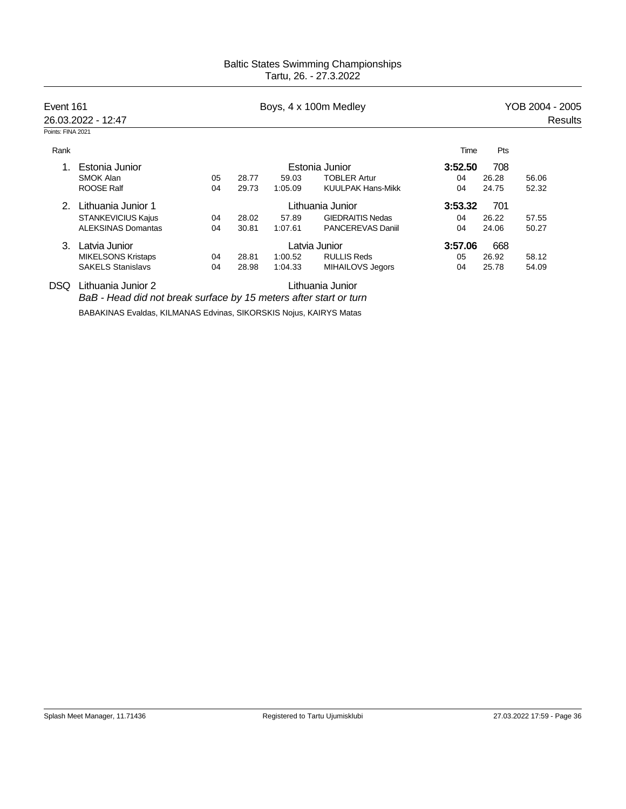| Event 161         |                                                                    |                  |       |         | Boys, 4 x 100m Medley    | YOB 2004 - 2005 |       |         |  |
|-------------------|--------------------------------------------------------------------|------------------|-------|---------|--------------------------|-----------------|-------|---------|--|
|                   | 26.03.2022 - 12:47                                                 |                  |       |         |                          |                 |       | Results |  |
| Points: FINA 2021 |                                                                    |                  |       |         |                          |                 |       |         |  |
| Rank              |                                                                    |                  |       |         |                          | Time            | Pts   |         |  |
| 1.                | Estonia Junior                                                     |                  |       |         | Estonia Junior           | 3:52.50         | 708   |         |  |
|                   | <b>SMOK Alan</b>                                                   | 05               | 28.77 | 59.03   | <b>TOBLER Artur</b>      | 04              | 26.28 | 56.06   |  |
|                   | ROOSE Ralf                                                         | 04               | 29.73 | 1:05.09 | <b>KUULPAK Hans-Mikk</b> | 04              | 24.75 | 52.32   |  |
| 2 <sup>1</sup>    | Lithuania Junior 1                                                 | Lithuania Junior |       |         |                          |                 |       |         |  |
|                   | <b>STANKEVICIUS Kajus</b>                                          | 04               | 28.02 | 57.89   | <b>GIEDRAITIS Nedas</b>  | 04              | 26.22 | 57.55   |  |
|                   | <b>ALEKSINAS Domantas</b>                                          | 04               | 30.81 | 1:07.61 | <b>PANCEREVAS Daniil</b> | 04              | 24.06 | 50.27   |  |
| 3.                | Latvia Junior                                                      |                  |       |         | Latvia Junior            | 3:57.06         | 668   |         |  |
|                   | <b>MIKELSONS Kristaps</b>                                          | 04               | 28.81 | 1:00.52 | <b>RULLIS Reds</b>       | 05              | 26.92 | 58.12   |  |
|                   | <b>SAKELS Stanislavs</b>                                           | 04               | 28.98 | 1:04.33 | MIHAILOVS Jegors         | 04              | 25.78 | 54.09   |  |
| DSQ.              | Lithuania Junior 2                                                 |                  |       |         | Lithuania Junior         |                 |       |         |  |
|                   | BaB - Head did not break surface by 15 meters after start or turn  |                  |       |         |                          |                 |       |         |  |
|                   | BABAKINAS Evaldas, KILMANAS Edvinas, SIKORSKIS Noius, KAIRYS Matas |                  |       |         |                          |                 |       |         |  |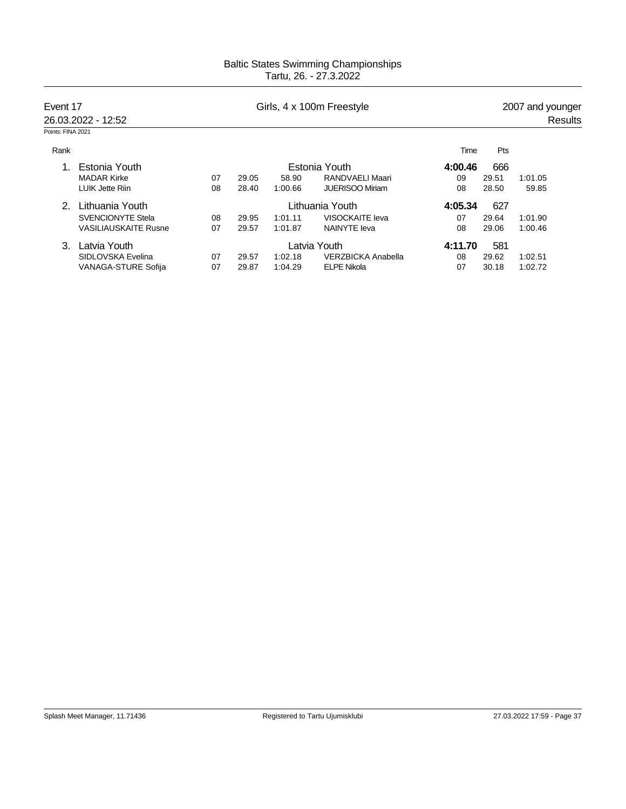| Event 17          | 26.03.2022 - 12:52          |    |       |         | Girls, 4 x 100m Freestyle |         | 2007 and younger<br>Results |         |  |  |
|-------------------|-----------------------------|----|-------|---------|---------------------------|---------|-----------------------------|---------|--|--|
| Points: FINA 2021 |                             |    |       |         |                           |         |                             |         |  |  |
| Rank              |                             |    |       |         |                           | Time    | Pts                         |         |  |  |
|                   | Estonia Youth               |    |       |         | Estonia Youth             | 4:00.46 | 666                         |         |  |  |
|                   | <b>MADAR Kirke</b>          | 07 | 29.05 | 58.90   | RANDVAELI Maari           | 09      | 29.51                       | 1:01.05 |  |  |
|                   | LUIK Jette Riin             | 08 | 28.40 | 1:00.66 | <b>JUERISOO Miriam</b>    | 08      | 28.50                       | 59.85   |  |  |
| 2.                | Lithuania Youth             |    |       |         | Lithuania Youth           | 4:05.34 | 627                         |         |  |  |
|                   | <b>SVENCIONYTE Stela</b>    | 08 | 29.95 | 1:01.11 | VISOCKAITE leva           | 07      | 29.64                       | 1:01.90 |  |  |
|                   | <b>VASILIAUSKAITE Rusne</b> | 07 | 29.57 | 1:01.87 | <b>NAINYTE leva</b>       | 08      | 29.06                       | 1:00.46 |  |  |
| 3                 | Latvia Youth                |    |       |         | Latvia Youth              | 4:11.70 | 581                         |         |  |  |
|                   | SIDLOVSKA Evelina           | 07 | 29.57 | 1:02.18 | <b>VERZBICKA Anabella</b> | 08      | 29.62                       | 1:02.51 |  |  |
|                   | <b>VANAGA-STURE Sofija</b>  | 07 | 29.87 | 1:04.29 | <b>ELPE Nikola</b>        | 07      | 30.18                       | 1:02.72 |  |  |
|                   |                             |    |       |         |                           |         |                             |         |  |  |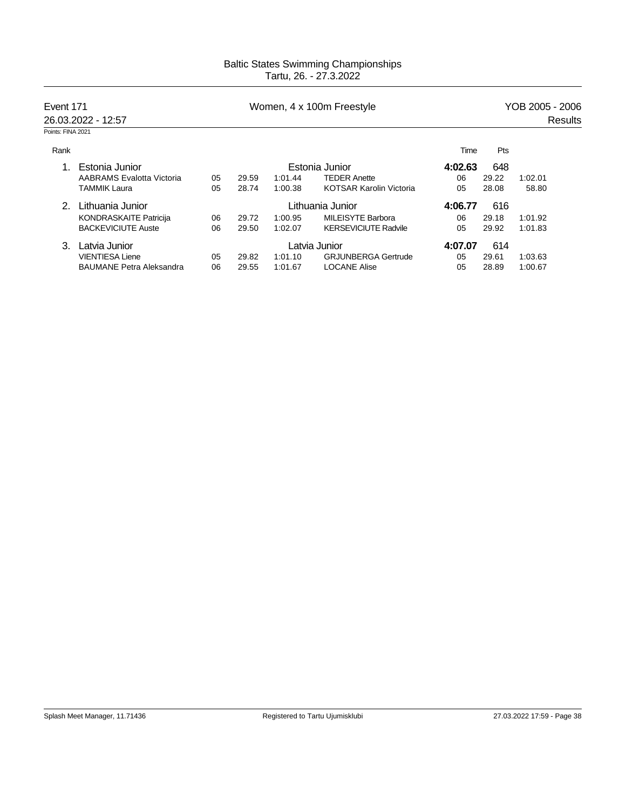| Event 171         | 26.03.2022 - 12:57              |    |       |         | Women, 4 x 100m Freestyle      | YOB 2005 - 2006<br>Results |       |         |  |
|-------------------|---------------------------------|----|-------|---------|--------------------------------|----------------------------|-------|---------|--|
| Points: FINA 2021 |                                 |    |       |         |                                |                            |       |         |  |
| Rank              |                                 |    |       |         |                                | Time                       | Pts   |         |  |
|                   | Estonia Junior                  |    |       |         | Estonia Junior                 | 4:02.63                    | 648   |         |  |
|                   | AABRAMS Evalotta Victoria       | 05 | 29.59 | 1:01.44 | <b>TEDER Anette</b>            | 06                         | 29.22 | 1:02.01 |  |
|                   | <b>TAMMIK Laura</b>             | 05 | 28.74 | 1:00.38 | <b>KOTSAR Karolin Victoria</b> | 05                         | 28.08 | 58.80   |  |
| 2.                | Lithuania Junior                |    |       |         | Lithuania Junior               | 4:06.77                    | 616   |         |  |
|                   | <b>KONDRASKAITE Patricija</b>   | 06 | 29.72 | 1:00.95 | <b>MILEISYTE Barbora</b>       | 06                         | 29.18 | 1:01.92 |  |
|                   | <b>BACKEVICIUTE Auste</b>       | 06 | 29.50 | 1:02.07 | <b>KERSEVICIUTE Radvile</b>    | 05                         | 29.92 | 1:01.83 |  |
| 3                 | Latvia Junior                   |    |       |         | Latvia Junior                  | 4:07.07                    | 614   |         |  |
|                   | <b>VIENTIESA Liene</b>          | 05 | 29.82 | 1:01.10 | <b>GRJUNBERGA Gertrude</b>     | 05                         | 29.61 | 1:03.63 |  |
|                   | <b>BAUMANE Petra Aleksandra</b> | 06 | 29.55 | 1:01.67 | <b>LOCANE Alise</b>            | 05                         | 28.89 | 1:00.67 |  |
|                   |                                 |    |       |         |                                |                            |       |         |  |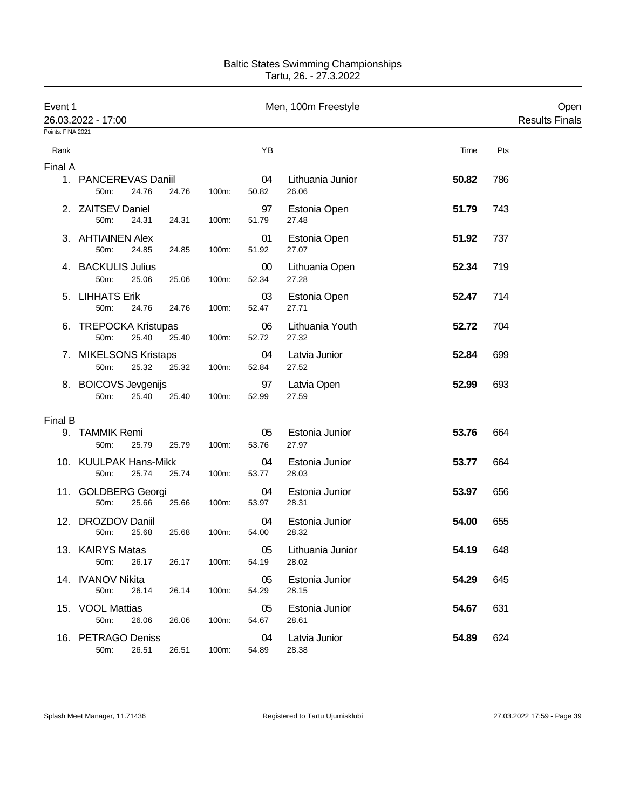| Event 1<br>26.03.2022 - 17:00<br>Points: FINA 2021 |                                            |       |       |                 | Men, 100m Freestyle       |       |     | Open<br><b>Results Finals</b> |
|----------------------------------------------------|--------------------------------------------|-------|-------|-----------------|---------------------------|-------|-----|-------------------------------|
| Rank                                               |                                            |       |       | YB              |                           | Time  | Pts |                               |
| Final A                                            |                                            |       |       |                 |                           |       |     |                               |
|                                                    | 1. PANCEREVAS Daniil<br>24.76<br>50m:      | 24.76 | 100m: | 04<br>50.82     | Lithuania Junior<br>26.06 | 50.82 | 786 |                               |
|                                                    | 2. ZAITSEV Daniel<br>50m:<br>24.31         | 24.31 | 100m: | 97<br>51.79     | Estonia Open<br>27.48     | 51.79 | 743 |                               |
|                                                    | 3. AHTIAINEN Alex<br>50m:<br>24.85         | 24.85 | 100m: | 01<br>51.92     | Estonia Open<br>27.07     | 51.92 | 737 |                               |
|                                                    | 4. BACKULIS Julius<br>50m:<br>25.06        | 25.06 | 100m: | $00\,$<br>52.34 | Lithuania Open<br>27.28   | 52.34 | 719 |                               |
| 5.                                                 | <b>LIHHATS Erik</b><br>50m:<br>24.76       | 24.76 | 100m: | 03<br>52.47     | Estonia Open<br>27.71     | 52.47 | 714 |                               |
| 6.                                                 | <b>TREPOCKA Kristupas</b><br>25.40<br>50m: | 25.40 | 100m: | 06<br>52.72     | Lithuania Youth<br>27.32  | 52.72 | 704 |                               |
|                                                    | 7. MIKELSONS Kristaps<br>25.32<br>50m:     | 25.32 | 100m: | 04<br>52.84     | Latvia Junior<br>27.52    | 52.84 | 699 |                               |
|                                                    | 8. BOICOVS Jevgenijs<br>50m:<br>25.40      | 25.40 | 100m: | 97<br>52.99     | Latvia Open<br>27.59      | 52.99 | 693 |                               |
| Final B                                            |                                            |       |       |                 |                           |       |     |                               |
|                                                    | 9. TAMMIK Remi<br>50m:<br>25.79            | 25.79 | 100m: | 05<br>53.76     | Estonia Junior<br>27.97   | 53.76 | 664 |                               |
|                                                    | 10. KUULPAK Hans-Mikk<br>25.74<br>50m:     | 25.74 | 100m: | 04<br>53.77     | Estonia Junior<br>28.03   | 53.77 | 664 |                               |
|                                                    | 11. GOLDBERG Georgi<br>50m:<br>25.66       | 25.66 | 100m: | 04<br>53.97     | Estonia Junior<br>28.31   | 53.97 | 656 |                               |
|                                                    | 12. DROZDOV Daniil<br>50m:<br>25.68        | 25.68 | 100m: | 04<br>54.00     | Estonia Junior<br>28.32   | 54.00 | 655 |                               |
|                                                    | 13. KAIRYS Matas<br>50m:<br>26.17          | 26.17 | 100m: | 05<br>54.19     | Lithuania Junior<br>28.02 | 54.19 | 648 |                               |
|                                                    | 14. IVANOV Nikita<br>26.14<br>50m:         | 26.14 | 100m: | 05<br>54.29     | Estonia Junior<br>28.15   | 54.29 | 645 |                               |
|                                                    | 15. VOOL Mattias<br>50m:<br>26.06          | 26.06 | 100m: | 05<br>54.67     | Estonia Junior<br>28.61   | 54.67 | 631 |                               |
|                                                    | 16. PETRAGO Deniss<br>50m:<br>26.51        | 26.51 | 100m: | 04<br>54.89     | Latvia Junior<br>28.38    | 54.89 | 624 |                               |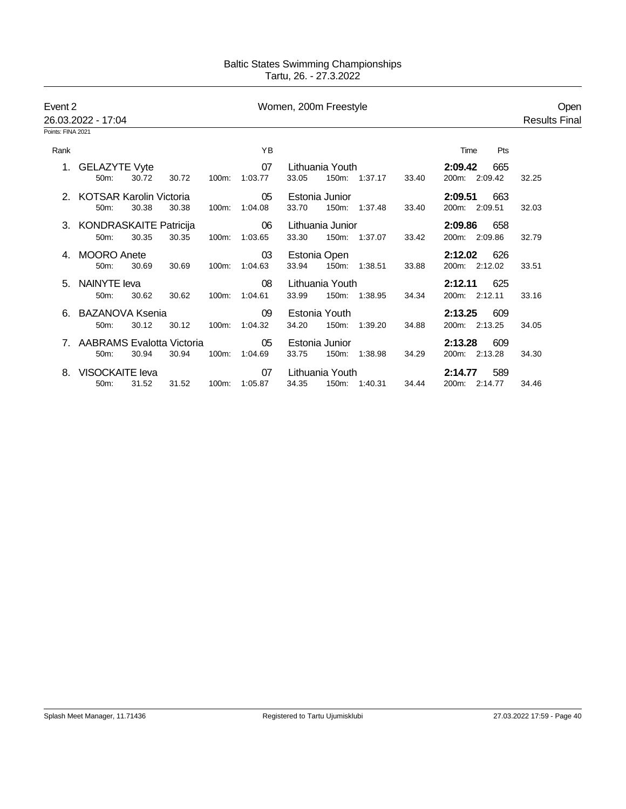| Event 2<br>26.03.2022 - 17:04 |                                      |       |       |       | Women, 200m Freestyle |       |                         |               |       |                                 | Open<br><b>Results Final</b> |
|-------------------------------|--------------------------------------|-------|-------|-------|-----------------------|-------|-------------------------|---------------|-------|---------------------------------|------------------------------|
| Points: FINA 2021             |                                      |       |       |       |                       |       |                         |               |       |                                 |                              |
| Rank                          |                                      |       |       |       | YB                    |       |                         |               |       | Pts<br>Time                     |                              |
|                               | 1. GELAZYTE Vyte<br>50m:             | 30.72 | 30.72 | 100m: | 07<br>1:03.77         | 33.05 | Lithuania Youth         | 150m: 1:37.17 | 33.40 | 2:09.42<br>665<br>200m: 2:09.42 | 32.25                        |
|                               | 2. KOTSAR Karolin Victoria<br>50m:   | 30.38 | 30.38 | 100m: | 05<br>1:04.08         | 33.70 | Estonia Junior          | 150m: 1:37.48 | 33.40 | 2:09.51<br>663<br>200m: 2:09.51 | 32.03                        |
|                               | 3. KONDRASKAITE Patricija<br>50m:    | 30.35 | 30.35 | 100m: | 06<br>1:03.65         | 33.30 | Lithuania Junior        | 150m: 1:37.07 | 33.42 | 2:09.86<br>658<br>200m: 2:09.86 | 32.79                        |
|                               | 4. MOORO Anete<br>50m:               | 30.69 | 30.69 | 100m: | 03<br>1:04.63         | 33.94 | Estonia Open            | 150m: 1:38.51 | 33.88 | 2:12.02<br>626<br>200m: 2:12.02 | 33.51                        |
|                               | 5. NAINYTE leva<br>50m:              | 30.62 | 30.62 | 100m: | 08<br>1:04.61         | 33.99 | Lithuania Youth         | 150m: 1:38.95 | 34.34 | 2:12.11<br>625<br>200m: 2:12.11 | 33.16                        |
|                               | 6. BAZANOVA Ksenia<br>50m:           | 30.12 | 30.12 | 100m: | 09<br>1:04.32         | 34.20 | Estonia Youth           | 150m: 1:39.20 | 34.88 | 2:13.25<br>609<br>200m: 2:13.25 | 34.05                        |
|                               | AABRAMS Evalotta Victoria<br>$50m$ : | 30.94 | 30.94 | 100m: | 05<br>1:04.69         | 33.75 | Estonia Junior<br>150m: | 1:38.98       | 34.29 | 2:13.28<br>609<br>200m: 2:13.28 | 34.30                        |
| 8.                            | VISOCKAITE leva<br>50m:              | 31.52 | 31.52 | 100m: | 07<br>1:05.87         | 34.35 | Lithuania Youth         | 150m: 1:40.31 | 34.44 | 589<br>2:14.77<br>200m: 2:14.77 | 34.46                        |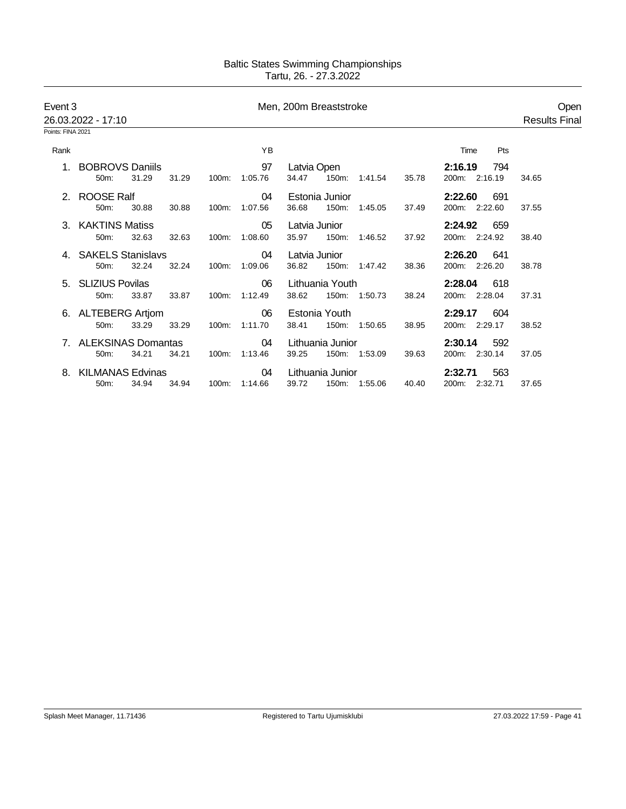| Event 3<br>26.03.2022 - 17:10 |                                   |       |       |       |                     | Men, 200m Breaststroke |                         |               |       |                                 |                      |
|-------------------------------|-----------------------------------|-------|-------|-------|---------------------|------------------------|-------------------------|---------------|-------|---------------------------------|----------------------|
| Points: FINA 2021             |                                   |       |       |       |                     |                        |                         |               |       |                                 | <b>Results Final</b> |
| Rank                          |                                   |       |       |       | YB                  |                        |                         |               |       | Pts<br>Time                     |                      |
| $1_{-}$                       | <b>BOBROVS Daniils</b><br>$50m$ : | 31.29 | 31.29 | 100m: | 97<br>1:05.76       | Latvia Open<br>34.47   |                         | 150m: 1:41.54 | 35.78 | 2:16.19<br>794<br>200m: 2:16.19 | 34.65                |
|                               | 2. ROOSE Ralf<br>50m:             | 30.88 | 30.88 | 100m: | 04<br>1:07.56       | 36.68                  | Estonia Junior<br>150m: | 1:45.05       | 37.49 | 2:22.60<br>691<br>200m: 2:22.60 | 37.55                |
|                               | 3. KAKTINS Matiss<br>50m:         | 32.63 | 32.63 | 100m: | 05<br>1:08.60       | Latvia Junior<br>35.97 | 150m:                   | 1:46.52       | 37.92 | 659<br>2:24.92<br>200m: 2:24.92 | 38.40                |
|                               | 4. SAKELS Stanislavs<br>50m:      | 32.24 | 32.24 |       | 04<br>100m: 1:09.06 | Latvia Junior<br>36.82 |                         | 150m: 1:47.42 | 38.36 | 2:26.20<br>641<br>200m: 2:26.20 | 38.78                |
|                               | 5. SLIZIUS Povilas<br>50m:        | 33.87 | 33.87 |       | 06<br>100m: 1:12.49 | 38.62                  | Lithuania Youth         | 150m: 1:50.73 | 38.24 | 2:28.04<br>618<br>200m: 2:28.04 | 37.31                |
|                               | 6. ALTEBERG Artiom<br>50m:        | 33.29 | 33.29 | 100m: | 06<br>1:11.70       | 38.41                  | Estonia Youth           | 150m: 1:50.65 | 38.95 | 2:29.17<br>604<br>200m: 2:29.17 | 38.52                |
|                               | <b>ALEKSINAS Domantas</b><br>50m: | 34.21 | 34.21 | 100m: | 04<br>1:13.46       | 39.25                  | Lithuania Junior        | 150m: 1:53.09 | 39.63 | 2:30.14<br>592<br>200m: 2:30.14 | 37.05                |
|                               | <b>KILMANAS Edvinas</b><br>50m:   | 34.94 | 34.94 | 100m: | 04<br>1:14.66       | 39.72                  | Lithuania Junior        | 150m: 1:55.06 | 40.40 | 563<br>2:32.71<br>200m: 2:32.71 | 37.65                |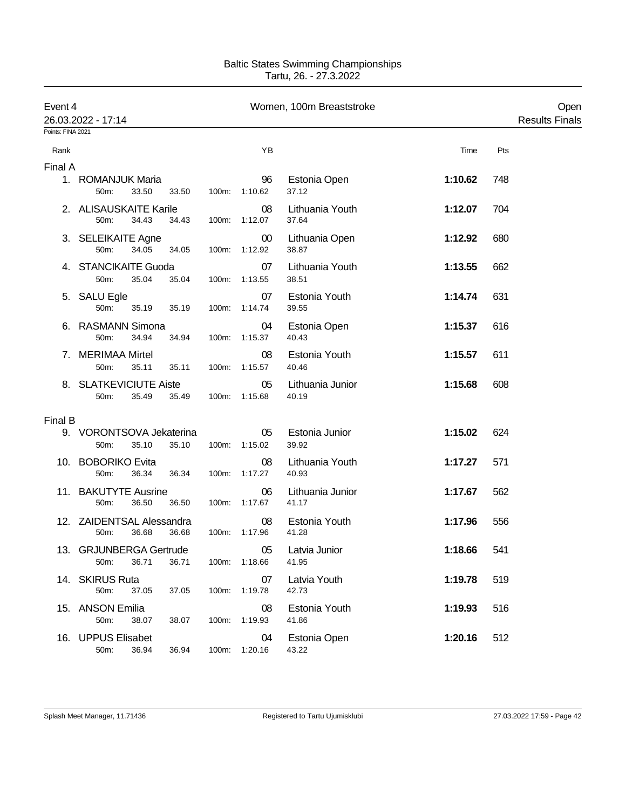| Event 4<br>26.03.2022 - 17:14 |                                   |       |       |       |                         | Women, 100m Breaststroke  |         |     | Open<br><b>Results Finals</b> |
|-------------------------------|-----------------------------------|-------|-------|-------|-------------------------|---------------------------|---------|-----|-------------------------------|
| Points: FINA 2021             |                                   |       |       |       |                         |                           |         |     |                               |
| Rank                          |                                   |       |       |       | ΥB                      |                           | Time    | Pts |                               |
| Final A                       |                                   |       |       |       |                         |                           |         |     |                               |
|                               | 1. ROMANJUK Maria<br>50m:         | 33.50 | 33.50 |       | 96<br>100m: 1:10.62     | Estonia Open<br>37.12     | 1:10.62 | 748 |                               |
|                               | 2. ALISAUSKAITE Karile<br>50m:    | 34.43 | 34.43 |       | 08<br>100m: 1:12.07     | Lithuania Youth<br>37.64  | 1:12.07 | 704 |                               |
|                               | 3. SELEIKAITE Agne<br>50m:        | 34.05 | 34.05 |       | $00\,$<br>100m: 1:12.92 | Lithuania Open<br>38.87   | 1:12.92 | 680 |                               |
|                               | 4. STANCIKAITE Guoda<br>50m:      | 35.04 | 35.04 |       | 07<br>100m: 1:13.55     | Lithuania Youth<br>38.51  | 1:13.55 | 662 |                               |
|                               | 5. SALU Egle<br>50m:              | 35.19 | 35.19 | 100m: | 07<br>1:14.74           | Estonia Youth<br>39.55    | 1:14.74 | 631 |                               |
|                               | 6. RASMANN Simona<br>50m:         | 34.94 | 34.94 |       | 04<br>100m: 1:15.37     | Estonia Open<br>40.43     | 1:15.37 | 616 |                               |
|                               | 7. MERIMAA Mirtel<br>50m:         | 35.11 | 35.11 |       | 08<br>100m: 1:15.57     | Estonia Youth<br>40.46    | 1:15.57 | 611 |                               |
|                               | 8. SLATKEVICIUTE Aiste<br>50m:    | 35.49 | 35.49 |       | 05<br>100m: 1:15.68     | Lithuania Junior<br>40.19 | 1:15.68 | 608 |                               |
| Final B                       |                                   |       |       |       |                         |                           |         |     |                               |
|                               | 9. VORONTSOVA Jekaterina<br>50m:  | 35.10 | 35.10 |       | 05<br>100m: 1:15.02     | Estonia Junior<br>39.92   | 1:15.02 | 624 |                               |
|                               | 10. BOBORIKO Evita<br>50m:        | 36.34 | 36.34 |       | 08<br>100m: 1:17.27     | Lithuania Youth<br>40.93  | 1:17.27 | 571 |                               |
|                               | 11. BAKUTYTE Ausrine<br>50m:      | 36.50 | 36.50 |       | 06<br>100m: 1:17.67     | Lithuania Junior<br>41.17 | 1:17.67 | 562 |                               |
|                               | 12. ZAIDENTSAL Alessandra<br>50m: | 36.68 | 36.68 |       | 08<br>100m: 1:17.96     | Estonia Youth<br>41.28    | 1:17.96 | 556 |                               |
|                               | 13. GRJUNBERGA Gertrude<br>50m:   | 36.71 | 36.71 |       | 05<br>100m: 1:18.66     | Latvia Junior<br>41.95    | 1:18.66 | 541 |                               |
|                               | 14. SKIRUS Ruta<br>50m:           | 37.05 | 37.05 |       | 07<br>100m: 1:19.78     | Latvia Youth<br>42.73     | 1:19.78 | 519 |                               |
|                               | 15. ANSON Emilia<br>50m:          | 38.07 | 38.07 |       | 08<br>100m: 1:19.93     | Estonia Youth<br>41.86    | 1:19.93 | 516 |                               |
|                               | 16. UPPUS Elisabet<br>50m:        | 36.94 | 36.94 |       | 04<br>100m: 1:20.16     | Estonia Open<br>43.22     | 1:20.16 | 512 |                               |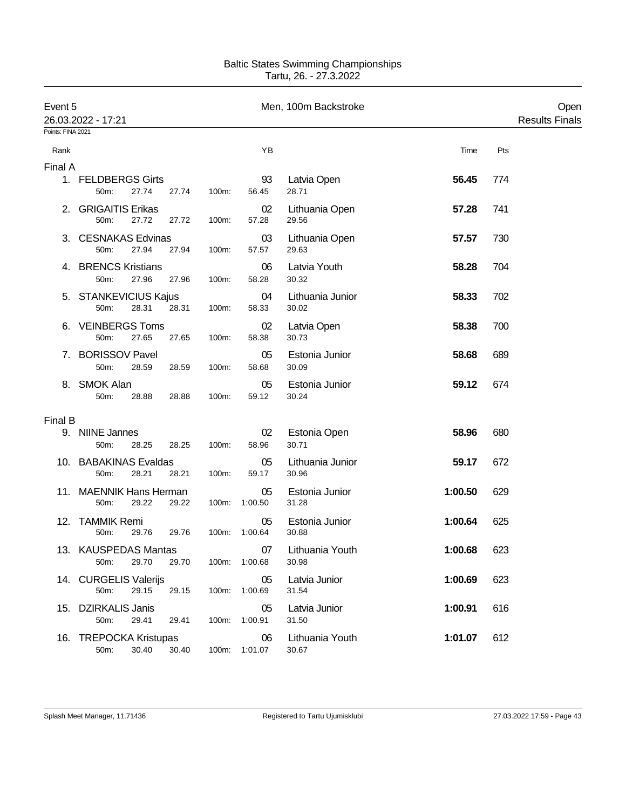| Event 5           | 26.03.2022 - 17:21                       |                |                     | Men, 100m Backstroke      |         |     | Open<br><b>Results Finals</b> |
|-------------------|------------------------------------------|----------------|---------------------|---------------------------|---------|-----|-------------------------------|
| Points: FINA 2021 |                                          |                |                     |                           |         |     |                               |
| Rank              |                                          |                | YB                  |                           | Time    | Pts |                               |
| Final A           |                                          |                |                     |                           |         |     |                               |
|                   | 1. FELDBERGS Girts<br>27.74<br>50m:      | 27.74<br>100m: | 93<br>56.45         | Latvia Open<br>28.71      | 56.45   | 774 |                               |
|                   | 2. GRIGAITIS Erikas<br>50m:<br>27.72     | 27.72<br>100m: | 02<br>57.28         | Lithuania Open<br>29.56   | 57.28   | 741 |                               |
|                   | 3. CESNAKAS Edvinas<br>50m:<br>27.94     | 27.94<br>100m: | 03<br>57.57         | Lithuania Open<br>29.63   | 57.57   | 730 |                               |
|                   | 4. BRENCS Kristians<br>27.96<br>50m:     | 27.96<br>100m: | 06<br>58.28         | Latvia Youth<br>30.32     | 58.28   | 704 |                               |
|                   | 5. STANKEVICIUS Kajus<br>28.31<br>50m:   | 28.31<br>100m: | 04<br>58.33         | Lithuania Junior<br>30.02 | 58.33   | 702 |                               |
|                   | 6. VEINBERGS Toms<br>27.65<br>50m:       | 27.65<br>100m: | 02<br>58.38         | Latvia Open<br>30.73      | 58.38   | 700 |                               |
| 7.                | <b>BORISSOV Pavel</b><br>50m:<br>28.59   | 28.59<br>100m: | 05<br>58.68         | Estonia Junior<br>30.09   | 58.68   | 689 |                               |
|                   | 8. SMOK Alan<br>50m:<br>28.88            | 28.88<br>100m: | 05<br>59.12         | Estonia Junior<br>30.24   | 59.12   | 674 |                               |
| Final B           |                                          |                |                     |                           |         |     |                               |
|                   | 9. NIINE Jannes<br>50m:<br>28.25         | 28.25<br>100m: | 02<br>58.96         | Estonia Open<br>30.71     | 58.96   | 680 |                               |
|                   | 10. BABAKINAS Evaldas<br>50m:<br>28.21   | 28.21<br>100m: | 05<br>59.17         | Lithuania Junior<br>30.96 | 59.17   | 672 |                               |
|                   | 11. MAENNIK Hans Herman<br>29.22<br>50m: | 29.22          | 05<br>100m: 1:00.50 | Estonia Junior<br>31.28   | 1:00.50 | 629 |                               |
|                   | 12. TAMMIK Remi<br>50m:<br>29.76         | 29.76<br>100m: | 05<br>1:00.64       | Estonia Junior<br>30.88   | 1:00.64 | 625 |                               |
|                   | 13. KAUSPEDAS Mantas<br>29.70<br>50m:    | 29.70          | 07<br>100m: 1:00.68 | Lithuania Youth<br>30.98  | 1:00.68 | 623 |                               |
|                   | 14. CURGELIS Valerijs<br>50m:<br>29.15   | 29.15          | 05<br>100m: 1:00.69 | Latvia Junior<br>31.54    | 1:00.69 | 623 |                               |
|                   | 15. DZIRKALIS Janis<br>50m:<br>29.41     | 29.41<br>100m: | 05<br>1:00.91       | Latvia Junior<br>31.50    | 1:00.91 | 616 |                               |
|                   | 16. TREPOCKA Kristupas<br>50m:<br>30.40  | 30.40          | 06<br>100m: 1:01.07 | Lithuania Youth<br>30.67  | 1:01.07 | 612 |                               |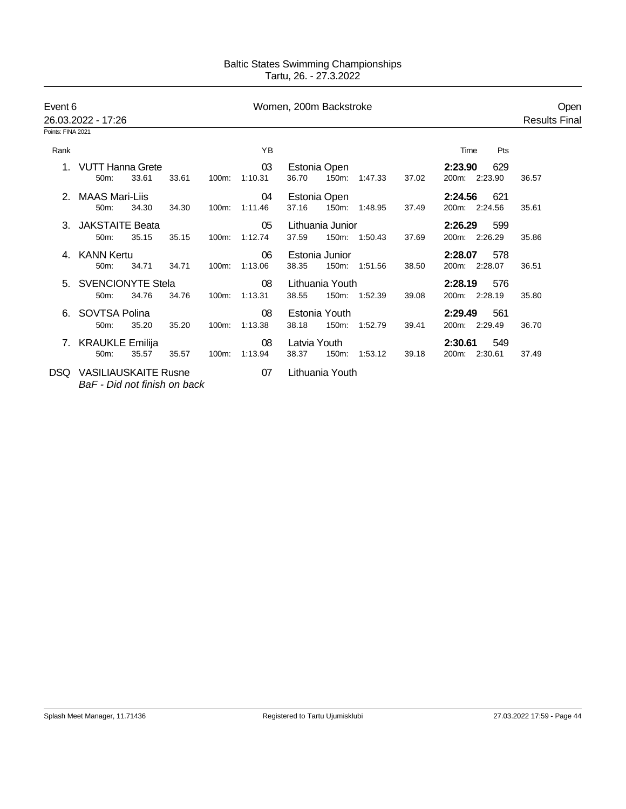| Event 6           | 26.03.2022 - 17:26                                          |       |       |       | Women, 200m Backstroke | Open<br><b>Results Final</b>                                                    |              |
|-------------------|-------------------------------------------------------------|-------|-------|-------|------------------------|---------------------------------------------------------------------------------|--------------|
| Points: FINA 2021 |                                                             |       |       |       |                        |                                                                                 |              |
| Rank              |                                                             |       |       |       | ΥB                     | Time                                                                            | Pts          |
|                   | <b>VUTT Hanna Grete</b><br>50m:                             | 33.61 | 33.61 | 100m: | 03<br>1:10.31          | Estonia Open<br>2:23.90<br>36.70<br>150m:<br>200m: 2:23.90<br>37.02<br>1:47.33  | 629<br>36.57 |
|                   | MAAS Mari-Liis<br>50m:                                      | 34.30 | 34.30 | 100m: | 04<br>1:11.46          | Estonia Open<br>2:24.56<br>37.16<br>150m: 1:48.95<br>200m: 2:24.56<br>37.49     | 621<br>35.61 |
|                   | 3. JAKSTAITE Beata<br>50m:                                  | 35.15 | 35.15 | 100m: | 05<br>1:12.74          | Lithuania Junior<br>2:26.29<br>200m: 2:26.29<br>37.59<br>150m: 1:50.43<br>37.69 | 599<br>35.86 |
|                   | 4. KANN Kertu<br>50m:                                       | 34.71 | 34.71 | 100m: | 06<br>1:13.06          | Estonia Junior<br>2:28.07<br>150m: 1:51.56<br>200m: 2:28.07<br>38.35<br>38.50   | 578<br>36.51 |
|                   | 5. SVENCIONYTE Stela<br>50m:                                | 34.76 | 34.76 | 100m: | 08<br>1:13.31          | Lithuania Youth<br>2:28.19<br>38.55<br>150m: 1:52.39<br>200m: 2:28.19<br>39.08  | 576<br>35.80 |
|                   | SOVTSA Polina<br>50m:                                       | 35.20 | 35.20 | 100m: | 08<br>1:13.38          | Estonia Youth<br>2:29.49<br>38.18<br>150m:<br>1:52.79<br>200m: 2:29.49<br>39.41 | 561<br>36.70 |
|                   | 7. KRAUKLE Emilija<br>50m:                                  | 35.57 | 35.57 | 100m: | 08<br>1:13.94          | Latvia Youth<br>2:30.61<br>150m: 1:53.12<br>38.37<br>39.18<br>200m: 2:30.61     | 549<br>37.49 |
| DSQ.              | <b>VASILIAUSKAITE Rusne</b><br>BaF - Did not finish on back |       |       |       | 07                     | Lithuania Youth                                                                 |              |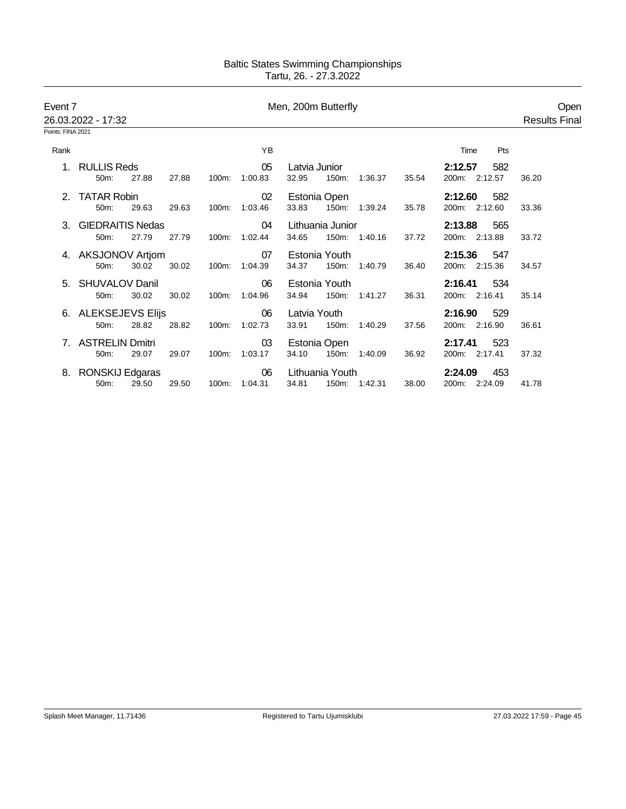| Event 7           | 26.03.2022 - 17:32      |       |       | Men, 200m Butterfly |         |               |                  |               |       |                | Open<br><b>Results Final</b> |
|-------------------|-------------------------|-------|-------|---------------------|---------|---------------|------------------|---------------|-------|----------------|------------------------------|
| Points: FINA 2021 |                         |       |       |                     |         |               |                  |               |       |                |                              |
| Rank              |                         |       |       |                     | YB      |               |                  |               |       | Pts<br>Time    |                              |
| $1_{-}$           | <b>RULLIS Reds</b>      |       |       |                     | 05      | Latvia Junior |                  |               |       | 2:12.57<br>582 |                              |
|                   | 50m:                    | 27.88 | 27.88 | 100m:               | 1:00.83 | 32.95         | 150m:            | 1:36.37       | 35.54 | 200m: 2:12.57  | 36.20                        |
|                   | 2. TATAR Robin          |       |       |                     | 02      |               | Estonia Open     |               |       | 2:12.60<br>582 |                              |
|                   | 50m:                    | 29.63 | 29.63 | 100m:               | 1:03.46 | 33.83         |                  | 150m: 1:39.24 | 35.78 | 200m: 2:12.60  | 33.36                        |
| 3.                | <b>GIEDRAITIS Nedas</b> |       |       |                     | 04      |               | Lithuania Junior |               |       | 2:13.88<br>565 |                              |
|                   | 50m:                    | 27.79 | 27.79 | 100m:               | 1:02.44 | 34.65         |                  | 150m: 1:40.16 | 37.72 | 200m: 2:13.88  | 33.72                        |
|                   | 4. AKSJONOV Artjom      |       |       |                     | 07      |               | Estonia Youth    |               |       | 2:15.36<br>547 |                              |
|                   | 50m:                    | 30.02 | 30.02 | 100m:               | 1:04.39 | 34.37         |                  | 150m: 1:40.79 | 36.40 | 200m: 2:15.36  | 34.57                        |
|                   | 5. SHUVALOV Danil       |       |       |                     | 06      |               | Estonia Youth    |               |       | 2:16.41<br>534 |                              |
|                   | 50m:                    | 30.02 | 30.02 | 100m:               | 1:04.96 | 34.94         |                  | 150m: 1:41.27 | 36.31 | 200m: 2:16.41  | 35.14                        |
|                   | 6. ALEKSEJEVS Elijs     |       |       |                     | 06      | Latvia Youth  |                  |               |       | 2:16.90<br>529 |                              |
|                   | 50m:                    | 28.82 | 28.82 | 100m:               | 1:02.73 | 33.91         | 150m:            | 1:40.29       | 37.56 | 200m: 2:16.90  | 36.61                        |
| 7                 | <b>ASTRELIN Dmitri</b>  |       |       |                     | 03      |               | Estonia Open     |               |       | 2:17.41<br>523 |                              |
|                   | 50m:                    | 29.07 | 29.07 | 100m:               | 1:03.17 | 34.10         | 150m:            | 1:40.09       | 36.92 | 200m: 2:17.41  | 37.32                        |
| 8.                | RONSKIJ Edgaras         |       |       |                     | 06      |               | Lithuania Youth  |               |       | 2:24.09<br>453 |                              |
|                   | 50m:                    | 29.50 | 29.50 | 100m:               | 1:04.31 | 34.81         |                  | 150m: 1:42.31 | 38.00 | 200m: 2:24.09  | 41.78                        |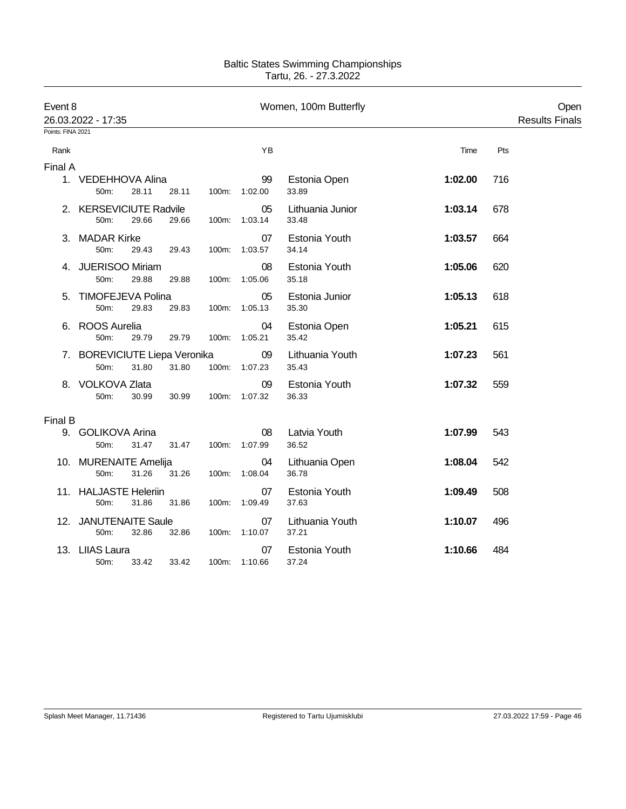| Event 8           | 26.03.2022 - 17:35                             |       |          |                     | Women, 100m Butterfly     |         |     | Open<br><b>Results Finals</b> |
|-------------------|------------------------------------------------|-------|----------|---------------------|---------------------------|---------|-----|-------------------------------|
| Points: FINA 2021 |                                                |       |          |                     |                           |         |     |                               |
| Rank              |                                                |       |          | YB                  |                           | Time    | Pts |                               |
| Final A           |                                                |       |          |                     |                           |         |     |                               |
|                   | 1. VEDEHHOVA Alina<br>28.11<br>50m:            | 28.11 |          | 99<br>100m: 1:02.00 | Estonia Open<br>33.89     | 1:02.00 | 716 |                               |
|                   | 2. KERSEVICIUTE Radvile<br>50m:<br>29.66       | 29.66 |          | 05<br>100m: 1:03.14 | Lithuania Junior<br>33.48 | 1:03.14 | 678 |                               |
|                   | 3. MADAR Kirke<br>50m:<br>29.43                | 29.43 | 100m:    | 07<br>1:03.57       | Estonia Youth<br>34.14    | 1:03.57 | 664 |                               |
|                   | 4. JUERISOO Miriam<br>50m:<br>29.88            | 29.88 | $100m$ : | 08<br>1:05.06       | Estonia Youth<br>35.18    | 1:05.06 | 620 |                               |
| 5.                | TIMOFEJEVA Polina<br>50m:<br>29.83             | 29.83 |          | 05<br>100m: 1:05.13 | Estonia Junior<br>35.30   | 1:05.13 | 618 |                               |
| 6.                | <b>ROOS Aurelia</b><br>50m:<br>29.79           | 29.79 | 100m:    | 04<br>1:05.21       | Estonia Open<br>35.42     | 1:05.21 | 615 |                               |
|                   | 7. BOREVICIUTE Liepa Veronika<br>50m:<br>31.80 | 31.80 |          | 09<br>100m: 1:07.23 | Lithuania Youth<br>35.43  | 1:07.23 | 561 |                               |
|                   | 8. VOLKOVA Zlata<br>50m:<br>30.99              | 30.99 |          | 09<br>100m: 1:07.32 | Estonia Youth<br>36.33    | 1:07.32 | 559 |                               |
| Final B           |                                                |       |          |                     |                           |         |     |                               |
|                   | 9. GOLIKOVA Arina<br>31.47<br>50m:             | 31.47 |          | 08<br>100m: 1:07.99 | Latvia Youth<br>36.52     | 1:07.99 | 543 |                               |
|                   | 10. MURENAITE Amelija<br>50m:<br>31.26         | 31.26 |          | 04<br>100m: 1:08.04 | Lithuania Open<br>36.78   | 1:08.04 | 542 |                               |
|                   | 11. HALJASTE Heleriin<br>50m:<br>31.86         | 31.86 | $100m$ : | 07<br>1:09.49       | Estonia Youth<br>37.63    | 1:09.49 | 508 |                               |
|                   | 12. JANUTENAITE Saule<br>50m:<br>32.86         | 32.86 |          | 07<br>100m: 1:10.07 | Lithuania Youth<br>37.21  | 1:10.07 | 496 |                               |
|                   | 13. LIIAS Laura<br>33.42<br>50m:               | 33.42 |          | 07<br>100m: 1:10.66 | Estonia Youth<br>37.24    | 1:10.66 | 484 |                               |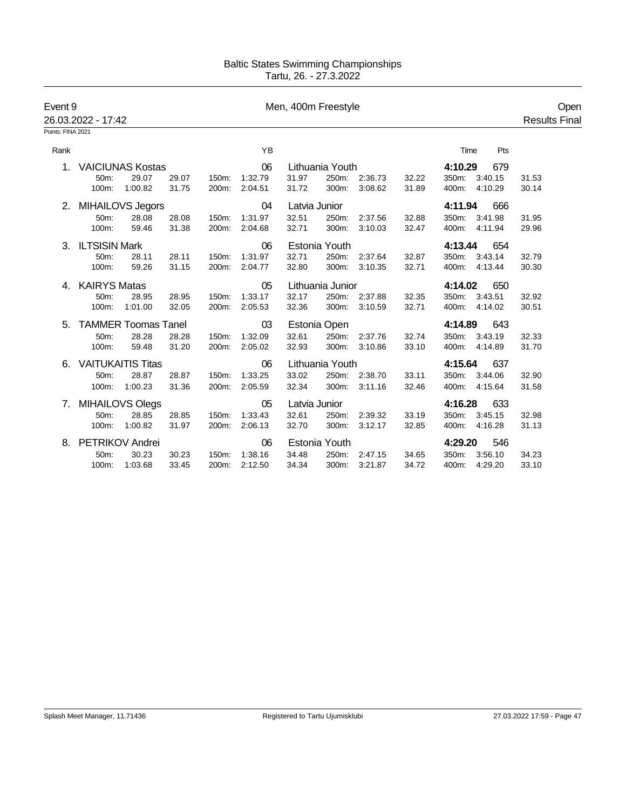| Event 9<br>26.03.2022 - 17:42<br>Points: FINA 2021 |                            |         |       |       |         | Men, 400m Freestyle |                  |               |       |               |         | Open<br><b>Results Final</b> |
|----------------------------------------------------|----------------------------|---------|-------|-------|---------|---------------------|------------------|---------------|-------|---------------|---------|------------------------------|
|                                                    |                            |         |       |       |         |                     |                  |               |       |               |         |                              |
| Rank                                               |                            |         |       |       | YB      |                     |                  |               |       | Time          | Pts     |                              |
| 1.                                                 | <b>VAICIUNAS Kostas</b>    |         |       |       | 06      |                     | Lithuania Youth  |               |       | 4:10.29       | 679     |                              |
|                                                    | 50m:                       | 29.07   | 29.07 | 150m: | 1:32.79 | 31.97               |                  | 250m: 2:36.73 | 32.22 | 350m: 3:40.15 |         | 31.53                        |
|                                                    | 100m:                      | 1:00.82 | 31.75 | 200m: | 2:04.51 | 31.72               | 300m:            | 3:08.62       | 31.89 | 400m: 4:10.29 |         | 30.14                        |
|                                                    | 2. MIHAILOVS Jegors        |         |       |       | 04      | Latvia Junior       |                  |               |       | 4:11.94       | 666     |                              |
|                                                    | 50m:                       | 28.08   | 28.08 | 150m: | 1:31.97 | 32.51               | 250m:            | 2:37.56       | 32.88 | 350m:         | 3:41.98 | 31.95                        |
|                                                    | 100m:                      | 59.46   | 31.38 | 200m: | 2:04.68 | 32.71               | 300m:            | 3:10.03       | 32.47 | 400m: 4:11.94 |         | 29.96                        |
|                                                    | 3. ILTSISIN Mark           |         |       |       | 06      |                     | Estonia Youth    |               |       | 4:13.44       | 654     |                              |
|                                                    | 50m:                       | 28.11   | 28.11 | 150m: | 1:31.97 | 32.71               | 250m:            | 2:37.64       | 32.87 | 350m:         | 3:43.14 | 32.79                        |
|                                                    | 100m:                      | 59.26   | 31.15 | 200m: | 2:04.77 | 32.80               | 300m:            | 3:10.35       | 32.71 | 400m: 4:13.44 |         | 30.30                        |
|                                                    | 4. KAIRYS Matas            |         |       |       | 05      |                     | Lithuania Junior |               |       | 4:14.02       | 650     |                              |
|                                                    | 50m:                       | 28.95   | 28.95 | 150m: | 1:33.17 | 32.17               |                  | 250m: 2:37.88 | 32.35 | 350m:         | 3:43.51 | 32.92                        |
|                                                    | 100m:                      | 1:01.00 | 32.05 | 200m: | 2:05.53 | 32.36               | 300m:            | 3:10.59       | 32.71 | 400m: 4:14.02 |         | 30.51                        |
| 5.                                                 | <b>TAMMER Toomas Tanel</b> |         |       |       | 03      |                     | Estonia Open     |               |       | 4:14.89       | 643     |                              |
|                                                    | 50m:                       | 28.28   | 28.28 | 150m: | 1:32.09 | 32.61               | 250m:            | 2:37.76       | 32.74 | 350m:         | 3:43.19 | 32.33                        |
|                                                    | 100m:                      | 59.48   | 31.20 | 200m: | 2:05.02 | 32.93               | 300m:            | 3:10.86       | 33.10 | 400m: 4:14.89 |         | 31.70                        |
| 6.                                                 | <b>VAITUKAITIS Titas</b>   |         |       |       | 06      |                     | Lithuania Youth  |               |       | 4:15.64       | 637     |                              |
|                                                    | 50m:                       | 28.87   | 28.87 | 150m: | 1:33.25 | 33.02               |                  | 250m: 2:38.70 | 33.11 | 350m: 3:44.06 |         | 32.90                        |
|                                                    | 100m:                      | 1:00.23 | 31.36 | 200m: | 2:05.59 | 32.34               | 300m:            | 3:11.16       | 32.46 | 400m: 4:15.64 |         | 31.58                        |
| 7.                                                 | MIHAILOVS Olegs            |         |       |       | 05      | Latvia Junior       |                  |               |       | 4:16.28       | 633     |                              |
|                                                    | 50m:                       | 28.85   | 28.85 | 150m: | 1:33.43 | 32.61               | 250m:            | 2:39.32       | 33.19 | 350m:         | 3:45.15 | 32.98                        |
|                                                    | 100m:                      | 1:00.82 | 31.97 | 200m: | 2:06.13 | 32.70               | 300m:            | 3:12.17       | 32.85 | 400m: 4:16.28 |         | 31.13                        |
| 8.                                                 | PETRIKOV Andrei            |         |       |       | 06      |                     | Estonia Youth    |               |       | 4:29.20       | 546     |                              |
|                                                    | 50m:                       | 30.23   | 30.23 | 150m: | 1:38.16 | 34.48               | 250m:            | 2:47.15       | 34.65 | 350m:         | 3:56.10 | 34.23                        |
|                                                    | 100m:                      | 1:03.68 | 33.45 | 200m: | 2:12.50 | 34.34               | 300m:            | 3:21.87       | 34.72 | 400m: 4:29.20 |         | 33.10                        |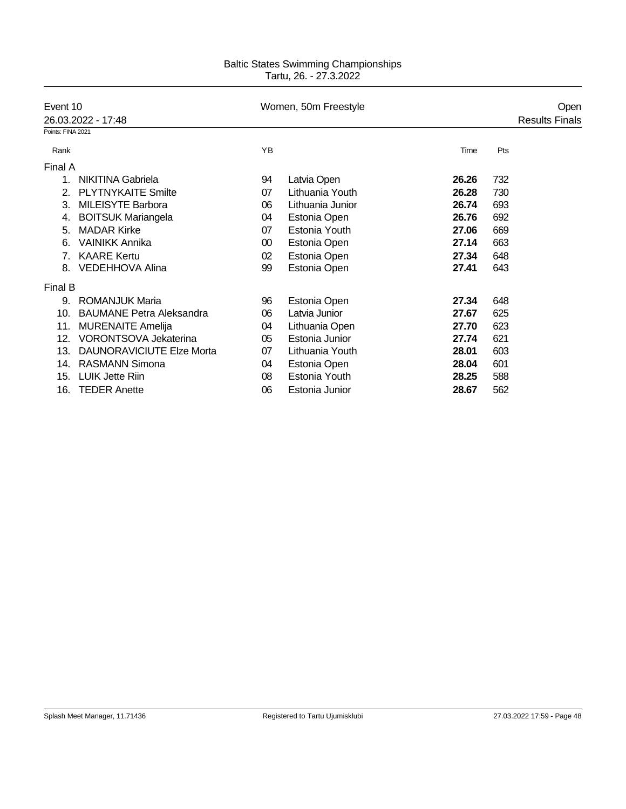| Event 10          | 26.03.2022 - 17:48               |    | Women, 50m Freestyle |       | Open<br><b>Results Finals</b> |  |
|-------------------|----------------------------------|----|----------------------|-------|-------------------------------|--|
| Points: FINA 2021 |                                  |    |                      |       |                               |  |
| Rank              |                                  | YB |                      | Time  | Pts                           |  |
| Final A           |                                  |    |                      |       |                               |  |
| 1.                | NIKITINA Gabriela                | 94 | Latvia Open          | 26.26 | 732                           |  |
| 2.                | <b>PLYTNYKAITE Smilte</b>        | 07 | Lithuania Youth      | 26.28 | 730                           |  |
| 3.                | <b>MILEISYTE Barbora</b>         | 06 | Lithuania Junior     | 26.74 | 693                           |  |
| 4.                | <b>BOITSUK Mariangela</b>        | 04 | Estonia Open         | 26.76 | 692                           |  |
| 5.                | <b>MADAR Kirke</b>               | 07 | Estonia Youth        | 27.06 | 669                           |  |
| 6.                | <b>VAINIKK Annika</b>            | 00 | Estonia Open         | 27.14 | 663                           |  |
| $7_{\cdot}$       | <b>KAARE Kertu</b>               | 02 | Estonia Open         | 27.34 | 648                           |  |
| 8.                | <b>VEDEHHOVA Alina</b>           | 99 | Estonia Open         | 27.41 | 643                           |  |
| Final B           |                                  |    |                      |       |                               |  |
| 9.                | <b>ROMANJUK Maria</b>            | 96 | Estonia Open         | 27.34 | 648                           |  |
| 10.               | <b>BAUMANE Petra Aleksandra</b>  | 06 | Latvia Junior        | 27.67 | 625                           |  |
| 11.               | <b>MURENAITE Amelija</b>         | 04 | Lithuania Open       | 27.70 | 623                           |  |
| 12.               | VORONTSOVA Jekaterina            | 05 | Estonia Junior       | 27.74 | 621                           |  |
| 13.               | <b>DAUNORAVICIUTE Elze Morta</b> | 07 | Lithuania Youth      | 28.01 | 603                           |  |
| 14.               | <b>RASMANN Simona</b>            | 04 | Estonia Open         | 28.04 | 601                           |  |
| 15.               | <b>LUIK Jette Riin</b>           | 08 | Estonia Youth        | 28.25 | 588                           |  |
| 16.               | <b>TEDER Anette</b>              | 06 | Estonia Junior       | 28.67 | 562                           |  |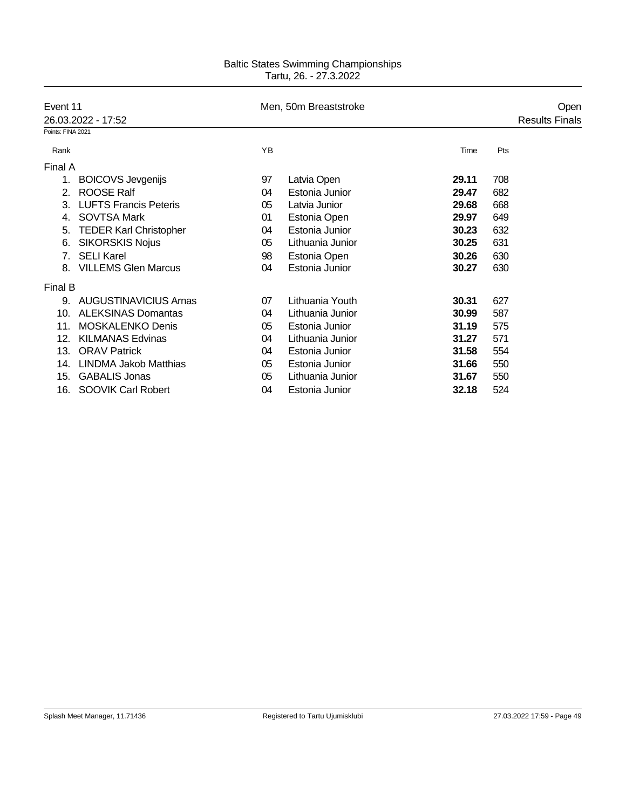| Event 11                       |                               |    | Men, 50m Breaststroke |       |     | Open                  |
|--------------------------------|-------------------------------|----|-----------------------|-------|-----|-----------------------|
|                                | 26.03.2022 - 17:52            |    |                       |       |     | <b>Results Finals</b> |
| Points: FINA 2021              |                               |    |                       |       |     |                       |
| Rank                           |                               | YB |                       | Time  | Pts |                       |
| Final A                        |                               |    |                       |       |     |                       |
| 1.                             | <b>BOICOVS Jevgenijs</b>      | 97 | Latvia Open           | 29.11 | 708 |                       |
| 2.                             | ROOSE Ralf                    | 04 | Estonia Junior        | 29.47 | 682 |                       |
| 3.                             | <b>LUFTS Francis Peteris</b>  | 05 | Latvia Junior         | 29.68 | 668 |                       |
| 4.                             | <b>SOVTSA Mark</b>            | 01 | Estonia Open          | 29.97 | 649 |                       |
| 5.                             | <b>TEDER Karl Christopher</b> | 04 | Estonia Junior        | 30.23 | 632 |                       |
| 6.                             | <b>SIKORSKIS Nojus</b>        | 05 | Lithuania Junior      | 30.25 | 631 |                       |
| $7_{\scriptscriptstyle{\sim}}$ | <b>SELI Karel</b>             | 98 | Estonia Open          | 30.26 | 630 |                       |
| 8.                             | <b>VILLEMS Glen Marcus</b>    | 04 | Estonia Junior        | 30.27 | 630 |                       |
| Final B                        |                               |    |                       |       |     |                       |
| 9.                             | <b>AUGUSTINAVICIUS Arnas</b>  | 07 | Lithuania Youth       | 30.31 | 627 |                       |
| 10.                            | <b>ALEKSINAS Domantas</b>     | 04 | Lithuania Junior      | 30.99 | 587 |                       |
| 11.                            | <b>MOSKALENKO Denis</b>       | 05 | Estonia Junior        | 31.19 | 575 |                       |
| 12.                            | <b>KILMANAS Edvinas</b>       | 04 | Lithuania Junior      | 31.27 | 571 |                       |
| 13.                            | <b>ORAV Patrick</b>           | 04 | Estonia Junior        | 31.58 | 554 |                       |
| 14.                            | <b>LINDMA Jakob Matthias</b>  | 05 | Estonia Junior        | 31.66 | 550 |                       |
| 15.                            | <b>GABALIS Jonas</b>          | 05 | Lithuania Junior      | 31.67 | 550 |                       |
|                                | 16. SOOVIK Carl Robert        | 04 | Estonia Junior        | 32.18 | 524 |                       |
|                                |                               |    |                       |       |     |                       |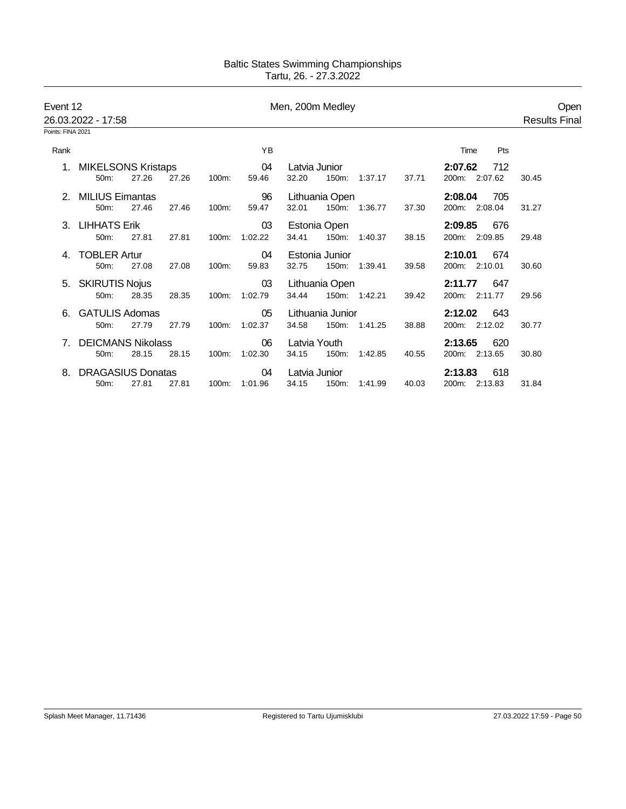|      | Event 12<br>26.03.2022 - 17:58<br>Points: FINA 2021 |       |       |       |         | Men, 200m Medley |                  |               |       |                | Open<br><b>Results Final</b> |
|------|-----------------------------------------------------|-------|-------|-------|---------|------------------|------------------|---------------|-------|----------------|------------------------------|
|      |                                                     |       |       |       |         |                  |                  |               |       |                |                              |
| Rank |                                                     |       |       |       | YB      |                  |                  |               |       | Pts<br>Time    |                              |
|      | 1. MIKELSONS Kristaps                               |       |       |       | 04      | Latvia Junior    |                  |               |       | 2:07.62<br>712 |                              |
|      | 50m:                                                | 27.26 | 27.26 | 100m: | 59.46   | 32.20            | 150m:            | 1:37.17       | 37.71 | 200m: 2:07.62  | 30.45                        |
| 2.   | <b>MILIUS Eimantas</b>                              |       |       |       | 96      |                  | Lithuania Open   |               |       | 2:08.04<br>705 |                              |
|      | 50m:                                                | 27.46 | 27.46 | 100m: | 59.47   | 32.01            |                  | 150m: 1:36.77 | 37.30 | 200m: 2:08.04  | 31.27                        |
|      | 3. LIHHATS Erik                                     |       |       |       | 03      |                  | Estonia Open     |               |       | 2:09.85<br>676 |                              |
|      | 50m:                                                | 27.81 | 27.81 | 100m: | 1:02.22 | 34.41            | 150m:            | 1:40.37       | 38.15 | 200m: 2:09.85  | 29.48                        |
|      | <b>TOBLER Artur</b>                                 |       |       |       | 04      |                  | Estonia Junior   |               |       | 2:10.01<br>674 |                              |
|      | 50m:                                                | 27.08 | 27.08 | 100m: | 59.83   | 32.75            |                  | 150m: 1:39.41 | 39.58 | 200m: 2:10.01  | 30.60                        |
|      | 5. SKIRUTIS Nojus                                   |       |       |       | 03      |                  | Lithuania Open   |               |       | 2:11.77<br>647 |                              |
|      | 50m:                                                | 28.35 | 28.35 | 100m: | 1:02.79 | 34.44            |                  | 150m: 1:42.21 | 39.42 | 200m: 2:11.77  | 29.56                        |
|      | 6. GATULIS Adomas                                   |       |       |       | 05      |                  | Lithuania Junior |               |       | 2:12.02<br>643 |                              |
|      | 50m:                                                | 27.79 | 27.79 | 100m: | 1:02.37 | 34.58            |                  | 150m: 1:41.25 | 38.88 | 200m: 2:12.02  | 30.77                        |
|      | <b>DEICMANS Nikolass</b>                            |       |       |       | 06      | Latvia Youth     |                  |               |       | 2:13.65<br>620 |                              |
|      | 50m:                                                | 28.15 | 28.15 | 100m: | 1:02.30 | 34.15            | 150m:            | 1:42.85       | 40.55 | 200m: 2:13.65  | 30.80                        |
|      | <b>DRAGASIUS Donatas</b>                            |       |       |       | 04      | Latvia Junior    |                  |               |       | 2:13.83<br>618 |                              |
|      | 50 <sub>m</sub> :                                   | 27.81 | 27.81 | 100m: | 1:01.96 | 34.15            | 150m:            | 1:41.99       | 40.03 | 200m: 2:13.83  | 31.84                        |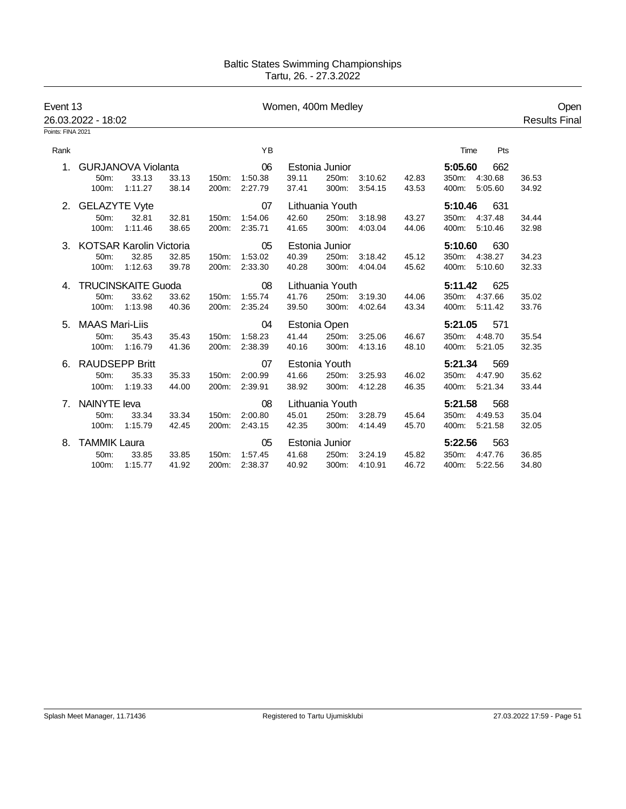| Event 13          | 26.03.2022 - 18:02         |                           |       |       |               | Women, 400m Medley |                 |               |       |               |     | Open<br><b>Results Final</b> |  |
|-------------------|----------------------------|---------------------------|-------|-------|---------------|--------------------|-----------------|---------------|-------|---------------|-----|------------------------------|--|
| Points: FINA 2021 |                            |                           |       |       |               |                    |                 |               |       |               |     |                              |  |
| Rank              |                            |                           |       |       | YB            |                    |                 |               |       | Time          | Pts |                              |  |
| $1_{\cdot}$       |                            | <b>GURJANOVA Violanta</b> |       |       | 06            |                    | Estonia Junior  |               |       | 5:05.60       | 662 |                              |  |
|                   | 50m:                       | 33.13                     | 33.13 | 150m: | 1:50.38       | 39.11              | 250m:           | 3:10.62       | 42.83 | 350m: 4:30.68 |     | 36.53                        |  |
|                   | 100m:                      | 1:11.27                   | 38.14 | 200m: | 2:27.79       | 37.41              |                 | 300m: 3:54.15 | 43.53 | 400m: 5:05.60 |     | 34.92                        |  |
|                   | 2. GELAZYTE Vyte           |                           |       |       | 07            |                    | Lithuania Youth |               |       | 5:10.46       | 631 |                              |  |
|                   | 50m:                       | 32.81                     | 32.81 | 150m: | 1:54.06       | 42.60              |                 | 250m: 3:18.98 | 43.27 | 350m: 4:37.48 |     | 34.44                        |  |
|                   | $100m$ :                   | 1:11.46                   | 38.65 | 200m: | 2:35.71       | 41.65              |                 | 300m: 4:03.04 | 44.06 | 400m: 5:10.46 |     | 32.98                        |  |
|                   | 3. KOTSAR Karolin Victoria |                           |       |       | 05            |                    | Estonia Junior  |               |       | 5:10.60       | 630 |                              |  |
|                   | 50m:                       | 32.85                     | 32.85 | 150m: | 1:53.02       | 40.39              | 250m:           | 3:18.42       | 45.12 | 350m: 4:38.27 |     | 34.23                        |  |
|                   | 100m:                      | 1:12.63                   | 39.78 | 200m: | 2:33.30       | 40.28              |                 | 300m: 4:04.04 | 45.62 | 400m: 5:10.60 |     | 32.33                        |  |
| 4.                | <b>TRUCINSKAITE Guoda</b>  |                           |       |       | 08            |                    | Lithuania Youth |               |       | 5:11.42       | 625 |                              |  |
|                   | 50m:                       | 33.62                     | 33.62 | 150m: | 1:55.74       | 41.76              |                 | 250m: 3:19.30 | 44.06 | 350m: 4:37.66 |     | 35.02                        |  |
|                   | 100m:                      | 1:13.98                   | 40.36 | 200m: | 2:35.24       | 39.50              | 300m:           | 4:02.64       | 43.34 | 400m: 5:11.42 |     | 33.76                        |  |
|                   | 5. MAAS Mari-Liis          |                           |       |       | 04            |                    | Estonia Open    |               |       | 5:21.05       | 571 |                              |  |
|                   | 50m:                       | 35.43                     | 35.43 | 150m: | 1:58.23       | 41.44              | 250m:           | 3:25.06       | 46.67 | 350m: 4:48.70 |     | 35.54                        |  |
|                   | 100m:                      | 1:16.79                   | 41.36 | 200m: | 2:38.39       | 40.16              | 300m:           | 4:13.16       | 48.10 | 400m: 5:21.05 |     | 32.35                        |  |
|                   | 6. RAUDSEPP Britt          |                           |       |       | 07            |                    | Estonia Youth   |               |       | 5:21.34       | 569 |                              |  |
|                   | 50m:                       | 35.33                     | 35.33 | 150m: | 2:00.99       | 41.66              | 250m:           | 3:25.93       | 46.02 | 350m: 4:47.90 |     | 35.62                        |  |
|                   | 100m:                      | 1:19.33                   | 44.00 |       | 200m: 2:39.91 | 38.92              |                 | 300m: 4:12.28 | 46.35 | 400m: 5:21.34 |     | 33.44                        |  |
|                   | 7. NAINYTE leva            |                           |       |       | 08            |                    | Lithuania Youth |               |       | 5:21.58       | 568 |                              |  |
|                   | 50m:                       | 33.34                     | 33.34 | 150m: | 2:00.80       | 45.01              |                 | 250m: 3:28.79 | 45.64 | 350m: 4:49.53 |     | 35.04                        |  |
|                   | 100m:                      | 1:15.79                   | 42.45 | 200m: | 2:43.15       | 42.35              | 300m:           | 4:14.49       | 45.70 | 400m: 5:21.58 |     | 32.05                        |  |
| 8.                | <b>TAMMIK Laura</b>        |                           |       |       | 05            |                    | Estonia Junior  |               |       | 5:22.56       | 563 |                              |  |
|                   | 50m:                       | 33.85                     | 33.85 | 150m: | 1:57.45       | 41.68              | 250m:           | 3:24.19       | 45.82 | 350m: 4:47.76 |     | 36.85                        |  |
|                   | 100m:                      | 1:15.77                   | 41.92 | 200m: | 2:38.37       | 40.92              |                 | 300m: 4:10.91 | 46.72 | 400m: 5:22.56 |     | 34.80                        |  |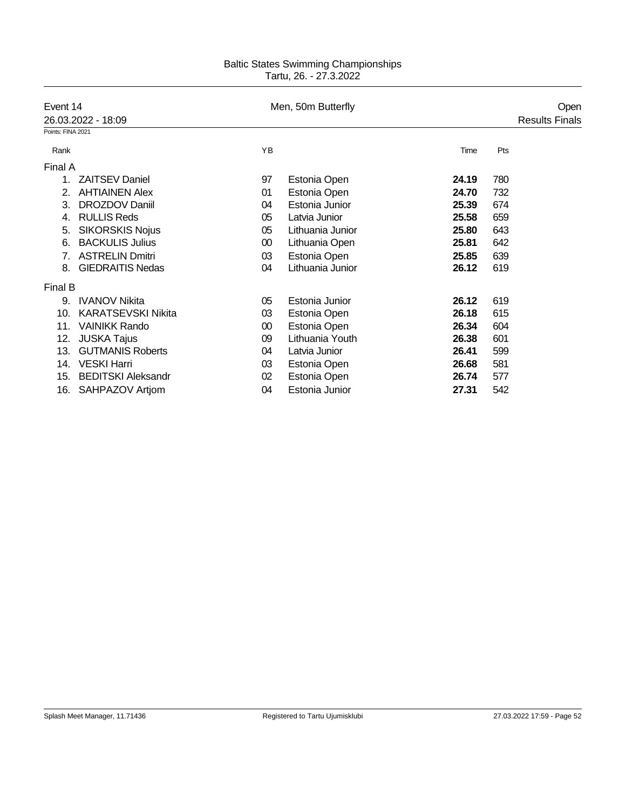|                   | Event 14                  |        | Men, 50m Butterfly |       |     | Open                  |
|-------------------|---------------------------|--------|--------------------|-------|-----|-----------------------|
|                   | 26.03.2022 - 18:09        |        |                    |       |     | <b>Results Finals</b> |
| Points: FINA 2021 |                           |        |                    |       |     |                       |
| Rank              |                           | YB     |                    | Time  | Pts |                       |
| Final A           |                           |        |                    |       |     |                       |
| 1.                | <b>ZAITSEV Daniel</b>     | 97     | Estonia Open       | 24.19 | 780 |                       |
| 2.                | <b>AHTIAINEN Alex</b>     | 01     | Estonia Open       | 24.70 | 732 |                       |
| 3.                | DROZDOV Daniil            | 04     | Estonia Junior     | 25.39 | 674 |                       |
| 4.                | <b>RULLIS Reds</b>        | 05     | Latvia Junior      | 25.58 | 659 |                       |
| 5.                | <b>SIKORSKIS Nojus</b>    | 05     | Lithuania Junior   | 25.80 | 643 |                       |
| 6.                | <b>BACKULIS Julius</b>    | 00     | Lithuania Open     | 25.81 | 642 |                       |
|                   | <b>ASTRELIN Dmitri</b>    | 03     | Estonia Open       | 25.85 | 639 |                       |
| 8.                | <b>GIEDRAITIS Nedas</b>   | 04     | Lithuania Junior   | 26.12 | 619 |                       |
| Final B           |                           |        |                    |       |     |                       |
| 9.                | <b>IVANOV Nikita</b>      | 05     | Estonia Junior     | 26.12 | 619 |                       |
| 10.               | <b>KARATSEVSKI Nikita</b> | 03     | Estonia Open       | 26.18 | 615 |                       |
| 11.               | <b>VAINIKK Rando</b>      | $00\,$ | Estonia Open       | 26.34 | 604 |                       |
| 12.               | <b>JUSKA Tajus</b>        | 09     | Lithuania Youth    | 26.38 | 601 |                       |
| 13.               | <b>GUTMANIS Roberts</b>   | 04     | Latvia Junior      | 26.41 | 599 |                       |
| 14.               | <b>VESKI Harri</b>        | 03     | Estonia Open       | 26.68 | 581 |                       |
| 15.               | <b>BEDITSKI Aleksandr</b> | 02     | Estonia Open       | 26.74 | 577 |                       |
|                   | 16. SAHPAZOV Artjom       | 04     | Estonia Junior     | 27.31 | 542 |                       |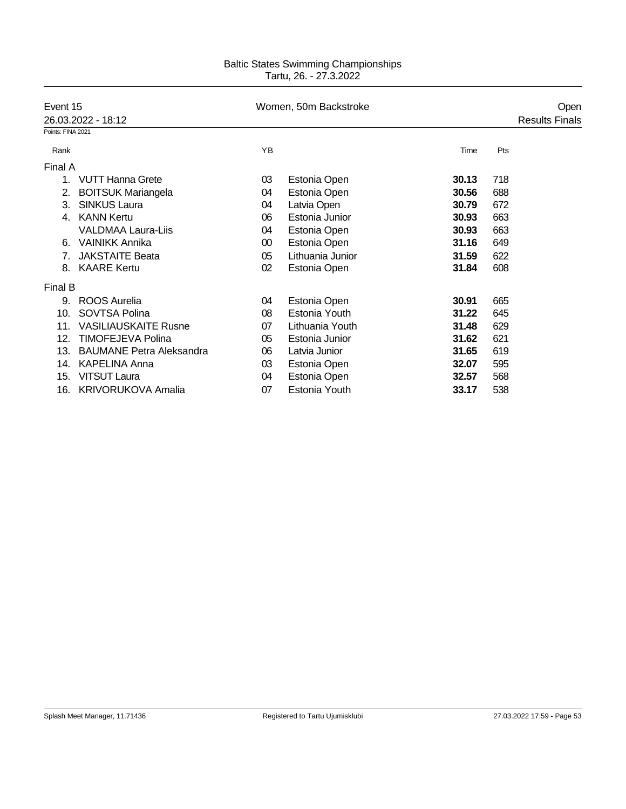| Event 15          |                                 |        | Women, 50m Backstroke |       |     | Open                  |
|-------------------|---------------------------------|--------|-----------------------|-------|-----|-----------------------|
|                   | 26.03.2022 - 18:12              |        |                       |       |     | <b>Results Finals</b> |
| Points: FINA 2021 |                                 |        |                       |       |     |                       |
| Rank              |                                 | YB     |                       | Time  | Pts |                       |
| Final A           |                                 |        |                       |       |     |                       |
| 1.                | <b>VUTT Hanna Grete</b>         | 03     | Estonia Open          | 30.13 | 718 |                       |
| 2.                | <b>BOITSUK Mariangela</b>       | 04     | Estonia Open          | 30.56 | 688 |                       |
| 3.                | <b>SINKUS Laura</b>             | 04     | Latvia Open           | 30.79 | 672 |                       |
| 4.                | <b>KANN Kertu</b>               | 06     | Estonia Junior        | 30.93 | 663 |                       |
|                   | <b>VALDMAA Laura-Liis</b>       | 04     | Estonia Open          | 30.93 | 663 |                       |
| 6.                | <b>VAINIKK Annika</b>           | $00\,$ | Estonia Open          | 31.16 | 649 |                       |
|                   | <b>JAKSTAITE Beata</b>          | 05     | Lithuania Junior      | 31.59 | 622 |                       |
| 8.                | <b>KAARE Kertu</b>              | 02     | Estonia Open          | 31.84 | 608 |                       |
| Final B           |                                 |        |                       |       |     |                       |
| 9.                | <b>ROOS Aurelia</b>             | 04     | Estonia Open          | 30.91 | 665 |                       |
| 10.               | SOVTSA Polina                   | 08     | Estonia Youth         | 31.22 | 645 |                       |
| 11.               | <b>VASILIAUSKAITE Rusne</b>     | 07     | Lithuania Youth       | 31.48 | 629 |                       |
| 12.               | <b>TIMOFEJEVA Polina</b>        | 05     | Estonia Junior        | 31.62 | 621 |                       |
| 13.               | <b>BAUMANE Petra Aleksandra</b> | 06     | Latvia Junior         | 31.65 | 619 |                       |
| 14.               | <b>KAPELINA Anna</b>            | 03     | Estonia Open          | 32.07 | 595 |                       |
| 15.               | <b>VITSUT Laura</b>             | 04     | Estonia Open          | 32.57 | 568 |                       |
|                   | 16. KRIVORUKOVA Amalia          | 07     | Estonia Youth         | 33.17 | 538 |                       |
|                   |                                 |        |                       |       |     |                       |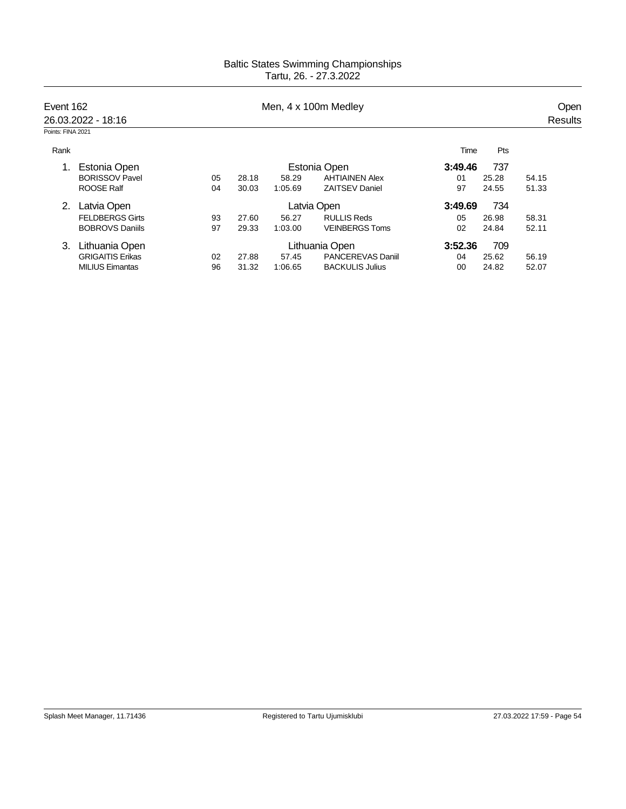| Event 162         | 26.03.2022 - 18:16      |    |       |         | Men, 4 x 100m Medley     |         |       | Open<br><b>Results</b> |
|-------------------|-------------------------|----|-------|---------|--------------------------|---------|-------|------------------------|
| Points: FINA 2021 |                         |    |       |         |                          |         |       |                        |
| Rank              |                         |    |       |         |                          | Time    | Pts   |                        |
| 1.                | Estonia Open            |    |       |         | Estonia Open             | 3:49.46 | 737   |                        |
|                   | <b>BORISSOV Pavel</b>   | 05 | 28.18 | 58.29   | <b>AHTIAINEN Alex</b>    | 01      | 25.28 | 54.15                  |
|                   | <b>ROOSE Ralf</b>       | 04 | 30.03 | 1:05.69 | <b>ZAITSEV Daniel</b>    | 97      | 24.55 | 51.33                  |
|                   | Latvia Open             |    |       |         | Latvia Open              | 3:49.69 | 734   |                        |
|                   | <b>FELDBERGS Girts</b>  | 93 | 27.60 | 56.27   | <b>RULLIS Reds</b>       | 05      | 26.98 | 58.31                  |
|                   | <b>BOBROVS Daniils</b>  | 97 | 29.33 | 1:03.00 | <b>VEINBERGS Toms</b>    | 02      | 24.84 | 52.11                  |
| 3.                | Lithuania Open          |    |       |         | Lithuania Open           | 3:52.36 | 709   |                        |
|                   | <b>GRIGAITIS Erikas</b> | 02 | 27.88 | 57.45   | <b>PANCEREVAS Daniil</b> | 04      | 25.62 | 56.19                  |
|                   | <b>MILIUS Eimantas</b>  | 96 | 31.32 | 1:06.65 | <b>BACKULIS Julius</b>   | 00      | 24.82 | 52.07                  |
|                   |                         |    |       |         |                          |         |       |                        |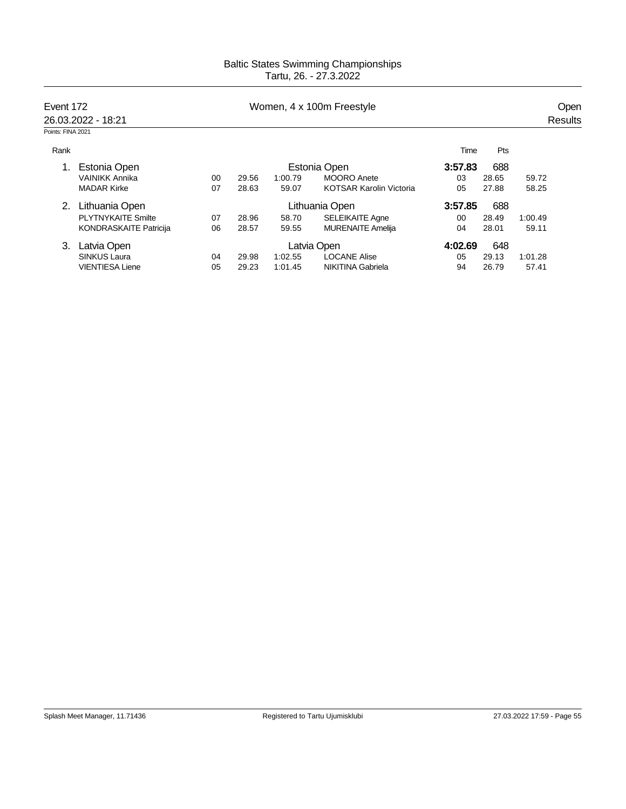| Event 172         |                               |    |       |         | Women, 4 x 100m Freestyle      |         |       |                                     |  |
|-------------------|-------------------------------|----|-------|---------|--------------------------------|---------|-------|-------------------------------------|--|
|                   | 26.03.2022 - 18:21            |    |       |         |                                |         |       |                                     |  |
| Points: FINA 2021 |                               |    |       |         |                                |         |       |                                     |  |
| Rank              |                               |    |       |         |                                | Time    | Pts   |                                     |  |
| 1.                | Estonia Open                  |    |       |         | Estonia Open                   | 3:57.83 | 688   |                                     |  |
|                   | <b>VAINIKK Annika</b>         | 00 | 29.56 | 1:00.79 | <b>MOORO</b> Anete             | 03      | 28.65 | 59.72                               |  |
|                   | <b>MADAR Kirke</b>            | 07 | 28.63 | 59.07   | <b>KOTSAR Karolin Victoria</b> | 05      | 27.88 | 58.25                               |  |
| 2.                | Lithuania Open                |    |       |         | Lithuania Open                 | 3:57.85 | 688   |                                     |  |
|                   | <b>PLYTNYKAITE Smilte</b>     | 07 | 28.96 | 58.70   | <b>SELEIKAITE Agne</b>         | $00 \,$ | 28.49 | 1:00.49                             |  |
|                   | <b>KONDRASKAITE Patricija</b> | 06 | 28.57 | 59.55   | <b>MURENAITE Amelija</b>       | 04      | 28.01 | 59.11                               |  |
| 3.                | Latvia Open                   |    |       |         | Latvia Open                    | 4:02.69 | 648   | Open<br>Results<br>1:01.28<br>57.41 |  |
|                   | <b>SINKUS Laura</b>           | 04 | 29.98 | 1:02.55 | <b>LOCANE Alise</b>            | 05      | 29.13 |                                     |  |
|                   | <b>VIENTIESA Liene</b>        | 05 | 29.23 | 1:01.45 | <b>NIKITINA Gabriela</b>       | 94      | 26.79 |                                     |  |
|                   |                               |    |       |         |                                |         |       |                                     |  |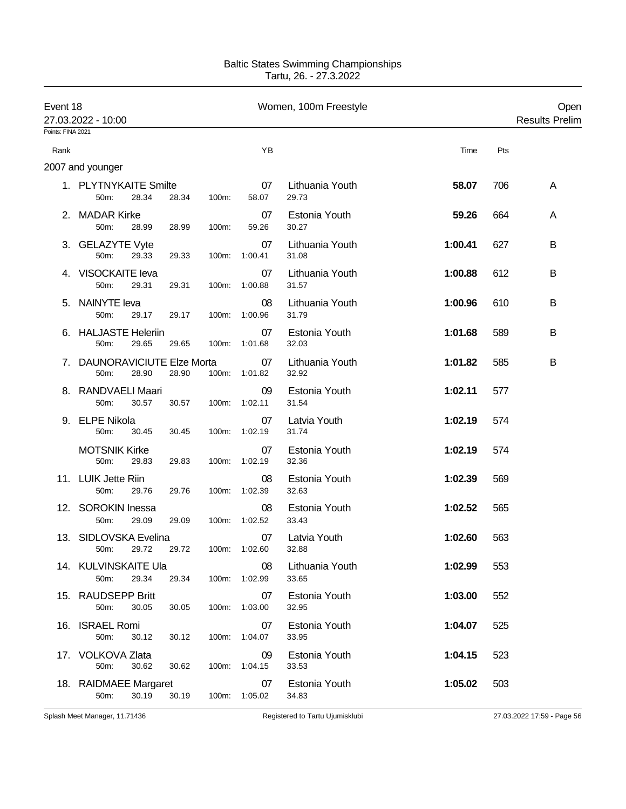| Event 18 | 27.03.2022 - 10:00<br>Points: FINA 2021  |       |       |       | Women, 100m Freestyle |                          |         | Open<br><b>Results Prelim</b> |   |
|----------|------------------------------------------|-------|-------|-------|-----------------------|--------------------------|---------|-------------------------------|---|
|          |                                          |       |       |       |                       |                          |         |                               |   |
| Rank     |                                          |       |       |       | ΥB                    |                          | Time    | Pts                           |   |
|          | 2007 and younger                         |       |       |       |                       |                          |         |                               |   |
|          | 1. PLYTNYKAITE Smilte<br>50m:            | 28.34 | 28.34 | 100m: | 07<br>58.07           | Lithuania Youth<br>29.73 | 58.07   | 706                           | A |
|          | 2. MADAR Kirke<br>50m:                   | 28.99 | 28.99 | 100m: | 07<br>59.26           | Estonia Youth<br>30.27   | 59.26   | 664                           | A |
|          | 3. GELAZYTE Vyte<br>50m:                 | 29.33 | 29.33 | 100m: | 07<br>1:00.41         | Lithuania Youth<br>31.08 | 1:00.41 | 627                           | B |
|          | 4. VISOCKAITE leva<br>50m:               | 29.31 | 29.31 |       | 07<br>100m: 1:00.88   | Lithuania Youth<br>31.57 | 1:00.88 | 612                           | В |
| 5.       | <b>NAINYTE leva</b><br>50m:              | 29.17 | 29.17 | 100m: | 08<br>1:00.96         | Lithuania Youth<br>31.79 | 1:00.96 | 610                           | B |
|          | 6. HALJASTE Heleriin<br>50m:             | 29.65 | 29.65 | 100m: | 07<br>1:01.68         | Estonia Youth<br>32.03   | 1:01.68 | 589                           | В |
| 7.       | <b>DAUNORAVICIUTE Elze Morta</b><br>50m: | 28.90 | 28.90 |       | 07<br>100m: 1:01.82   | Lithuania Youth<br>32.92 | 1:01.82 | 585                           | B |
| 8.       | RANDVAELI Maari<br>50m:                  | 30.57 | 30.57 | 100m: | 09<br>1:02.11         | Estonia Youth<br>31.54   | 1:02.11 | 577                           |   |
| 9.       | <b>ELPE Nikola</b><br>50m:               | 30.45 | 30.45 |       | 07<br>100m: 1:02.19   | Latvia Youth<br>31.74    | 1:02.19 | 574                           |   |
|          | <b>MOTSNIK Kirke</b><br>50m:             | 29.83 | 29.83 | 100m: | 07<br>1:02.19         | Estonia Youth<br>32.36   | 1:02.19 | 574                           |   |
|          | 11. LUIK Jette Riin<br>50m:              | 29.76 | 29.76 | 100m: | 08<br>1:02.39         | Estonia Youth<br>32.63   | 1:02.39 | 569                           |   |
|          | 12. SOROKIN Inessa<br>50m:               | 29.09 | 29.09 | 100m: | 08<br>1:02.52         | Estonia Youth<br>33.43   | 1:02.52 | 565                           |   |
|          | 13. SIDLOVSKA Evelina<br>50m: 29.72      |       | 29.72 |       | 07<br>100m: 1:02.60   | Latvia Youth<br>32.88    | 1:02.60 | 563                           |   |
|          | 14. KULVINSKAITE Ula<br>50m:             | 29.34 | 29.34 |       | 08<br>100m: 1:02.99   | Lithuania Youth<br>33.65 | 1:02.99 | 553                           |   |
|          | 15. RAUDSEPP Britt<br>50m:               | 30.05 | 30.05 |       | 07<br>100m: 1:03.00   | Estonia Youth<br>32.95   | 1:03.00 | 552                           |   |
|          | 16. ISRAEL Romi<br>50m:                  | 30.12 | 30.12 |       | 07<br>100m: 1:04.07   | Estonia Youth<br>33.95   | 1:04.07 | 525                           |   |
|          | 17. VOLKOVA Zlata<br>50m:                | 30.62 | 30.62 |       | 09<br>100m: 1:04.15   | Estonia Youth<br>33.53   | 1:04.15 | 523                           |   |
|          | 18. RAIDMAEE Margaret<br>50m:            | 30.19 | 30.19 |       | 07<br>100m: 1:05.02   | Estonia Youth<br>34.83   | 1:05.02 | 503                           |   |

Splash Meet Manager, 11.71436 **Registered to Tartu Ujumisklubi** 27.03.2022 17:59 - Page 56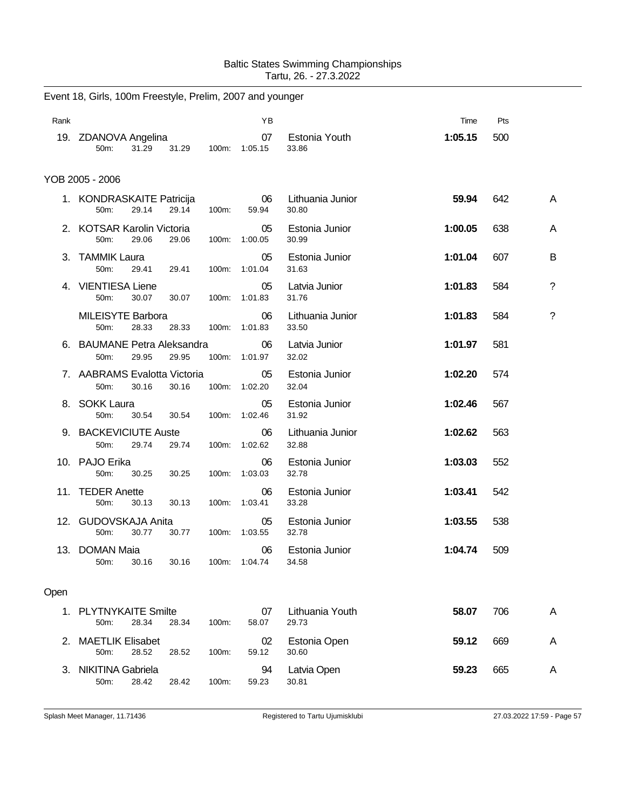|      | Event 18, Girls, 100m Freestyle, Prelim, 2007 and younger |       |       |                     |                           |         |     |             |
|------|-----------------------------------------------------------|-------|-------|---------------------|---------------------------|---------|-----|-------------|
| Rank |                                                           |       |       | YB                  |                           | Time    | Pts |             |
|      | 19. ZDANOVA Angelina<br>50m:<br>31.29                     | 31.29 | 100m: | 07<br>1:05.15       | Estonia Youth<br>33.86    | 1:05.15 | 500 |             |
|      | YOB 2005 - 2006                                           |       |       |                     |                           |         |     |             |
|      | 1. KONDRASKAITE Patricija<br>50m:<br>29.14                | 29.14 | 100m: | 06<br>59.94         | Lithuania Junior<br>30.80 | 59.94   | 642 | A           |
|      | 2. KOTSAR Karolin Victoria<br>29.06<br>50m:               | 29.06 | 100m: | 05<br>1:00.05       | Estonia Junior<br>30.99   | 1:00.05 | 638 | A           |
|      | 3. TAMMIK Laura<br>50m:<br>29.41                          | 29.41 | 100m: | 05<br>1:01.04       | Estonia Junior<br>31.63   | 1:01.04 | 607 | B           |
| 4.   | <b>VIENTIESA Liene</b><br>30.07<br>50m:                   | 30.07 | 100m: | 05<br>1:01.83       | Latvia Junior<br>31.76    | 1:01.83 | 584 | $\tilde{?}$ |
|      | <b>MILEISYTE Barbora</b><br>28.33<br>50m:                 | 28.33 | 100m: | 06<br>1:01.83       | Lithuania Junior<br>33.50 | 1:01.83 | 584 | ?           |
|      | 6. BAUMANE Petra Aleksandra<br>50m:<br>29.95              | 29.95 | 100m: | 06<br>1:01.97       | Latvia Junior<br>32.02    | 1:01.97 | 581 |             |
|      | 7. AABRAMS Evalotta Victoria<br>50m:<br>30.16             | 30.16 | 100m: | 05<br>1:02.20       | Estonia Junior<br>32.04   | 1:02.20 | 574 |             |
|      | 8. SOKK Laura<br>50m:<br>30.54                            | 30.54 | 100m: | 05<br>1:02.46       | Estonia Junior<br>31.92   | 1:02.46 | 567 |             |
|      | 9. BACKEVICIUTE Auste<br>50m:<br>29.74                    | 29.74 | 100m: | 06<br>1:02.62       | Lithuania Junior<br>32.88 | 1:02.62 | 563 |             |
|      | 10. PAJO Erika<br>50m:<br>30.25                           | 30.25 | 100m: | 06<br>1:03.03       | Estonia Junior<br>32.78   | 1:03.03 | 552 |             |
|      | 11. TEDER Anette<br>50m:<br>30.13                         | 30.13 | 100m: | 06<br>1:03.41       | Estonia Junior<br>33.28   | 1:03.41 | 542 |             |
|      | 12. GUDOVSKAJA Anita<br>30.77<br>50m:                     | 30.77 | 100m: | 05<br>1:03.55       | Estonia Junior<br>32.78   | 1:03.55 | 538 |             |
|      | 13. DOMAN Maia<br>30.16<br>50m:                           | 30.16 |       | 06<br>100m: 1:04.74 | Estonia Junior<br>34.58   | 1:04.74 | 509 |             |
| Open |                                                           |       |       |                     |                           |         |     |             |
|      | 1. PLYTNYKAITE Smilte<br>28.34<br>50m:                    | 28.34 | 100m: | 07<br>58.07         | Lithuania Youth<br>29.73  | 58.07   | 706 | Α           |
|      | 2. MAETLIK Elisabet<br>50m:<br>28.52                      | 28.52 | 100m: | 02<br>59.12         | Estonia Open<br>30.60     | 59.12   | 669 | Α           |
|      | 3. NIKITINA Gabriela<br>50m:<br>28.42                     | 28.42 | 100m: | 94<br>59.23         | Latvia Open<br>30.81      | 59.23   | 665 | Α           |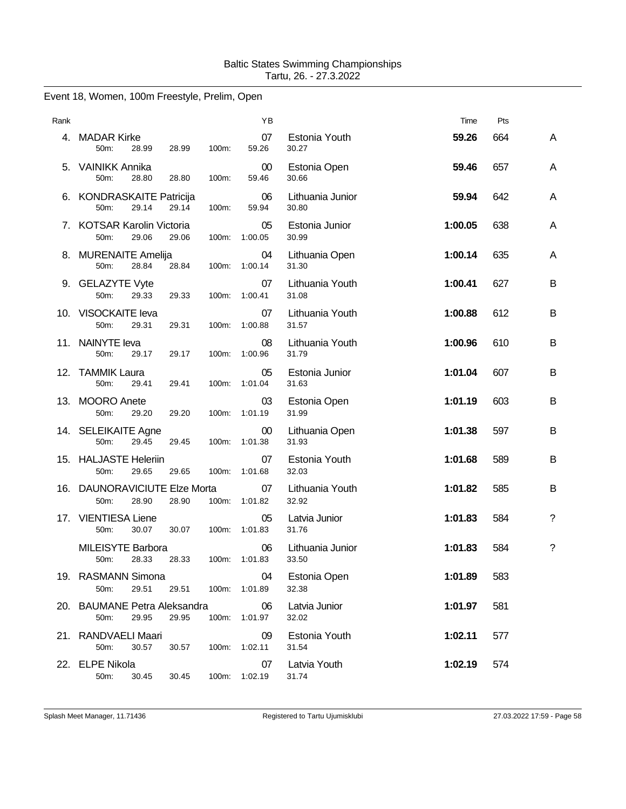# Event 18, Women, 100m Freestyle, Prelim, Open

| Rank |                                                 |                | ΥB                  |                           | Time    | Pts |             |
|------|-------------------------------------------------|----------------|---------------------|---------------------------|---------|-----|-------------|
| 4.   | <b>MADAR Kirke</b><br>50m:<br>28.99             | 100m:<br>28.99 | 07<br>59.26         | Estonia Youth<br>30.27    | 59.26   | 664 | A           |
|      | 5. VAINIKK Annika<br>50m:<br>28.80              | 28.80<br>100m: | 00<br>59.46         | Estonia Open<br>30.66     | 59.46   | 657 | A           |
|      | 6. KONDRASKAITE Patricija<br>29.14<br>50m:      | 29.14<br>100m: | 06<br>59.94         | Lithuania Junior<br>30.80 | 59.94   | 642 | A           |
| 7.   | <b>KOTSAR Karolin Victoria</b><br>50m:<br>29.06 | 29.06<br>100m: | 05<br>1:00.05       | Estonia Junior<br>30.99   | 1:00.05 | 638 | A           |
|      | 8. MURENAITE Amelija<br>50m:<br>28.84           | 28.84          | 04<br>100m: 1:00.14 | Lithuania Open<br>31.30   | 1:00.14 | 635 | A           |
|      | 9. GELAZYTE Vyte<br>29.33<br>50m:               | 29.33<br>100m: | 07<br>1:00.41       | Lithuania Youth<br>31.08  | 1:00.41 | 627 | B           |
|      | 10. VISOCKAITE leva<br>50m:<br>29.31            | 29.31<br>100m: | 07<br>1:00.88       | Lithuania Youth<br>31.57  | 1:00.88 | 612 | B           |
|      | 11. NAINYTE leva<br>50m:<br>29.17               | 29.17<br>100m: | 08<br>1:00.96       | Lithuania Youth<br>31.79  | 1:00.96 | 610 | В           |
|      | 12. TAMMIK Laura<br>50m:<br>29.41               | 29.41<br>100m: | 05<br>1:01.04       | Estonia Junior<br>31.63   | 1:01.04 | 607 | В           |
|      | 13. MOORO Anete<br>50m:<br>29.20                | 29.20<br>100m: | 03<br>1:01.19       | Estonia Open<br>31.99     | 1:01.19 | 603 | B           |
|      | 14. SELEIKAITE Agne<br>50m:<br>29.45            | 100m:<br>29.45 | 00<br>1:01.38       | Lithuania Open<br>31.93   | 1:01.38 | 597 | B           |
|      | 15. HALJASTE Heleriin<br>50m:<br>29.65          | 29.65<br>100m: | 07<br>1:01.68       | Estonia Youth<br>32.03    | 1:01.68 | 589 | B           |
|      | 16. DAUNORAVICIUTE Elze Morta<br>50m:<br>28.90  | 28.90<br>100m: | 07<br>1:01.82       | Lithuania Youth<br>32.92  | 1:01.82 | 585 | B           |
| 17.  | <b>VIENTIESA Liene</b><br>30.07<br>50m:         | 30.07<br>100m: | 05<br>1:01.83       | Latvia Junior<br>31.76    | 1:01.83 | 584 | $\tilde{?}$ |
|      | MILEISYTE Barbora<br>28.33<br>50 <sub>m</sub> : | 28.33          | 06<br>100m: 1:01.83 | Lithuania Junior<br>33.50 | 1:01.83 | 584 | ?           |
|      | 19. RASMANN Simona<br>50m:<br>29.51             | 29.51<br>100m: | 04<br>1:01.89       | Estonia Open<br>32.38     | 1:01.89 | 583 |             |
|      | 20. BAUMANE Petra Aleksandra<br>29.95<br>50m:   | 29.95          | 06<br>100m: 1:01.97 | Latvia Junior<br>32.02    | 1:01.97 | 581 |             |
|      | 21. RANDVAELI Maari<br>50m:<br>30.57            | 30.57<br>100m: | 09<br>1:02.11       | Estonia Youth<br>31.54    | 1:02.11 | 577 |             |
|      | 22. ELPE Nikola<br>50m:<br>30.45                | 30.45          | 07<br>100m: 1:02.19 | Latvia Youth<br>31.74     | 1:02.19 | 574 |             |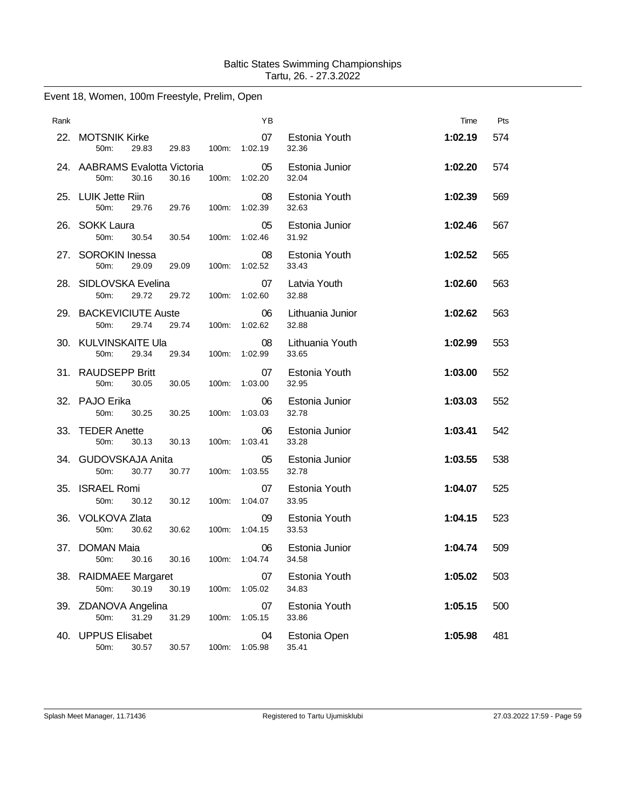| Event 18, Women, 100m Freestyle, Prelim, Open |  |  |  |  |  |
|-----------------------------------------------|--|--|--|--|--|
|-----------------------------------------------|--|--|--|--|--|

| Rank |                                                         |          | ΥB            |                           | Time    | Pts |
|------|---------------------------------------------------------|----------|---------------|---------------------------|---------|-----|
|      | 22. MOTSNIK Kirke<br>50m:<br>29.83<br>29.83             | $100m$ : | 07<br>1:02.19 | Estonia Youth<br>32.36    | 1:02.19 | 574 |
|      | 24. AABRAMS Evalotta Victoria<br>30.16<br>30.16<br>50m: | 100m:    | 05<br>1:02.20 | Estonia Junior<br>32.04   | 1:02.20 | 574 |
|      | 25. LUIK Jette Riin<br>50m:<br>29.76<br>29.76           | 100m:    | 08<br>1:02.39 | Estonia Youth<br>32.63    | 1:02.39 | 569 |
|      | 26. SOKK Laura<br>50m:<br>30.54<br>30.54                | 100m:    | 05<br>1:02.46 | Estonia Junior<br>31.92   | 1:02.46 | 567 |
|      | 27. SOROKIN Inessa<br>50m:<br>29.09<br>29.09            | 100m:    | 08<br>1:02.52 | Estonia Youth<br>33.43    | 1:02.52 | 565 |
|      | 28. SIDLOVSKA Evelina<br>29.72<br>50m:<br>29.72         | 100m:    | 07<br>1:02.60 | Latvia Youth<br>32.88     | 1:02.60 | 563 |
|      | 29. BACKEVICIUTE Auste<br>29.74<br>29.74<br>50m:        | 100m:    | 06<br>1:02.62 | Lithuania Junior<br>32.88 | 1:02.62 | 563 |
|      | 30. KULVINSKAITE Ula<br>50m:<br>29.34<br>29.34          | 100m:    | 08<br>1:02.99 | Lithuania Youth<br>33.65  | 1:02.99 | 553 |
|      | 31. RAUDSEPP Britt<br>50m:<br>30.05<br>30.05            | 100m:    | 07<br>1:03.00 | Estonia Youth<br>32.95    | 1:03.00 | 552 |
|      | 32. PAJO Erika<br>50m:<br>30.25<br>30.25                | 100m:    | 06<br>1:03.03 | Estonia Junior<br>32.78   | 1:03.03 | 552 |
|      | 33. TEDER Anette<br>50m:<br>30.13<br>30.13              | 100m:    | 06<br>1:03.41 | Estonia Junior<br>33.28   | 1:03.41 | 542 |
|      | 34. GUDOVSKAJA Anita<br>30.77<br>30.77<br>50m:          | 100m:    | 05<br>1:03.55 | Estonia Junior<br>32.78   | 1:03.55 | 538 |
|      | 35. ISRAEL Romi<br>50m:<br>30.12<br>30.12               | 100m:    | 07<br>1:04.07 | Estonia Youth<br>33.95    | 1:04.07 | 525 |
| 36.  | VOLKOVA Zlata<br>30.62<br>30.62<br>50m:                 | 100m:    | 09<br>1:04.15 | Estonia Youth<br>33.53    | 1:04.15 | 523 |
| 37.  | <b>DOMAN Maja</b><br>30.16<br>50m:<br>30.16             | $100m$ : | 06<br>1:04.74 | Estonia Junior<br>34.58   | 1:04.74 | 509 |
| 38.  | <b>RAIDMAEE Margaret</b><br>30.19<br>50m:<br>30.19      | 100m:    | 07<br>1:05.02 | Estonia Youth<br>34.83    | 1:05.02 | 503 |
| 39.  | ZDANOVA Angelina<br>50m:<br>31.29<br>31.29              | 100m:    | 07<br>1:05.15 | Estonia Youth<br>33.86    | 1:05.15 | 500 |
| 40.  | <b>UPPUS Elisabet</b><br>30.57<br>30.57<br>50m:         | 100m:    | 04<br>1:05.98 | Estonia Open<br>35.41     | 1:05.98 | 481 |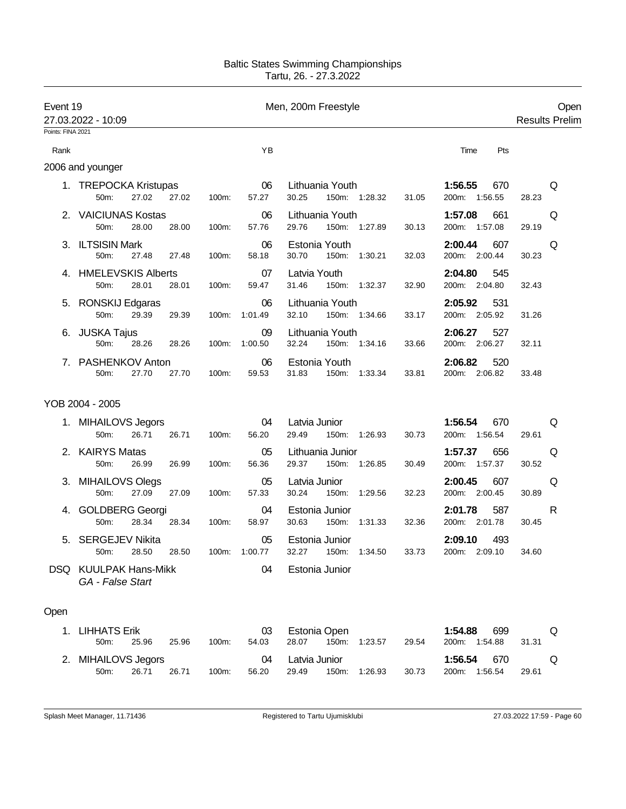| Event 19          | 27.03.2022 - 10:09                              |                        | Men, 200m Freestyle                                  | Open<br><b>Results Prelim</b>                    |  |
|-------------------|-------------------------------------------------|------------------------|------------------------------------------------------|--------------------------------------------------|--|
| Points: FINA 2021 |                                                 |                        |                                                      |                                                  |  |
| Rank              |                                                 | YB                     |                                                      | Time<br>Pts                                      |  |
|                   | 2006 and younger                                |                        |                                                      |                                                  |  |
|                   | 1. TREPOCKA Kristupas<br>27.02<br>50m:<br>27.02 | 06<br>100m:<br>57.27   | Lithuania Youth<br>30.25<br>150m: 1:28.32<br>31.05   | 1:56.55<br>670<br>Q<br>200m: 1:56.55<br>28.23    |  |
|                   | 2. VAICIUNAS Kostas<br>50m:<br>28.00<br>28.00   | 06<br>57.76<br>100m:   | Lithuania Youth<br>29.76<br>150m: 1:27.89<br>30.13   | 1:57.08<br>661<br>Q<br>200m: 1:57.08<br>29.19    |  |
|                   | 3. ILTSISIN Mark<br>50m:<br>27.48<br>27.48      | 06<br>58.18<br>100m:   | Estonia Youth<br>30.70<br>150m: 1:30.21<br>32.03     | 2:00.44<br>607<br>Q<br>200m: 2:00.44<br>30.23    |  |
|                   | 4. HMELEVSKIS Alberts<br>50m:<br>28.01<br>28.01 | 07<br>100m:<br>59.47   | Latvia Youth<br>31.46<br>150m: 1:32.37<br>32.90      | 2:04.80<br>545<br>200m: 2:04.80<br>32.43         |  |
|                   | 5. RONSKIJ Edgaras<br>50m:<br>29.39<br>29.39    | 06<br>100m: 1:01.49    | Lithuania Youth<br>32.10<br>150m: 1:34.66<br>33.17   | 2:05.92<br>531<br>200m: 2:05.92<br>31.26         |  |
|                   | 6. JUSKA Tajus<br>50m:<br>28.26<br>28.26        | 09<br>100m:<br>1:00.50 | Lithuania Youth<br>32.24<br>150m: 1:34.16<br>33.66   | 2:06.27<br>527<br>200m: 2:06.27<br>32.11         |  |
|                   | 7. PASHENKOV Anton<br>50m:<br>27.70<br>27.70    | 06<br>100m:<br>59.53   | Estonia Youth<br>31.83<br>150m: 1:33.34<br>33.81     | 520<br>2:06.82<br>200m: 2:06.82<br>33.48         |  |
|                   | YOB 2004 - 2005                                 |                        |                                                      |                                                  |  |
|                   | 1. MIHAILOVS Jegors<br>50m:<br>26.71<br>26.71   | 04<br>100m:<br>56.20   | Latvia Junior<br>29.49<br>150m: 1:26.93<br>30.73     | 1:56.54<br>670<br>Q<br>200m: 1:56.54<br>29.61    |  |
|                   | 2. KAIRYS Matas<br>50m:<br>26.99<br>26.99       | 05<br>56.36<br>100m:   | Lithuania Junior<br>29.37<br>150m: 1:26.85<br>30.49  | 1:57.37<br>656<br>Q<br>200m: 1:57.37<br>30.52    |  |
|                   | 3. MIHAILOVS Olegs<br>27.09<br>50m:<br>27.09    | 05<br>100m:<br>57.33   | Latvia Junior<br>30.24<br>150m: 1:29.56<br>32.23     | 2:00.45<br>607<br>Q<br>200m: 2:00.45<br>30.89    |  |
|                   | 4. GOLDBERG Georgi<br>50m:<br>28.34<br>28.34    | 04<br>100m:<br>58.97   | Estonia Junior<br>30.63<br>150m:<br>1:31.33<br>32.36 | 587<br>2:01.78<br>R<br>200m: 2:01.78<br>30.45    |  |
|                   | 5. SERGEJEV Nikita<br>50m: 28.50<br>28.50       | 05<br>1:00.77<br>100m: | Estonia Junior<br>33.73<br>32.27 150m: 1:34.50       | 2:09.10<br>493<br>200m: 2:09.10<br>34.60         |  |
|                   | DSQ KUULPAK Hans-Mikk<br>GA - False Start       | 04                     | Estonia Junior                                       |                                                  |  |
| Open              |                                                 |                        |                                                      |                                                  |  |
|                   | 1. LIHHATS Erik<br>50m:<br>25.96<br>25.96       | 03<br>100m:<br>54.03   | Estonia Open<br>28.07<br>150m:<br>1:23.57<br>29.54   | 1:54.88<br>699<br>Q<br>200m: 1:54.88<br>31.31    |  |
|                   | 2. MIHAILOVS Jegors<br>26.71<br>50m:<br>26.71   | 04<br>100m:<br>56.20   | Latvia Junior<br>29.49<br>150m:<br>1:26.93<br>30.73  | 1:56.54<br>670<br>Q<br>200m:<br>1:56.54<br>29.61 |  |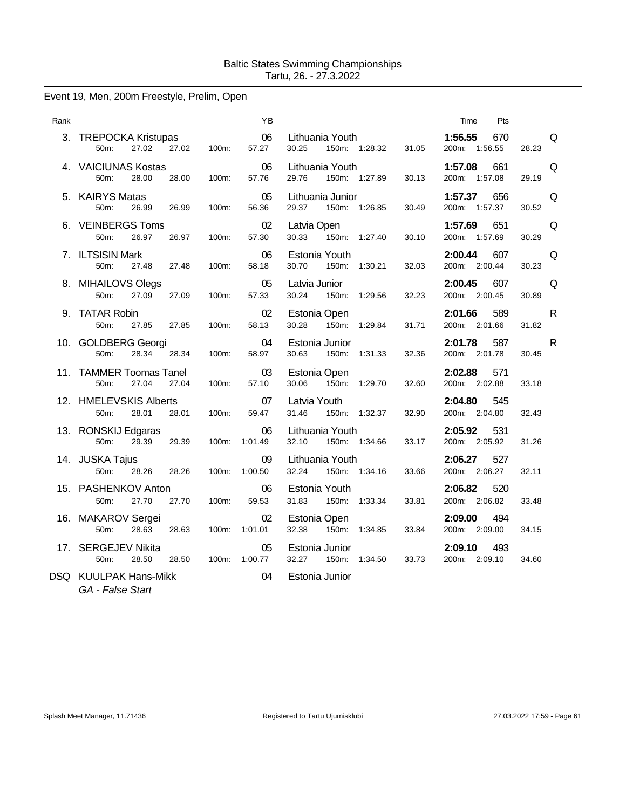# Event 19, Men, 200m Freestyle, Prelim, Open

| Rank |                                                     |                | ΥB                  |                                         |                        | Time<br>Pts                              |                       |
|------|-----------------------------------------------------|----------------|---------------------|-----------------------------------------|------------------------|------------------------------------------|-----------------------|
|      | 3. TREPOCKA Kristupas<br>27.02<br>50 <sub>m</sub> : | 27.02<br>100m: | 06<br>57.27         | Lithuania Youth<br>30.25                | 150m: 1:28.32          | 1:56.55<br>670<br>31.05<br>200m: 1:56.55 | Q<br>28.23            |
|      | 4. VAICIUNAS Kostas<br>50m:<br>28.00                | 28.00<br>100m: | 06<br>57.76         | Lithuania Youth<br>29.76                | 150m: 1:27.89<br>30.13 | 1:57.08<br>661<br>200m: 1:57.08          | Q<br>29.19            |
|      | 5. KAIRYS Matas<br>50m:<br>26.99                    | 26.99<br>100m: | 05<br>56.36         | Lithuania Junior<br>29.37               | 150m: 1:26.85<br>30.49 | 1:57.37<br>656<br>200m: 1:57.37          | Q<br>30.52            |
|      | 6. VEINBERGS Toms<br>26.97<br>50m:                  | 26.97<br>100m: | 02<br>57.30         | Latvia Open<br>150m: 1:27.40<br>30.33   | 30.10                  | 1:57.69<br>651<br>200m: 1:57.69          | Q<br>30.29            |
|      | 7. ILTSISIN Mark<br>50m:<br>27.48                   | 100m:<br>27.48 | 06<br>58.18         | Estonia Youth<br>30.70<br>150m:         | 1:30.21<br>32.03       | 2:00.44<br>607<br>200m: 2:00.44          | Q<br>30.23            |
|      | 8. MIHAILOVS Olegs<br>50m:<br>27.09                 | 27.09<br>100m: | 05<br>57.33         | Latvia Junior<br>30.24<br>150m:         | 1:29.56<br>32.23       | 2:00.45<br>607<br>200m: 2:00.45          | Q<br>30.89            |
|      | 9. TATAR Robin<br>27.85<br>50m:                     | 27.85<br>100m: | 02<br>58.13         | Estonia Open<br>150m: 1:29.84<br>30.28  | 31.71                  | 2:01.66<br>589<br>200m: 2:01.66          | $\mathsf{R}$<br>31.82 |
|      | 10. GOLDBERG Georgi<br>50m:<br>28.34                | 28.34<br>100m: | 04<br>58.97         | Estonia Junior<br>30.63<br>150m:        | 1:31.33<br>32.36       | 2:01.78<br>587<br>200m: 2:01.78          | R<br>30.45            |
|      | 11. TAMMER Toomas Tanel<br>27.04<br>50m:            | 27.04<br>100m: | 03<br>57.10         | Estonia Open<br>150m: 1:29.70<br>30.06  | 32.60                  | 2:02.88<br>571<br>200m: 2:02.88          | 33.18                 |
|      | 12. HMELEVSKIS Alberts<br>28.01<br>50m:             | 28.01<br>100m: | 07<br>59.47         | Latvia Youth<br>31.46<br>150m: 1:32.37  | 32.90                  | 2:04.80<br>545<br>200m: 2:04.80          | 32.43                 |
|      | 13. RONSKIJ Edgaras<br>50m:<br>29.39                | 29.39<br>100m: | 06<br>1:01.49       | Lithuania Youth<br>32.10                | 150m: 1:34.66<br>33.17 | 2:05.92<br>531<br>200m: 2:05.92          | 31.26                 |
|      | 14. JUSKA Tajus<br>50m:<br>28.26                    | 28.26          | 09<br>100m: 1:00.50 | Lithuania Youth<br>32.24                | 150m: 1:34.16<br>33.66 | 2:06.27<br>527<br>200m: 2:06.27          | 32.11                 |
|      | 15. PASHENKOV Anton<br>27.70<br>50m:                | 27.70<br>100m: | 06<br>59.53         | Estonia Youth<br>31.83<br>150m: 1:33.34 | 33.81                  | 2:06.82<br>520<br>200m: 2:06.82          | 33.48                 |
|      | 16. MAKAROV Sergei<br>50m:<br>28.63                 | 28.63<br>100m: | 02<br>1:01.01       | Estonia Open<br>32.38<br>150m:          | 1:34.85<br>33.84       | 2:09.00<br>494<br>200m: 2:09.00          | 34.15                 |
|      | 17. SERGEJEV Nikita<br>50m:<br>28.50                | 28.50          | 05<br>100m: 1:00.77 | Estonia Junior<br>32.27<br>150m:        | 1:34.50<br>33.73       | 2:09.10<br>493<br>200m: 2:09.10          | 34.60                 |
|      | DSQ KUULPAK Hans-Mikk                               |                | 04                  | Estonia Junior                          |                        |                                          |                       |

*GA - False Start*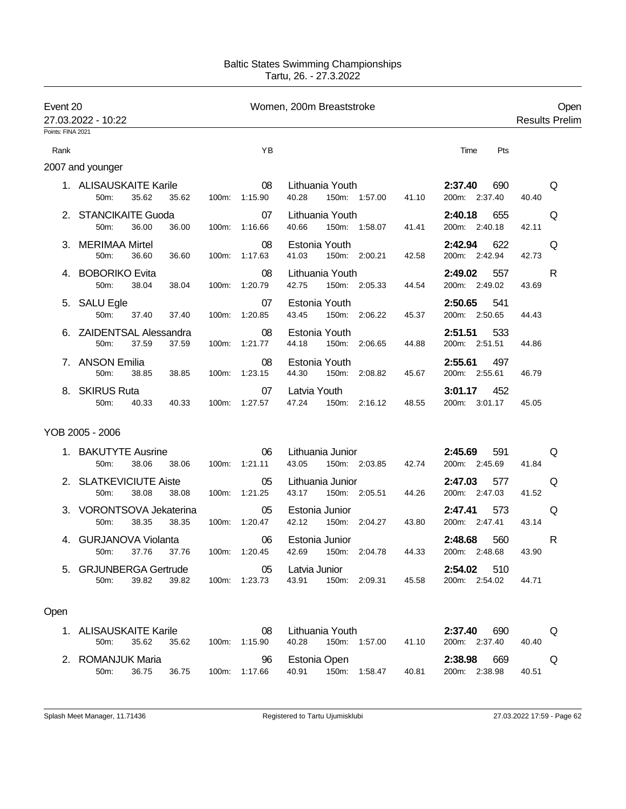| Event 20          | 27.03.2022 - 10:22                                  |       |                     | Women, 200m Breaststroke                            |                                 | Open<br><b>Results Prelim</b> |  |
|-------------------|-----------------------------------------------------|-------|---------------------|-----------------------------------------------------|---------------------------------|-------------------------------|--|
| Points: FINA 2021 |                                                     |       |                     |                                                     |                                 |                               |  |
| Rank              |                                                     |       | YB                  |                                                     | Time<br>Pts                     |                               |  |
|                   | 2007 and younger                                    |       |                     |                                                     |                                 |                               |  |
|                   | 1. ALISAUSKAITE Karile<br>35.62<br>50m:<br>35.62    | 100m: | 08<br>1:15.90       | Lithuania Youth<br>40.28<br>150m: 1:57.00<br>41.10  | 2:37.40<br>690<br>200m: 2:37.40 | Q<br>40.40                    |  |
|                   | 2. STANCIKAITE Guoda<br>50m:<br>36.00<br>36.00      |       | 07<br>100m: 1:16.66 | Lithuania Youth<br>40.66<br>150m: 1:58.07<br>41.41  | 2:40.18<br>655<br>200m: 2:40.18 | Q<br>42.11                    |  |
|                   | 3. MERIMAA Mirtel<br>36.60<br>50m:<br>36.60         |       | 08<br>100m: 1:17.63 | Estonia Youth<br>41.03<br>150m: 2:00.21<br>42.58    | 2:42.94<br>622<br>200m: 2:42.94 | Q<br>42.73                    |  |
|                   | 4. BOBORIKO Evita<br>50m:<br>38.04<br>38.04         |       | 08<br>100m: 1:20.79 | Lithuania Youth<br>42.75<br>150m: 2:05.33<br>44.54  | 2:49.02<br>557<br>200m: 2:49.02 | R<br>43.69                    |  |
|                   | 5. SALU Egle<br>50m:<br>37.40<br>37.40              |       | 07<br>100m: 1:20.85 | Estonia Youth<br>43.45<br>150m: 2:06.22<br>45.37    | 2:50.65<br>541<br>200m: 2:50.65 | 44.43                         |  |
|                   | 6. ZAIDENTSAL Alessandra<br>37.59<br>37.59<br>50m:  | 100m: | 08<br>1:21.77       | Estonia Youth<br>44.18<br>150m: 2:06.65<br>44.88    | 2:51.51<br>533<br>200m: 2:51.51 | 44.86                         |  |
|                   | 7. ANSON Emilia<br>50m:<br>38.85<br>38.85           |       | 08<br>100m: 1:23.15 | Estonia Youth<br>44.30<br>150m: 2:08.82<br>45.67    | 2:55.61<br>497<br>200m: 2:55.61 | 46.79                         |  |
|                   | 8. SKIRUS Ruta<br>50m:<br>40.33<br>40.33            |       | 07<br>100m: 1:27.57 | Latvia Youth<br>47.24<br>150m: 2:16.12<br>48.55     | 3:01.17<br>452<br>200m: 3:01.17 | 45.05                         |  |
|                   | YOB 2005 - 2006                                     |       |                     |                                                     |                                 |                               |  |
|                   | 1. BAKUTYTE Ausrine<br>38.06<br>50m:<br>38.06       |       | 06<br>100m: 1:21.11 | Lithuania Junior<br>43.05<br>150m: 2:03.85<br>42.74 | 2:45.69<br>591<br>200m: 2:45.69 | Q<br>41.84                    |  |
|                   | 2. SLATKEVICIUTE Aiste<br>38.08<br>50m:<br>38.08    |       | 05<br>100m: 1:21.25 | Lithuania Junior<br>43.17<br>150m: 2:05.51<br>44.26 | 2:47.03<br>577<br>200m: 2:47.03 | Q<br>41.52                    |  |
|                   | 3. VORONTSOVA Jekaterina<br>38.35<br>50m:<br>38.35  |       | 05<br>100m: 1:20.47 | Estonia Junior<br>42.12<br>150m: 2:04.27<br>43.80   | 573<br>2:47.41<br>200m: 2:47.41 | Q<br>43.14                    |  |
| 4.                | <b>GURJANOVA Violanta</b><br>50m:<br>37.76<br>37.76 | 100m: | 06<br>1:20.45       | Estonia Junior<br>42.69<br>44.33<br>150m: 2:04.78   | 2:48.68<br>560<br>200m: 2:48.68 | R<br>43.90                    |  |
|                   | 5. GRJUNBERGA Gertrude<br>50m:<br>39.82<br>39.82    |       | 05<br>100m: 1:23.73 | Latvia Junior<br>43.91<br>150m: 2:09.31<br>45.58    | 2:54.02<br>510<br>200m: 2:54.02 | 44.71                         |  |
| Open              |                                                     |       |                     |                                                     |                                 |                               |  |
|                   | 1. ALISAUSKAITE Karile<br>50m:<br>35.62<br>35.62    |       | 08<br>100m: 1:15.90 | Lithuania Youth<br>150m: 1:57.00<br>40.28<br>41.10  | 2:37.40<br>690<br>200m: 2:37.40 | Q<br>40.40                    |  |
|                   | 2. ROMANJUK Maria<br>36.75<br>50m:<br>36.75         |       | 96<br>100m: 1:17.66 | Estonia Open<br>40.91<br>150m: 1:58.47<br>40.81     | 2:38.98<br>669<br>200m: 2:38.98 | Q<br>40.51                    |  |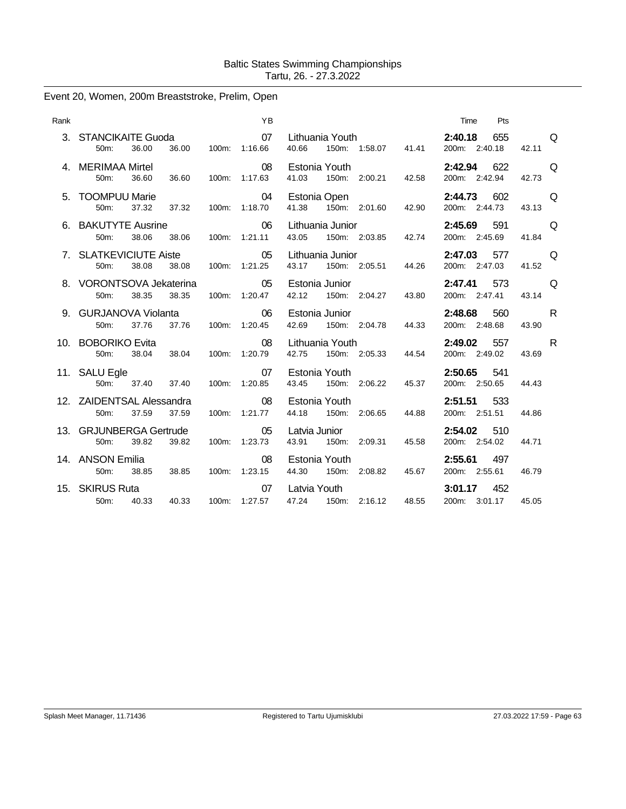# Event 20, Women, 200m Breaststroke, Prelim, Open

| Rank |                                                         |                            | <b>YB</b>                  |                                                       |                                                              | Pts<br>Time                     |                   |
|------|---------------------------------------------------------|----------------------------|----------------------------|-------------------------------------------------------|--------------------------------------------------------------|---------------------------------|-------------------|
|      | 3. STANCIKAITE Guoda<br>50m:<br>36.00<br>36.00          |                            | $\sim$ 07<br>100m: 1:16.66 | 40.66                                                 | Lithuania Youth <b>Exercise State</b><br>150m: 1:58.07 41.41 | 655<br>2:40.18<br>200m: 2:40.18 | <b>O</b><br>42.11 |
|      | 4. MERIMAA Mirtel<br>36.60<br>36.60<br>50m:             |                            | $\sim$ 08<br>100m: 1:17.63 | Estonia Youth<br>41.03 150m: 2:00.21                  | 42.58                                                        | 622<br>2:42.94<br>200m: 2:42.94 | $\Omega$<br>42.73 |
|      | 5. TOOMPUU Marie<br>37.32<br>37.32<br>50 <sub>m</sub> : | $\sim$ 04<br>100m: 1:18.70 |                            | Estonia Open<br>41.38 150m: 2:01.60                   | 42.90                                                        | 2:44.73<br>602<br>200m: 2:44.73 | $\Omega$<br>43.13 |
|      | 6. BAKUTYTE Ausrine<br>38.06<br>38.06<br>50m:           |                            | $\sim$ 06<br>100m: 1:21.11 | Lithuania Junior<br>43.05 150m: 2:03.85               | 42.74                                                        | 2:45.69 591<br>200m: 2:45.69    | Q<br>41.84        |
|      | 7. SLATKEVICIUTE Aiste<br>38.08<br>50m:<br>38.08        |                            | $\sim$ 05<br>100m: 1:21.25 | Lithuania Junior<br>150m: 2:05.51<br>43.17            | 44.26                                                        | 2:47.03 577<br>200m: 2:47.03    | $\Omega$<br>41.52 |
|      | 8. VORONTSOVA Jekaterina<br>38.35<br>38.35<br>50m:      |                            | $\sim$ 05<br>100m: 1:20.47 | Estonia Junior<br>42.12 150m: 2:04.27                 | 43.80                                                        | 2:47.41 573<br>200m: 2:47.41    | Q<br>43.14        |
|      | 9. GURJANOVA Violanta<br>37.76<br>37.76<br>50m:         |                            | $\sim$ 06<br>100m: 1:20.45 | Estonia Junior<br>42.69 150m: 2:04.78                 | 44.33                                                        | 2:48.68<br>560<br>200m: 2:48.68 | R.<br>43.90       |
|      | 10. BOBORIKO Evita<br>38.04 38.04<br>50 <sub>m</sub> :  | 100m: 1:20.79              | 08                         | Lithuania Youth <b>Example</b><br>42.75 150m: 2:05.33 | 44.54                                                        | $2:49.02$ 557<br>200m: 2:49.02  | R.<br>43.69       |
|      | 11. SALU Egle<br>37.40<br>50m:<br>37.40                 |                            | 07<br>100m: 1:20.85        | Estonia Youth<br>43.45 150m: 2:06.22                  | 45.37                                                        | 2:50.65 541<br>200m: 2:50.65    | 44.43             |
|      | 12. ZAIDENTSAL Alessandra<br>37.59<br>37.59<br>50m:     |                            | 08<br>100m: 1:21.77        | Estonia Youth<br>44.18<br>150m: 2:06.65               | 44.88                                                        | 2:51.51 533<br>200m: 2:51.51    | 44.86             |
|      | 13. GRJUNBERGA Gertrude<br>39.82<br>39.82<br>50m:       |                            | $\sim$ 05<br>100m: 1:23.73 | Latvia Junior<br>43.91 150m: 2:09.31                  | 45.58                                                        | 2:54.02<br>510<br>200m: 2:54.02 | 44.71             |
|      | 14. ANSON Emilia<br>50m:<br>38.85<br>38.85              |                            | 08<br>100m: 1:23.15        | Estonia Youth<br>44.30 150m: 2:08.82                  | 45.67                                                        | 2:55.61<br>497<br>200m: 2:55.61 | 46.79             |
|      | 15. SKIRUS Ruta<br>40.33<br>40.33<br>50m:               |                            | 07<br>100m: 1:27.57        | Latvia Youth<br>47.24 150m: 2:16.12                   | 48.55                                                        | 3:01.17<br>452<br>200m: 3:01.17 | 45.05             |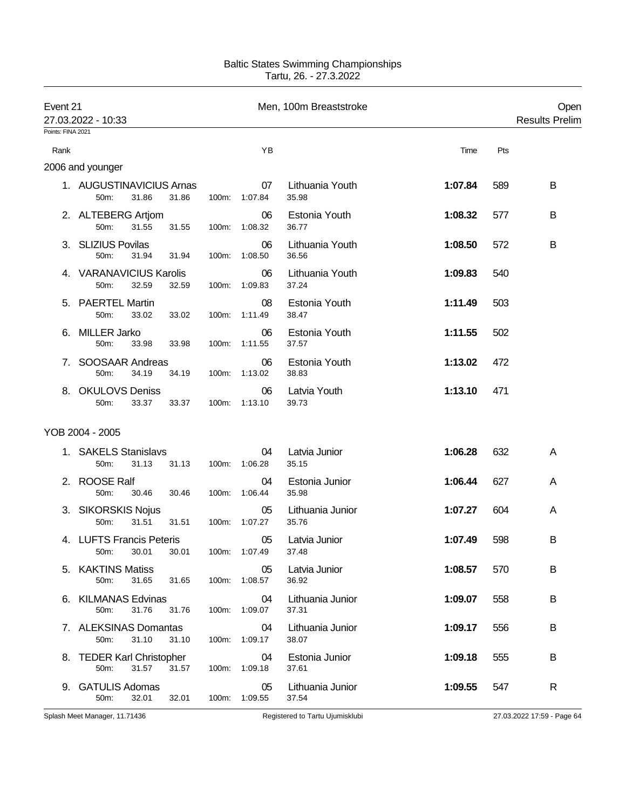| Event 21          | 27.03.2022 - 10:33                                  | Men, 100m Breaststroke |                     |                           |         |     | Open<br><b>Results Prelim</b> |  |
|-------------------|-----------------------------------------------------|------------------------|---------------------|---------------------------|---------|-----|-------------------------------|--|
| Points: FINA 2021 |                                                     |                        |                     |                           |         |     |                               |  |
| Rank              |                                                     |                        | YB                  |                           | Time    | Pts |                               |  |
|                   | 2006 and younger                                    |                        |                     |                           |         |     |                               |  |
|                   | 1. AUGUSTINAVICIUS Arnas<br>50m:<br>31.86<br>31.86  | 100m:                  | 07<br>1:07.84       | Lithuania Youth<br>35.98  | 1:07.84 | 589 | B                             |  |
|                   | 2. ALTEBERG Artjom<br>50m:<br>31.55<br>31.55        | 100m:                  | 06<br>1:08.32       | Estonia Youth<br>36.77    | 1:08.32 | 577 | В                             |  |
|                   | 3. SLIZIUS Povilas<br>31.94<br>50m:<br>31.94        | 100m:                  | 06<br>1:08.50       | Lithuania Youth<br>36.56  | 1:08.50 | 572 | B                             |  |
|                   | 4. VARANAVICIUS Karolis<br>50m:<br>32.59<br>32.59   | 100m:                  | 06<br>1:09.83       | Lithuania Youth<br>37.24  | 1:09.83 | 540 |                               |  |
|                   | 5. PAERTEL Martin<br>50m:<br>33.02<br>33.02         | 100m:                  | 08<br>1:11.49       | Estonia Youth<br>38.47    | 1:11.49 | 503 |                               |  |
| 6.                | <b>MILLER Jarko</b><br>50m:<br>33.98<br>33.98       | 100m:                  | 06<br>1:11.55       | Estonia Youth<br>37.57    | 1:11.55 | 502 |                               |  |
| 7.                | SOOSAAR Andreas<br>50m:<br>34.19<br>34.19           | 100m:                  | 06<br>1:13.02       | Estonia Youth<br>38.83    | 1:13.02 | 472 |                               |  |
|                   | 8. OKULOVS Deniss<br>33.37<br>50m:<br>33.37         | 100m:                  | 06<br>1:13.10       | Latvia Youth<br>39.73     | 1:13.10 | 471 |                               |  |
|                   | YOB 2004 - 2005                                     |                        |                     |                           |         |     |                               |  |
|                   | 1. SAKELS Stanislavs<br>31.13<br>50m:<br>31.13      | 100m:                  | 04<br>1:06.28       | Latvia Junior<br>35.15    | 1:06.28 | 632 | A                             |  |
|                   | 2. ROOSE Ralf<br>50m:<br>30.46<br>30.46             | 100m:                  | 04<br>1:06.44       | Estonia Junior<br>35.98   | 1:06.44 | 627 | A                             |  |
|                   | 3. SIKORSKIS Nojus<br>31.51<br>31.51<br>50m:        | 100m:                  | 05<br>1:07.27       | Lithuania Junior<br>35.76 | 1:07.27 | 604 | A                             |  |
|                   | 4. LUFTS Francis Peteris<br>50m: 30.01 30.01        |                        | 05<br>100m: 1:07.49 | Latvia Junior<br>37.48    | 1:07.49 | 598 | В                             |  |
|                   | 5. KAKTINS Matiss<br>31.65<br>31.65<br>50m:         |                        | 05<br>100m: 1:08.57 | Latvia Junior<br>36.92    | 1:08.57 | 570 | В                             |  |
|                   | 6. KILMANAS Edvinas<br>50m:<br>31.76<br>31.76       |                        | 04<br>100m: 1:09.07 | Lithuania Junior<br>37.31 | 1:09.07 | 558 | B                             |  |
|                   | 7. ALEKSINAS Domantas<br>31.10<br>31.10<br>50m:     |                        | 04<br>100m: 1:09.17 | Lithuania Junior<br>38.07 | 1:09.17 | 556 | В                             |  |
|                   | 8. TEDER Karl Christopher<br>31.57<br>31.57<br>50m: |                        | 04<br>100m: 1:09.18 | Estonia Junior<br>37.61   | 1:09.18 | 555 | B                             |  |
|                   | 9. GATULIS Adomas<br>32.01<br>32.01<br>50m:         |                        | 05<br>100m: 1:09.55 | Lithuania Junior<br>37.54 | 1:09.55 | 547 | R                             |  |

Splash Meet Manager, 11.71436 **Registered to Tartu Ujumisklubi** 27.03.2022 17:59 - Page 64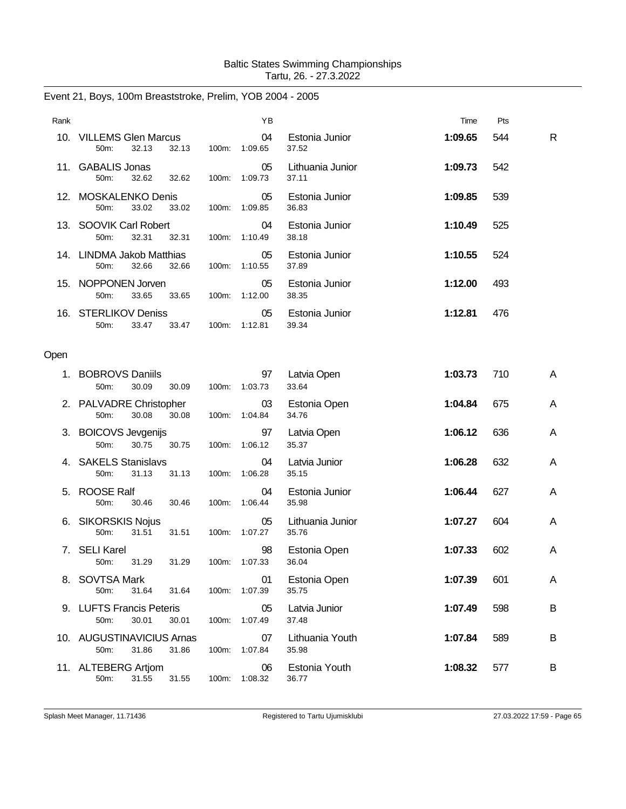| Event 21, Boys, 100m Breaststroke, Prelim, YOB 2004 - 2005 |  |  |  |
|------------------------------------------------------------|--|--|--|
|------------------------------------------------------------|--|--|--|

| Rank |                                                     |       | YB                  |                           | Time    | Pts |   |
|------|-----------------------------------------------------|-------|---------------------|---------------------------|---------|-----|---|
|      | 10. VILLEMS Glen Marcus<br>32.13<br>32.13<br>50m:   | 100m: | 04<br>1:09.65       | Estonia Junior<br>37.52   | 1:09.65 | 544 | R |
|      | 11. GABALIS Jonas<br>50m:<br>32.62<br>32.62         | 100m: | 05<br>1:09.73       | Lithuania Junior<br>37.11 | 1:09.73 | 542 |   |
|      | 12. MOSKALENKO Denis<br>50m:<br>33.02<br>33.02      |       | 05<br>100m: 1:09.85 | Estonia Junior<br>36.83   | 1:09.85 | 539 |   |
|      | 13. SOOVIK Carl Robert<br>32.31<br>32.31<br>50m:    | 100m: | 04<br>1:10.49       | Estonia Junior<br>38.18   | 1:10.49 | 525 |   |
|      | 14. LINDMA Jakob Matthias<br>32.66<br>50m:<br>32.66 | 100m: | 05<br>1:10.55       | Estonia Junior<br>37.89   | 1:10.55 | 524 |   |
|      | 15. NOPPONEN Jorven<br>50m:<br>33.65<br>33.65       | 100m: | 05<br>1:12.00       | Estonia Junior<br>38.35   | 1:12.00 | 493 |   |
|      | 16. STERLIKOV Deniss<br>50m:<br>33.47<br>33.47      | 100m: | 05<br>1:12.81       | Estonia Junior<br>39.34   | 1:12.81 | 476 |   |
| Open |                                                     |       |                     |                           |         |     |   |
| 1.   | <b>BOBROVS Daniils</b><br>30.09<br>50m:<br>30.09    | 100m: | 97<br>1:03.73       | Latvia Open<br>33.64      | 1:03.73 | 710 | Α |
|      | 2. PALVADRE Christopher<br>30.08<br>50m:<br>30.08   |       | 03<br>100m: 1:04.84 | Estonia Open<br>34.76     | 1:04.84 | 675 | Α |
|      | 3. BOICOVS Jevgenijs<br>50m:<br>30.75<br>30.75      | 100m: | 97<br>1:06.12       | Latvia Open<br>35.37      | 1:06.12 | 636 | Α |
|      | 4. SAKELS Stanislavs<br>50m:<br>31.13<br>31.13      | 100m: | 04<br>1:06.28       | Latvia Junior<br>35.15    | 1:06.28 | 632 | A |
|      | 5. ROOSE Ralf<br>50m:<br>30.46<br>30.46             | 100m: | 04<br>1:06.44       | Estonia Junior<br>35.98   | 1:06.44 | 627 | Α |
|      | 6. SIKORSKIS Nojus<br>50m:<br>31.51<br>31.51        | 100m: | 05<br>1:07.27       | Lithuania Junior<br>35.76 | 1:07.27 | 604 | A |
| 7.   | <b>SELI Karel</b><br>50m:<br>31.29<br>31.29         |       | 98<br>100m: 1:07.33 | Estonia Open<br>36.04     | 1:07.33 | 602 | Α |
|      | 8. SOVTSA Mark<br>31.64<br>50m:<br>31.64            | 100m: | 01<br>1:07.39       | Estonia Open<br>35.75     | 1:07.39 | 601 | Α |
|      | 9. LUFTS Francis Peteris<br>30.01<br>50m:<br>30.01  | 100m: | 05<br>1:07.49       | Latvia Junior<br>37.48    | 1:07.49 | 598 | В |
|      | 10. AUGUSTINAVICIUS Arnas<br>50m:<br>31.86<br>31.86 | 100m: | 07<br>1:07.84       | Lithuania Youth<br>35.98  | 1:07.84 | 589 | В |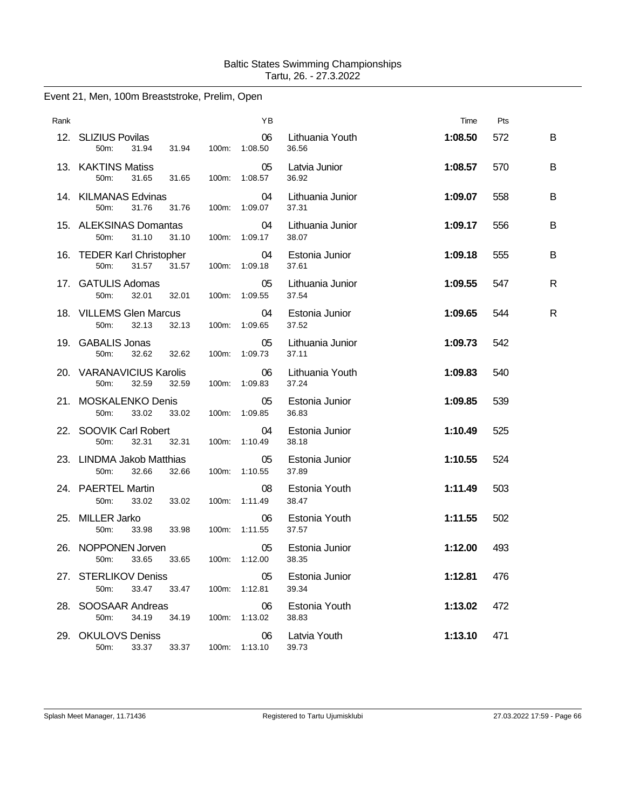# Event 21, Men, 100m Breaststroke, Prelim, Open

| Rank |                                                                |       | ΥB                  |                           | Time    | Pts |   |
|------|----------------------------------------------------------------|-------|---------------------|---------------------------|---------|-----|---|
|      | 12. SLIZIUS Povilas<br>50m:<br>31.94<br>31.94                  |       | 06<br>100m: 1:08.50 | Lithuania Youth<br>36.56  | 1:08.50 | 572 | B |
|      | 13. KAKTINS Matiss<br>50 <sub>m</sub> :<br>31.65<br>31.65      | 100m: | 05<br>1:08.57       | Latvia Junior<br>36.92    | 1:08.57 | 570 | B |
|      | 14. KILMANAS Edvinas<br>50m:<br>31.76<br>31.76                 |       | 04<br>100m: 1:09.07 | Lithuania Junior<br>37.31 | 1:09.07 | 558 | B |
|      | 15. ALEKSINAS Domantas<br>50m:<br>31.10<br>31.10               | 100m: | 04<br>1:09.17       | Lithuania Junior<br>38.07 | 1:09.17 | 556 | B |
|      | 16. TEDER Karl Christopher<br>50m:<br>31.57<br>31.57           |       | 04<br>100m: 1:09.18 | Estonia Junior<br>37.61   | 1:09.18 | 555 | B |
|      | 17. GATULIS Adomas<br>32.01<br>32.01<br>50m:                   | 100m: | 05<br>1:09.55       | Lithuania Junior<br>37.54 | 1:09.55 | 547 | R |
|      | 18. VILLEMS Glen Marcus<br>50 <sub>m</sub> :<br>32.13<br>32.13 | 100m: | 04<br>1:09.65       | Estonia Junior<br>37.52   | 1:09.65 | 544 | R |
|      | 19. GABALIS Jonas<br>32.62<br>50m:<br>32.62                    |       | 05<br>100m: 1:09.73 | Lithuania Junior<br>37.11 | 1:09.73 | 542 |   |
|      | 20. VARANAVICIUS Karolis<br>50m:<br>32.59<br>32.59             |       | 06<br>100m: 1:09.83 | Lithuania Youth<br>37.24  | 1:09.83 | 540 |   |
|      | 21. MOSKALENKO Denis<br>50 <sub>m</sub> :<br>33.02<br>33.02    |       | 05<br>100m: 1:09.85 | Estonia Junior<br>36.83   | 1:09.85 | 539 |   |
|      | 22. SOOVIK Carl Robert<br>50 <sub>m</sub> :<br>32.31<br>32.31  | 100m: | 04<br>1:10.49       | Estonia Junior<br>38.18   | 1:10.49 | 525 |   |
|      | 23. LINDMA Jakob Matthias<br>50m:<br>32.66<br>32.66            |       | 05<br>100m: 1:10.55 | Estonia Junior<br>37.89   | 1:10.55 | 524 |   |
|      | 24. PAERTEL Martin<br>50m:<br>33.02<br>33.02                   |       | 08<br>100m: 1:11.49 | Estonia Youth<br>38.47    | 1:11.49 | 503 |   |
|      | 25. MILLER Jarko<br>50m:<br>33.98<br>33.98                     | 100m: | 06<br>1:11.55       | Estonia Youth<br>37.57    | 1:11.55 | 502 |   |
|      | 26. NOPPONEN Jorven<br>50m:<br>33.65<br>33.65                  |       | 05<br>100m: 1:12.00 | Estonia Junior<br>38.35   | 1:12.00 | 493 |   |
|      | 27. STERLIKOV Deniss<br>50m:<br>33.47<br>33.47                 | 100m: | 05<br>1:12.81       | Estonia Junior<br>39.34   | 1:12.81 | 476 |   |
|      | 28. SOOSAAR Andreas<br>50m:<br>34.19<br>34.19                  |       | 06<br>100m: 1:13.02 | Estonia Youth<br>38.83    | 1:13.02 | 472 |   |
|      | 29. OKULOVS Deniss<br>50m:<br>33.37<br>33.37                   |       | 06<br>100m: 1:13.10 | Latvia Youth<br>39.73     | 1:13.10 | 471 |   |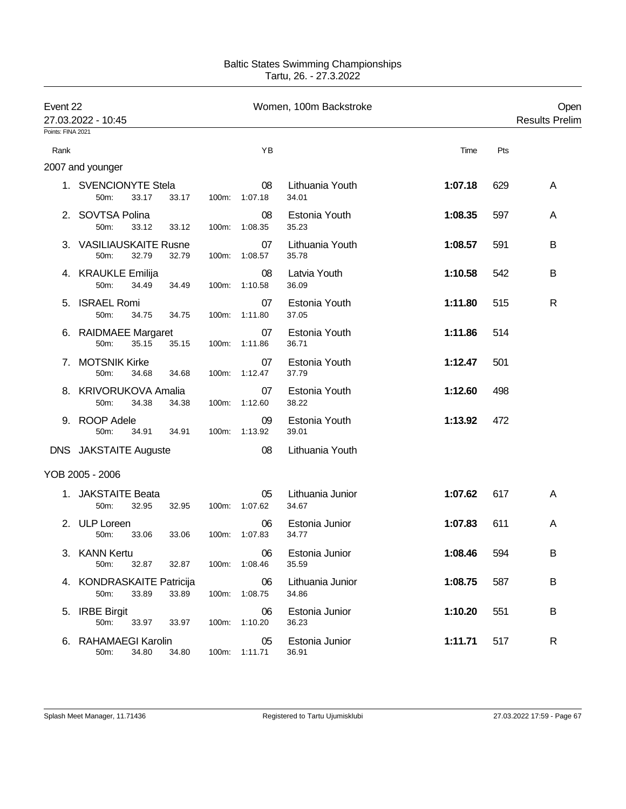| Event 22<br>27.03.2022 - 10:45 |                                            |       | Women, 100m Backstroke |                     |                           |         |     | Open<br><b>Results Prelim</b> |
|--------------------------------|--------------------------------------------|-------|------------------------|---------------------|---------------------------|---------|-----|-------------------------------|
| Points: FINA 2021              |                                            |       |                        |                     |                           |         |     |                               |
| Rank                           |                                            |       |                        | YB                  |                           | Time    | Pts |                               |
|                                | 2007 and younger                           |       |                        |                     |                           |         |     |                               |
|                                | 1. SVENCIONYTE Stela<br>50m:<br>33.17      | 33.17 | 100m:                  | 08<br>1:07.18       | Lithuania Youth<br>34.01  | 1:07.18 | 629 | A                             |
|                                | 2. SOVTSA Polina<br>50m:<br>33.12          | 33.12 |                        | 08<br>100m: 1:08.35 | Estonia Youth<br>35.23    | 1:08.35 | 597 | A                             |
|                                | 3. VASILIAUSKAITE Rusne<br>32.79<br>50m:   | 32.79 | 100m:                  | 07<br>1:08.57       | Lithuania Youth<br>35.78  | 1:08.57 | 591 | B                             |
|                                | 4. KRAUKLE Emilija<br>50m:<br>34.49        | 34.49 | 100m:                  | 08<br>1:10.58       | Latvia Youth<br>36.09     | 1:10.58 | 542 | B                             |
|                                | 5. ISRAEL Romi<br>50m:<br>34.75            | 34.75 | 100m:                  | 07<br>1:11.80       | Estonia Youth<br>37.05    | 1:11.80 | 515 | R                             |
|                                | 6. RAIDMAEE Margaret<br>50m:<br>35.15      | 35.15 | 100m:                  | 07<br>1:11.86       | Estonia Youth<br>36.71    | 1:11.86 | 514 |                               |
| 7.                             | <b>MOTSNIK Kirke</b><br>50m:<br>34.68      | 34.68 |                        | 07<br>100m: 1:12.47 | Estonia Youth<br>37.79    | 1:12.47 | 501 |                               |
|                                | 8. KRIVORUKOVA Amalia<br>50m:<br>34.38     | 34.38 |                        | 07<br>100m: 1:12.60 | Estonia Youth<br>38.22    | 1:12.60 | 498 |                               |
| 9.                             | <b>ROOP Adele</b><br>50m:<br>34.91         | 34.91 | 100m:                  | 09<br>1:13.92       | Estonia Youth<br>39.01    | 1:13.92 | 472 |                               |
|                                | DNS JAKSTAITE Auguste                      |       |                        | 08                  | Lithuania Youth           |         |     |                               |
|                                | YOB 2005 - 2006                            |       |                        |                     |                           |         |     |                               |
|                                | 1. JAKSTAITE Beata<br>50m:<br>32.95        | 32.95 | 100m:                  | 05<br>1:07.62       | Lithuania Junior<br>34.67 | 1:07.62 | 617 | A                             |
|                                | 2. ULP Loreen<br>50m:<br>33.06             | 33.06 | 100m:                  | 06<br>1:07.83       | Estonia Junior<br>34.77   | 1:07.83 | 611 | A                             |
|                                | 3. KANN Kertu<br>32.87<br>50m:             | 32.87 |                        | 06<br>100m: 1:08.46 | Estonia Junior<br>35.59   | 1:08.46 | 594 | В                             |
|                                | 4. KONDRASKAITE Patricija<br>33.89<br>50m: | 33.89 | 100m:                  | 06<br>1:08.75       | Lithuania Junior<br>34.86 | 1:08.75 | 587 | B                             |
| 5.                             | <b>IRBE Birgit</b><br>50m:<br>33.97        | 33.97 | 100m:                  | 06<br>1:10.20       | Estonia Junior<br>36.23   | 1:10.20 | 551 | B                             |
|                                | 6. RAHAMAEGI Karolin<br>34.80<br>50m:      | 34.80 |                        | 05<br>100m: 1:11.71 | Estonia Junior<br>36.91   | 1:11.71 | 517 | R                             |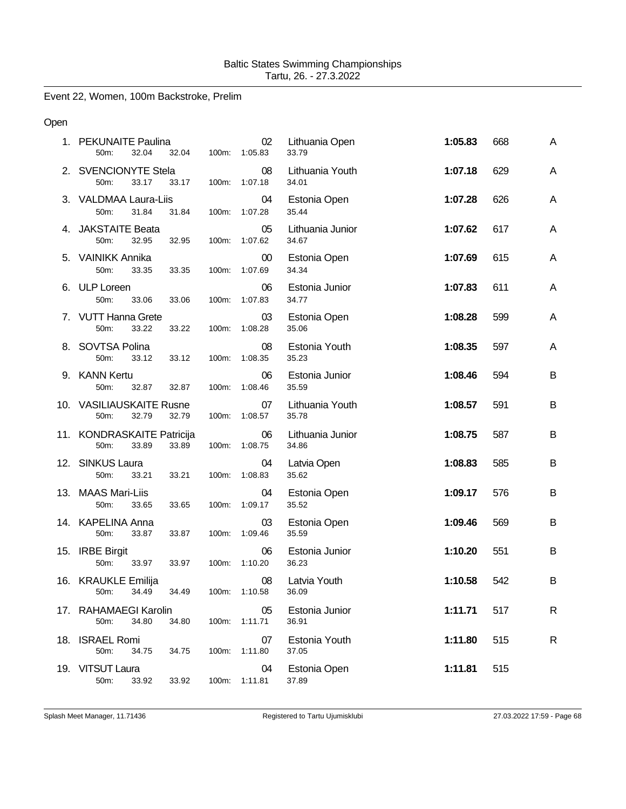Event 22, Women, 100m Backstroke, Prelim

# Open

| 1. PEKUNAITE Paulina<br>50m:<br>32.04<br>32.04       | 100m: | 02<br>1:05.83           | Lithuania Open<br>33.79   | 1:05.83 | 668 | A |
|------------------------------------------------------|-------|-------------------------|---------------------------|---------|-----|---|
| 2. SVENCIONYTE Stela<br>50m:<br>33.17<br>33.17       |       | 08<br>100m: 1:07.18     | Lithuania Youth<br>34.01  | 1:07.18 | 629 | A |
| 3. VALDMAA Laura-Liis<br>50m:<br>31.84<br>31.84      | 100m: | 04<br>1:07.28           | Estonia Open<br>35.44     | 1:07.28 | 626 | A |
| 4. JAKSTAITE Beata<br>50m:<br>32.95<br>32.95         | 100m: | 05<br>1:07.62           | Lithuania Junior<br>34.67 | 1:07.62 | 617 | A |
| 5. VAINIKK Annika<br>50m:<br>33.35<br>33.35          |       | $00\,$<br>100m: 1:07.69 | Estonia Open<br>34.34     | 1:07.69 | 615 | A |
| 6. ULP Loreen<br>50m:<br>33.06<br>33.06              | 100m: | 06<br>1:07.83           | Estonia Junior<br>34.77   | 1:07.83 | 611 | A |
| 7. VUTT Hanna Grete<br>50m:<br>33.22<br>33.22        | 100m: | 03<br>1:08.28           | Estonia Open<br>35.06     | 1:08.28 | 599 | A |
| 8. SOVTSA Polina<br>50m:<br>33.12<br>33.12           | 100m: | 08<br>1:08.35           | Estonia Youth<br>35.23    | 1:08.35 | 597 | A |
| 9. KANN Kertu<br>50m:<br>32.87<br>32.87              | 100m: | 06<br>1:08.46           | Estonia Junior<br>35.59   | 1:08.46 | 594 | B |
| 10. VASILIAUSKAITE Rusne<br>32.79<br>32.79<br>50m:   |       | 07<br>100m: 1:08.57     | Lithuania Youth<br>35.78  | 1:08.57 | 591 | B |
| 11. KONDRASKAITE Patricija<br>50m:<br>33.89<br>33.89 | 100m: | 06<br>1:08.75           | Lithuania Junior<br>34.86 | 1:08.75 | 587 | B |
| 12. SINKUS Laura<br>50m:<br>33.21<br>33.21           | 100m: | 04<br>1:08.83           | Latvia Open<br>35.62      | 1:08.83 | 585 | B |
| 13. MAAS Mari-Liis<br>33.65<br>50m:<br>33.65         | 100m: | 04<br>1:09.17           | Estonia Open<br>35.52     | 1:09.17 | 576 | B |
| 14. KAPELINA Anna<br>50m:<br>33.87<br>33.87          | 100m: | 03<br>1:09.46           | Estonia Open<br>35.59     | 1:09.46 | 569 | B |
| 15. IRBE Birgit<br>50m:<br>33.97<br>33.97            | 100m: | 06<br>1:10.20           | Estonia Junior<br>36.23   | 1:10.20 | 551 | B |
| 16. KRAUKLE Emilija<br>50m: 34.49<br>34.49           |       | 08<br>100m: 1:10.58     | Latvia Youth<br>36.09     | 1:10.58 | 542 | B |
| 17. RAHAMAEGI Karolin<br>50m:<br>34.80<br>34.80      | 100m: | 05<br>1:11.71           | Estonia Junior<br>36.91   | 1:11.71 | 517 | R |
| 18. ISRAEL Romi<br>50m:<br>34.75<br>34.75            | 100m: | 07<br>1:11.80           | Estonia Youth<br>37.05    | 1:11.80 | 515 | R |
| 19. VITSUT Laura<br>50m:<br>33.92<br>33.92           | 100m: | 04<br>1:11.81           | Estonia Open<br>37.89     | 1:11.81 | 515 |   |

Splash Meet Manager, 11.71436 **Registered to Tartu Ujumisklubi** 27.03.2022 17:59 - Page 68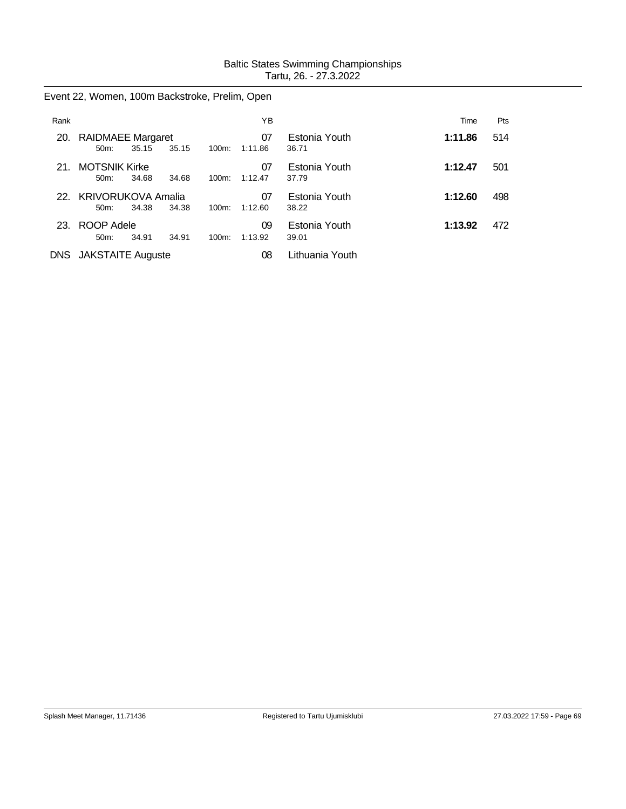Event 22, Women, 100m Backstroke, Prelim, Open

| Rank       |                                      |       |       |          | ΥB            |                        | Time    | Pts |
|------------|--------------------------------------|-------|-------|----------|---------------|------------------------|---------|-----|
| 20.        | <b>RAIDMAEE Margaret</b><br>$50m$ :  | 35.15 | 35.15 | 100m:    | 07<br>1:11.86 | Estonia Youth<br>36.71 | 1:11.86 | 514 |
| 21.        | <b>MOTSNIK Kirke</b><br>$50m$ :      | 34.68 | 34.68 | $100m$ : | 07<br>1:12.47 | Estonia Youth<br>37.79 | 1:12.47 | 501 |
| 22.        | <b>KRIVORUKOVA Amalia</b><br>$50m$ : | 34.38 | 34.38 | $100m$ : | 07<br>1:12.60 | Estonia Youth<br>38.22 | 1:12.60 | 498 |
|            | 23. ROOP Adele<br>$50m$ :            | 34.91 | 34.91 | $100m$ : | 09<br>1:13.92 | Estonia Youth<br>39.01 | 1:13.92 | 472 |
| <b>DNS</b> | <b>JAKSTAITE Auguste</b>             |       |       |          | 08            | Lithuania Youth        |         |     |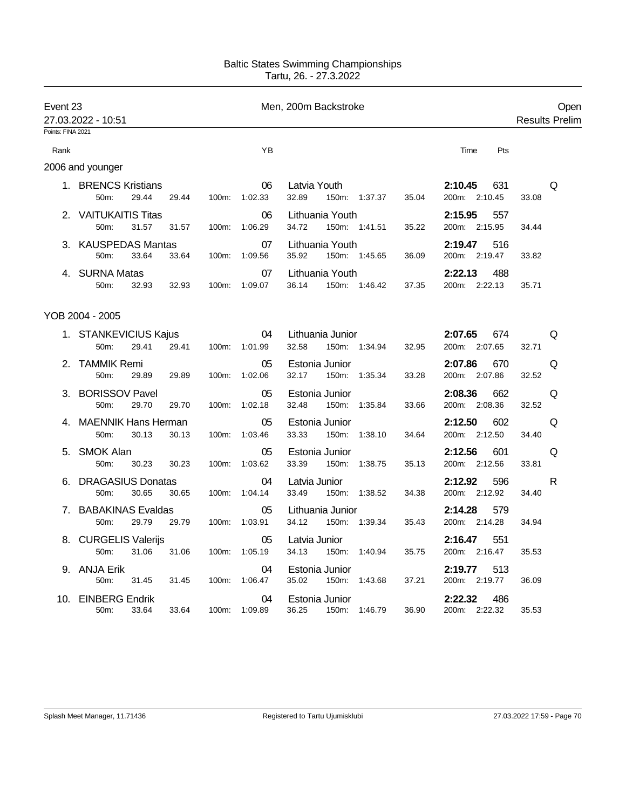| Event 23          | 27.03.2022 - 10:51                                   |          |               | Men, 200m Backstroke                                 |                                    | Open<br><b>Results Prelim</b> |
|-------------------|------------------------------------------------------|----------|---------------|------------------------------------------------------|------------------------------------|-------------------------------|
| Points: FINA 2021 |                                                      |          |               |                                                      |                                    |                               |
| Rank              |                                                      |          | YB            |                                                      | Pts<br>Time                        |                               |
|                   | 2006 and younger                                     |          |               |                                                      |                                    |                               |
|                   | 1. BRENCS Kristians<br>29.44<br>50m:<br>29.44        | 100m:    | 06<br>1:02.33 | Latvia Youth<br>32.89<br>150m: 1:37.37<br>35.04      | 2:10.45<br>631<br>200m: 2:10.45    | Q<br>33.08                    |
| 2.                | <b>VAITUKAITIS Titas</b><br>50m:<br>31.57<br>31.57   | 100m:    | 06<br>1:06.29 | Lithuania Youth<br>34.72<br>150m: 1:41.51<br>35.22   | 2:15.95<br>557<br>200m: 2:15.95    | 34.44                         |
| 3.                | <b>KAUSPEDAS Mantas</b><br>50m:<br>33.64<br>33.64    | 100m:    | 07<br>1:09.56 | Lithuania Youth<br>35.92<br>150m: 1:45.65<br>36.09   | 2:19.47<br>516<br>200m: 2:19.47    | 33.82                         |
|                   | 4. SURNA Matas<br>50m:<br>32.93<br>32.93             | 100m:    | 07<br>1:09.07 | Lithuania Youth<br>36.14<br>150m: 1:46.42<br>37.35   | 2:22.13<br>488<br>200m: 2:22.13    | 35.71                         |
|                   | YOB 2004 - 2005                                      |          |               |                                                      |                                    |                               |
|                   | 1. STANKEVICIUS Kajus<br>29.41<br>29.41<br>50m:      | 100m:    | 04<br>1:01.99 | Lithuania Junior<br>32.58<br>150m: 1:34.94<br>32.95  | 2:07.65<br>674<br>200m: 2:07.65    | Q<br>32.71                    |
|                   | 2. TAMMIK Remi<br>50m:<br>29.89<br>29.89             | 100m:    | 05<br>1:02.06 | Estonia Junior<br>32.17<br>150m:<br>1:35.34<br>33.28 | 2:07.86<br>670<br>200m: 2:07.86    | Q<br>32.52                    |
| 3.                | <b>BORISSOV Pavel</b><br>50m:<br>29.70<br>29.70      | 100m:    | 05<br>1:02.18 | Estonia Junior<br>32.48<br>1:35.84<br>150m:<br>33.66 | 2:08.36<br>662<br>200m: 2:08.36    | Q<br>32.52                    |
|                   | <b>MAENNIK Hans Herman</b><br>50m:<br>30.13<br>30.13 | 100m:    | 05<br>1:03.46 | Estonia Junior<br>33.33<br>150m:<br>1:38.10<br>34.64 | 2:12.50<br>602<br>200m: 2:12.50    | Q<br>34.40                    |
| 5.                | <b>SMOK Alan</b><br>50m:<br>30.23<br>30.23           | 100m:    | 05<br>1:03.62 | Estonia Junior<br>33.39<br>150m:<br>1:38.75<br>35.13 | 2:12.56<br>601<br>200m: 2:12.56    | Q<br>33.81                    |
| 6.                | <b>DRAGASIUS Donatas</b><br>30.65<br>50m:<br>30.65   | 100m:    | 04<br>1:04.14 | Latvia Junior<br>33.49<br>150m: 1:38.52<br>34.38     | 2:12.92<br>596<br>200m: 2:12.92    | R<br>34.40                    |
| 7.                | <b>BABAKINAS Evaldas</b><br>50m:<br>29.79<br>29.79   | $100m$ : | 05<br>1:03.91 | Lithuania Junior<br>34.12<br>150m: 1:39.34<br>35.43  | 2:14.28<br>579<br>200m: 2:14.28    | 34.94                         |
|                   | 8. CURGELIS Valerijs<br>50m:<br>31.06<br>31.06       | 100m:    | 05<br>1:05.19 | Latvia Junior<br>34.13<br>150m:<br>35.75<br>1:40.94  | 2:16.47<br>551<br>200m: 2:16.47    | 35.53                         |
|                   | 9. ANJA Erik<br>50m:<br>31.45<br>31.45               | 100m:    | 04<br>1:06.47 | Estonia Junior<br>35.02<br>150m:<br>1:43.68<br>37.21 | 2:19.77<br>513<br>200m: 2:19.77    | 36.09                         |
| 10.               | <b>EINBERG Endrik</b><br>33.64<br>33.64<br>50m:      | 100m:    | 04<br>1:09.89 | Estonia Junior<br>36.25<br>1:46.79<br>36.90<br>150m: | 2:22.32<br>486<br>200m:<br>2:22.32 | 35.53                         |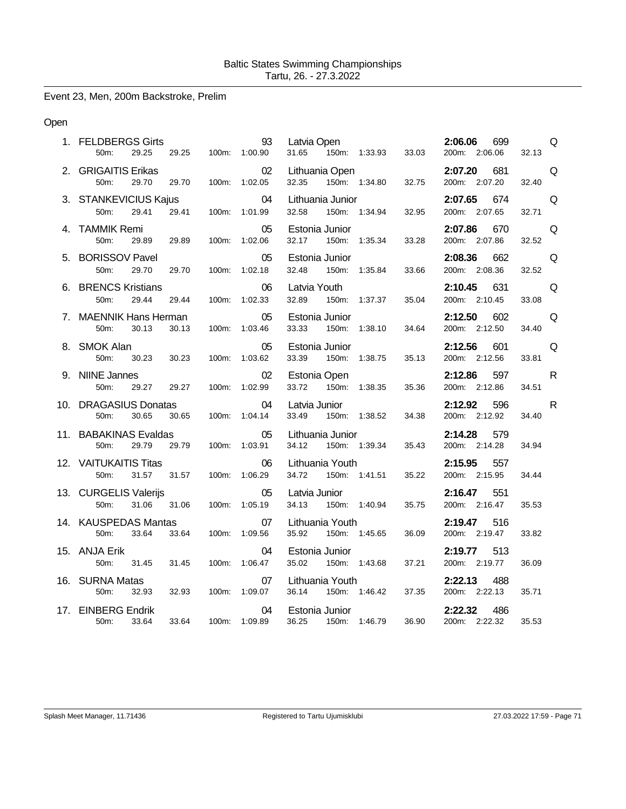Event 23, Men, 200m Backstroke, Prelim

# Open

| 1. FELDBERGS Girts<br>29.25<br>50m:              | 29.25               | 93<br>100m: 1:00.90 | Latvia Open<br>31.65                      | 150m: 1:33.93 | 33.03 | 2:06.06<br>699<br>200m: 2:06.06 | Q<br>32.13            |
|--------------------------------------------------|---------------------|---------------------|-------------------------------------------|---------------|-------|---------------------------------|-----------------------|
| 2. GRIGAITIS Erikas<br>50m:<br>29.70             | 29.70               | 02<br>100m: 1:02.05 | Lithuania Open<br>32.35                   | 150m: 1:34.80 | 32.75 | 2:07.20<br>681<br>200m: 2:07.20 | Q<br>32.40            |
| 3. STANKEVICIUS Kajus<br>50m:<br>29.41           | 29.41 100m: 1:01.99 | 04                  | Lithuania Junior<br>32.58                 | 150m: 1:34.94 | 32.95 | 2:07.65<br>674<br>200m: 2:07.65 | Q<br>32.71            |
| 4. TAMMIK Remi<br>50m:<br>29.89                  | 29.89               | 05<br>100m: 1:02.06 | Estonia Junior<br>32.17<br>150m: 1:35.34  |               | 33.28 | 2:07.86<br>670<br>200m: 2:07.86 | Q<br>32.52            |
| 5. BORISSOV Pavel<br>29.70<br>50m:               | 29.70<br>100m:      | 05<br>1:02.18       | Estonia Junior<br>32.48<br>150m:          | 1:35.84       | 33.66 | 2:08.36<br>662<br>200m: 2:08.36 | Q<br>32.52            |
| 6. BRENCS Kristians<br>50m:<br>29.44             | 29.44               | 06<br>100m: 1:02.33 | Latvia Youth<br>32.89<br>150m:            | 1:37.37       | 35.04 | 2:10.45<br>631<br>200m: 2:10.45 | Q<br>33.08            |
| 7. MAENNIK Hans Herman<br>50m:<br>30.13          | 30.13               | 05<br>100m: 1:03.46 | Estonia Junior<br>33.33                   | 150m: 1:38.10 | 34.64 | 2:12.50<br>602<br>200m: 2:12.50 | Q<br>34.40            |
| 8. SMOK Alan<br>30.23<br>50m:                    | 30.23               | 05<br>100m: 1:03.62 | Estonia Junior<br>33.39<br>150m: 1:38.75  |               | 35.13 | 2:12.56<br>601<br>200m: 2:12.56 | Q<br>33.81            |
| 9. NIINE Jannes<br>50m:<br>29.27                 | 29.27<br>100m:      | 02<br>1:02.99       | Estonia Open<br>33.72<br>150m:            | 1:38.35       | 35.36 | 2:12.86<br>597<br>200m: 2:12.86 | $\mathsf{R}$<br>34.51 |
| 10. DRAGASIUS Donatas<br>50m:<br>30.65           | 30.65               | 04<br>100m: 1:04.14 | Latvia Junior<br>33.49                    | 150m: 1:38.52 | 34.38 | 2:12.92<br>596<br>200m: 2:12.92 | $\mathsf{R}$<br>34.40 |
| 11. BABAKINAS Evaldas<br>50m:<br>29.79           | 29.79               | 05<br>100m: 1:03.91 | Lithuania Junior<br>34.12                 | 150m: 1:39.34 | 35.43 | 2:14.28<br>579<br>200m: 2:14.28 | 34.94                 |
| 12. VAITUKAITIS Titas<br>50m:<br>31.57<br>31.57  |                     | 06<br>100m: 1:06.29 | Lithuania Youth<br>150m: 1:41.51<br>34.72 |               | 35.22 | 2:15.95<br>557<br>200m: 2:15.95 | 34.44                 |
| 13. CURGELIS Valerijs<br>50m:<br>31.06           | 31.06               | 05<br>100m: 1:05.19 | Latvia Junior<br>34.13                    | 150m: 1:40.94 | 35.75 | 2:16.47<br>551<br>200m: 2:16.47 | 35.53                 |
| 14. KAUSPEDAS Mantas<br>50m:<br>33.64            | 33.64               | 07<br>100m: 1:09.56 | Lithuania Youth<br>35.92                  | 150m: 1:45.65 | 36.09 | 2:19.47<br>516<br>200m: 2:19.47 | 33.82                 |
| 15. ANJA Erik<br>50m:<br>31.45                   | 31.45               | 04<br>100m: 1:06.47 | Estonia Junior<br>35.02                   | 150m: 1:43.68 | 37.21 | 513<br>2:19.77<br>200m: 2:19.77 | 36.09                 |
| 16. SURNA Matas<br>50m:<br>32.93                 | 32.93               | 07<br>100m: 1:09.07 | Lithuania Youth<br>36.14 150m: 1:46.42    |               | 37.35 | 2:22.13<br>488<br>200m: 2:22.13 | 35.71                 |
| 17. EINBERG Endrik<br>50 <sub>m</sub> :<br>33.64 | 33.64               | 04<br>100m: 1:09.89 | Estonia Junior<br>36.25                   | 150m: 1:46.79 | 36.90 | 2:22.32<br>486<br>200m: 2:22.32 | 35.53                 |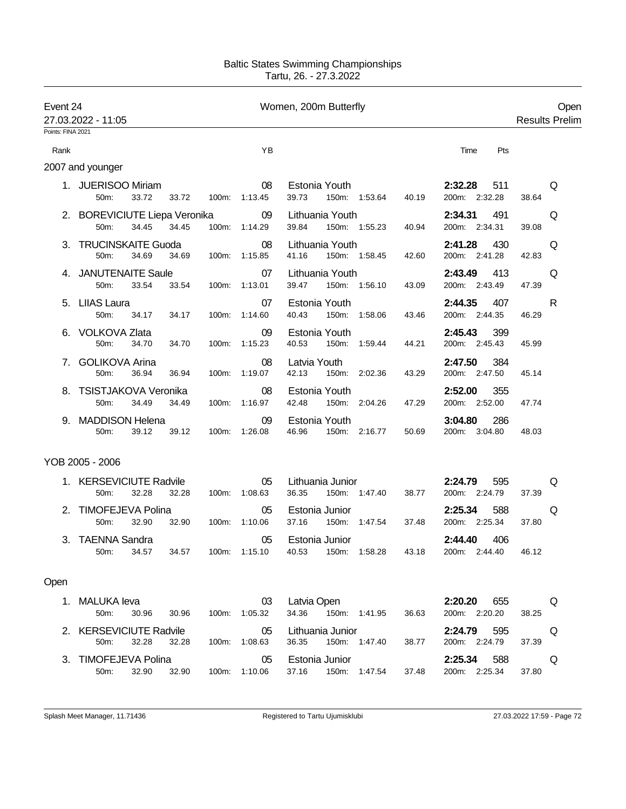| Event 24          | 27.03.2022 - 11:05                                 |                |                     | Women, 200m Butterfly                                                               |                                          | Open<br><b>Results Prelim</b> |  |
|-------------------|----------------------------------------------------|----------------|---------------------|-------------------------------------------------------------------------------------|------------------------------------------|-------------------------------|--|
| Points: FINA 2021 |                                                    |                |                     |                                                                                     |                                          |                               |  |
| Rank              |                                                    |                | YB                  |                                                                                     | Pts<br>Time                              |                               |  |
|                   | 2007 and younger                                   |                |                     |                                                                                     |                                          |                               |  |
|                   | 1. JUERISOO Miriam<br>33.72<br>50m:                | 33.72          | 08<br>100m: 1:13.45 | Estonia Youth<br>39.73<br>150m: 1:53.64<br>40.19                                    | 2:32.28<br>511<br>200m: 2:32.28          | Q<br>38.64                    |  |
|                   | 2. BOREVICIUTE Liepa Veronika<br>34.45<br>50m:     | 34.45          | 09<br>100m: 1:14.29 | Lithuania Youth<br>39.84<br>150m: 1:55.23<br>40.94                                  | 2:34.31<br>491<br>200m: 2:34.31          | Q<br>39.08                    |  |
|                   | 3. TRUCINSKAITE Guoda<br>34.69<br>50m:             | 34.69          | 08<br>100m: 1:15.85 | Lithuania Youth<br>41.16<br>150m: 1:58.45<br>42.60                                  | 2:41.28<br>430<br>200m: 2:41.28          | Q<br>42.83                    |  |
|                   | 4. JANUTENAITE Saule<br>50m:<br>33.54              | 33.54<br>100m: | 07<br>1:13.01       | Lithuania Youth<br>39.47<br>150m: 1:56.10<br>43.09                                  | 2:43.49<br>413<br>200m: 2:43.49          | Q<br>47.39                    |  |
|                   | 5. LIIAS Laura<br>50m:<br>34.17                    | 34.17          | 07<br>100m: 1:14.60 | Estonia Youth<br>40.43<br>150m: 1:58.06<br>43.46                                    | 2:44.35<br>407<br>200m: 2:44.35          | R<br>46.29                    |  |
|                   | 6. VOLKOVA Zlata<br>50m:<br>34.70                  | 34.70<br>100m: | 09<br>1:15.23       | Estonia Youth<br>40.53<br>150m: 1:59.44<br>44.21                                    | 2:45.43<br>399<br>200m: 2:45.43          | 45.99                         |  |
|                   | 7. GOLIKOVA Arina<br>50m:<br>36.94                 | 36.94          | 08<br>100m: 1:19.07 | Latvia Youth<br>42.13<br>150m: 2:02.36<br>43.29                                     | 2:47.50<br>384<br>200m: 2:47.50          | 45.14                         |  |
|                   | 8. TSISTJAKOVA Veronika<br>34.49<br>$50m$ :        | 34.49          | 08<br>100m: 1:16.97 | Estonia Youth<br>42.48<br>150m: 2:04.26<br>47.29                                    | 2:52.00<br>355<br>200m: 2:52.00          | 47.74                         |  |
|                   | 9. MADDISON Helena<br>50m:<br>39.12                | 39.12          | 09<br>100m: 1:26.08 | Estonia Youth<br>46.96<br>150m: 2:16.77<br>50.69                                    | 3:04.80<br>286<br>200m: 3:04.80          | 48.03                         |  |
|                   | YOB 2005 - 2006                                    |                |                     |                                                                                     |                                          |                               |  |
|                   | 1. KERSEVICIUTE Radvile<br>32.28<br>50m:           | 32.28          | 05<br>100m: 1:08.63 | Lithuania Junior<br>36.35<br>150m: 1:47.40<br>38.77                                 | 595<br>2:24.79<br>200m: 2:24.79          | Q<br>37.39                    |  |
|                   | 2. TIMOFEJEVA Polina<br>50 <sub>m</sub> :<br>32.90 | 32.90          | 05<br>100m: 1:10.06 | Estonia Junior<br>37.16<br>150m: 1:47.54<br>37.48                                   | 2:25.34<br>588<br>200m: 2:25.34          | Q<br>37.80                    |  |
|                   | 3. TAENNA Sandra<br>50m: 34.57                     | 34.57          | 05<br>100m: 1:15.10 | Estonia Junior<br>40.53 150m: 1:58.28                                               | 2:44.40<br>406<br>43.18<br>200m: 2:44.40 | 46.12                         |  |
| Open              |                                                    |                |                     |                                                                                     |                                          |                               |  |
|                   | 1. MALUKA leva<br>30.96<br>50m:                    | 30.96          | 03<br>100m: 1:05.32 | Latvia Open <b>Exercise Service Service Service</b><br>34.36 150m: 1:41.95<br>36.63 | <b>2:20.20</b> 655<br>200m: 2:20.20      | Q<br>38.25                    |  |
|                   | 2. KERSEVICIUTE Radvile<br>32.28<br>50m:           | 32.28          | 05<br>100m: 1:08.63 | Lithuania Junior <b>Exercise State</b><br>36.35 150m: 1:47.40                       | 2:24.79 595<br>200m: 2:24.79<br>38.77    | Q<br>37.39                    |  |
|                   | 3. TIMOFEJEVA Polina<br>50m:<br>32.90              | 32.90          | 05<br>100m: 1:10.06 | Estonia Junior<br>37.16<br>150m: 1:47.54<br>37.48                                   | 2:25.34 588<br>200m: 2:25.34             | Q<br>37.80                    |  |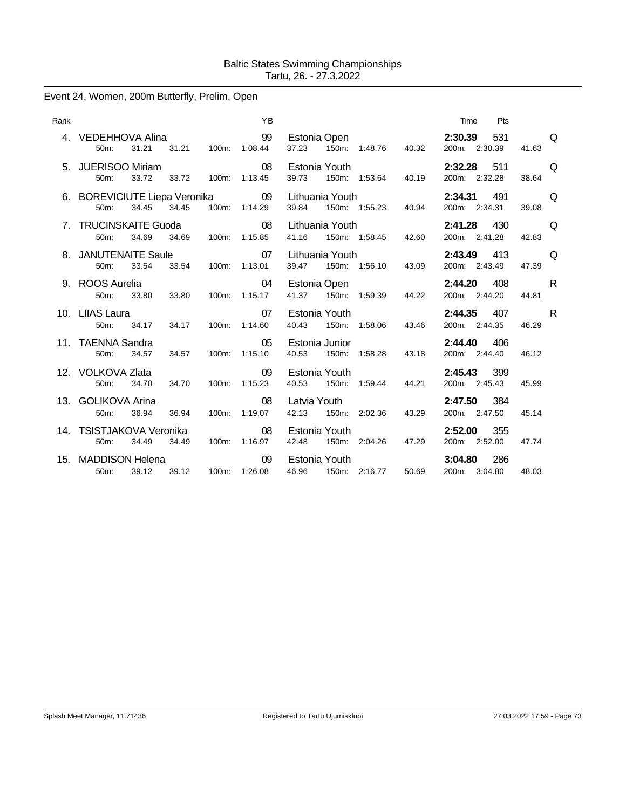# Event 24, Women, 200m Butterfly, Prelim, Open

| Rank |                                          |       |       | YB                  |                          |                     |       | Time                     | Pts |       |          |
|------|------------------------------------------|-------|-------|---------------------|--------------------------|---------------------|-------|--------------------------|-----|-------|----------|
|      | 4. VEDEHHOVA Alina<br>50m:               | 31.21 | 31.21 | 100m: 1:08.44       | Estonia Open<br>37.23    | 150m: 1:48.76       | 40.32 | 2:30.39<br>200m: 2:30.39 | 531 | 41.63 | $\Omega$ |
|      | 5. JUERISOO Miriam<br>50m:               | 33.72 | 33.72 | 08<br>100m: 1:13.45 | Estonia Youth<br>39.73   | 150m: 1:53.64       | 40.19 | 2:32.28<br>200m: 2:32.28 | 511 | 38.64 | $\Omega$ |
|      | 6. BOREVICIUTE Liepa Veronika<br>$50m$ : | 34.45 | 34.45 | 09<br>100m: 1:14.29 | Lithuania Youth<br>39.84 | 150m: 1:55.23       | 40.94 | 2:34.31<br>200m: 2:34.31 | 491 | 39.08 | $\Omega$ |
|      | 7. TRUCINSKAITE Guoda<br>50m:            | 34.69 | 34.69 | 08<br>100m: 1:15.85 | Lithuania Youth<br>41.16 | 150m: 1:58.45       | 42.60 | 2:41.28<br>200m: 2:41.28 | 430 | 42.83 | $\Omega$ |
|      | 8. JANUTENAITE Saule<br>50m:             | 33.54 | 33.54 | 07<br>100m: 1:13.01 | Lithuania Youth<br>39.47 | 150m: 1:56.10       | 43.09 | 2:43.49<br>200m: 2:43.49 | 413 | 47.39 | Q        |
|      | 9. ROOS Aurelia<br>50m:                  | 33.80 | 33.80 | 04<br>100m: 1:15.17 | Estonia Open             | 41.37 150m: 1:59.39 | 44.22 | 2:44.20<br>200m: 2:44.20 | 408 | 44.81 | R.       |
|      | 10. LIIAS Laura<br>50 <sub>m</sub> :     | 34.17 | 34.17 | 07<br>100m: 1:14.60 | Estonia Youth<br>40.43   | 150m: 1:58.06       | 43.46 | 2:44.35<br>200m: 2:44.35 | 407 | 46.29 | R.       |
|      | 11. TAENNA Sandra<br>50 <sub>m</sub> :   | 34.57 | 34.57 | 05<br>100m: 1:15.10 | Estonia Junior<br>40.53  | 150m: 1:58.28       | 43.18 | 2:44.40<br>200m: 2:44.40 | 406 | 46.12 |          |
|      | 12. VOLKOVA Zlata<br>50m:                | 34.70 | 34.70 | 09<br>100m: 1:15.23 | Estonia Youth<br>40.53   | 150m: 1:59.44       | 44.21 | 2:45.43<br>200m: 2:45.43 | 399 | 45.99 |          |
|      | 13. GOLIKOVA Arina<br>50m:               | 36.94 | 36.94 | 08<br>100m: 1:19.07 | Latvia Youth<br>42.13    | 150m: 2:02.36       | 43.29 | 2:47.50<br>200m: 2:47.50 | 384 | 45.14 |          |
|      | 14. TSISTJAKOVA Veronika<br>50m:         | 34.49 | 34.49 | 08<br>100m: 1:16.97 | Estonia Youth<br>42.48   | 150m: 2:04.26       | 47.29 | 2:52.00<br>200m: 2:52.00 | 355 | 47.74 |          |
|      | 15. MADDISON Helena<br>50 <sub>m</sub> : | 39.12 | 39.12 | 09<br>100m: 1:26.08 | Estonia Youth<br>46.96   | 150m: 2:16.77       | 50.69 | 3:04.80<br>200m: 3:04.80 | 286 | 48.03 |          |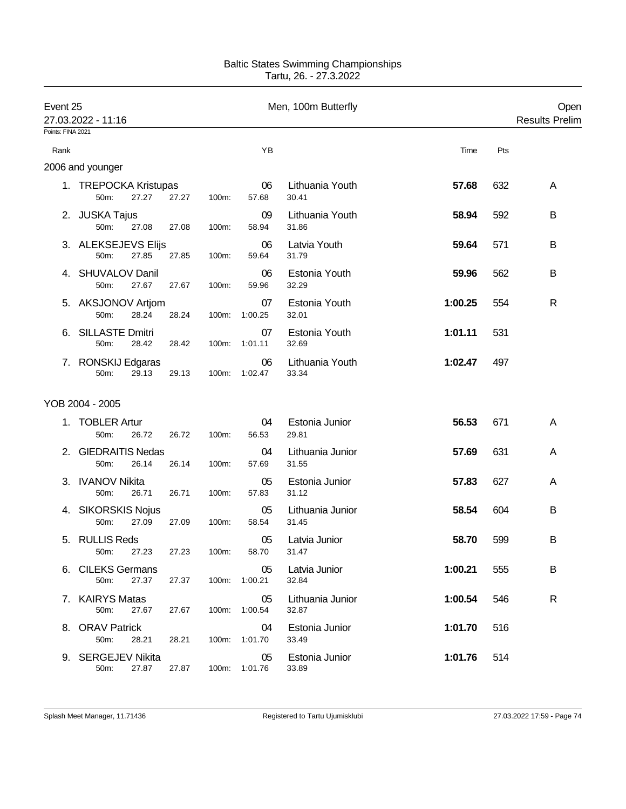| Event 25          | 27.03.2022 - 11:16               |       |       |       |                     | Men, 100m Butterfly       |         |     | Open<br><b>Results Prelim</b> |
|-------------------|----------------------------------|-------|-------|-------|---------------------|---------------------------|---------|-----|-------------------------------|
| Points: FINA 2021 |                                  |       |       |       |                     |                           |         |     |                               |
| Rank              |                                  |       |       |       | YB                  |                           | Time    | Pts |                               |
|                   | 2006 and younger                 |       |       |       |                     |                           |         |     |                               |
|                   | 1. TREPOCKA Kristupas<br>50m:    | 27.27 | 27.27 | 100m: | 06<br>57.68         | Lithuania Youth<br>30.41  | 57.68   | 632 | A                             |
|                   | 2. JUSKA Tajus<br>50m:           | 27.08 | 27.08 | 100m: | 09<br>58.94         | Lithuania Youth<br>31.86  | 58.94   | 592 | B                             |
|                   | 3. ALEKSEJEVS Elijs<br>50m:      | 27.85 | 27.85 | 100m: | 06<br>59.64         | Latvia Youth<br>31.79     | 59.64   | 571 | B                             |
|                   | 4. SHUVALOV Danil<br>50m:        | 27.67 | 27.67 | 100m: | 06<br>59.96         | Estonia Youth<br>32.29    | 59.96   | 562 | В                             |
|                   | 5. AKSJONOV Artjom<br>50m:       | 28.24 | 28.24 | 100m: | 07<br>1:00.25       | Estonia Youth<br>32.01    | 1:00.25 | 554 | R                             |
| 6.                | <b>SILLASTE Dmitri</b><br>50m:   | 28.42 | 28.42 | 100m: | 07<br>1:01.11       | Estonia Youth<br>32.69    | 1:01.11 | 531 |                               |
| $\mathcal{L}$ .   | RONSKIJ Edgaras<br>50m:          | 29.13 | 29.13 | 100m: | 06<br>1:02.47       | Lithuania Youth<br>33.34  | 1:02.47 | 497 |                               |
|                   | YOB 2004 - 2005                  |       |       |       |                     |                           |         |     |                               |
|                   | 1. TOBLER Artur<br>50m:          | 26.72 | 26.72 | 100m: | 04<br>56.53         | Estonia Junior<br>29.81   | 56.53   | 671 | A                             |
|                   | 2. GIEDRAITIS Nedas<br>50m:      | 26.14 | 26.14 | 100m: | 04<br>57.69         | Lithuania Junior<br>31.55 | 57.69   | 631 | A                             |
| З.                | <b>IVANOV Nikita</b><br>50m:     | 26.71 | 26.71 | 100m: | 05<br>57.83         | Estonia Junior<br>31.12   | 57.83   | 627 | A                             |
|                   | 4. SIKORSKIS Nojus<br>50m:       | 27.09 | 27.09 | 100m: | 05<br>58.54         | Lithuania Junior<br>31.45 | 58.54   | 604 | B                             |
| 5.                | <b>RULLIS Reds</b><br>50m: 27.23 |       | 27.23 | 100m: | 05<br>58.70         | Latvia Junior<br>31.47    | 58.70   | 599 | B                             |
|                   | 6. CILEKS Germans<br>50m:        | 27.37 | 27.37 |       | 05<br>100m: 1:00.21 | Latvia Junior<br>32.84    | 1:00.21 | 555 | B                             |
|                   | 7. KAIRYS Matas<br>50m:          | 27.67 | 27.67 |       | 05<br>100m: 1:00.54 | Lithuania Junior<br>32.87 | 1:00.54 | 546 | R                             |
|                   | 8. ORAV Patrick<br>50m:          | 28.21 | 28.21 | 100m: | 04<br>1:01.70       | Estonia Junior<br>33.49   | 1:01.70 | 516 |                               |
|                   | 9. SERGEJEV Nikita<br>50m:       | 27.87 | 27.87 | 100m: | 05<br>1:01.76       | Estonia Junior<br>33.89   | 1:01.76 | 514 |                               |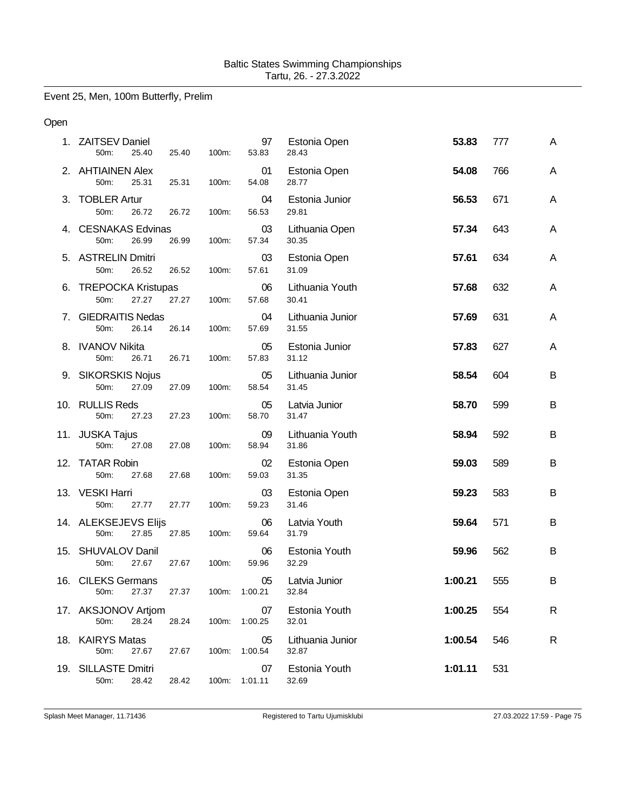Event 25, Men, 100m Butterfly, Prelim

### Open

|    | 1. ZAITSEV Daniel<br>50m:<br>25.40     | 25.40 | 100m: | 97<br>53.83         | Estonia Open<br>28.43     | 53.83   | 777 | A |
|----|----------------------------------------|-------|-------|---------------------|---------------------------|---------|-----|---|
|    | 2. AHTIAINEN Alex<br>50m:<br>25.31     | 25.31 | 100m: | 01<br>54.08         | Estonia Open<br>28.77     | 54.08   | 766 | A |
| 3. | <b>TOBLER Artur</b><br>50m:<br>26.72   | 26.72 | 100m: | 04<br>56.53         | Estonia Junior<br>29.81   | 56.53   | 671 | A |
|    | 4. CESNAKAS Edvinas<br>50m:<br>26.99   | 26.99 | 100m: | 03<br>57.34         | Lithuania Open<br>30.35   | 57.34   | 643 | A |
|    | 5. ASTRELIN Dmitri<br>50m:<br>26.52    | 26.52 | 100m: | 03<br>57.61         | Estonia Open<br>31.09     | 57.61   | 634 | A |
|    | 6. TREPOCKA Kristupas<br>27.27<br>50m: | 27.27 | 100m: | 06<br>57.68         | Lithuania Youth<br>30.41  | 57.68   | 632 | A |
|    | 7. GIEDRAITIS Nedas<br>50m:<br>26.14   | 26.14 | 100m: | 04<br>57.69         | Lithuania Junior<br>31.55 | 57.69   | 631 | A |
|    | 8. IVANOV Nikita<br>50m:<br>26.71      | 26.71 | 100m: | 05<br>57.83         | Estonia Junior<br>31.12   | 57.83   | 627 | A |
|    | 9. SIKORSKIS Nojus<br>50m:<br>27.09    | 27.09 | 100m: | 05<br>58.54         | Lithuania Junior<br>31.45 | 58.54   | 604 | B |
|    | 10. RULLIS Reds<br>50m:<br>27.23       | 27.23 | 100m: | 05<br>58.70         | Latvia Junior<br>31.47    | 58.70   | 599 | B |
|    | 11. JUSKA Tajus<br>50m:<br>27.08       | 27.08 | 100m: | 09<br>58.94         | Lithuania Youth<br>31.86  | 58.94   | 592 | B |
|    | 12. TATAR Robin<br>50m:<br>27.68       | 27.68 | 100m: | 02<br>59.03         | Estonia Open<br>31.35     | 59.03   | 589 | B |
|    | 13. VESKI Harri<br>50m:<br>27.77       | 27.77 | 100m: | 03<br>59.23         | Estonia Open<br>31.46     | 59.23   | 583 | B |
|    | 14. ALEKSEJEVS Elijs<br>27.85<br>50m:  | 27.85 | 100m: | 06<br>59.64         | Latvia Youth<br>31.79     | 59.64   | 571 | B |
|    | 15. SHUVALOV Danil<br>50m:<br>27.67    | 27.67 | 100m: | 06<br>59.96         | Estonia Youth<br>32.29    | 59.96   | 562 | B |
|    | 16. CILEKS Germans<br>50m: 27.37       | 27.37 |       | 05<br>100m: 1:00.21 | Latvia Junior<br>32.84    | 1:00.21 | 555 | В |
|    | 17. AKSJONOV Artjom<br>28.24<br>50m:   | 28.24 | 100m: | 07<br>1:00.25       | Estonia Youth<br>32.01    | 1:00.25 | 554 | R |
|    | 18. KAIRYS Matas<br>50m:<br>27.67      | 27.67 | 100m: | 05<br>1:00.54       | Lithuania Junior<br>32.87 | 1:00.54 | 546 | R |
|    | 19. SILLASTE Dmitri<br>50m:<br>28.42   | 28.42 | 100m: | 07<br>1:01.11       | Estonia Youth<br>32.69    | 1:01.11 | 531 |   |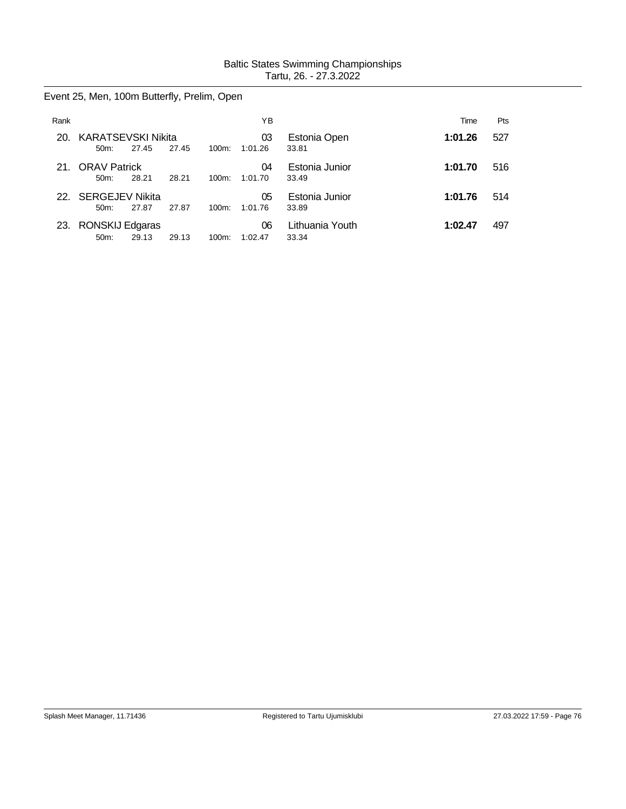Event 25, Men, 100m Butterfly, Prelim, Open

| Rank |                                      |       |       |          | ΥB            |                          | Time    | Pts |
|------|--------------------------------------|-------|-------|----------|---------------|--------------------------|---------|-----|
| 20.  | <b>KARATSEVSKI Nikita</b><br>$50m$ : | 27.45 | 27.45 | $100m$ : | 03<br>1:01.26 | Estonia Open<br>33.81    | 1:01.26 | 527 |
| 21.  | <b>ORAV Patrick</b><br>50m:          | 28.21 | 28.21 | $100m$ : | 04<br>1:01.70 | Estonia Junior<br>33.49  | 1:01.70 | 516 |
| 22.  | <b>SERGEJEV Nikita</b><br>$50m$ :    | 27.87 | 27.87 | $100m$ : | 05<br>1:01.76 | Estonia Junior<br>33.89  | 1:01.76 | 514 |
| 23.  | RONSKIJ Edgaras<br>50m:              | 29.13 | 29.13 | $100m$ : | 06<br>1:02.47 | Lithuania Youth<br>33.34 | 1:02.47 | 497 |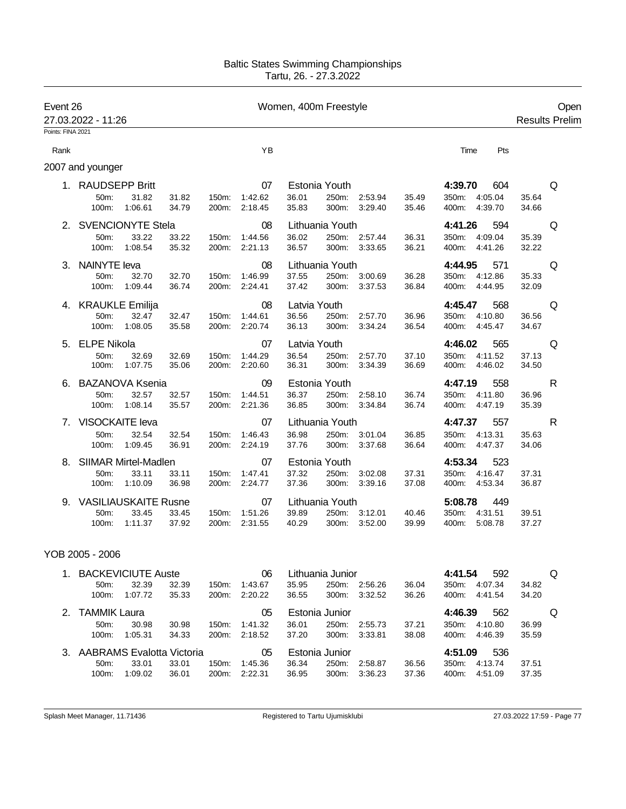| Event 26<br>27.03.2022 - 11:26 |                             |                  |                |                | Women, 400m Freestyle |                |                 |                                |                |                                      | Open<br><b>Results Prelim</b> |   |
|--------------------------------|-----------------------------|------------------|----------------|----------------|-----------------------|----------------|-----------------|--------------------------------|----------------|--------------------------------------|-------------------------------|---|
| Points: FINA 2021              |                             |                  |                |                |                       |                |                 |                                |                |                                      |                               |   |
| Rank                           |                             |                  |                |                | <b>YB</b>             |                |                 |                                |                | Pts<br>Time                          |                               |   |
|                                | 2007 and younger            |                  |                |                |                       |                |                 |                                |                |                                      |                               |   |
|                                | 1. RAUDSEPP Britt           |                  |                |                | 07                    |                | Estonia Youth   |                                |                | 4:39.70<br>604                       |                               | Q |
|                                | 50m:<br>100m:               | 31.82<br>1:06.61 | 31.82<br>34.79 | 150m:<br>200m: | 1:42.62<br>2:18.45    | 36.01<br>35.83 | 300m:           | 250m: 2:53.94<br>3:29.40       | 35.49<br>35.46 | 350m: 4:05.04<br>4:39.70<br>400m:    | 35.64<br>34.66                |   |
|                                | 2. SVENCIONYTE Stela        |                  |                |                | 08                    |                | Lithuania Youth |                                |                | 4:41.26<br>594                       |                               | Q |
|                                | 50m:<br>100m:               | 33.22<br>1:08.54 | 33.22<br>35.32 | 150m:<br>200m: | 1:44.56<br>2:21.13    | 36.02<br>36.57 |                 | 250m: 2:57.44<br>300m: 3:33.65 | 36.31<br>36.21 | 350m:<br>4:09.04<br>400m:<br>4:41.26 | 35.39<br>32.22                |   |
| 3.                             | <b>NAINYTE leva</b>         |                  |                |                | 08                    |                | Lithuania Youth |                                |                | 4:44.95<br>571                       |                               | Q |
|                                | 50m:<br>100m:               | 32.70<br>1:09.44 | 32.70<br>36.74 | 150m:<br>200m: | 1:46.99<br>2:24.41    | 37.55<br>37.42 | 300m:           | 250m: 3:00.69<br>3:37.53       | 36.28<br>36.84 | 350m:<br>4:12.86<br>400m:<br>4:44.95 | 35.33<br>32.09                |   |
|                                | 4. KRAUKLE Emilija          |                  |                |                | 08                    | Latvia Youth   |                 |                                |                | 4:45.47<br>568                       |                               | Q |
|                                | 50m:<br>100m:               | 32.47<br>1:08.05 | 32.47<br>35.58 | 150m:<br>200m: | 1:44.61<br>2:20.74    | 36.56<br>36.13 | 250m:<br>300m:  | 2:57.70<br>3:34.24             | 36.96<br>36.54 | 350m:<br>4:10.80<br>400m:<br>4:45.47 | 36.56<br>34.67                |   |
|                                | 5. ELPE Nikola              |                  |                |                | 07                    | Latvia Youth   |                 |                                |                | 4:46.02<br>565                       |                               | Q |
|                                | 50m:<br>100m:               | 32.69<br>1:07.75 | 32.69<br>35.06 | 150m:<br>200m: | 1:44.29<br>2:20.60    | 36.54<br>36.31 | 250m:<br>300m:  | 2:57.70<br>3:34.39             | 37.10<br>36.69 | 4:11.52<br>350m:<br>400m:<br>4:46.02 | 37.13<br>34.50                |   |
| 6.                             | <b>BAZANOVA Ksenia</b>      |                  |                |                | 09                    |                | Estonia Youth   |                                |                | 558<br>4:47.19                       |                               | R |
|                                | 50m:<br>100m:               | 32.57<br>1:08.14 | 32.57<br>35.57 | 150m:<br>200m: | 1:44.51<br>2:21.36    | 36.37<br>36.85 | 250m:<br>300m:  | 2:58.10<br>3:34.84             | 36.74<br>36.74 | 350m:<br>4:11.80<br>400m:<br>4:47.19 | 36.96<br>35.39                |   |
|                                | 7. VISOCKAITE leva          |                  |                |                | 07                    |                | Lithuania Youth |                                |                | 4:47.37<br>557                       |                               | R |
|                                | 50m:<br>100m:               | 32.54<br>1:09.45 | 32.54<br>36.91 | 150m:<br>200m: | 1:46.43<br>2:24.19    | 36.98<br>37.76 | 250m:<br>300m:  | 3:01.04<br>3:37.68             | 36.85<br>36.64 | 350m:<br>4:13.31<br>4:47.37<br>400m: | 35.63<br>34.06                |   |
| 8.                             | <b>SIIMAR Mirtel-Madlen</b> |                  |                |                | 07                    |                | Estonia Youth   |                                |                | 4:53.34<br>523                       |                               |   |
|                                | 50m:<br>100m:               | 33.11<br>1:10.09 | 33.11<br>36.98 | 150m:<br>200m: | 1:47.41<br>2:24.77    | 37.32<br>37.36 | 250m:<br>300m:  | 3:02.08<br>3:39.16             | 37.31<br>37.08 | 350m:<br>4:16.47<br>400m: 4:53.34    | 37.31<br>36.87                |   |
| 9.                             | <b>VASILIAUSKAITE Rusne</b> |                  |                |                | 07                    |                | Lithuania Youth |                                |                | 5:08.78<br>449                       |                               |   |
|                                | 50m:<br>100m:               | 33.45<br>1:11.37 | 33.45<br>37.92 | 150m:<br>200m: | 1:51.26<br>2:31.55    | 39.89<br>40.29 | 250m:<br>300m:  | 3:12.01<br>3:52.00             | 40.46<br>39.99 | 350m:<br>4:31.51<br>5:08.78<br>400m: | 39.51<br>37.27                |   |

## YOB 2005 - 2006

| $1_{-}$       | BACKEVICIUTE Auste           |         |       |          | 06      |       | Lithuania Junior |         |       | 4:41.54  | 592     |       | O |
|---------------|------------------------------|---------|-------|----------|---------|-------|------------------|---------|-------|----------|---------|-------|---|
|               | 50m:                         | 32.39   | 32.39 | 150m:    | 1:43.67 | 35.95 | 250m:            | 2:56.26 | 36.04 | 350m:    | 4:07.34 | 34.82 |   |
|               | $100m$ :                     | 1:07.72 | 35.33 | $200m$ : | 2:20.22 | 36.55 | $300m$ :         | 3:32.52 | 36.26 | 400m:    | 4:41.54 | 34.20 |   |
| $\mathcal{P}$ | TAMMIK Laura                 |         |       |          | 05      |       | Estonia Junior   |         |       | 4:46.39  | 562     |       | O |
|               | $50m$ :                      | 30.98   | 30.98 | $150m$ : | 1:41.32 | 36.01 | 250m:            | 2:55.73 | 37.21 | $350m$ : | 4:10.80 | 36.99 |   |
|               | $100m$ :                     | 1:05.31 | 34.33 | 200m:    | 2:18.52 | 37.20 | $300m$ :         | 3:33.81 | 38.08 | 400m:    | 4:46.39 | 35.59 |   |
|               | 3. AABRAMS Evalotta Victoria |         |       |          | 05      |       | Estonia Junior   |         |       | 4:51.09  | 536     |       |   |
|               | $50m$ :                      | 33.01   | 33.01 | 150m:    | 1:45.36 | 36.34 | 250m:            | 2:58.87 | 36.56 | 350m:    | 4:13.74 | 37.51 |   |
|               | 100m:                        | 1:09.02 | 36.01 | 200m:    | 2:22.31 | 36.95 | 300m:            | 3:36.23 | 37.36 | 400m:    | 4:51.09 | 37.35 |   |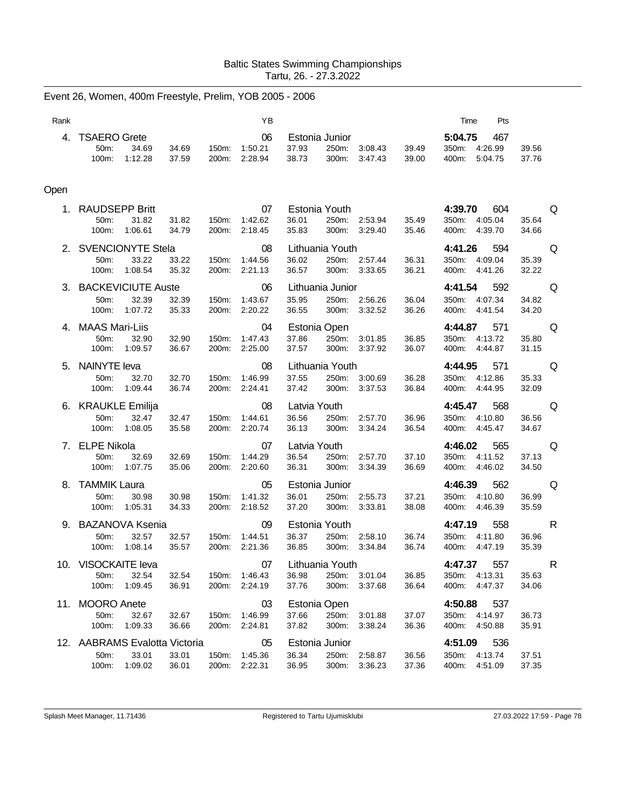|      | Event 26, Women, 400m Freestyle, Prelim, YOB 2005 - 2006           |                                  |                          |                                                              |                                      |                                                        |                                                                                                                                 |
|------|--------------------------------------------------------------------|----------------------------------|--------------------------|--------------------------------------------------------------|--------------------------------------|--------------------------------------------------------|---------------------------------------------------------------------------------------------------------------------------------|
| Rank |                                                                    |                                  | YB                       |                                                              |                                      | Time<br>Pts                                            |                                                                                                                                 |
| 4.   | <b>TSAERO Grete</b><br>34.69<br>50m:<br>100m:<br>1:12.28           | 34.69<br>150m:<br>37.59<br>200m: | 06<br>1:50.21<br>2:28.94 | Estonia Junior<br>37.93<br>250m:<br>38.73<br>300m:           | 3:08.43<br>39.49<br>3:47.43<br>39.00 | 5:04.75<br>467<br>350m:<br>4:26.99<br>400m:<br>5:04.75 | 39.56<br>37.76                                                                                                                  |
| Open |                                                                    |                                  |                          |                                                              |                                      |                                                        |                                                                                                                                 |
|      | 1. RAUDSEPP Britt<br>50m:<br>31.82<br>1:06.61<br>100m:             | 31.82<br>150m:<br>200m:<br>34.79 | 07<br>1:42.62<br>2:18.45 | Estonia Youth<br>36.01<br>250m:<br>35.83<br>300m:            | 2:53.94<br>35.49<br>3:29.40<br>35.46 | 4:39.70<br>604<br>350m:<br>4:05.04<br>4:39.70<br>400m: | Q<br>35.64<br>34.66                                                                                                             |
|      | 2. SVENCIONYTE Stela<br>33.22<br>50m:<br>1:08.54<br>100m:          | 33.22<br>150m:<br>35.32<br>200m: | 08<br>1:44.56<br>2:21.13 | Lithuania Youth<br>36.02<br>250m:<br>36.57<br>300m:          | 2:57.44<br>36.31<br>3:33.65<br>36.21 | 4:41.26<br>594<br>350m:<br>4:09.04<br>400m:<br>4:41.26 | Q<br>35.39<br>32.22                                                                                                             |
|      | 3. BACKEVICIUTE Auste<br>32.39<br>50m:<br>100m:<br>1:07.72         | 32.39<br>150m:<br>35.33<br>200m: | 06<br>1:43.67<br>2:20.22 | Lithuania Junior<br>35.95<br>250m: 2:56.26<br>36.55<br>300m: | 36.04<br>3:32.52<br>36.26            | 4:41.54<br>592<br>350m:<br>4:07.34<br>400m:<br>4:41.54 | Q<br>34.82<br>34.20                                                                                                             |
|      | 4. MAAS Mari-Liis<br>50m:<br>32.90<br>100m:<br>1:09.57             | 32.90<br>150m:<br>36.67<br>200m: | 04<br>1:47.43<br>2:25.00 | Estonia Open<br>37.86<br>250m:<br>37.57<br>300m:             | 3:01.85<br>36.85<br>3:37.92<br>36.07 | 4:44.87<br>571<br>350m: 4:13.72<br>400m:<br>4:44.87    | Q<br>35.80<br>31.15                                                                                                             |
|      | 5. NAINYTE leva<br>50m:<br>32.70<br>1:09.44<br>100m:               | 32.70<br>150m:<br>36.74<br>200m: | 08<br>1:46.99<br>2:24.41 | Lithuania Youth<br>37.55<br>250m:<br>37.42<br>300m:          | 36.28<br>3:00.69<br>3:37.53<br>36.84 | 4:44.95<br>571<br>350m:<br>4:12.86<br>400m:<br>4:44.95 | Q<br>35.33<br>32.09                                                                                                             |
|      | 6. KRAUKLE Emilija<br>50m:<br>32.47<br>100m:<br>1:08.05            | 32.47<br>150m:<br>35.58<br>200m: | 08<br>1:44.61<br>2:20.74 | Latvia Youth<br>36.56<br>250m:<br>36.13<br>300m:             | 2:57.70<br>36.96<br>3:34.24<br>36.54 | 4:45.47<br>568<br>350m:<br>4:10.80<br>400m:<br>4:45.47 | Q<br>36.56<br>34.67                                                                                                             |
| 7.   | <b>ELPE Nikola</b><br>50m:<br>32.69<br>100m:<br>1:07.75            | 32.69<br>150m:<br>35.06<br>200m: | 07<br>1:44.29<br>2:20.60 | Latvia Youth<br>36.54<br>250m:<br>36.31<br>300m:             | 2:57.70<br>37.10<br>3:34.39<br>36.69 | 4:46.02<br>565<br>4:11.52<br>350m:<br>400m: 4:46.02    | Q<br>37.13<br>34.50                                                                                                             |
| 8.   | <b>TAMMIK Laura</b><br>50m:<br>30.98<br>100m:<br>1:05.31           | 30.98<br>150m:<br>34.33<br>200m: | 05<br>1:41.32<br>2:18.52 | Estonia Junior<br>36.01<br>250m:<br>37.20<br>300m:           | 37.21<br>2:55.73<br>3:33.81<br>38.08 | 4:46.39<br>562<br>350m:<br>4:10.80<br>400m:<br>4:46.39 | Q<br>36.99<br>35.59                                                                                                             |
|      | 9. BAZANOVA Ksenia<br>50m:<br>32.57<br>100m: 1:08.14               | 32.57<br>150m:<br>35.57<br>200m: | 09<br>1:44.51<br>2:21.36 | Estonia Youth<br>36.37<br>250m:<br>36.85<br>300m: 3:34.84    | 36.74<br>2:58.10<br>36.74            | 4:47.19<br>558<br>350m: 4:11.80<br>400m: 4:47.19       | R<br>36.96<br>35.39                                                                                                             |
|      | 10. VISOCKAITE leva<br>32.54<br>50m:<br>1:09.45<br>100m:           | 32.54<br>150m:<br>36.91<br>200m: | 07<br>1:46.43<br>2:24.19 | Lithuania Youth<br>36.98<br>250m: 3:01.04<br>37.76<br>300m:  | 36.85<br>3:37.68<br>36.64            | 4:47.37<br>557<br>350m:<br>4:13.31<br>4:47.37<br>400m: | e Roman Roman Roman Roman Roman Roman Roman Roman Roman Roman Roman Roman Roman Roman Roman Roman Roman Roman<br>35.63<br>34.06 |
|      | 11. MOORO Anete<br>50m:<br>32.67<br>100m:<br>1:09.33               | 32.67<br>150m:<br>36.66<br>200m: | 03<br>1:46.99<br>2:24.81 | Estonia Open<br>37.66<br>250m:<br>37.82<br>300m:             | 3:01.88<br>37.07<br>3:38.24<br>36.36 | 4:50.88 537<br>350m: 4:14.97<br>400m: 4:50.88          | 36.73<br>35.91                                                                                                                  |
|      | 12. AABRAMS Evalotta Victoria<br>50m:<br>33.01<br>1:09.02<br>100m: | 33.01<br>150m:<br>36.01<br>200m: | 05<br>1:45.36<br>2:22.31 | Estonia Junior<br>36.34<br>250m:<br>36.95<br>300m:           | 2:58.87<br>36.56<br>37.36<br>3:36.23 | 536<br>4:51.09<br>350m: 4:13.74<br>400m: 4:51.09       | 37.51<br>37.35                                                                                                                  |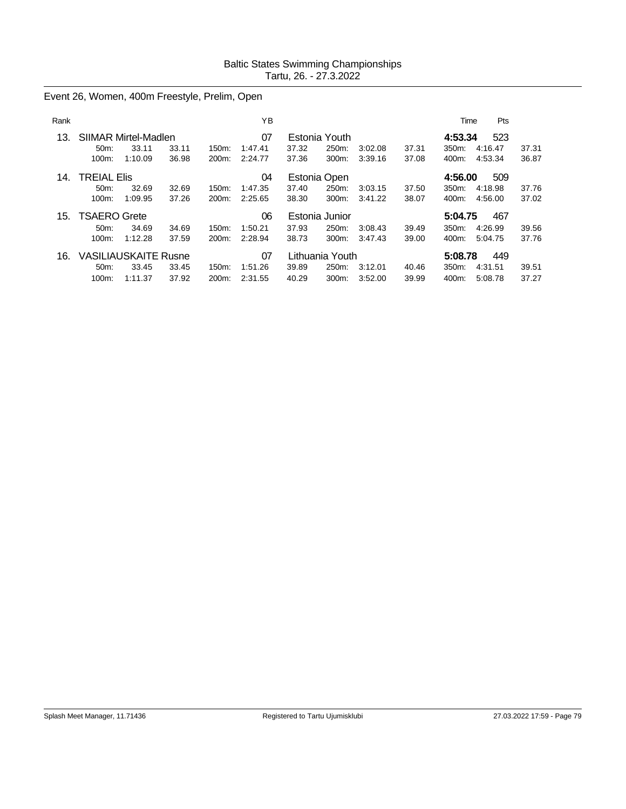Event 26, Women, 400m Freestyle, Prelim, Open

| Rank |                             |         |       |          | ΥB      |       |                 |         |       | Time    | Pts     |       |
|------|-----------------------------|---------|-------|----------|---------|-------|-----------------|---------|-------|---------|---------|-------|
| 13.  | SIIMAR Mirtel-Madlen        |         |       |          | 07      |       | Estonia Youth   |         |       | 4:53.34 | 523     |       |
|      | 50 <sub>m</sub> :           | 33.11   | 33.11 | $150m$ : | 1:47.41 | 37.32 | 250m:           | 3:02.08 | 37.31 | 350m:   | 4:16.47 | 37.31 |
|      | 100m:                       | 1:10.09 | 36.98 | 200m:    | 2:24.77 | 37.36 | 300m:           | 3:39.16 | 37.08 | 400m:   | 4:53.34 | 36.87 |
| 14.  | <b>TREIAL Elis</b>          |         |       |          | 04      |       | Estonia Open    |         |       | 4:56.00 | 509     |       |
|      | $50m$ :                     | 32.69   | 32.69 | $150m$ : | 1:47.35 | 37.40 | 250m:           | 3:03.15 | 37.50 | 350m:   | 4:18.98 | 37.76 |
|      | $100m$ :                    | 1:09.95 | 37.26 | $200m$ : | 2:25.65 | 38.30 | 300m:           | 3:41.22 | 38.07 | 400m:   | 4:56.00 | 37.02 |
| 15.  | <b>TSAERO Grete</b>         |         |       |          | 06      |       | Estonia Junior  |         |       | 5:04.75 | 467     |       |
|      | $50m$ :                     | 34.69   | 34.69 | $150m$ : | 1:50.21 | 37.93 | 250m:           | 3:08.43 | 39.49 | 350m:   | 4:26.99 | 39.56 |
|      | 100m:                       | 1:12.28 | 37.59 | 200m:    | 2:28.94 | 38.73 | 300m:           | 3:47.43 | 39.00 | 400m:   | 5:04.75 | 37.76 |
| 16.  | <b>VASILIAUSKAITE Rusne</b> |         |       |          | 07      |       | Lithuania Youth |         |       | 5:08.78 | 449     |       |
|      | 50 <sub>m</sub> :           | 33.45   | 33.45 | $150m$ : | 1:51.26 | 39.89 | 250m:           | 3:12.01 | 40.46 | 350m:   | 4:31.51 | 39.51 |
|      | 100m:                       | 1:11.37 | 37.92 | 200m:    | 2:31.55 | 40.29 | 300m:           | 3:52.00 | 39.99 | 400m:   | 5:08.78 | 37.27 |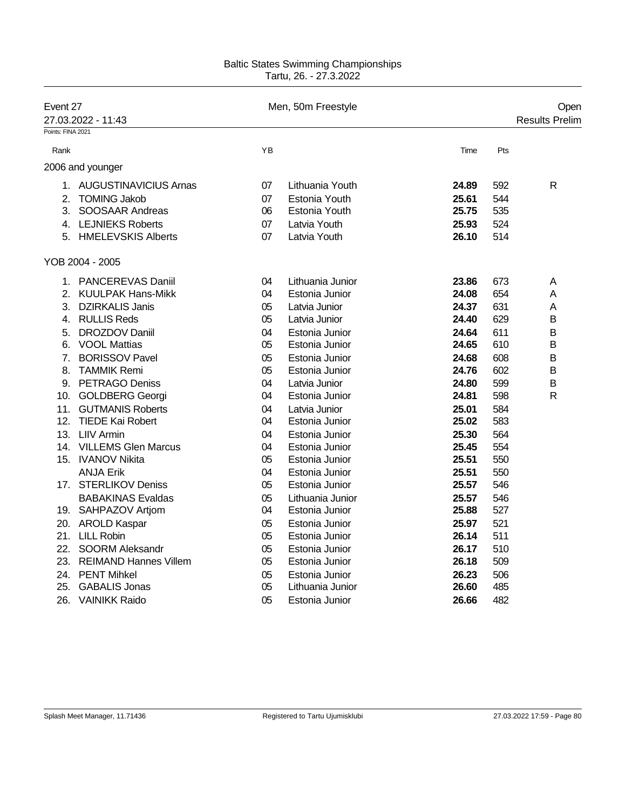| Event 27          | 27.03.2022 - 11:43        |    | Men, 50m Freestyle |       | Open<br><b>Results Prelim</b> |
|-------------------|---------------------------|----|--------------------|-------|-------------------------------|
| Points: FINA 2021 |                           |    |                    |       |                               |
| Rank              |                           | YB |                    | Time  | Pts                           |
|                   | 2006 and younger          |    |                    |       |                               |
|                   | 1. AUGUSTINAVICIUS Arnas  | 07 | Lithuania Youth    | 24.89 | $\mathsf{R}$<br>592           |
| 2.                | <b>TOMING Jakob</b>       | 07 | Estonia Youth      | 25.61 | 544                           |
| 3.                | SOOSAAR Andreas           | 06 | Estonia Youth      | 25.75 | 535                           |
|                   | 4. LEJNIEKS Roberts       | 07 | Latvia Youth       | 25.93 | 524                           |
|                   | 5. HMELEVSKIS Alberts     | 07 | Latvia Youth       | 26.10 | 514                           |
|                   | YOB 2004 - 2005           |    |                    |       |                               |
|                   | 1. PANCEREVAS Daniil      | 04 | Lithuania Junior   | 23.86 | 673<br>A                      |
| 2.                | <b>KUULPAK Hans-Mikk</b>  | 04 | Estonia Junior     | 24.08 | 654<br>A                      |
| 3.                | <b>DZIRKALIS Janis</b>    | 05 | Latvia Junior      | 24.37 | 631<br>A                      |
|                   | 4. RULLIS Reds            | 05 | Latvia Junior      | 24.40 | 629<br>в                      |
| 5.                | <b>DROZDOV Daniil</b>     | 04 | Estonia Junior     | 24.64 | 611<br>B                      |
|                   | 6. VOOL Mattias           | 05 | Estonia Junior     | 24.65 | 610<br>B                      |
| 7.                | <b>BORISSOV Pavel</b>     | 05 | Estonia Junior     | 24.68 | 608<br>B                      |
| 8.                | <b>TAMMIK Remi</b>        | 05 | Estonia Junior     | 24.76 | 602<br>Β                      |
|                   | 9. PETRAGO Deniss         | 04 | Latvia Junior      | 24.80 | 599<br>B                      |
|                   | 10. GOLDBERG Georgi       | 04 | Estonia Junior     | 24.81 | $\mathsf{R}$<br>598           |
| 11.               | <b>GUTMANIS Roberts</b>   | 04 | Latvia Junior      | 25.01 | 584                           |
|                   | 12. TIEDE Kai Robert      | 04 | Estonia Junior     | 25.02 | 583                           |
|                   | 13. LIIV Armin            | 04 | Estonia Junior     | 25.30 | 564                           |
|                   | 14. VILLEMS Glen Marcus   | 04 | Estonia Junior     | 25.45 | 554                           |
|                   | 15. IVANOV Nikita         | 05 | Estonia Junior     | 25.51 | 550                           |
|                   | <b>ANJA Erik</b>          | 04 | Estonia Junior     | 25.51 | 550                           |
|                   | 17. STERLIKOV Deniss      | 05 | Estonia Junior     | 25.57 | 546                           |
|                   | <b>BABAKINAS Evaldas</b>  | 05 | Lithuania Junior   | 25.57 | 546                           |
|                   | 19. SAHPAZOV Artjom       | 04 | Estonia Junior     | 25.88 | 527                           |
|                   | 20. AROLD Kaspar          | 05 | Estonia Junior     | 25.97 | 521                           |
|                   | 21. LILL Robin            | 05 | Estonia Junior     | 26.14 | 511                           |
|                   | 22. SOORM Aleksandr       | 05 | Estonia Junior     | 26.17 | 510                           |
|                   | 23. REIMAND Hannes Villem | 05 | Estonia Junior     | 26.18 | 509                           |
|                   | 24. PENT Mihkel           | 05 | Estonia Junior     | 26.23 | 506                           |
| 25.               | <b>GABALIS Jonas</b>      | 05 | Lithuania Junior   | 26.60 | 485                           |
| 26.               | <b>VAINIKK Raido</b>      | 05 | Estonia Junior     | 26.66 | 482                           |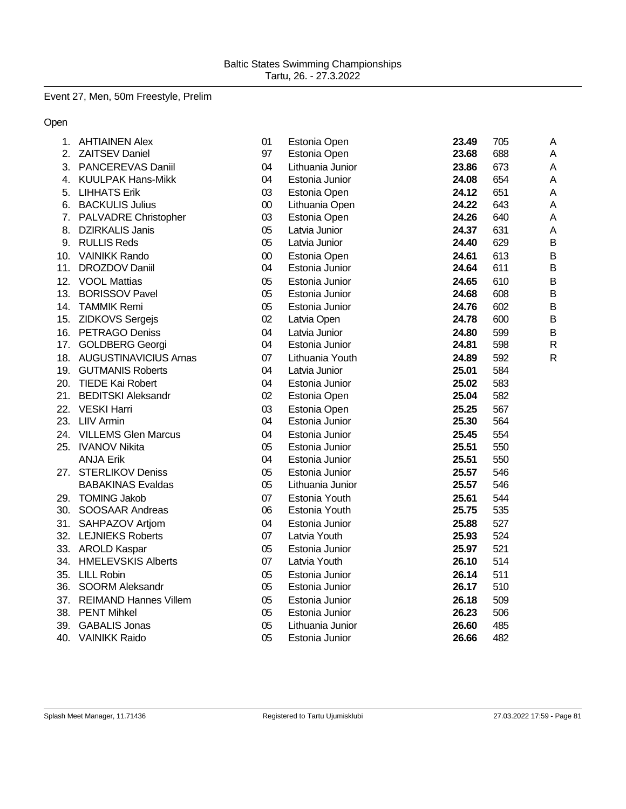# Event 27, Men, 50m Freestyle, Prelim

Open

| 1.  | <b>AHTIAINEN Alex</b>      | 01     | Estonia Open     | 23.49 | 705 | A              |
|-----|----------------------------|--------|------------------|-------|-----|----------------|
| 2.  | <b>ZAITSEV Daniel</b>      | 97     | Estonia Open     | 23.68 | 688 | A              |
| 3.  | PANCEREVAS Daniil          | 04     | Lithuania Junior | 23.86 | 673 | A              |
| 4.  | <b>KUULPAK Hans-Mikk</b>   | 04     | Estonia Junior   | 24.08 | 654 | A              |
| 5.  | <b>LIHHATS Erik</b>        | 03     | Estonia Open     | 24.12 | 651 | A              |
| 6.  | <b>BACKULIS Julius</b>     | $00\,$ | Lithuania Open   | 24.22 | 643 | A              |
|     | 7. PALVADRE Christopher    | 03     | Estonia Open     | 24.26 | 640 | A              |
| 8.  | <b>DZIRKALIS Janis</b>     | 05     | Latvia Junior    | 24.37 | 631 | A              |
|     | 9. RULLIS Reds             | 05     | Latvia Junior    | 24.40 | 629 | B              |
| 10. | <b>VAINIKK Rando</b>       | 00     | Estonia Open     | 24.61 | 613 | B              |
|     | 11. DROZDOV Daniil         | 04     | Estonia Junior   | 24.64 | 611 | B              |
| 12. | <b>VOOL Mattias</b>        | 05     | Estonia Junior   | 24.65 | 610 | B              |
| 13. | <b>BORISSOV Pavel</b>      | 05     | Estonia Junior   | 24.68 | 608 | B              |
| 14. | <b>TAMMIK Remi</b>         | 05     | Estonia Junior   | 24.76 | 602 | $\mathsf B$    |
| 15. | <b>ZIDKOVS Sergejs</b>     | 02     | Latvia Open      | 24.78 | 600 | $\overline{B}$ |
|     | 16. PETRAGO Deniss         | 04     | Latvia Junior    | 24.80 | 599 | B              |
|     | 17. GOLDBERG Georgi        | 04     | Estonia Junior   | 24.81 | 598 | $\mathsf{R}$   |
|     | 18. AUGUSTINAVICIUS Arnas  | 07     | Lithuania Youth  | 24.89 | 592 | $\mathsf{R}$   |
|     | 19. GUTMANIS Roberts       | 04     | Latvia Junior    | 25.01 | 584 |                |
| 20. | <b>TIEDE Kai Robert</b>    | 04     | Estonia Junior   | 25.02 | 583 |                |
|     | 21. BEDITSKI Aleksandr     | 02     | Estonia Open     | 25.04 | 582 |                |
| 22. | <b>VESKI Harri</b>         | 03     | Estonia Open     | 25.25 | 567 |                |
|     | 23. LIIV Armin             | 04     | Estonia Junior   | 25.30 | 564 |                |
| 24. | <b>VILLEMS Glen Marcus</b> | 04     | Estonia Junior   | 25.45 | 554 |                |
|     | 25. IVANOV Nikita          | 05     | Estonia Junior   | 25.51 | 550 |                |
|     | <b>ANJA Erik</b>           | 04     | Estonia Junior   | 25.51 | 550 |                |
|     | 27. STERLIKOV Deniss       | 05     | Estonia Junior   | 25.57 | 546 |                |
|     | <b>BABAKINAS Evaldas</b>   | 05     | Lithuania Junior | 25.57 | 546 |                |
| 29. | <b>TOMING Jakob</b>        | 07     | Estonia Youth    | 25.61 | 544 |                |
| 30. | SOOSAAR Andreas            | 06     | Estonia Youth    | 25.75 | 535 |                |
| 31. | SAHPAZOV Artjom            | 04     | Estonia Junior   | 25.88 | 527 |                |
|     | 32. LEJNIEKS Roberts       | 07     | Latvia Youth     | 25.93 | 524 |                |
|     | 33. AROLD Kaspar           | 05     | Estonia Junior   | 25.97 | 521 |                |
|     | 34. HMELEVSKIS Alberts     | 07     | Latvia Youth     | 26.10 | 514 |                |
|     | 35. LILL Robin             | 05     | Estonia Junior   | 26.14 | 511 |                |
|     | 36. SOORM Aleksandr        | 05     | Estonia Junior   | 26.17 | 510 |                |
|     | 37. REIMAND Hannes Villem  | 05     | Estonia Junior   | 26.18 | 509 |                |
|     | 38. PENT Mihkel            | 05     | Estonia Junior   | 26.23 | 506 |                |
| 39. | <b>GABALIS Jonas</b>       | 05     | Lithuania Junior | 26.60 | 485 |                |
| 40. | <b>VAINIKK Raido</b>       | 05     | Estonia Junior   | 26.66 | 482 |                |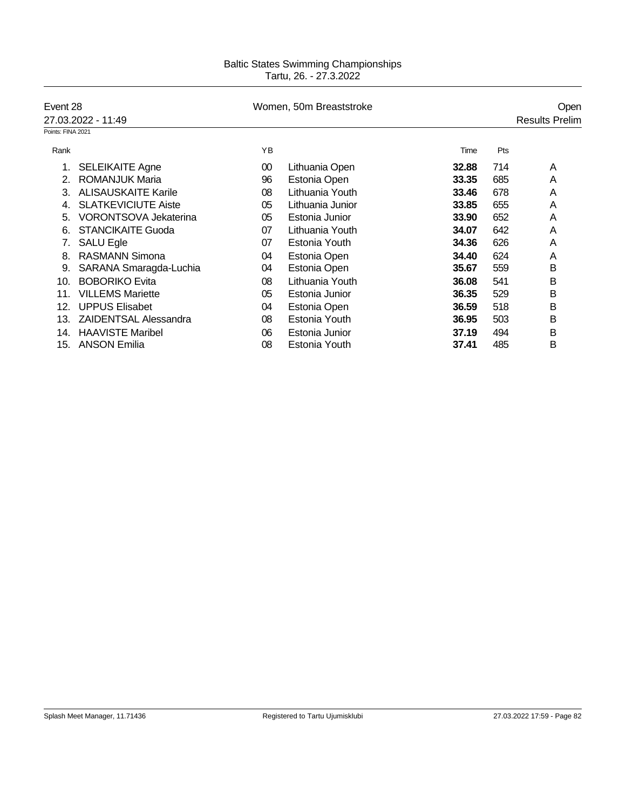| Event 28          |                              |    | Women, 50m Breaststroke |       |     | Open                  |
|-------------------|------------------------------|----|-------------------------|-------|-----|-----------------------|
|                   | 27.03.2022 - 11:49           |    |                         |       |     | <b>Results Prelim</b> |
| Points: FINA 2021 |                              |    |                         |       |     |                       |
| Rank              |                              | YB |                         | Time  | Pts |                       |
|                   | <b>SELEIKAITE Agne</b>       | 00 | Lithuania Open          | 32.88 | 714 | A                     |
| 2.                | <b>ROMANJUK Maria</b>        | 96 | Estonia Open            | 33.35 | 685 | A                     |
| 3.                | <b>ALISAUSKAITE Karile</b>   | 08 | Lithuania Youth         | 33.46 | 678 | A                     |
| 4.                | <b>SLATKEVICIUTE Aiste</b>   | 05 | Lithuania Junior        | 33.85 | 655 | Α                     |
| 5.                | <b>VORONTSOVA Jekaterina</b> | 05 | Estonia Junior          | 33.90 | 652 | A                     |
| 6.                | <b>STANCIKAITE Guoda</b>     | 07 | Lithuania Youth         | 34.07 | 642 | A                     |
|                   | SALU Egle                    | 07 | Estonia Youth           | 34.36 | 626 | A                     |
| 8.                | <b>RASMANN Simona</b>        | 04 | Estonia Open            | 34.40 | 624 | A                     |
| 9.                | SARANA Smaragda-Luchia       | 04 | Estonia Open            | 35.67 | 559 | в                     |
| 10.               | <b>BOBORIKO Evita</b>        | 08 | Lithuania Youth         | 36.08 | 541 | B                     |
| 11.               | <b>VILLEMS Mariette</b>      | 05 | Estonia Junior          | 36.35 | 529 | В                     |
| 12.               | <b>UPPUS Elisabet</b>        | 04 | Estonia Open            | 36.59 | 518 | В                     |
| 13.               | <b>ZAIDENTSAL Alessandra</b> | 08 | Estonia Youth           | 36.95 | 503 | В                     |
| 14.               | <b>HAAVISTE Maribel</b>      | 06 | Estonia Junior          | 37.19 | 494 | Β                     |
| 15.               | <b>ANSON Emilia</b>          | 08 | Estonia Youth           | 37.41 | 485 | B                     |
|                   |                              |    |                         |       |     |                       |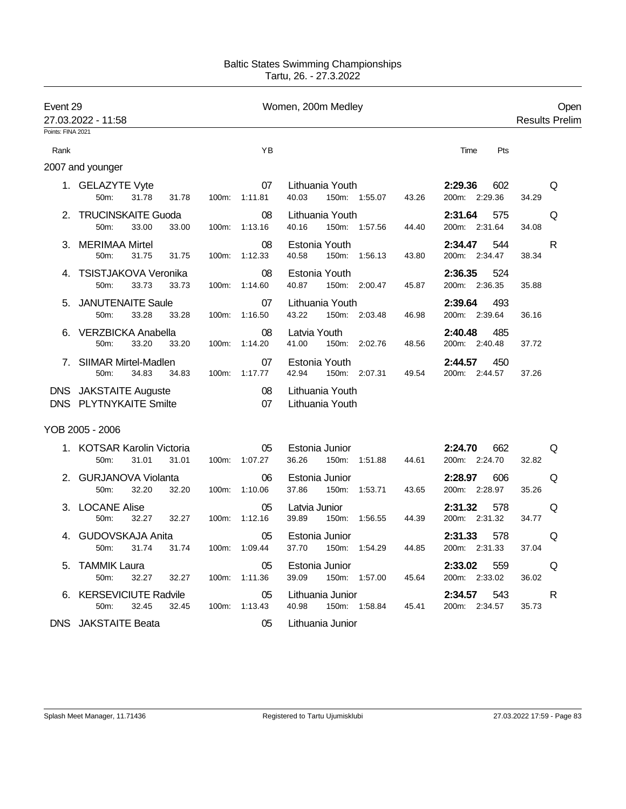| Event 29          | 27.03.2022 - 11:58                                     |       |               | Women, 200m Medley                                   |                                 | Open<br><b>Results Prelim</b> |
|-------------------|--------------------------------------------------------|-------|---------------|------------------------------------------------------|---------------------------------|-------------------------------|
| Points: FINA 2021 |                                                        |       |               |                                                      |                                 |                               |
| Rank              |                                                        |       | YB            |                                                      | Pts<br>Time                     |                               |
|                   | 2007 and younger                                       |       |               |                                                      |                                 |                               |
|                   | 1. GELAZYTE Vyte<br>50m:<br>31.78<br>31.78             | 100m: | 07<br>1:11.81 | Lithuania Youth<br>40.03<br>150m: 1:55.07<br>43.26   | 2:29.36<br>602<br>200m: 2:29.36 | Q<br>34.29                    |
|                   | 2. TRUCINSKAITE Guoda<br>33.00<br>50m:<br>33.00        | 100m: | 08<br>1:13.16 | Lithuania Youth<br>40.16<br>150m: 1:57.56<br>44.40   | 2:31.64<br>575<br>200m: 2:31.64 | Q<br>34.08                    |
| 3.                | <b>MERIMAA Mirtel</b><br>50m:<br>31.75<br>31.75        | 100m: | 08<br>1:12.33 | Estonia Youth<br>40.58<br>150m:<br>1:56.13<br>43.80  | 2:34.47<br>544<br>200m: 2:34.47 | R<br>38.34                    |
|                   | 4. TSISTJAKOVA Veronika<br>33.73<br>33.73<br>50m:      | 100m: | 08<br>1:14.60 | Estonia Youth<br>40.87<br>150m: 2:00.47<br>45.87     | 2:36.35<br>524<br>200m: 2:36.35 | 35.88                         |
| 5.                | <b>JANUTENAITE Saule</b><br>50m:<br>33.28<br>33.28     | 100m: | 07<br>1:16.50 | Lithuania Youth<br>43.22<br>150m: 2:03.48<br>46.98   | 2:39.64<br>493<br>200m: 2:39.64 | 36.16                         |
| 6.                | VERZBICKA Anabella<br>50m:<br>33.20<br>33.20           | 100m: | 08<br>1:14.20 | Latvia Youth<br>41.00<br>150m: 2:02.76<br>48.56      | 2:40.48<br>485<br>200m: 2:40.48 | 37.72                         |
| 7.                | SIIMAR Mirtel-Madlen<br>50m:<br>34.83<br>34.83         | 100m: | 07<br>1:17.77 | Estonia Youth<br>42.94<br>150m: 2:07.31<br>49.54     | 2:44.57<br>450<br>200m: 2:44.57 | 37.26                         |
|                   | DNS JAKSTAITE Auguste<br><b>DNS PLYTNYKAITE Smilte</b> |       | 08<br>07      | Lithuania Youth<br>Lithuania Youth                   |                                 |                               |
|                   | YOB 2005 - 2006                                        |       |               |                                                      |                                 |                               |
|                   | 1. KOTSAR Karolin Victoria<br>31.01<br>31.01<br>50m:   | 100m: | 05<br>1:07.27 | Estonia Junior<br>36.26<br>150m:<br>1:51.88<br>44.61 | 2:24.70<br>662<br>200m: 2:24.70 | Q<br>32.82                    |
|                   | <b>GURJANOVA Violanta</b><br>50m:<br>32.20<br>32.20    | 100m: | 06<br>1:10.06 | Estonia Junior<br>37.86<br>150m:<br>1:53.71<br>43.65 | 2:28.97<br>606<br>200m: 2:28.97 | Q<br>35.26                    |
|                   | 3. LOCANE Alise<br>50m:<br>32.27<br>32.27              | 100m: | 05<br>1:12.16 | Latvia Junior<br>39.89<br>150m:<br>1:56.55<br>44.39  | 2:31.32<br>578<br>200m: 2:31.32 | Q<br>34.77                    |
| 4.                | <b>GUDOVSKAJA Anita</b><br>31.74<br>31.74<br>50m:      | 100m: | 05<br>1:09.44 | Estonia Junior<br>37.70<br>150m:<br>1:54.29<br>44.85 | 2:31.33<br>578<br>200m: 2:31.33 | Q<br>37.04                    |
| 5.                | <b>TAMMIK Laura</b><br>50m:<br>32.27<br>32.27          | 100m: | 05<br>1:11.36 | Estonia Junior<br>39.09<br>150m: 1:57.00<br>45.64    | 2:33.02<br>559<br>200m: 2:33.02 | Q<br>36.02                    |
|                   | 6. KERSEVICIUTE Radvile<br>50m:<br>32.45<br>32.45      | 100m: | 05<br>1:13.43 | Lithuania Junior<br>40.98<br>150m: 1:58.84<br>45.41  | 2:34.57<br>543<br>200m: 2:34.57 | R<br>35.73                    |
|                   | <b>DNS</b> JAKSTAITE Beata                             |       | 05            | Lithuania Junior                                     |                                 |                               |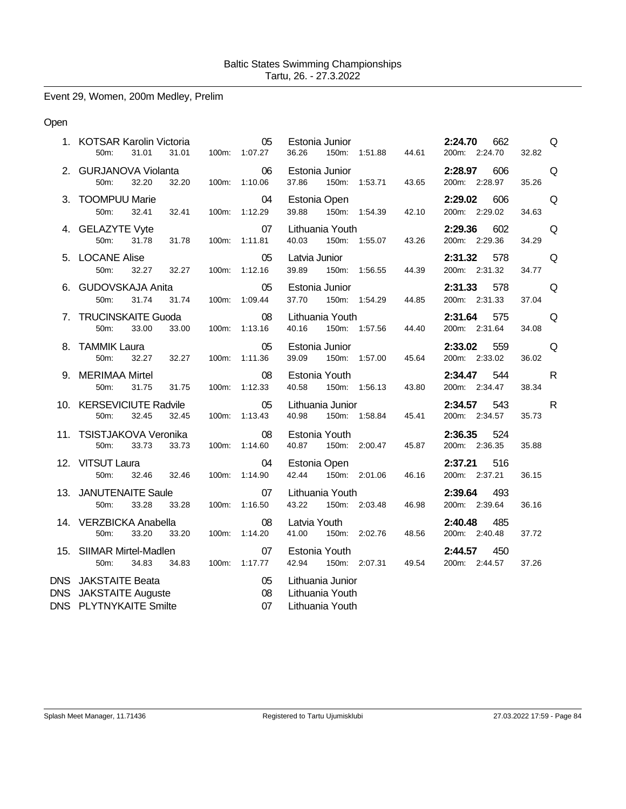Event 29, Women, 200m Medley, Prelim

### Open

|            | 1. KOTSAR Karolin Victoria<br>50m:<br>31.01<br>31.01                             | 05<br>100m: 1:07.27        | Estonia Junior<br>150m: 1:51.88<br>36.26               | 44.61 | 2:24.70<br>662<br>200m: 2:24.70 | Q<br>32.82            |
|------------|----------------------------------------------------------------------------------|----------------------------|--------------------------------------------------------|-------|---------------------------------|-----------------------|
|            | 2. GURJANOVA Violanta<br>50m:<br>32.20<br>32.20                                  | 06<br>100m: 1:10.06        | Estonia Junior<br>37.86<br>150m: 1:53.71               | 43.65 | 2:28.97<br>606<br>200m: 2:28.97 | Q<br>35.26            |
|            | 3. TOOMPUU Marie<br>50m:<br>32.41<br>32.41                                       | 04<br>100m: 1:12.29        | Estonia Open<br>150m: 1:54.39<br>39.88                 | 42.10 | 2:29.02<br>606<br>200m: 2:29.02 | Q<br>34.63            |
|            | 4. GELAZYTE Vyte<br>50m:<br>31.78<br>31.78                                       | 07<br>100m: 1:11.81        | Lithuania Youth<br>40.03<br>150m: 1:55.07              | 43.26 | 2:29.36 602<br>200m: 2:29.36    | Q<br>34.29            |
|            | 5. LOCANE Alise<br>50m:<br>32.27<br>32.27                                        | 05<br>100m: 1:12.16        | Latvia Junior<br>39.89<br>150m: 1:56.55                | 44.39 | 2:31.32<br>578<br>200m: 2:31.32 | Q<br>34.77            |
|            | 6. GUDOVSKAJA Anita<br>31.74<br>31.74<br>50 <sub>m</sub> :                       | 05<br>100m: 1:09.44        | Estonia Junior<br>37.70<br>150m: 1:54.29               | 44.85 | 2:31.33 578<br>200m: 2:31.33    | Q<br>37.04            |
|            | 7. TRUCINSKAITE Guoda<br>33.00<br>50m:<br>33.00                                  | $\sim$ 08<br>100m: 1:13.16 | Lithuania Youth<br>150m: 1:57.56<br>40.16              | 44.40 | 2:31.64 575<br>200m: 2:31.64    | Q<br>34.08            |
|            | 8. TAMMIK Laura<br>50m:<br>32.27<br>32.27                                        | 05<br>100m: 1:11.36        | Estonia Junior<br>150m: 1:57.00<br>39.09               | 45.64 | 559<br>2:33.02<br>200m: 2:33.02 | Q<br>36.02            |
|            | 9. MERIMAA Mirtel<br>50m:<br>31.75<br>31.75                                      | 08<br>100m: 1:12.33        | Estonia Youth<br>40.58 150m: 1:56.13                   | 43.80 | 2:34.47<br>544<br>200m: 2:34.47 | $\mathsf{R}$<br>38.34 |
|            | 10. KERSEVICIUTE Radvile<br>32.45<br>50m:<br>32.45                               | $\sim$ 05<br>100m: 1:13.43 | Lithuania Junior<br>40.98 150m: 1:58.84                | 45.41 | 2:34.57 543<br>200m: 2:34.57    | R<br>35.73            |
|            | 11. TSISTJAKOVA Veronika<br>50m:<br>33.73<br>33.73                               | 08<br>100m: 1:14.60        | Estonia Youth<br>40.87<br>150m: 2:00.47                | 45.87 | 2:36.35<br>524<br>200m: 2:36.35 | 35.88                 |
|            | 12. VITSUT Laura<br>32.46 32.46<br>50m:                                          | 04<br>100m: 1:14.90        | Estonia Open<br>42.44 150m: 2:01.06                    | 46.16 | 2:37.21<br>516<br>200m: 2:37.21 | 36.15                 |
|            | 13. JANUTENAITE Saule<br>33.28<br>50m:<br>33.28                                  | 07<br>100m: 1:16.50        | Lithuania Youth<br>43.22 150m: 2:03.48                 | 46.98 | 493<br>2:39.64<br>200m: 2:39.64 | 36.16                 |
|            | 14. VERZBICKA Anabella<br>33.20<br>33.20<br>50m:                                 | 08<br>100m: 1:14.20        | Latvia Youth<br>41.00<br>150m: 2:02.76                 | 48.56 | 2:40.48 485<br>200m: 2:40.48    | 37.72                 |
|            | 15. SIIMAR Mirtel-Madlen<br>50m:<br>34.83<br>34.83                               | 07<br>100m: 1:17.77        | Estonia Youth<br>42.94<br>150m: 2:07.31 49.54          |       | 2:44.57<br>450<br>200m: 2:44.57 | 37.26                 |
| <b>DNS</b> | DNS JAKSTAITE Beata<br><b>JAKSTAITE Auguste</b><br><b>DNS PLYTNYKAITE Smilte</b> | 05<br>08<br>07             | Lithuania Junior<br>Lithuania Youth<br>Lithuania Youth |       |                                 |                       |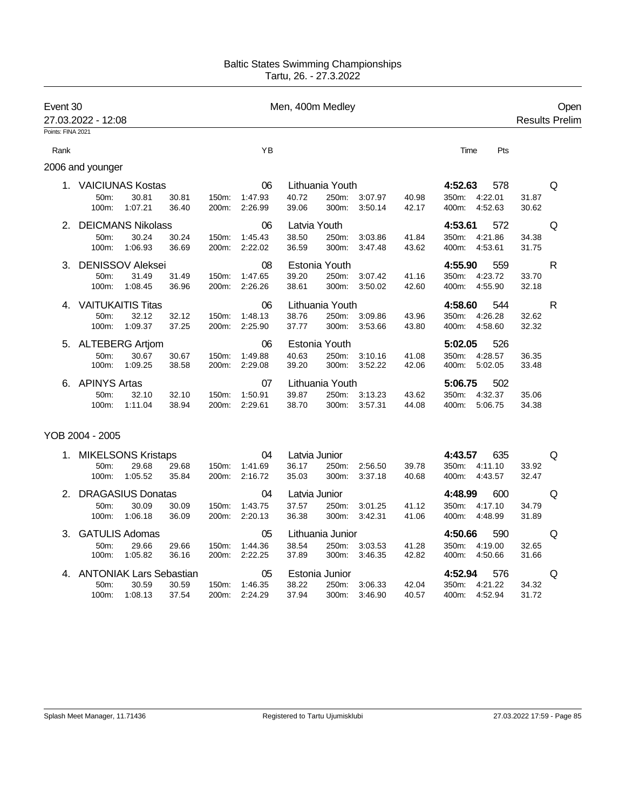| Event 30<br>27.03.2022 - 12:08<br>Points: FINA 2021 |                          |         |       |       |               | Men, 400m Medley |                 |               | Open<br><b>Results Prelim</b> |                  |       |   |
|-----------------------------------------------------|--------------------------|---------|-------|-------|---------------|------------------|-----------------|---------------|-------------------------------|------------------|-------|---|
|                                                     |                          |         |       |       | YB            |                  |                 |               |                               |                  |       |   |
| Rank                                                |                          |         |       |       |               |                  |                 |               |                               | Time<br>Pts      |       |   |
|                                                     | 2006 and younger         |         |       |       |               |                  |                 |               |                               |                  |       |   |
|                                                     | 1. VAICIUNAS Kostas      |         |       |       | 06            |                  | Lithuania Youth |               |                               | 4:52.63<br>578   |       | Q |
|                                                     | 50 <sub>m</sub> :        | 30.81   | 30.81 | 150m: | 1:47.93       | 40.72            | 250m:           | 3:07.97       | 40.98                         | 4:22.01<br>350m: | 31.87 |   |
|                                                     | 100m:                    | 1:07.21 | 36.40 | 200m: | 2:26.99       | 39.06            | 300m:           | 3:50.14       | 42.17                         | 400m:<br>4:52.63 | 30.62 |   |
|                                                     | <b>DEICMANS Nikolass</b> |         |       |       | 06            | Latvia Youth     |                 |               |                               | 4:53.61<br>572   |       | Q |
|                                                     | 50m:                     | 30.24   | 30.24 | 150m: | 1:45.43       | 38.50            | 250m:           | 3:03.86       | 41.84                         | 350m:<br>4:21.86 | 34.38 |   |
|                                                     | 100m:                    | 1:06.93 | 36.69 | 200m: | 2:22.02       | 36.59            | 300m:           | 3:47.48       | 43.62                         | 4:53.61<br>400m: | 31.75 |   |
| 3.                                                  | <b>DENISSOV Aleksei</b>  |         |       |       | 08            |                  | Estonia Youth   |               |                               | 4:55.90<br>559   |       | R |
|                                                     | 50m:                     | 31.49   | 31.49 | 150m: | 1:47.65       | 39.20            | 250m:           | 3:07.42       | 41.16                         | 350m:<br>4:23.72 | 33.70 |   |
|                                                     | 100m:                    | 1:08.45 | 36.96 | 200m: | 2:26.26       | 38.61            | 300m:           | 3:50.02       | 42.60                         | 400m: 4:55.90    | 32.18 |   |
|                                                     | <b>VAITUKAITIS Titas</b> |         |       |       | 06            |                  | Lithuania Youth |               |                               | 4:58.60<br>544   |       | R |
|                                                     | 50m:                     | 32.12   | 32.12 | 150m: | 1:48.13       | 38.76            |                 | 250m: 3:09.86 | 43.96                         | 350m: 4:26.28    | 32.62 |   |
|                                                     | 100m:                    | 1:09.37 | 37.25 | 200m: | 2:25.90       | 37.77            | 300m:           | 3:53.66       | 43.80                         | 4:58.60<br>400m: | 32.32 |   |
|                                                     | 5. ALTEBERG Artjom       |         |       |       | 06            |                  | Estonia Youth   |               |                               | 5:02.05<br>526   |       |   |
|                                                     | 50m:                     | 30.67   | 30.67 | 150m: | 1:49.88       | 40.63            | 250m:           | 3:10.16       | 41.08                         | 350m:<br>4:28.57 | 36.35 |   |
|                                                     | 100m:                    | 1:09.25 | 38.58 | 200m: | 2:29.08       | 39.20            | 300m:           | 3:52.22       | 42.06                         | 5:02.05<br>400m: | 33.48 |   |
|                                                     | <b>APINYS Artas</b>      |         |       |       | 07            |                  | Lithuania Youth |               |                               | 5:06.75<br>502   |       |   |
|                                                     | 50m:                     | 32.10   | 32.10 | 150m: | 1:50.91       | 39.87            |                 | 250m: 3:13.23 | 43.62                         | 350m:<br>4:32.37 | 35.06 |   |
|                                                     | 100m:                    | 1:11.04 | 38.94 | 200m: | 2:29.61       | 38.70            | 300m:           | 3:57.31       | 44.08                         | 400m:<br>5:06.75 | 34.38 |   |
|                                                     | YOB 2004 - 2005          |         |       |       |               |                  |                 |               |                               |                  |       |   |
|                                                     | 1. MIKELSONS Kristaps    |         |       |       | 04            | Latvia Junior    |                 |               |                               | 4:43.57<br>635   |       | Q |
|                                                     | 50m:                     | 29.68   | 29.68 | 150m: | 1:41.69       | 36.17            | 250m:           | 2:56.50       | 39.78                         | 350m:<br>4:11.10 | 33.92 |   |
|                                                     | 100m:                    | 1:05.52 | 35.84 | 200m: | 2:16.72       | 35.03            | 300m:           | 3:37.18       | 40.68                         | 400m:<br>4:43.57 | 32.47 |   |
| 2.                                                  | <b>DRAGASIUS Donatas</b> |         |       |       | 04            | Latvia Junior    |                 |               |                               | 4:48.99<br>600   |       | Q |
|                                                     | 50 <sub>m</sub> :        | 30.09   | 30.09 |       | 150m: 1:43.75 | 37.57            | 250m:           | 3:01.25       | 41.12                         | 350m: 4:17.10    | 34.79 |   |

| ----<br>$100m$ :           | ----<br>1:06.18 | ----<br>36.09 | .<br>$200m$ : | .<br>2:20.13 | <u>.</u><br>36.38 | 300m:            | 3:42.31 | .<br>41.06 | ----<br>400m: | 4:48.99 | .<br>31.89 |    |
|----------------------------|-----------------|---------------|---------------|--------------|-------------------|------------------|---------|------------|---------------|---------|------------|----|
| 3. GATULIS Adomas          |                 |               |               | 05           |                   | Lithuania Junior |         |            | 4:50.66       | 590     |            | Q  |
| $50m$ :                    | 29.66           | 29.66         | 150m:         | 1:44.36      | 38.54             | 250m:            | 3:03.53 | 41.28      | $350m$ :      | 4:19.00 | 32.65      |    |
| 100m:                      | 1:05.82         | 36.16         | $200m$ :      | 2:22.25      | 37.89             | 300m:            | 3.46.35 | 42.82      | 400m:         | 4:50.66 | 31.66      |    |
| 4. ANTONIAK Lars Sebastian |                 |               |               | 05           |                   | Estonia Junior   |         |            | 4:52.94       | 576     |            | O. |
| 50 <sub>m</sub> :          | 30.59           | 30.59         | $150m$ :      | 1:46.35      | 38.22             | 250m:            | 3:06.33 | 42.04      | $350m$ :      | 4:21.22 | 34.32      |    |
| 100m:                      | 1:08.13         | 37.54         | $200m$ :      | 2:24.29      | 37.94             | 300m:            | 3:46.90 | 40.57      | 400m:         | 4:52.94 | 31.72      |    |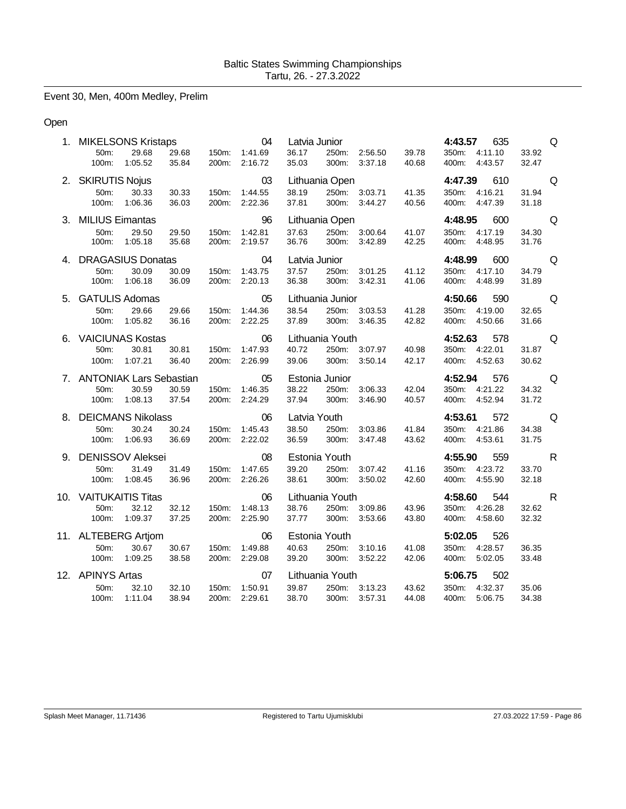Event 30, Men, 400m Medley, Prelim

# Open

|    | 1. MIKELSONS Kristaps      |       |       | 04            | Latvia Junior |                  |               |       | 4:43.57 | 635           |       | Q            |
|----|----------------------------|-------|-------|---------------|---------------|------------------|---------------|-------|---------|---------------|-------|--------------|
|    | 29.68<br>50 <sub>m</sub> : | 29.68 | 150m: | 1:41.69       | 36.17         |                  | 250m: 2:56.50 | 39.78 |         | 350m: 4:11.10 | 33.92 |              |
|    | 100m:<br>1:05.52           | 35.84 | 200m: | 2:16.72       | 35.03         | 300m:            | 3:37.18       | 40.68 |         | 400m: 4:43.57 | 32.47 |              |
|    | 2. SKIRUTIS Nojus          |       |       | 03            |               | Lithuania Open   |               |       | 4:47.39 | 610           |       | Q            |
|    | 50m:<br>30.33              | 30.33 | 150m: | 1:44.55       | 38.19         |                  | 250m: 3:03.71 | 41.35 |         | 350m: 4:16.21 | 31.94 |              |
|    | 100m:<br>1:06.36           | 36.03 | 200m: | 2:22.36       | 37.81         | 300m:            | 3:44.27       | 40.56 |         | 400m: 4:47.39 | 31.18 |              |
|    | 3. MILIUS Eimantas         |       |       | 96            |               | Lithuania Open   |               |       | 4:48.95 | 600           |       | Q            |
|    | 50m:<br>29.50              | 29.50 | 150m: | 1:42.81       | 37.63         |                  | 250m: 3:00.64 | 41.07 |         | 350m: 4:17.19 | 34.30 |              |
|    | 100m:<br>1:05.18           | 35.68 | 200m: | 2:19.57       | 36.76         | 300m:            | 3:42.89       | 42.25 | 400m:   | 4:48.95       | 31.76 |              |
|    | 4. DRAGASIUS Donatas       |       |       | 04            | Latvia Junior |                  |               |       | 4:48.99 | 600           |       | Q            |
|    | 50 <sub>m</sub> :<br>30.09 | 30.09 |       | 150m: 1:43.75 | 37.57         |                  | 250m: 3:01.25 | 41.12 |         | 350m: 4:17.10 | 34.79 |              |
|    | 1:06.18<br>100m:           | 36.09 | 200m: | 2:20.13       | 36.38         | 300m:            | 3:42.31       | 41.06 |         | 400m: 4:48.99 | 31.89 |              |
|    | 5. GATULIS Adomas          |       |       | 05            |               | Lithuania Junior |               |       | 4:50.66 | 590           |       | Q            |
|    | 50m:<br>29.66              | 29.66 | 150m: | 1:44.36       | 38.54         |                  | 250m: 3:03.53 | 41.28 |         | 350m: 4:19.00 | 32.65 |              |
|    | 100m:<br>1:05.82           | 36.16 |       | 200m: 2:22.25 | 37.89         |                  | 300m: 3:46.35 | 42.82 |         | 400m: 4:50.66 | 31.66 |              |
| 6. | <b>VAICIUNAS Kostas</b>    |       |       | 06            |               | Lithuania Youth  |               |       |         | 4:52.63 578   |       | Q            |
|    | 30.81<br>50m:              | 30.81 | 150m: | 1:47.93       | 40.72         |                  | 250m: 3:07.97 | 40.98 |         | 350m: 4:22.01 | 31.87 |              |
|    | 1:07.21<br>100m:           | 36.40 | 200m: | 2:26.99       | 39.06         | 300m:            | 3:50.14       | 42.17 |         | 400m: 4:52.63 | 30.62 |              |
|    | 7. ANTONIAK Lars Sebastian |       |       | 05            |               | Estonia Junior   |               |       | 4:52.94 | 576           |       | Q            |
|    | 50m:<br>30.59              | 30.59 | 150m: | 1:46.35       | 38.22         | 250m:            | 3:06.33       | 42.04 |         | 350m: 4:21.22 | 34.32 |              |
|    | 100m:<br>1:08.13           | 37.54 | 200m: | 2:24.29       | 37.94         | 300m:            | 3:46.90       | 40.57 |         | 400m: 4:52.94 | 31.72 |              |
|    | 8. DEICMANS Nikolass       |       |       | 06            | Latvia Youth  |                  |               |       | 4:53.61 | 572           |       | Q            |
|    | 50m:<br>30.24              | 30.24 | 150m: | 1:45.43       | 38.50         | 250m:            | 3:03.86       | 41.84 |         | 350m: 4:21.86 | 34.38 |              |
|    | 1:06.93<br>100m:           | 36.69 |       | 200m: 2:22.02 | 36.59         | 300m:            | 3:47.48       | 43.62 |         | 400m: 4:53.61 | 31.75 |              |
|    | 9. DENISSOV Aleksei        |       |       | 08            |               | Estonia Youth    |               |       | 4:55.90 | 559           |       | $\mathsf{R}$ |
|    | 50 <sub>m</sub> :<br>31.49 | 31.49 | 150m: | 1:47.65       | 39.20         | 250m:            | 3:07.42       | 41.16 |         | 350m: 4:23.72 | 33.70 |              |
|    | 100m:<br>1:08.45           | 36.96 | 200m: | 2:26.26       | 38.61         | 300m:            | 3:50.02       | 42.60 |         | 400m: 4:55.90 | 32.18 |              |
|    | 10. VAITUKAITIS Titas      |       |       | 06            |               | Lithuania Youth  |               |       | 4:58.60 | 544           |       | $\mathsf{R}$ |
|    | 32.12<br>50m:              | 32.12 | 150m: | 1:48.13       | 38.76         |                  | 250m: 3:09.86 | 43.96 |         | 350m: 4:26.28 | 32.62 |              |
|    | 100m:<br>1:09.37           | 37.25 | 200m: | 2:25.90       | 37.77         | 300m:            | 3:53.66       | 43.80 |         | 400m: 4:58.60 | 32.32 |              |
|    | 11. ALTEBERG Artjom        |       |       | 06            |               | Estonia Youth    |               |       | 5:02.05 | 526           |       |              |
|    | 50m:<br>30.67              | 30.67 | 150m: | 1:49.88       | 40.63         | 250m:            | 3:10.16       | 41.08 |         | 350m: 4:28.57 | 36.35 |              |
|    | 100m: 1:09.25              | 38.58 | 200m: | 2:29.08       | 39.20         |                  | 300m: 3:52.22 | 42.06 |         | 400m: 5:02.05 | 33.48 |              |
|    | 12. APINYS Artas           |       |       | 07            |               | Lithuania Youth  |               |       | 5:06.75 | 502           |       |              |
|    | 50m:<br>32.10              | 32.10 | 150m: | 1:50.91       | 39.87         |                  | 250m: 3:13.23 | 43.62 |         | 350m: 4:32.37 | 35.06 |              |
|    | 100m:<br>1:11.04           | 38.94 | 200m: | 2:29.61       | 38.70         |                  | 300m: 3:57.31 | 44.08 |         | 400m: 5:06.75 | 34.38 |              |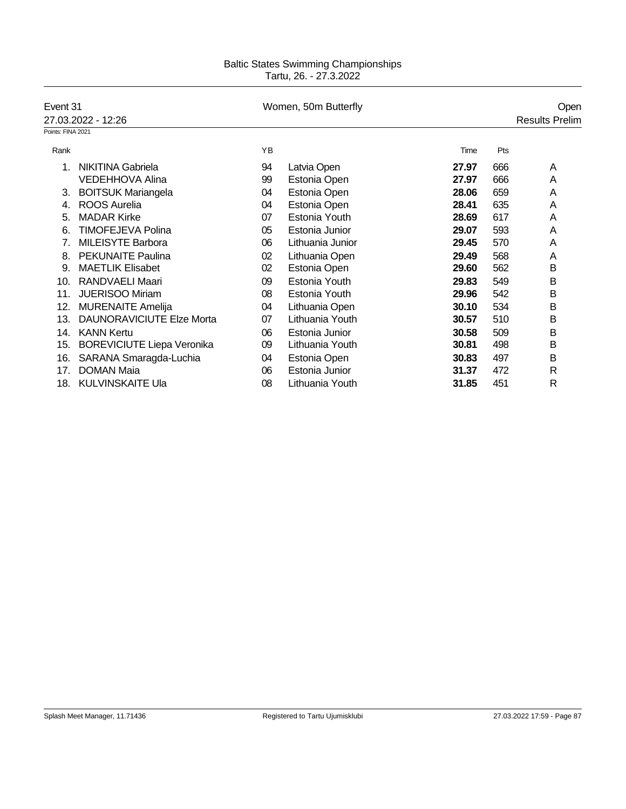| Event 31          |                                   | Women, 50m Butterfly |                  | Open  |     |                       |
|-------------------|-----------------------------------|----------------------|------------------|-------|-----|-----------------------|
|                   | 27.03.2022 - 12:26                |                      |                  |       |     | <b>Results Prelim</b> |
| Points: FINA 2021 |                                   |                      |                  |       |     |                       |
| Rank              |                                   | YB                   |                  | Time  | Pts |                       |
|                   | <b>NIKITINA Gabriela</b>          | 94                   | Latvia Open      | 27.97 | 666 | Α                     |
|                   | <b>VEDEHHOVA Alina</b>            | 99                   | Estonia Open     | 27.97 | 666 | A                     |
| 3.                | <b>BOITSUK Mariangela</b>         | 04                   | Estonia Open     | 28.06 | 659 | A                     |
| 4.                | <b>ROOS Aurelia</b>               | 04                   | Estonia Open     | 28.41 | 635 | A                     |
| 5.                | <b>MADAR Kirke</b>                | 07                   | Estonia Youth    | 28.69 | 617 | Α                     |
| 6.                | <b>TIMOFEJEVA Polina</b>          | 05                   | Estonia Junior   | 29.07 | 593 | Α                     |
| 7.                | MILEISYTE Barbora                 | 06                   | Lithuania Junior | 29.45 | 570 | Α                     |
| 8.                | <b>PEKUNAITE Paulina</b>          | 02                   | Lithuania Open   | 29.49 | 568 | A                     |
| 9.                | <b>MAETLIK Elisabet</b>           | 02                   | Estonia Open     | 29.60 | 562 | B                     |
| 10.               | RANDVAELI Maari                   | 09                   | Estonia Youth    | 29.83 | 549 | B                     |
| 11.               | JUERISOO Miriam                   | 08                   | Estonia Youth    | 29.96 | 542 | B                     |
| 12.               | <b>MURENAITE Amelija</b>          | 04                   | Lithuania Open   | 30.10 | 534 | B                     |
| 13.               | <b>DAUNORAVICIUTE Elze Morta</b>  | 07                   | Lithuania Youth  | 30.57 | 510 | B                     |
| 14.               | <b>KANN Kertu</b>                 | 06                   | Estonia Junior   | 30.58 | 509 | B                     |
| 15.               | <b>BOREVICIUTE Liepa Veronika</b> | 09                   | Lithuania Youth  | 30.81 | 498 | B                     |
| 16.               | SARANA Smaragda-Luchia            | 04                   | Estonia Open     | 30.83 | 497 | B                     |
| 17.               | <b>DOMAN Maia</b>                 | 06                   | Estonia Junior   | 31.37 | 472 | R                     |
| 18.               | <b>KULVINSKAITE Ula</b>           | 08                   | Lithuania Youth  | 31.85 | 451 | R                     |
|                   |                                   |                      |                  |       |     |                       |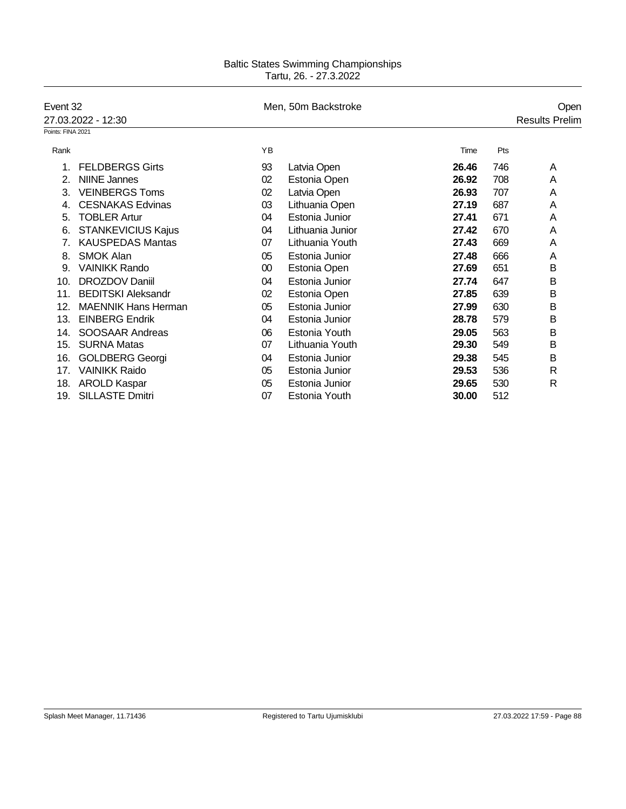| Event 32          |                            |    | Men, 50m Backstroke |       | Open |                       |  |
|-------------------|----------------------------|----|---------------------|-------|------|-----------------------|--|
|                   | 27.03.2022 - 12:30         |    |                     |       |      | <b>Results Prelim</b> |  |
| Points: FINA 2021 |                            |    |                     |       |      |                       |  |
| Rank              |                            | YB |                     | Time  | Pts  |                       |  |
|                   | <b>FELDBERGS Girts</b>     | 93 | Latvia Open         | 26.46 | 746  | A                     |  |
| 2.                | <b>NIINE Jannes</b>        | 02 | Estonia Open        | 26.92 | 708  | A                     |  |
| 3.                | <b>VEINBERGS Toms</b>      | 02 | Latvia Open         | 26.93 | 707  | A                     |  |
| 4.                | <b>CESNAKAS Edvinas</b>    | 03 | Lithuania Open      | 27.19 | 687  | A                     |  |
| 5.                | <b>TOBLER Artur</b>        | 04 | Estonia Junior      | 27.41 | 671  | Α                     |  |
| 6.                | <b>STANKEVICIUS Kajus</b>  | 04 | Lithuania Junior    | 27.42 | 670  | Α                     |  |
|                   | <b>KAUSPEDAS Mantas</b>    | 07 | Lithuania Youth     | 27.43 | 669  | Α                     |  |
| 8.                | <b>SMOK Alan</b>           | 05 | Estonia Junior      | 27.48 | 666  | A                     |  |
| 9.                | <b>VAINIKK Rando</b>       | 00 | Estonia Open        | 27.69 | 651  | В                     |  |
| 10.               | DROZDOV Daniil             | 04 | Estonia Junior      | 27.74 | 647  | B                     |  |
| 11.               | <b>BEDITSKI Aleksandr</b>  | 02 | Estonia Open        | 27.85 | 639  | B                     |  |
| 12.               | <b>MAENNIK Hans Herman</b> | 05 | Estonia Junior      | 27.99 | 630  | B                     |  |
| 13.               | <b>EINBERG Endrik</b>      | 04 | Estonia Junior      | 28.78 | 579  | B                     |  |
| 14.               | <b>SOOSAAR Andreas</b>     | 06 | Estonia Youth       | 29.05 | 563  | B                     |  |
| 15.               | <b>SURNA Matas</b>         | 07 | Lithuania Youth     | 29.30 | 549  | в                     |  |
| 16.               | <b>GOLDBERG Georgi</b>     | 04 | Estonia Junior      | 29.38 | 545  | B                     |  |
| 17.               | <b>VAINIKK Raido</b>       | 05 | Estonia Junior      | 29.53 | 536  | $\mathsf{R}$          |  |
| 18.               | <b>AROLD Kaspar</b>        | 05 | Estonia Junior      | 29.65 | 530  | R                     |  |
| 19.               | <b>SILLASTE Dmitri</b>     | 07 | Estonia Youth       | 30.00 | 512  |                       |  |
|                   |                            |    |                     |       |      |                       |  |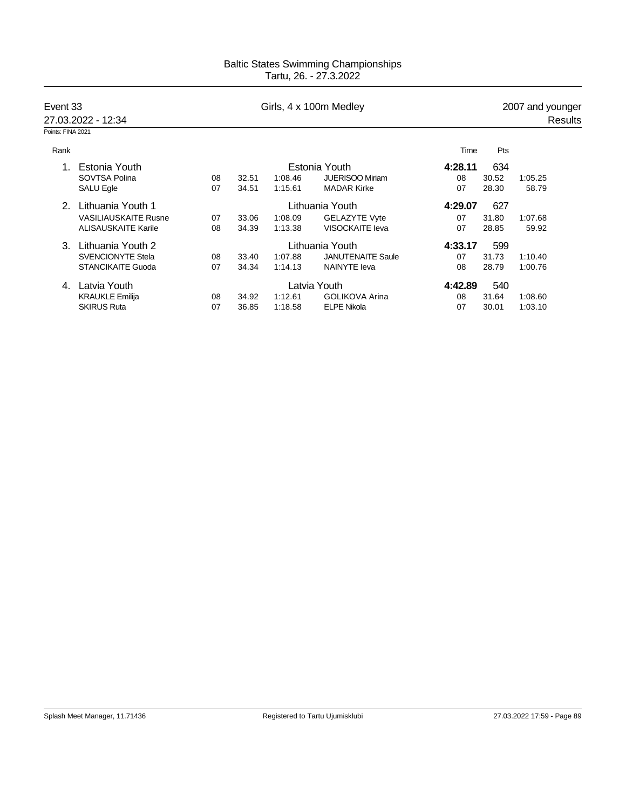| Event 33          |                             |    |       |         | Girls, 4 x 100m Medley   |         |       | 2007 and younger |  |
|-------------------|-----------------------------|----|-------|---------|--------------------------|---------|-------|------------------|--|
|                   | 27.03.2022 - 12:34          |    |       |         |                          |         |       | Results          |  |
| Points: FINA 2021 |                             |    |       |         |                          |         |       |                  |  |
| Rank              |                             |    |       |         |                          | Time    | Pts   |                  |  |
| $1_{-}$           | Estonia Youth               |    |       |         | Estonia Youth            | 4:28.11 | 634   |                  |  |
|                   | SOVTSA Polina               | 08 | 32.51 | 1:08.46 | <b>JUERISOO Miriam</b>   | 08      | 30.52 | 1:05.25          |  |
|                   | <b>SALU Egle</b>            | 07 | 34.51 | 1:15.61 | <b>MADAR Kirke</b>       | 07      | 28.30 | 58.79            |  |
| 2                 | Lithuania Youth 1           |    |       |         | Lithuania Youth          | 4:29.07 | 627   |                  |  |
|                   | <b>VASILIAUSKAITE Rusne</b> | 07 | 33.06 | 1:08.09 | <b>GELAZYTE Vyte</b>     | 07      | 31.80 | 1:07.68          |  |
|                   | <b>ALISAUSKAITE Karile</b>  | 08 | 34.39 | 1:13.38 | VISOCKAITE leva          | 07      | 28.85 | 59.92            |  |
| 3                 | Lithuania Youth 2           |    |       |         | Lithuania Youth          | 4:33.17 | 599   |                  |  |
|                   | <b>SVENCIONYTE Stela</b>    | 08 | 33.40 | 1:07.88 | <b>JANUTENAITE Saule</b> | 07      | 31.73 | 1:10.40          |  |
|                   | <b>STANCIKAITE Guoda</b>    | 07 | 34.34 | 1:14.13 | <b>NAINYTE</b> leva      | 08      | 28.79 | 1:00.76          |  |
| 4.                | Latvia Youth                |    |       |         | Latvia Youth             | 4:42.89 | 540   |                  |  |
|                   | <b>KRAUKLE Emilija</b>      | 08 | 34.92 | 1:12.61 | <b>GOLIKOVA Arina</b>    | 08      | 31.64 | 1:08.60          |  |
|                   | <b>SKIRUS Ruta</b>          | 07 | 36.85 | 1:18.58 | <b>ELPE Nikola</b>       | 07      | 30.01 | 1:03.10          |  |
|                   |                             |    |       |         |                          |         |       |                  |  |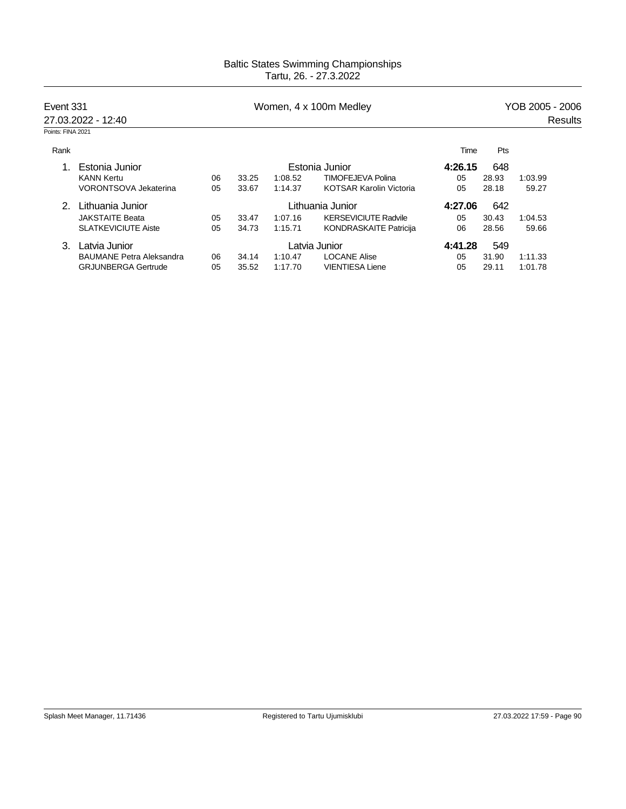|                   | Event 331<br>27.03.2022 - 12:40 |    |       |         | Women, 4 x 100m Medley         | YOB 2005 - 2006 |       |         |         |  |
|-------------------|---------------------------------|----|-------|---------|--------------------------------|-----------------|-------|---------|---------|--|
|                   |                                 |    |       |         |                                |                 |       |         | Results |  |
| Points: FINA 2021 |                                 |    |       |         |                                |                 |       |         |         |  |
| Rank              |                                 |    |       |         |                                | Time            | Pts   |         |         |  |
|                   | Estonia Junior                  |    |       |         | Estonia Junior                 | 4:26.15         | 648   |         |         |  |
|                   | <b>KANN Kertu</b>               | 06 | 33.25 | 1:08.52 | <b>TIMOFEJEVA Polina</b>       | 05              | 28.93 | 1:03.99 |         |  |
|                   | <b>VORONTSOVA Jekaterina</b>    | 05 | 33.67 | 1:14.37 | <b>KOTSAR Karolin Victoria</b> | 05              | 28.18 | 59.27   |         |  |
| 2                 | Lithuania Junior                |    |       |         | Lithuania Junior               | 4:27.06         | 642   |         |         |  |
|                   | <b>JAKSTAITE Beata</b>          | 05 | 33.47 | 1:07.16 | <b>KERSEVICIUTE Radvile</b>    | 05              | 30.43 | 1:04.53 |         |  |
|                   | <b>SLATKEVICIUTE Aiste</b>      | 05 | 34.73 | 1:15.71 | <b>KONDRASKAITE Patricija</b>  | 06              | 28.56 | 59.66   |         |  |
| 3.                | Latvia Junior                   |    |       |         | Latvia Junior                  | 4:41.28         | 549   |         |         |  |
|                   | <b>BAUMANE Petra Aleksandra</b> | 06 | 34.14 | 1:10.47 | <b>LOCANE Alise</b>            | 05              | 31.90 | 1:11.33 |         |  |
|                   | <b>GRJUNBERGA Gertrude</b>      | 05 | 35.52 | 1:17.70 | <b>VIENTIESA Liene</b>         | 05              | 29.11 | 1:01.78 |         |  |
|                   |                                 |    |       |         |                                |                 |       |         |         |  |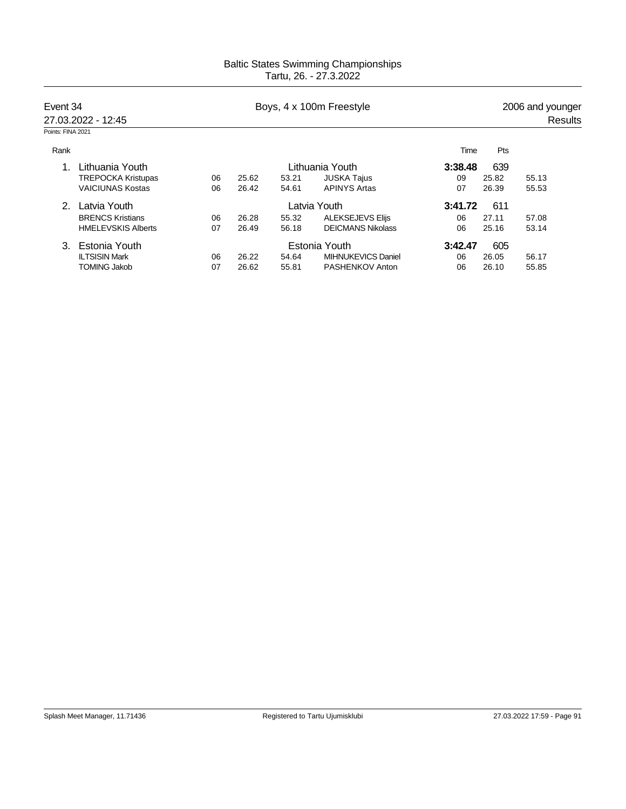| Event 34          |                           |    |       | Boys, 4 x 100m Freestyle | 2006 and younger<br>Results |         |       |       |  |
|-------------------|---------------------------|----|-------|--------------------------|-----------------------------|---------|-------|-------|--|
| Points: FINA 2021 | 27.03.2022 - 12:45        |    |       |                          |                             |         |       |       |  |
| Rank              |                           |    |       |                          |                             | Time    | Pts   |       |  |
|                   | Lithuania Youth           |    |       |                          | Lithuania Youth             | 3:38.48 | 639   |       |  |
|                   | <b>TREPOCKA Kristupas</b> | 06 | 25.62 | 53.21                    | <b>JUSKA Tajus</b>          | 09      | 25.82 | 55.13 |  |
|                   | <b>VAICIUNAS Kostas</b>   | 06 | 26.42 | 54.61                    | <b>APINYS Artas</b>         | 07      | 26.39 | 55.53 |  |
| 2                 | Latvia Youth              |    |       |                          | Latvia Youth                | 3:41.72 | 611   |       |  |
|                   | <b>BRENCS Kristians</b>   | 06 | 26.28 | 55.32                    | <b>ALEKSEJEVS Elijs</b>     | 06      | 27.11 | 57.08 |  |
|                   | <b>HMELEVSKIS Alberts</b> | 07 | 26.49 | 56.18                    | <b>DEICMANS Nikolass</b>    | 06      | 25.16 | 53.14 |  |
| 3.                | Estonia Youth             |    |       |                          | Estonia Youth               | 3:42.47 | 605   |       |  |
|                   | <b>ILTSISIN Mark</b>      | 06 | 26.22 | 54.64                    | <b>MIHNUKEVICS Daniel</b>   | 06      | 26.05 | 56.17 |  |
|                   | <b>TOMING Jakob</b>       | 07 | 26.62 | 55.81                    | PASHENKOV Anton             | 06      | 26.10 | 55.85 |  |
|                   |                           |    |       |                          |                             |         |       |       |  |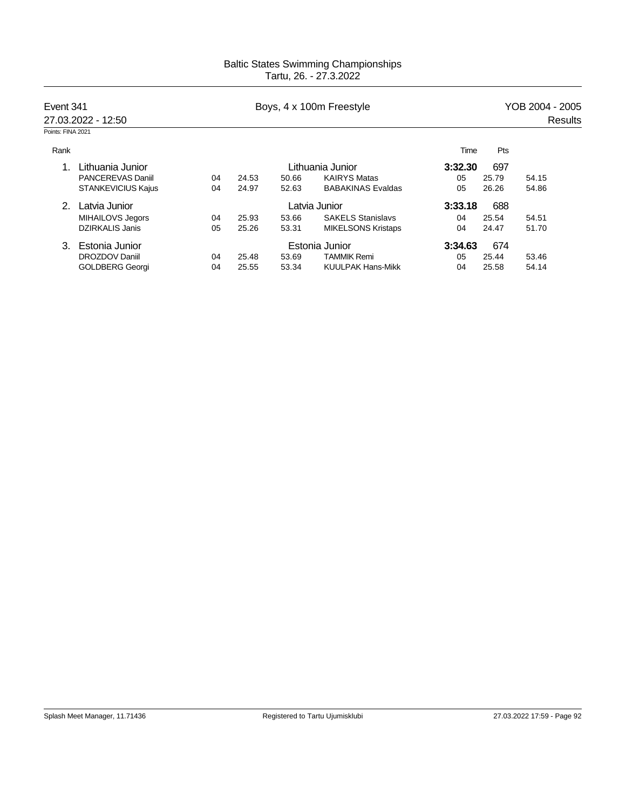| Event 341         |                           |    |       | Boys, 4 x 100m Freestyle | YOB 2004 - 2005           |         |       |         |  |
|-------------------|---------------------------|----|-------|--------------------------|---------------------------|---------|-------|---------|--|
|                   | 27.03.2022 - 12:50        |    |       |                          |                           |         |       | Results |  |
| Points: FINA 2021 |                           |    |       |                          |                           |         |       |         |  |
| Rank              |                           |    |       |                          |                           | Time    | Pts   |         |  |
|                   | Lithuania Junior          |    |       |                          | Lithuania Junior          | 3:32.30 | 697   |         |  |
|                   | <b>PANCEREVAS Daniil</b>  | 04 | 24.53 | 50.66                    | <b>KAIRYS Matas</b>       | 05      | 25.79 | 54.15   |  |
|                   | <b>STANKEVICIUS Kajus</b> | 04 | 24.97 | 52.63                    | <b>BABAKINAS Evaldas</b>  | 05      | 26.26 | 54.86   |  |
| $\mathcal{P}$     | Latvia Junior             |    |       |                          | Latvia Junior             | 3:33.18 | 688   |         |  |
|                   | MIHAILOVS Jegors          | 04 | 25.93 | 53.66                    | <b>SAKELS Stanislavs</b>  | 04      | 25.54 | 54.51   |  |
|                   | <b>DZIRKALIS Janis</b>    | 05 | 25.26 | 53.31                    | <b>MIKELSONS Kristaps</b> | 04      | 24.47 | 51.70   |  |
| 3.                | Estonia Junior            |    |       |                          | Estonia Junior            | 3:34.63 | 674   |         |  |
|                   | DROZDOV Daniil            | 04 | 25.48 | 53.69                    | <b>TAMMIK Remi</b>        | 05      | 25.44 | 53.46   |  |
|                   | <b>GOLDBERG Georgi</b>    | 04 | 25.55 | 53.34                    | <b>KUULPAK Hans-Mikk</b>  | 04      | 25.58 | 54.14   |  |
|                   |                           |    |       |                          |                           |         |       |         |  |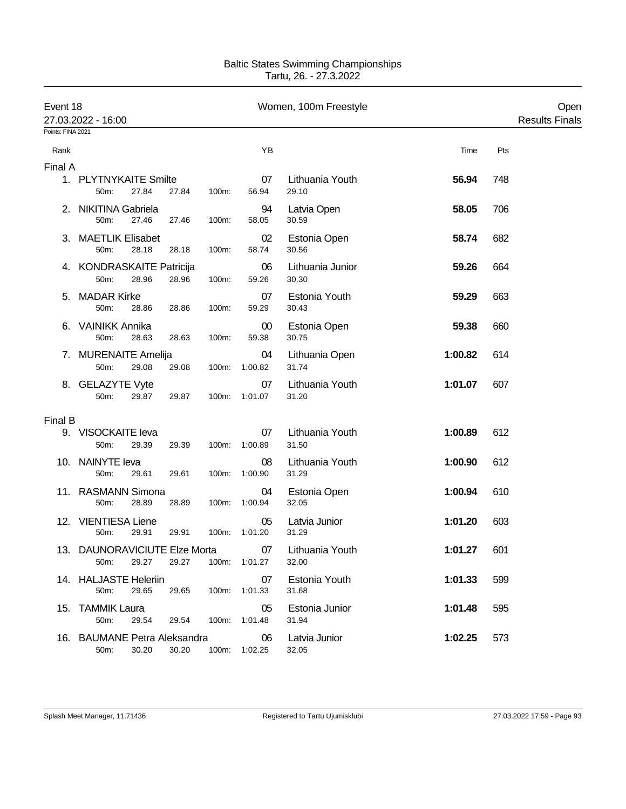| Event 18<br>Points: FINA 2021 | 27.03.2022 - 16:00                             |       |       |                     | Women, 100m Freestyle     |         |     | Open<br><b>Results Finals</b> |
|-------------------------------|------------------------------------------------|-------|-------|---------------------|---------------------------|---------|-----|-------------------------------|
|                               |                                                |       |       | YB                  |                           | Time    | Pts |                               |
| Rank                          |                                                |       |       |                     |                           |         |     |                               |
| Final A                       | 1. PLYTNYKAITE Smilte<br>27.84<br>50m:         | 27.84 | 100m: | 07<br>56.94         | Lithuania Youth<br>29.10  | 56.94   | 748 |                               |
|                               | 2. NIKITINA Gabriela<br>50m:<br>27.46          | 27.46 | 100m: | 94<br>58.05         | Latvia Open<br>30.59      | 58.05   | 706 |                               |
|                               | 3. MAETLIK Elisabet<br>50m:<br>28.18           | 28.18 | 100m: | 02<br>58.74         | Estonia Open<br>30.56     | 58.74   | 682 |                               |
|                               | 4. KONDRASKAITE Patricija<br>50m:<br>28.96     | 28.96 | 100m: | 06<br>59.26         | Lithuania Junior<br>30.30 | 59.26   | 664 |                               |
|                               | 5. MADAR Kirke<br>50m:<br>28.86                | 28.86 | 100m: | 07<br>59.29         | Estonia Youth<br>30.43    | 59.29   | 663 |                               |
|                               | 6. VAINIKK Annika<br>50m:<br>28.63             | 28.63 | 100m: | $00\,$<br>59.38     | Estonia Open<br>30.75     | 59.38   | 660 |                               |
|                               | 7. MURENAITE Amelija<br>29.08<br>50m:          | 29.08 | 100m: | 04<br>1:00.82       | Lithuania Open<br>31.74   | 1:00.82 | 614 |                               |
|                               | 8. GELAZYTE Vyte<br>50m:<br>29.87              | 29.87 |       | 07<br>100m: 1:01.07 | Lithuania Youth<br>31.20  | 1:01.07 | 607 |                               |
| Final B                       |                                                |       |       |                     |                           |         |     |                               |
|                               | 9. VISOCKAITE leva<br>50m:<br>29.39            | 29.39 |       | 07<br>100m: 1:00.89 | Lithuania Youth<br>31.50  | 1:00.89 | 612 |                               |
|                               | 10. NAINYTE leva<br>50m:<br>29.61              | 29.61 | 100m: | 08<br>1:00.90       | Lithuania Youth<br>31.29  | 1:00.90 | 612 |                               |
|                               | 11. RASMANN Simona<br>50m:<br>28.89            | 28.89 | 100m: | 04<br>1:00.94       | Estonia Open<br>32.05     | 1:00.94 | 610 |                               |
|                               | 12. VIENTIESA Liene<br>50m:<br>29.91           | 29.91 | 100m: | 05<br>1:01.20       | Latvia Junior<br>31.29    | 1:01.20 | 603 |                               |
|                               | 13. DAUNORAVICIUTE Elze Morta<br>29.27<br>50m: | 29.27 |       | 07<br>100m: 1:01.27 | Lithuania Youth<br>32.00  | 1:01.27 | 601 |                               |
|                               | 14. HALJASTE Heleriin<br>50m:<br>29.65         | 29.65 |       | 07<br>100m: 1:01.33 | Estonia Youth<br>31.68    | 1:01.33 | 599 |                               |
|                               | 15. TAMMIK Laura<br>50m:<br>29.54              | 29.54 |       | 05<br>100m: 1:01.48 | Estonia Junior<br>31.94   | 1:01.48 | 595 |                               |
|                               | 16. BAUMANE Petra Aleksandra<br>50m:<br>30.20  | 30.20 |       | 06<br>100m: 1:02.25 | Latvia Junior<br>32.05    | 1:02.25 | 573 |                               |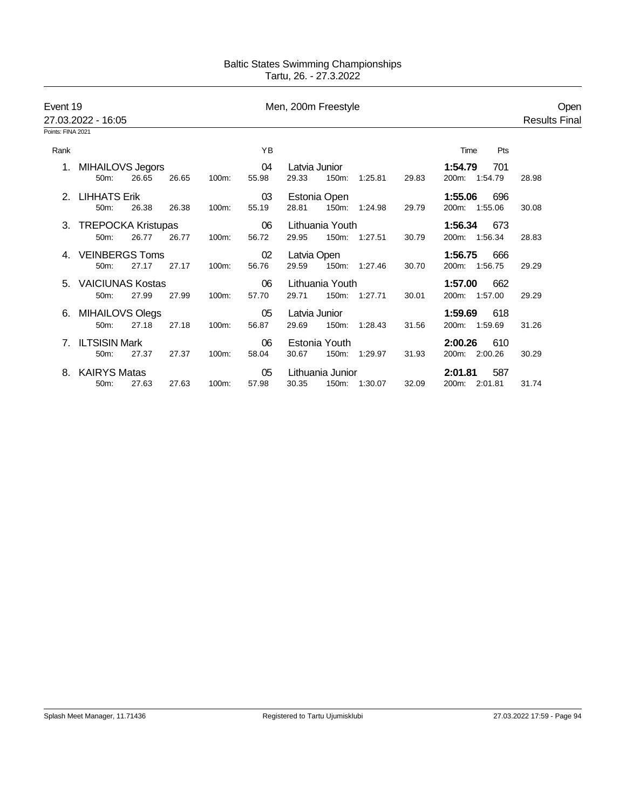| Event 19          | 27.03.2022 - 16:05        |       |       |          | Men, 200m Freestyle |               |                  |               |       |                  | Open<br><b>Results Final</b> |
|-------------------|---------------------------|-------|-------|----------|---------------------|---------------|------------------|---------------|-------|------------------|------------------------------|
| Points: FINA 2021 |                           |       |       |          |                     |               |                  |               |       |                  |                              |
| Rank              |                           |       |       |          | YB                  |               |                  |               |       | Pts<br>Time      |                              |
|                   | 1. MIHAILOVS Jegors       |       |       |          | 04                  | Latvia Junior |                  |               |       | 701<br>1:54.79   |                              |
|                   | 50m:                      | 26.65 | 26.65 | 100m:    | 55.98               | 29.33         | 150m:            | 1:25.81       | 29.83 | 200m: 1:54.79    | 28.98                        |
|                   | 2. LIHHATS Erik           |       |       |          | 03                  |               | Estonia Open     |               |       | 1:55.06<br>696   |                              |
|                   | 50m:                      | 26.38 | 26.38 | 100m:    | 55.19               | 28.81         | 150m:            | 1.24.98       | 29.79 | 200m:<br>1:55.06 | 30.08                        |
| 3.                | <b>TREPOCKA Kristupas</b> |       |       |          | 06                  |               | Lithuania Youth  |               |       | 1:56.34<br>673   |                              |
|                   | 50m:                      | 26.77 | 26.77 | 100m:    | 56.72               | 29.95         |                  | 150m: 1:27.51 | 30.79 | 1:56.34<br>200m: | 28.83                        |
|                   | <b>VEINBERGS Toms</b>     |       |       |          | 02                  | Latvia Open   |                  |               |       | 1:56.75<br>666   |                              |
|                   | 50m:                      | 27.17 | 27.17 | $100m$ : | 56.76               | 29.59         |                  | 150m: 1:27.46 | 30.70 | 200m: 1:56.75    | 29.29                        |
| 5.                | VAICIUNAS Kostas          |       |       |          | 06                  |               | Lithuania Youth  |               |       | 1:57.00<br>662   |                              |
|                   | $50m$ :                   | 27.99 | 27.99 | 100m:    | 57.70               | 29.71         |                  | 150m: 1:27.71 | 30.01 | 200m: 1:57.00    | 29.29                        |
| 6.                | MIHAILOVS Olegs           |       |       |          | 05                  | Latvia Junior |                  |               |       | 1:59.69<br>618   |                              |
|                   | 50m:                      | 27.18 | 27.18 | 100m:    | 56.87               | 29.69         | 150m:            | 1:28.43       | 31.56 | 200m: 1:59.69    | 31.26                        |
| 7                 | <b>ILTSISIN Mark</b>      |       |       |          | 06                  |               | Estonia Youth    |               |       | 2:00.26<br>610   |                              |
|                   | 50m:                      | 27.37 | 27.37 | 100m:    | 58.04               | 30.67         | 150m:            | 1:29.97       | 31.93 | 200m: 2:00.26    | 30.29                        |
| 8.                | <b>KAIRYS Matas</b>       |       |       |          | 05                  |               | Lithuania Junior |               |       | 2:01.81<br>587   |                              |
|                   | 50 <sub>m</sub> :         | 27.63 | 27.63 | 100m:    | 57.98               | 30.35         |                  | 150m: 1:30.07 | 32.09 | 200m: 2:01.81    | 31.74                        |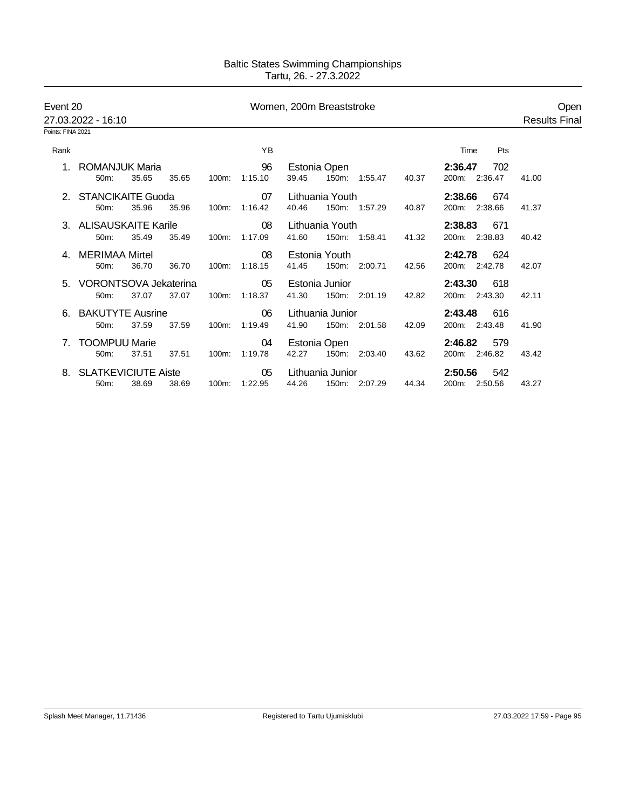| Event 20          | 27.03.2022 - 16:10                        |       |       |          |                     | Women, 200m Breaststroke |                  |               |       |                                 | Open<br><b>Results Final</b> |
|-------------------|-------------------------------------------|-------|-------|----------|---------------------|--------------------------|------------------|---------------|-------|---------------------------------|------------------------------|
| Points: FINA 2021 |                                           |       |       |          |                     |                          |                  |               |       |                                 |                              |
| Rank              |                                           |       |       |          | YB                  |                          |                  |               |       | Pts<br>Time                     |                              |
|                   | ROMANJUK Maria<br>$50m$ :                 | 35.65 | 35.65 | 100m:    | 96<br>1:15.10       | 39.45                    | Estonia Open     | 150m: 1:55.47 | 40.37 | 2:36.47<br>702<br>200m: 2:36.47 | 41.00                        |
|                   | 2. STANCIKAITE Guoda<br>50 <sub>m</sub> : | 35.96 | 35.96 | 100m:    | 07<br>1:16.42       | 40.46                    | Lithuania Youth  | 150m: 1:57.29 | 40.87 | 2:38.66<br>674<br>200m: 2:38.66 | 41.37                        |
|                   | 3. ALISAUSKAITE Karile<br>50m:            | 35.49 | 35.49 | 100m:    | 08<br>1:17.09       | 41.60                    | Lithuania Youth  | 150m: 1:58.41 | 41.32 | 2:38.83<br>671<br>200m: 2:38.83 | 40.42                        |
|                   | 4. MERIMAA Mirtel<br>50m:                 | 36.70 | 36.70 |          | 08<br>100m: 1:18.15 | 41.45                    | Estonia Youth    | 150m: 2:00.71 | 42.56 | 2:42.78<br>624<br>200m: 2:42.78 | 42.07                        |
|                   | 5. VORONTSOVA Jekaterina<br>50m:          | 37.07 | 37.07 |          | 05<br>100m: 1:18.37 | 41.30                    | Estonia Junior   | 150m: 2:01.19 | 42.82 | 2:43.30<br>618<br>200m: 2:43.30 | 42.11                        |
|                   | 6. BAKUTYTE Ausrine<br>50m:               | 37.59 | 37.59 | 100m:    | 06<br>1:19.49       | 41.90                    | Lithuania Junior | 150m: 2:01.58 | 42.09 | 2:43.48<br>616<br>200m: 2:43.48 | 41.90                        |
|                   | <b>TOOMPUU Marie</b><br>$50m$ :           | 37.51 | 37.51 | $100m$ : | 04<br>1:19.78       | 42.27                    | Estonia Open     | 150m: 2:03.40 | 43.62 | 2:46.82<br>579<br>200m: 2:46.82 | 43.42                        |
|                   | 8. SLATKEVICIUTE Aiste<br>50m:            | 38.69 | 38.69 | 100m:    | 05<br>1:22.95       | 44.26                    | Lithuania Junior | 150m: 2:07.29 | 44.34 | 2:50.56<br>542<br>200m: 2:50.56 | 43.27                        |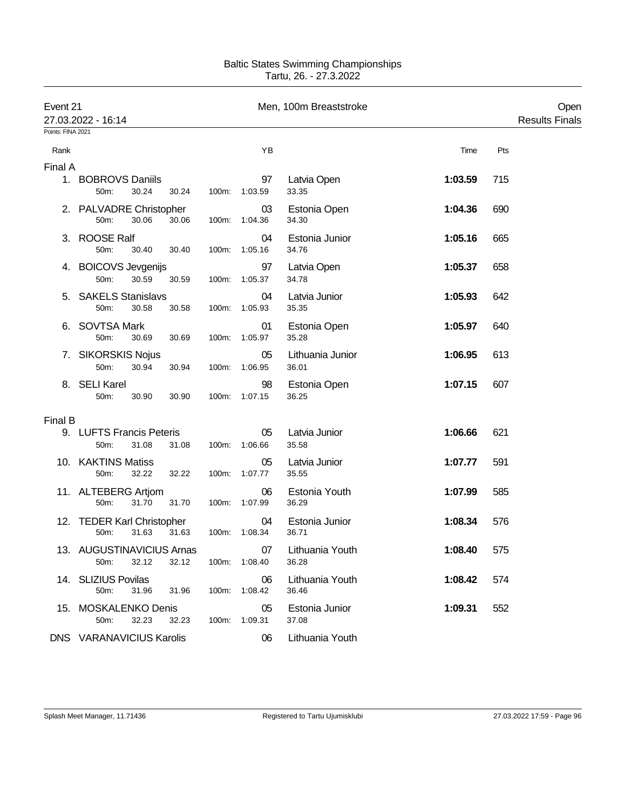| Event 21<br>Points: FINA 2021 | 27.03.2022 - 16:14                          |       |       |                     | Men, 100m Breaststroke    |         |     | Open<br><b>Results Finals</b> |
|-------------------------------|---------------------------------------------|-------|-------|---------------------|---------------------------|---------|-----|-------------------------------|
| Rank                          |                                             |       |       | ΥB                  |                           | Time    | Pts |                               |
| Final A                       |                                             |       |       |                     |                           |         |     |                               |
|                               | 1. BOBROVS Daniils<br>30.24<br>50m:         | 30.24 |       | 97<br>100m: 1:03.59 | Latvia Open<br>33.35      | 1:03.59 | 715 |                               |
|                               | 2. PALVADRE Christopher<br>50m:<br>30.06    | 30.06 | 100m: | 03<br>1:04.36       | Estonia Open<br>34.30     | 1:04.36 | 690 |                               |
|                               | 3. ROOSE Ralf<br>50m:<br>30.40              | 30.40 |       | 04<br>100m: 1:05.16 | Estonia Junior<br>34.76   | 1:05.16 | 665 |                               |
|                               | 4. BOICOVS Jevgenijs<br>50m:<br>30.59       | 30.59 |       | 97<br>100m: 1:05.37 | Latvia Open<br>34.78      | 1:05.37 | 658 |                               |
|                               | 5. SAKELS Stanislavs<br>50m:<br>30.58       | 30.58 |       | 04<br>100m: 1:05.93 | Latvia Junior<br>35.35    | 1:05.93 | 642 |                               |
|                               | 6. SOVTSA Mark<br>50m:<br>30.69             | 30.69 |       | 01<br>100m: 1:05.97 | Estonia Open<br>35.28     | 1:05.97 | 640 |                               |
|                               | 7. SIKORSKIS Nojus<br>30.94<br>50m:         | 30.94 |       | 05<br>100m: 1:06.95 | Lithuania Junior<br>36.01 | 1:06.95 | 613 |                               |
|                               | 8. SELI Karel<br>50m:<br>30.90              | 30.90 |       | 98<br>100m: 1:07.15 | Estonia Open<br>36.25     | 1:07.15 | 607 |                               |
| Final B                       |                                             |       |       |                     |                           |         |     |                               |
|                               | 9. LUFTS Francis Peteris<br>50m:<br>31.08   | 31.08 |       | 05<br>100m: 1:06.66 | Latvia Junior<br>35.58    | 1:06.66 | 621 |                               |
|                               | 10. KAKTINS Matiss<br>32.22<br>50m:         | 32.22 |       | 05<br>100m: 1:07.77 | Latvia Junior<br>35.55    | 1:07.77 | 591 |                               |
|                               | 11. ALTEBERG Artjom<br>31.70<br>50m:        | 31.70 |       | 06<br>100m: 1:07.99 | Estonia Youth<br>36.29    | 1:07.99 | 585 |                               |
|                               | 12. TEDER Karl Christopher<br>50m:<br>31.63 | 31.63 |       | 04<br>100m: 1:08.34 | Estonia Junior<br>36.71   | 1:08.34 | 576 |                               |
|                               | 13. AUGUSTINAVICIUS Arnas<br>50m:<br>32.12  | 32.12 |       | 07<br>100m: 1:08.40 | Lithuania Youth<br>36.28  | 1:08.40 | 575 |                               |
|                               | 14. SLIZIUS Povilas<br>50m:<br>31.96        | 31.96 |       | 06<br>100m: 1:08.42 | Lithuania Youth<br>36.46  | 1:08.42 | 574 |                               |
|                               | 15. MOSKALENKO Denis<br>32.23<br>50m:       | 32.23 |       | 05<br>100m: 1:09.31 | Estonia Junior<br>37.08   | 1:09.31 | 552 |                               |
|                               | DNS VARANAVICIUS Karolis                    |       |       | 06                  | Lithuania Youth           |         |     |                               |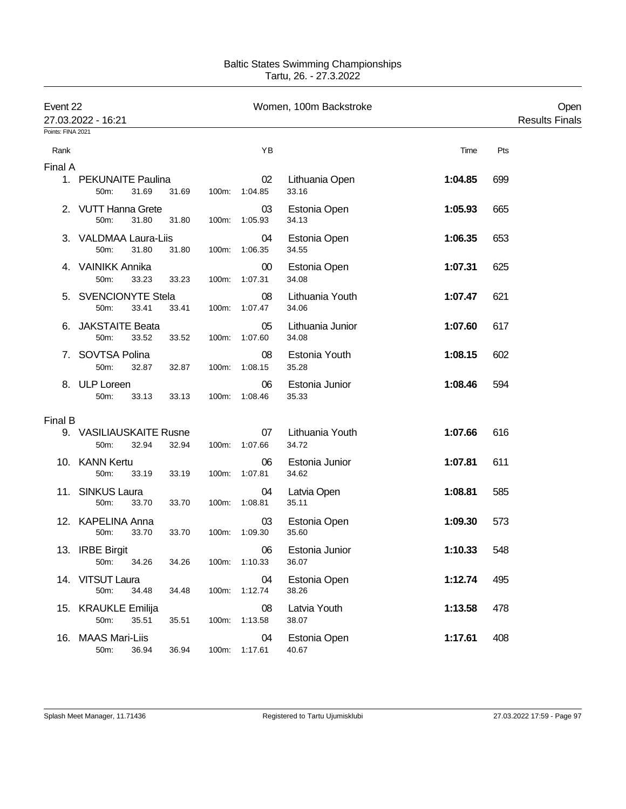| Event 22          | 27.03.2022 - 16:21                       |       |       |                     | Women, 100m Backstroke    |         |     | Open<br><b>Results Finals</b> |
|-------------------|------------------------------------------|-------|-------|---------------------|---------------------------|---------|-----|-------------------------------|
| Points: FINA 2021 |                                          |       |       |                     |                           |         |     |                               |
| Rank              |                                          |       |       | ΥB                  |                           | Time    | Pts |                               |
| Final A           |                                          |       |       |                     |                           |         |     |                               |
|                   | 1. PEKUNAITE Paulina<br>31.69<br>50m:    | 31.69 |       | 02<br>100m: 1:04.85 | Lithuania Open<br>33.16   | 1:04.85 | 699 |                               |
|                   | 2. VUTT Hanna Grete<br>50m:<br>31.80     | 31.80 | 100m: | 03<br>1:05.93       | Estonia Open<br>34.13     | 1:05.93 | 665 |                               |
|                   | 3. VALDMAA Laura-Liis<br>50m:<br>31.80   | 31.80 |       | 04<br>100m: 1:06.35 | Estonia Open<br>34.55     | 1:06.35 | 653 |                               |
|                   | 4. VAINIKK Annika<br>50m:<br>33.23       | 33.23 | 100m: | $00\,$<br>1:07.31   | Estonia Open<br>34.08     | 1:07.31 | 625 |                               |
|                   | 5. SVENCIONYTE Stela<br>50m:<br>33.41    | 33.41 | 100m: | 08<br>1:07.47       | Lithuania Youth<br>34.06  | 1:07.47 | 621 |                               |
| 6.                | <b>JAKSTAITE Beata</b><br>50m:<br>33.52  | 33.52 |       | 05<br>100m: 1:07.60 | Lithuania Junior<br>34.08 | 1:07.60 | 617 |                               |
|                   | 7. SOVTSA Polina<br>50m:<br>32.87        | 32.87 | 100m: | 08<br>1:08.15       | Estonia Youth<br>35.28    | 1:08.15 | 602 |                               |
|                   | 8. ULP Loreen<br>50m:<br>33.13           | 33.13 |       | 06<br>100m: 1:08.46 | Estonia Junior<br>35.33   | 1:08.46 | 594 |                               |
| Final B           |                                          |       |       |                     |                           |         |     |                               |
|                   | 9. VASILIAUSKAITE Rusne<br>50m:<br>32.94 | 32.94 |       | 07<br>100m: 1:07.66 | Lithuania Youth<br>34.72  | 1:07.66 | 616 |                               |
|                   | 10. KANN Kertu<br>50m:<br>33.19          | 33.19 | 100m: | 06<br>1:07.81       | Estonia Junior<br>34.62   | 1:07.81 | 611 |                               |
|                   | 11. SINKUS Laura<br>50m:<br>33.70        | 33.70 |       | 04<br>100m: 1:08.81 | Latvia Open<br>35.11      | 1:08.81 | 585 |                               |
|                   | 12. KAPELINA Anna<br>50m:<br>33.70       | 33.70 |       | 03<br>100m: 1:09.30 | Estonia Open<br>35.60     | 1:09.30 | 573 |                               |
|                   | 13. IRBE Birgit<br>34.26<br>50m:         | 34.26 |       | 06<br>100m: 1:10.33 | Estonia Junior<br>36.07   | 1:10.33 | 548 |                               |
|                   | 14. VITSUT Laura<br>50m:<br>34.48        | 34.48 |       | 04<br>100m: 1:12.74 | Estonia Open<br>38.26     | 1:12.74 | 495 |                               |
|                   | 15. KRAUKLE Emilija<br>50m:<br>35.51     | 35.51 |       | 08<br>100m: 1:13.58 | Latvia Youth<br>38.07     | 1:13.58 | 478 |                               |
|                   | 16. MAAS Mari-Liis<br>50m:<br>36.94      | 36.94 |       | 04<br>100m: 1:17.61 | Estonia Open<br>40.67     | 1:17.61 | 408 |                               |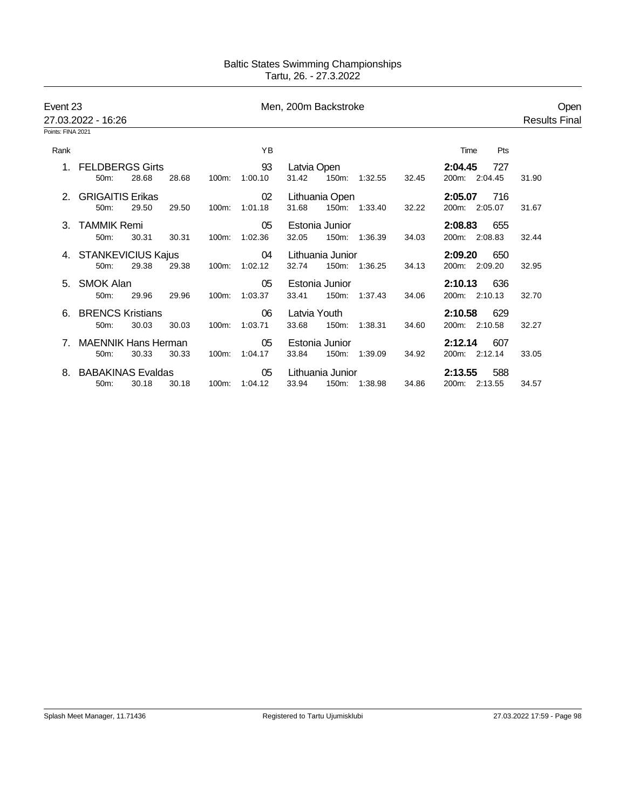| Event 23          | 27.03.2022 - 16:26         |       |       |       |         | Men, 200m Backstroke |                  |               |       |                | Open<br><b>Results Final</b> |
|-------------------|----------------------------|-------|-------|-------|---------|----------------------|------------------|---------------|-------|----------------|------------------------------|
| Points: FINA 2021 |                            |       |       |       |         |                      |                  |               |       |                |                              |
| Rank              |                            |       |       |       | YB      |                      |                  |               |       | Pts<br>Time    |                              |
|                   | 1. FELDBERGS Girts         |       |       |       | 93      | Latvia Open          |                  |               |       | 727<br>2:04.45 |                              |
|                   | $50m$ :                    | 28.68 | 28.68 | 100m: | 1:00.10 | 31.42                |                  | 150m: 1:32.55 | 32.45 | 200m: 2:04.45  | 31.90                        |
|                   | 2. GRIGAITIS Erikas        |       |       |       | 02      |                      | Lithuania Open   |               |       | 716<br>2:05.07 |                              |
|                   | 50m:                       | 29.50 | 29.50 | 100m: | 1:01.18 | 31.68                |                  | 150m: 1:33.40 | 32.22 | 200m: 2:05.07  | 31.67                        |
|                   | 3. TAMMIK Remi             |       |       |       | 05      |                      | Estonia Junior   |               |       | 2:08.83<br>655 |                              |
|                   | 50m:                       | 30.31 | 30.31 | 100m: | 1:02.36 | 32.05                |                  | 150m: 1:36.39 | 34.03 | 200m: 2:08.83  | 32.44                        |
|                   | 4. STANKEVICIUS Kajus      |       |       |       | 04      |                      | Lithuania Junior |               |       | 2:09.20<br>650 |                              |
|                   | 50m:                       | 29.38 | 29.38 | 100m: | 1:02.12 | 32.74                |                  | 150m: 1:36.25 | 34.13 | 200m: 2:09.20  | 32.95                        |
|                   | 5. SMOK Alan               |       |       |       | 05      |                      | Estonia Junior   |               |       | 2:10.13<br>636 |                              |
|                   | 50m:                       | 29.96 | 29.96 | 100m: | 1:03.37 | 33.41                |                  | 150m: 1:37.43 | 34.06 | 200m: 2:10.13  | 32.70                        |
|                   | 6. BRENCS Kristians        |       |       |       | 06      | Latvia Youth         |                  |               |       | 2:10.58<br>629 |                              |
|                   | 50m:                       | 30.03 | 30.03 | 100m: | 1:03.71 | 33.68                | 150m:            | 1:38.31       | 34.60 | 200m: 2:10.58  | 32.27                        |
|                   | <b>MAENNIK Hans Herman</b> |       |       |       | 05      |                      | Estonia Junior   |               |       | 2:12.14<br>607 |                              |
|                   | 50m:                       | 30.33 | 30.33 | 100m: | 1:04.17 | 33.84                | 150m:            | 1:39.09       | 34.92 | 200m: 2:12.14  | 33.05                        |
|                   | <b>BABAKINAS Evaldas</b>   |       |       |       | 05      |                      | Lithuania Junior |               |       | 2:13.55<br>588 |                              |
|                   | 50m:                       | 30.18 | 30.18 | 100m: | 1:04.12 | 33.94                |                  | 150m: 1:38.98 | 34.86 | 200m: 2:13.55  | 34.57                        |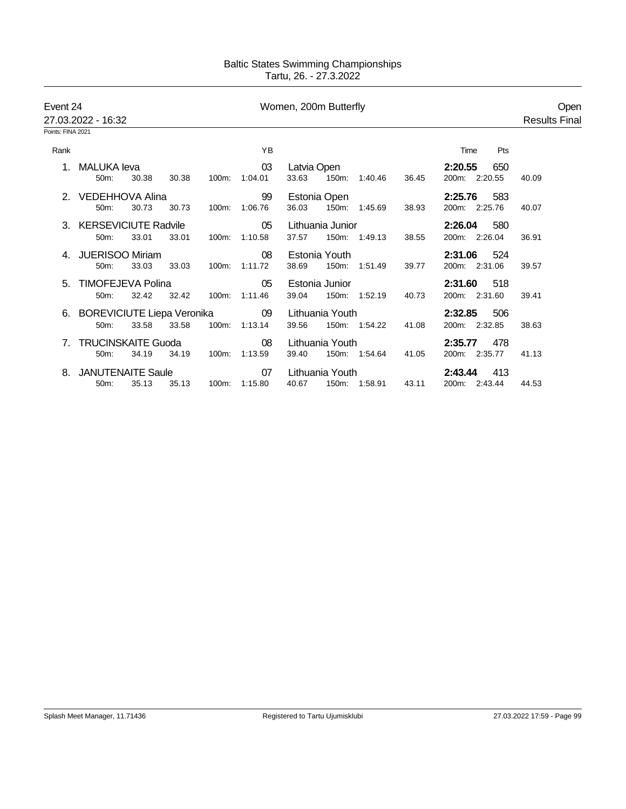| Event 24          |                                             |       |       |               |                     | Women, 200m Butterfly |                  |                                                 |       |                                   | Open                 |
|-------------------|---------------------------------------------|-------|-------|---------------|---------------------|-----------------------|------------------|-------------------------------------------------|-------|-----------------------------------|----------------------|
| Points: FINA 2021 | 27.03.2022 - 16:32                          |       |       |               |                     |                       |                  |                                                 |       |                                   | <b>Results Final</b> |
| Rank              |                                             |       |       |               | ΥB                  |                       |                  |                                                 |       | Pts<br>Time                       |                      |
|                   | MALUKA leva<br>50 <sub>m</sub> :            | 30.38 | 30.38 |               | 03<br>100m: 1:04.01 | Latvia Open<br>33.63  |                  | 150m: 1:40.46                                   | 36.45 | 2:20.55<br>650<br>200m: 2:20.55   | 40.09                |
|                   | 2. VEDEHHOVA Alina<br>50m:                  | 30.73 | 30.73 | 100m:         | 99<br>1:06.76       | 36.03                 | Estonia Open     | 150m: 1:45.69                                   | 38.93 | 583<br>2:25.76<br>200m: 2:25.76   | 40.07                |
|                   | 3. KERSEVICIUTE Radvile<br>50m:             | 33.01 | 33.01 |               | 05<br>100m: 1:10.58 | 37.57                 | Lithuania Junior | 150m: 1:49.13                                   | 38.55 | 2:26.04<br>- 580<br>200m: 2:26.04 | 36.91                |
|                   | 4. JUERISOO Miriam<br>50 <sub>m</sub> :     | 33.03 | 33.03 | 100m: 1:11.72 | 08                  | 38.69                 | Estonia Youth    | 150m: 1:51.49                                   | 39.77 | - 524<br>2:31.06<br>200m: 2:31.06 | 39.57                |
|                   | 5. TIMOFEJEVA Polina<br>50 <sub>m</sub> :   | 32.42 | 32.42 | 100m: 1:11.46 | 05                  | 39.04                 | Estonia Junior   | 150m: 1:52.19                                   | 40.73 | 2:31.60<br>518<br>200m: 2:31.60   | 39.41                |
|                   | 6. BOREVICIUTE Liepa Veronika 09<br>$50m$ : | 33.58 | 33.58 |               | 100m: 1:13.14       | 39.56                 |                  | Lithuania Youth <b>Example</b><br>150m: 1:54.22 | 41.08 | 2:32.85<br>506<br>200m: 2:32.85   | 38.63                |
| 7.                | <b>TRUCINSKAITE Guoda</b><br>$50m$ :        | 34.19 | 34.19 | 100m:         | 08<br>1:13.59       | 39.40                 | Lithuania Youth  | 150m: 1:54.64                                   | 41.05 | 2:35.77<br>478<br>200m: 2:35.77   | 41.13                |
|                   | 8. JANUTENAITE Saule<br>50m:                | 35.13 | 35.13 |               | 07<br>100m: 1:15.80 | 40.67                 | Lithuania Youth  | 150m: 1:58.91                                   | 43.11 | 413<br>2:43.44<br>200m: 2:43.44   | 44.53                |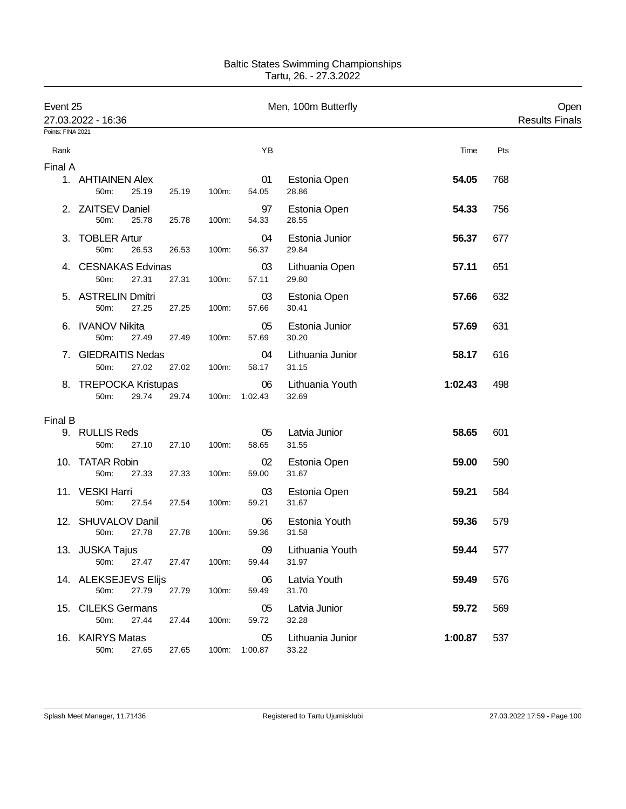| Event 25<br>Points: FINA 2021 | 27.03.2022 - 16:36            |       |       |       |                     | Men, 100m Butterfly       |         |     | Open<br><b>Results Finals</b> |
|-------------------------------|-------------------------------|-------|-------|-------|---------------------|---------------------------|---------|-----|-------------------------------|
| Rank                          |                               |       |       |       | YB                  |                           | Time    | Pts |                               |
| Final A                       |                               |       |       |       |                     |                           |         |     |                               |
|                               | 1. AHTIAINEN Alex<br>50m:     | 25.19 | 25.19 | 100m: | 01<br>54.05         | Estonia Open<br>28.86     | 54.05   | 768 |                               |
|                               | 2. ZAITSEV Daniel<br>50m:     | 25.78 | 25.78 | 100m: | 97<br>54.33         | Estonia Open<br>28.55     | 54.33   | 756 |                               |
|                               | 3. TOBLER Artur<br>50m:       | 26.53 | 26.53 | 100m: | 04<br>56.37         | Estonia Junior<br>29.84   | 56.37   | 677 |                               |
|                               | 4. CESNAKAS Edvinas<br>50m:   | 27.31 | 27.31 | 100m: | 03<br>57.11         | Lithuania Open<br>29.80   | 57.11   | 651 |                               |
|                               | 5. ASTRELIN Dmitri<br>50m:    | 27.25 | 27.25 | 100m: | 03<br>57.66         | Estonia Open<br>30.41     | 57.66   | 632 |                               |
|                               | 6. IVANOV Nikita<br>50m:      | 27.49 | 27.49 | 100m: | 05<br>57.69         | Estonia Junior<br>30.20   | 57.69   | 631 |                               |
|                               | 7. GIEDRAITIS Nedas<br>50m:   | 27.02 | 27.02 | 100m: | 04<br>58.17         | Lithuania Junior<br>31.15 | 58.17   | 616 |                               |
|                               | 8. TREPOCKA Kristupas<br>50m: | 29.74 | 29.74 |       | 06<br>100m: 1:02.43 | Lithuania Youth<br>32.69  | 1:02.43 | 498 |                               |
|                               |                               |       |       |       |                     |                           |         |     |                               |
| <b>Final B</b>                | 9. RULLIS Reds<br>50m:        | 27.10 | 27.10 | 100m: | 05<br>58.65         | Latvia Junior<br>31.55    | 58.65   | 601 |                               |
|                               | 10. TATAR Robin<br>50m:       | 27.33 | 27.33 | 100m: | 02<br>59.00         | Estonia Open<br>31.67     | 59.00   | 590 |                               |
|                               | 11. VESKI Harri<br>50m:       | 27.54 | 27.54 | 100m: | 03<br>59.21         | Estonia Open<br>31.67     | 59.21   | 584 |                               |
|                               | 12. SHUVALOV Danil<br>50m:    | 27.78 | 27.78 | 100m: | 06<br>59.36         | Estonia Youth<br>31.58    | 59.36   | 579 |                               |
|                               | 13. JUSKA Tajus<br>50m:       | 27.47 | 27.47 | 100m: | 09<br>59.44         | Lithuania Youth<br>31.97  | 59.44   | 577 |                               |
|                               | 14. ALEKSEJEVS Elijs<br>50m:  | 27.79 | 27.79 | 100m: | 06<br>59.49         | Latvia Youth<br>31.70     | 59.49   | 576 |                               |
|                               | 15. CILEKS Germans<br>50m:    | 27.44 | 27.44 | 100m: | 05<br>59.72         | Latvia Junior<br>32.28    | 59.72   | 569 |                               |
|                               | 16. KAIRYS Matas<br>50m:      | 27.65 | 27.65 |       | 05<br>100m: 1:00.87 | Lithuania Junior<br>33.22 | 1:00.87 | 537 |                               |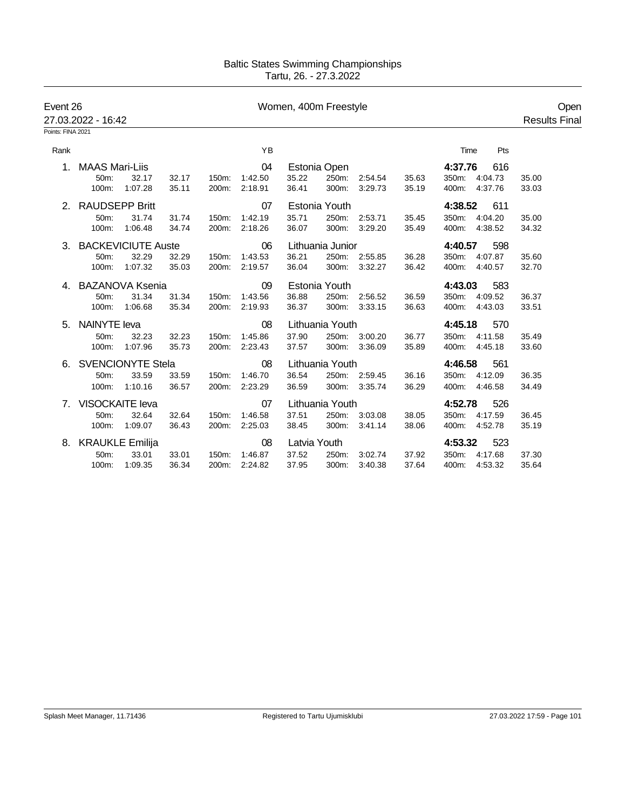| Event 26                       | 27.03.2022 - 16:42    |                          |       | Women, 400m Freestyle |         |              |                  |               |       |         |               | Open<br><b>Results Final</b> |  |
|--------------------------------|-----------------------|--------------------------|-------|-----------------------|---------|--------------|------------------|---------------|-------|---------|---------------|------------------------------|--|
| Points: FINA 2021              |                       |                          |       |                       |         |              |                  |               |       |         |               |                              |  |
| Rank                           |                       |                          |       |                       | YB      |              |                  |               |       | Time    | Pts           |                              |  |
| $\mathbf 1$ .                  | <b>MAAS Mari-Liis</b> |                          |       |                       | 04      |              | Estonia Open     |               |       | 4:37.76 | 616           |                              |  |
|                                | 50m:                  | 32.17                    | 32.17 | 150m:                 | 1:42.50 | 35.22        | 250m:            | 2:54.54       | 35.63 |         | 350m: 4:04.73 | 35.00                        |  |
|                                | 100m:                 | 1:07.28                  | 35.11 | 200m:                 | 2:18.91 | 36.41        | 300m:            | 3:29.73       | 35.19 |         | 400m: 4:37.76 | 33.03                        |  |
| $2_{-}$                        | <b>RAUDSEPP Britt</b> |                          |       |                       | 07      |              | Estonia Youth    |               |       | 4:38.52 | 611           |                              |  |
|                                | 50m:                  | 31.74                    | 31.74 | 150m:                 | 1:42.19 | 35.71        | 250m:            | 2:53.71       | 35.45 |         | 350m: 4:04.20 | 35.00                        |  |
|                                | 100m:                 | 1:06.48                  | 34.74 | 200m:                 | 2:18.26 | 36.07        | 300m:            | 3:29.20       | 35.49 |         | 400m: 4:38.52 | 34.32                        |  |
|                                | 3. BACKEVICIUTE Auste |                          |       |                       | 06      |              | Lithuania Junior |               |       | 4:40.57 | 598           |                              |  |
|                                | 50m:                  | 32.29                    | 32.29 | 150m:                 | 1:43.53 | 36.21        |                  | 250m: 2:55.85 | 36.28 |         | 350m: 4:07.87 | 35.60                        |  |
|                                | 100m:                 | 1:07.32                  | 35.03 | 200m:                 | 2:19.57 | 36.04        | 300m:            | 3:32.27       | 36.42 |         | 400m: 4:40.57 | 32.70                        |  |
| 4                              |                       | <b>BAZANOVA Ksenia</b>   |       |                       | 09      |              | Estonia Youth    |               |       | 4:43.03 | 583           |                              |  |
|                                | 50m:                  | 31.34                    | 31.34 | 150m:                 | 1:43.56 | 36.88        | 250m:            | 2:56.52       | 36.59 |         | 350m: 4:09.52 | 36.37                        |  |
|                                | 100m:                 | 1:06.68                  | 35.34 | 200m:                 | 2:19.93 | 36.37        | 300m:            | 3:33.15       | 36.63 |         | 400m: 4:43.03 | 33.51                        |  |
| 5.                             | <b>NAINYTE leva</b>   |                          |       |                       | 08      |              | Lithuania Youth  |               |       | 4:45.18 | 570           |                              |  |
|                                | 50m:                  | 32.23                    | 32.23 | 150m:                 | 1:45.86 | 37.90        |                  | 250m: 3:00.20 | 36.77 |         | 350m: 4:11.58 | 35.49                        |  |
|                                | 100m:                 | 1:07.96                  | 35.73 | 200m:                 | 2:23.43 | 37.57        |                  | 300m: 3:36.09 | 35.89 |         | 400m: 4:45.18 | 33.60                        |  |
| 6.                             |                       | <b>SVENCIONYTE Stela</b> |       |                       | 08      |              | Lithuania Youth  |               |       | 4:46.58 | 561           |                              |  |
|                                | 50m:                  | 33.59                    | 33.59 | 150m:                 | 1:46.70 | 36.54        |                  | 250m: 2:59.45 | 36.16 |         | 350m: 4:12.09 | 36.35                        |  |
|                                | 100m:                 | 1:10.16                  | 36.57 | 200m:                 | 2:23.29 | 36.59        |                  | 300m: 3:35.74 | 36.29 |         | 400m: 4:46.58 | 34.49                        |  |
| $7_{\scriptscriptstyle{\sim}}$ | VISOCKAITE leva       |                          |       |                       | 07      |              | Lithuania Youth  |               |       | 4:52.78 | 526           |                              |  |
|                                | 50m:                  | 32.64                    | 32.64 | 150m:                 | 1:46.58 | 37.51        |                  | 250m: 3:03.08 | 38.05 |         | 350m: 4:17.59 | 36.45                        |  |
|                                | 100m:                 | 1:09.07                  | 36.43 | 200m:                 | 2:25.03 | 38.45        | 300m:            | 3:41.14       | 38.06 |         | 400m: 4:52.78 | 35.19                        |  |
|                                | 8. KRAUKLE Emilija    |                          |       |                       | 08      | Latvia Youth |                  |               |       | 4:53.32 | 523           |                              |  |
|                                | 50m:                  | 33.01                    | 33.01 | 150m:                 | 1:46.87 | 37.52        | 250m:            | 3:02.74       | 37.92 |         | 350m: 4:17.68 | 37.30                        |  |
|                                | 100m:                 | 1:09.35                  | 36.34 | 200m:                 | 2:24.82 | 37.95        | 300m:            | 3:40.38       | 37.64 |         | 400m: 4:53.32 | 35.64                        |  |
|                                |                       |                          |       |                       |         |              |                  |               |       |         |               |                              |  |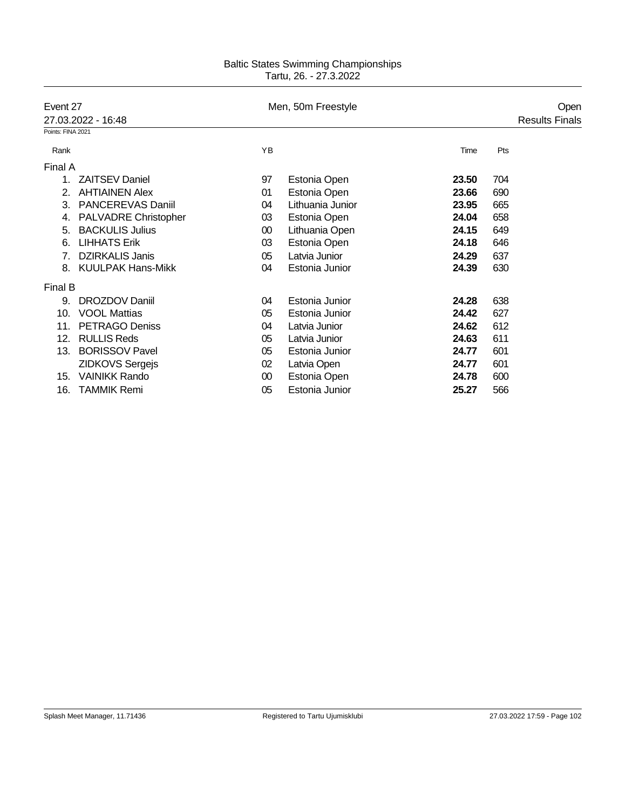| Event 27                 |        |                  |                    |     | Open                  |
|--------------------------|--------|------------------|--------------------|-----|-----------------------|
| 27.03.2022 - 16:48       |        |                  |                    |     | <b>Results Finals</b> |
| Points: FINA 2021        |        |                  |                    |     |                       |
|                          | YB     |                  | Time               | Pts |                       |
| Final A                  |        |                  |                    |     |                       |
| <b>ZAITSEV Daniel</b>    | 97     | Estonia Open     | 23.50              | 704 |                       |
| <b>AHTIAINEN Alex</b>    | 01     | Estonia Open     | 23.66              | 690 |                       |
| <b>PANCEREVAS Daniil</b> | 04     | Lithuania Junior | 23.95              | 665 |                       |
| PALVADRE Christopher     | 03     | Estonia Open     | 24.04              | 658 |                       |
| <b>BACKULIS Julius</b>   | 00     | Lithuania Open   | 24.15              | 649 |                       |
| <b>LIHHATS Erik</b>      | 03     | Estonia Open     | 24.18              | 646 |                       |
| <b>DZIRKALIS Janis</b>   | 05     | Latvia Junior    | 24.29              | 637 |                       |
| <b>KUULPAK Hans-Mikk</b> | 04     | Estonia Junior   | 24.39              | 630 |                       |
| Final B                  |        |                  |                    |     |                       |
| DROZDOV Daniil           | 04     | Estonia Junior   | 24.28              | 638 |                       |
| <b>VOOL Mattias</b>      | 05     | Estonia Junior   | 24.42              | 627 |                       |
| <b>PETRAGO Deniss</b>    | 04     | Latvia Junior    | 24.62              | 612 |                       |
| <b>RULLIS Reds</b>       | 05     | Latvia Junior    | 24.63              | 611 |                       |
| <b>BORISSOV Pavel</b>    | 05     | Estonia Junior   | 24.77              | 601 |                       |
| <b>ZIDKOVS Sergejs</b>   | 02     | Latvia Open      | 24.77              | 601 |                       |
| <b>VAINIKK Rando</b>     | $00\,$ | Estonia Open     | 24.78              | 600 |                       |
| <b>TAMMIK Remi</b>       | 05     | Estonia Junior   | 25.27              | 566 |                       |
|                          |        |                  | Men, 50m Freestyle |     |                       |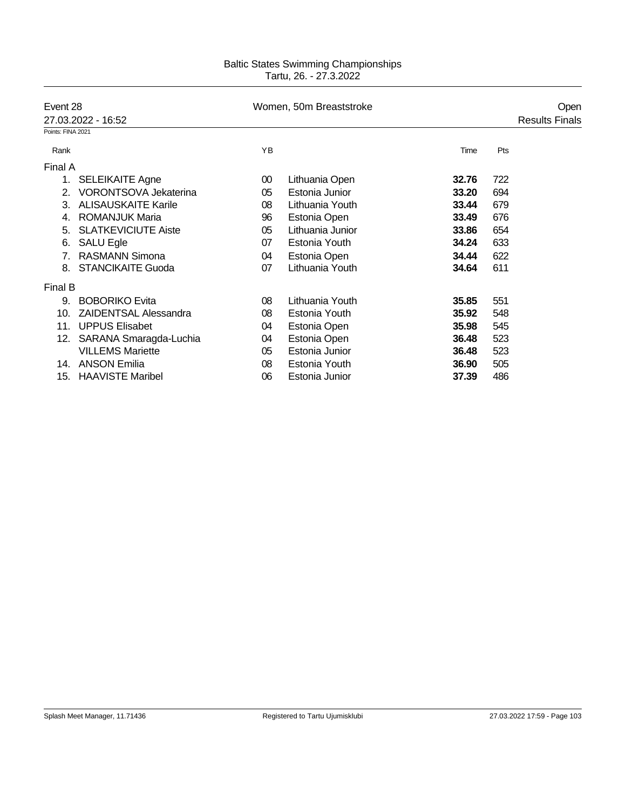|                   | Event 28                     |        | Women, 50m Breaststroke |       | Open |                       |
|-------------------|------------------------------|--------|-------------------------|-------|------|-----------------------|
|                   | 27.03.2022 - 16:52           |        |                         |       |      | <b>Results Finals</b> |
| Points: FINA 2021 |                              |        |                         |       |      |                       |
| Rank              |                              | YB     |                         | Time  | Pts  |                       |
| Final A           |                              |        |                         |       |      |                       |
| 1.                | <b>SELEIKAITE Agne</b>       | $00\,$ | Lithuania Open          | 32.76 | 722  |                       |
| 2.                | <b>VORONTSOVA Jekaterina</b> | 05     | Estonia Junior          | 33.20 | 694  |                       |
| 3.                | <b>ALISAUSKAITE Karile</b>   | 08     | Lithuania Youth         | 33.44 | 679  |                       |
| 4.                | <b>ROMANJUK Maria</b>        | 96     | Estonia Open            | 33.49 | 676  |                       |
| 5.                | <b>SLATKEVICIUTE Aiste</b>   | 05     | Lithuania Junior        | 33.86 | 654  |                       |
| 6.                | <b>SALU Egle</b>             | 07     | Estonia Youth           | 34.24 | 633  |                       |
| 7.                | <b>RASMANN Simona</b>        | 04     | Estonia Open            | 34.44 | 622  |                       |
| 8.                | <b>STANCIKAITE Guoda</b>     | 07     | Lithuania Youth         | 34.64 | 611  |                       |
| Final B           |                              |        |                         |       |      |                       |
| 9.                | <b>BOBORIKO Evita</b>        | 08     | Lithuania Youth         | 35.85 | 551  |                       |
| 10.               | <b>ZAIDENTSAL Alessandra</b> | 08     | Estonia Youth           | 35.92 | 548  |                       |
| 11.               | <b>UPPUS Elisabet</b>        | 04     | Estonia Open            | 35.98 | 545  |                       |
| 12.               | SARANA Smaragda-Luchia       | 04     | Estonia Open            | 36.48 | 523  |                       |
|                   | <b>VILLEMS Mariette</b>      | 05     | Estonia Junior          | 36.48 | 523  |                       |
| 14.               | <b>ANSON Emilia</b>          | 08     | Estonia Youth           | 36.90 | 505  |                       |
| 15.               | <b>HAAVISTE Maribel</b>      | 06     | Estonia Junior          | 37.39 | 486  |                       |
|                   |                              |        |                         |       |      |                       |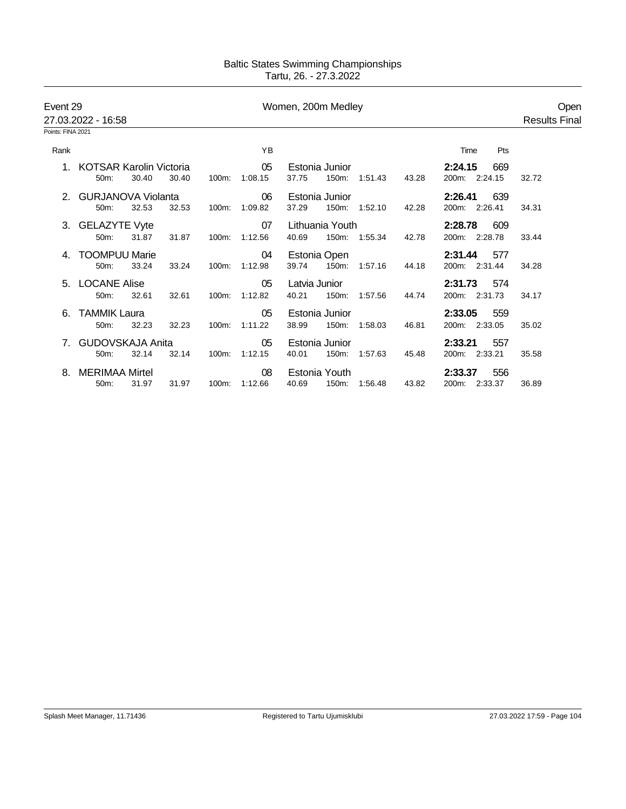| Event 29          |                            |       |       | Women, 200m Medley |         |               |                 |               |       |                | Open                 |
|-------------------|----------------------------|-------|-------|--------------------|---------|---------------|-----------------|---------------|-------|----------------|----------------------|
|                   | 27.03.2022 - 16:58         |       |       |                    |         |               |                 |               |       |                | <b>Results Final</b> |
| Points: FINA 2021 |                            |       |       |                    |         |               |                 |               |       |                |                      |
| Rank              |                            |       |       |                    | YB      |               |                 |               |       | Time<br>Pts    |                      |
|                   | 1. KOTSAR Karolin Victoria |       |       |                    | 05      |               | Estonia Junior  |               |       | 2:24.15<br>669 |                      |
|                   | 50m:                       | 30.40 | 30.40 | 100m:              | 1:08.15 | 37.75         |                 | 150m: 1:51.43 | 43.28 | 200m: 2:24.15  | 32.72                |
|                   | 2. GURJANOVA Violanta      |       |       |                    | 06      |               | Estonia Junior  |               |       | 2:26.41<br>639 |                      |
|                   | $50m$ :                    | 32.53 | 32.53 | 100m:              | 1:09.82 | 37.29         |                 | 150m: 1:52.10 | 42.28 | 200m: 2:26.41  | 34.31                |
|                   | 3. GELAZYTE Vyte           |       |       |                    | 07      |               | Lithuania Youth |               |       | 2:28.78<br>609 |                      |
|                   | 50m:                       | 31.87 | 31.87 | 100m:              | 1:12.56 | 40.69         |                 | 150m: 1:55.34 | 42.78 | 200m: 2:28.78  | 33.44                |
|                   | <b>TOOMPUU Marie</b>       |       |       |                    | 04      |               | Estonia Open    |               |       | 2:31.44<br>577 |                      |
|                   | 50m:                       | 33.24 | 33.24 | 100m:              | 1:12.98 | 39.74         |                 | 150m: 1:57.16 | 44.18 | 200m: 2:31.44  | 34.28                |
|                   | 5. LOCANE Alise            |       |       |                    | 05      | Latvia Junior |                 |               |       | 2:31.73<br>574 |                      |
|                   | 50m:                       | 32.61 | 32.61 | 100m:              | 1:12.82 | 40.21         |                 | 150m: 1:57.56 | 44.74 | 200m: 2:31.73  | 34.17                |
| 6.                | <b>TAMMIK Laura</b>        |       |       |                    | 05      |               | Estonia Junior  |               |       | 2:33.05<br>559 |                      |
|                   | 50m:                       | 32.23 | 32.23 | 100m:              | 1:11.22 | 38.99         | 150m:           | 1:58.03       | 46.81 | 200m: 2:33.05  | 35.02                |
| 7                 | <b>GUDOVSKAJA Anita</b>    |       |       |                    | 05      |               | Estonia Junior  |               |       | 2:33.21<br>557 |                      |
|                   | $50m$ :                    | 32.14 | 32.14 | 100m:              | 1:12.15 | 40.01         | 150m:           | 1:57.63       | 45.48 | 200m: 2:33.21  | 35.58                |
|                   | <b>MERIMAA Mirtel</b>      |       |       |                    | 08      |               | Estonia Youth   |               |       | 556<br>2:33.37 |                      |
|                   | 50 <sub>m</sub> :          | 31.97 | 31.97 | 100m:              | 1:12.66 | 40.69         | 150m:           | 1:56.48       | 43.82 | 200m: 2:33.37  | 36.89                |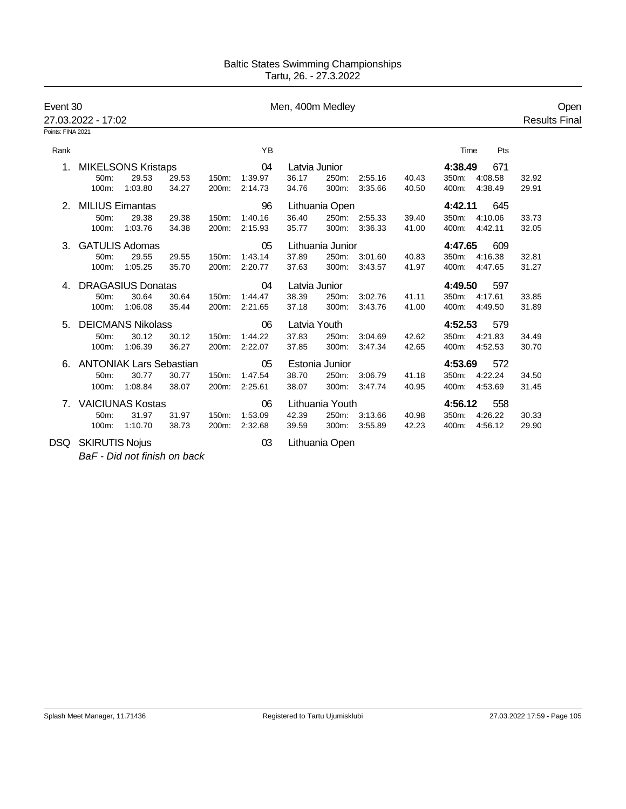| Event 30                       |                                |                          |       |       |         | Men, 400m Medley |                  |               |       |                  |         | Open                 |
|--------------------------------|--------------------------------|--------------------------|-------|-------|---------|------------------|------------------|---------------|-------|------------------|---------|----------------------|
|                                | 27.03.2022 - 17:02             |                          |       |       |         |                  |                  |               |       |                  |         | <b>Results Final</b> |
| Points: FINA 2021              |                                |                          |       |       |         |                  |                  |               |       |                  |         |                      |
| Rank                           |                                |                          |       |       | YB      |                  |                  |               |       | Time             | Pts     |                      |
|                                | <b>MIKELSONS Kristaps</b>      |                          |       |       | 04      | Latvia Junior    |                  |               |       | 4:38.49          | 671     |                      |
|                                | 50m:                           | 29.53                    | 29.53 | 150m: | 1:39.97 | 36.17            | 250m:            | 2:55.16       | 40.43 | 350m: 4:08.58    |         | 32.92                |
|                                | 100m:                          | 1:03.80                  | 34.27 | 200m: | 2:14.73 | 34.76            | 300m:            | 3:35.66       | 40.50 | 400m: 4:38.49    |         | 29.91                |
| 2.                             | <b>MILIUS Eimantas</b>         |                          |       |       | 96      |                  | Lithuania Open   |               |       | 4:42.11          | 645     |                      |
|                                | 50m:                           | 29.38                    | 29.38 | 150m: | 1:40.16 | 36.40            |                  | 250m: 2:55.33 | 39.40 | 350m: 4:10.06    |         | 33.73                |
|                                | 100m:                          | 1:03.76                  | 34.38 | 200m: | 2:15.93 | 35.77            | 300m:            | 3:36.33       | 41.00 | 400m: 4:42.11    |         | 32.05                |
|                                | 3. GATULIS Adomas              |                          |       |       | 05      |                  | Lithuania Junior |               |       | 4:47.65          | 609     |                      |
|                                | 50m:                           | 29.55                    | 29.55 | 150m: | 1:43.14 | 37.89            | 250m:            | 3:01.60       | 40.83 | 350m:<br>4:16.38 |         | 32.81                |
|                                | 100m:                          | 1:05.25                  | 35.70 | 200m: | 2:20.77 | 37.63            | 300m:            | 3:43.57       | 41.97 | 400m: 4:47.65    |         | 31.27                |
|                                | 4. DRAGASIUS Donatas           |                          |       |       | 04      | Latvia Junior    |                  |               |       | 4:49.50          | 597     |                      |
|                                | 50m:                           | 30.64                    | 30.64 | 150m: | 1:44.47 | 38.39            | 250m:            | 3:02.76       | 41.11 | 350m: 4:17.61    |         | 33.85                |
|                                | 100m:                          | 1:06.08                  | 35.44 | 200m: | 2:21.65 | 37.18            | 300m:            | 3:43.76       | 41.00 | 400m:            | 4:49.50 | 31.89                |
| 5.                             |                                | <b>DEICMANS Nikolass</b> |       |       | 06      | Latvia Youth     |                  |               |       | 4:52.53          | 579     |                      |
|                                | 50m:                           | 30.12                    | 30.12 | 150m: | 1:44.22 | 37.83            | 250m:            | 3:04.69       | 42.62 | 4:21.83<br>350m: |         | 34.49                |
|                                | 100m:                          | 1:06.39                  | 36.27 | 200m: | 2:22.07 | 37.85            | 300m:            | 3:47.34       | 42.65 | 400m: 4:52.53    |         | 30.70                |
|                                | <b>ANTONIAK Lars Sebastian</b> |                          |       |       | 05      |                  | Estonia Junior   |               |       | 4:53.69          | 572     |                      |
|                                | 50m:                           | 30.77                    | 30.77 | 150m: | 1:47.54 | 38.70            | 250m:            | 3:06.79       | 41.18 | 350m: 4:22.24    |         | 34.50                |
|                                | 100m:                          | 1:08.84                  | 38.07 | 200m: | 2:25.61 | 38.07            |                  | 300m: 3:47.74 | 40.95 | 400m: 4:53.69    |         | 31.45                |
| $7_{\scriptscriptstyle{\sim}}$ |                                | <b>VAICIUNAS Kostas</b>  |       |       | 06      |                  | Lithuania Youth  |               |       | 4:56.12          | 558     |                      |
|                                | 50m:                           | 31.97                    | 31.97 | 150m: | 1:53.09 | 42.39            |                  | 250m: 3:13.66 | 40.98 | 350m: 4:26.22    |         | 30.33                |
|                                | 100m:                          | 1:10.70                  | 38.73 | 200m: | 2:32.68 | 39.59            | 300m:            | 3:55.89       | 42.23 | 400m:            | 4:56.12 | 29.90                |
|                                | DSQ SKIRUTIS Nojus             |                          |       |       | 03      |                  | Lithuania Open   |               |       |                  |         |                      |
|                                |                                |                          |       |       |         |                  |                  |               |       |                  |         |                      |

*BaF - Did not finish on back*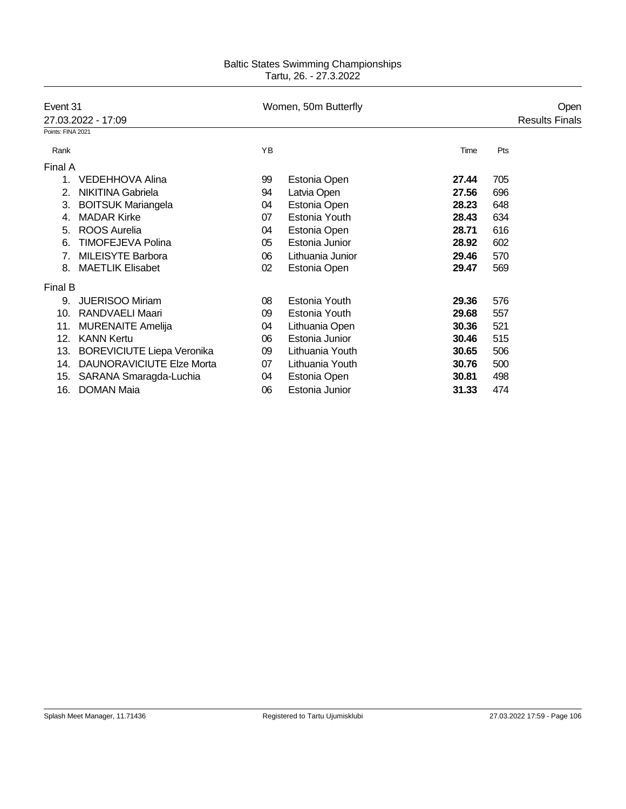| Event 31<br>27.03.2022 - 17:09 |                                   |    | Women, 50m Butterfly |       | Open |                       |
|--------------------------------|-----------------------------------|----|----------------------|-------|------|-----------------------|
|                                |                                   |    |                      |       |      | <b>Results Finals</b> |
| Points: FINA 2021              |                                   |    |                      |       |      |                       |
| Rank                           |                                   | YB |                      | Time  | Pts  |                       |
| Final A                        |                                   |    |                      |       |      |                       |
| 1.                             | <b>VEDEHHOVA Alina</b>            | 99 | Estonia Open         | 27.44 | 705  |                       |
| 2.                             | <b>NIKITINA Gabriela</b>          | 94 | Latvia Open          | 27.56 | 696  |                       |
| 3.                             | <b>BOITSUK Mariangela</b>         | 04 | Estonia Open         | 28.23 | 648  |                       |
| 4.                             | <b>MADAR Kirke</b>                | 07 | Estonia Youth        | 28.43 | 634  |                       |
| 5.                             | <b>ROOS Aurelia</b>               | 04 | Estonia Open         | 28.71 | 616  |                       |
| 6.                             | <b>TIMOFEJEVA Polina</b>          | 05 | Estonia Junior       | 28.92 | 602  |                       |
| 7 <sub>1</sub>                 | <b>MILEISYTE Barbora</b>          | 06 | Lithuania Junior     | 29.46 | 570  |                       |
| 8.                             | <b>MAETLIK Elisabet</b>           | 02 | Estonia Open         | 29.47 | 569  |                       |
| Final B                        |                                   |    |                      |       |      |                       |
| 9.                             | <b>JUERISOO Miriam</b>            | 08 | Estonia Youth        | 29.36 | 576  |                       |
| 10.                            | <b>RANDVAELI Maari</b>            | 09 | Estonia Youth        | 29.68 | 557  |                       |
| 11.                            | <b>MURENAITE Amelija</b>          | 04 | Lithuania Open       | 30.36 | 521  |                       |
| 12.                            | <b>KANN Kertu</b>                 | 06 | Estonia Junior       | 30.46 | 515  |                       |
| 13.                            | <b>BOREVICIUTE Liepa Veronika</b> | 09 | Lithuania Youth      | 30.65 | 506  |                       |
| 14.                            | <b>DAUNORAVICIUTE Elze Morta</b>  | 07 | Lithuania Youth      | 30.76 | 500  |                       |
| 15.                            | SARANA Smaragda-Luchia            | 04 | Estonia Open         | 30.81 | 498  |                       |
| 16.                            | <b>DOMAN Maia</b>                 | 06 | Estonia Junior       | 31.33 | 474  |                       |
|                                |                                   |    |                      |       |      |                       |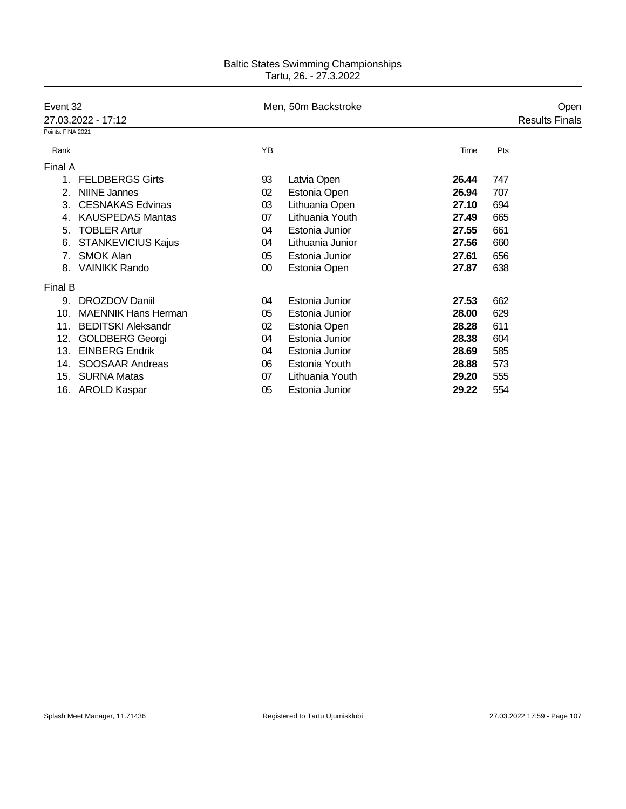| Event 32<br>27.03.2022 - 17:12 |                            | Men, 50m Backstroke | Open             |       |     |                       |
|--------------------------------|----------------------------|---------------------|------------------|-------|-----|-----------------------|
|                                |                            |                     |                  |       |     | <b>Results Finals</b> |
| Points: FINA 2021              |                            |                     |                  |       |     |                       |
| Rank                           |                            | YB                  |                  | Time  | Pts |                       |
| Final A                        |                            |                     |                  |       |     |                       |
| 1.                             | <b>FELDBERGS Girts</b>     | 93                  | Latvia Open      | 26.44 | 747 |                       |
| 2.                             | <b>NIINE Jannes</b>        | 02                  | Estonia Open     | 26.94 | 707 |                       |
| 3.                             | <b>CESNAKAS Edvinas</b>    | 03                  | Lithuania Open   | 27.10 | 694 |                       |
| 4.                             | <b>KAUSPEDAS Mantas</b>    | 07                  | Lithuania Youth  | 27.49 | 665 |                       |
| 5.                             | <b>TOBLER Artur</b>        | 04                  | Estonia Junior   | 27.55 | 661 |                       |
| 6.                             | <b>STANKEVICIUS Kajus</b>  | 04                  | Lithuania Junior | 27.56 | 660 |                       |
| 7.                             | <b>SMOK Alan</b>           | 05                  | Estonia Junior   | 27.61 | 656 |                       |
| 8.                             | <b>VAINIKK Rando</b>       | 00                  | Estonia Open     | 27.87 | 638 |                       |
| Final B                        |                            |                     |                  |       |     |                       |
| 9.                             | DROZDOV Daniil             | 04                  | Estonia Junior   | 27.53 | 662 |                       |
| 10.                            | <b>MAENNIK Hans Herman</b> | 05                  | Estonia Junior   | 28.00 | 629 |                       |
| 11.                            | <b>BEDITSKI Aleksandr</b>  | 02                  | Estonia Open     | 28.28 | 611 |                       |
| 12.                            | <b>GOLDBERG Georgi</b>     | 04                  | Estonia Junior   | 28.38 | 604 |                       |
| 13.                            | <b>EINBERG Endrik</b>      | 04                  | Estonia Junior   | 28.69 | 585 |                       |
| 14.                            | SOOSAAR Andreas            | 06                  | Estonia Youth    | 28.88 | 573 |                       |
| 15.                            | <b>SURNA Matas</b>         | 07                  | Lithuania Youth  | 29.20 | 555 |                       |
|                                | 16. AROLD Kaspar           | 05                  | Estonia Junior   | 29.22 | 554 |                       |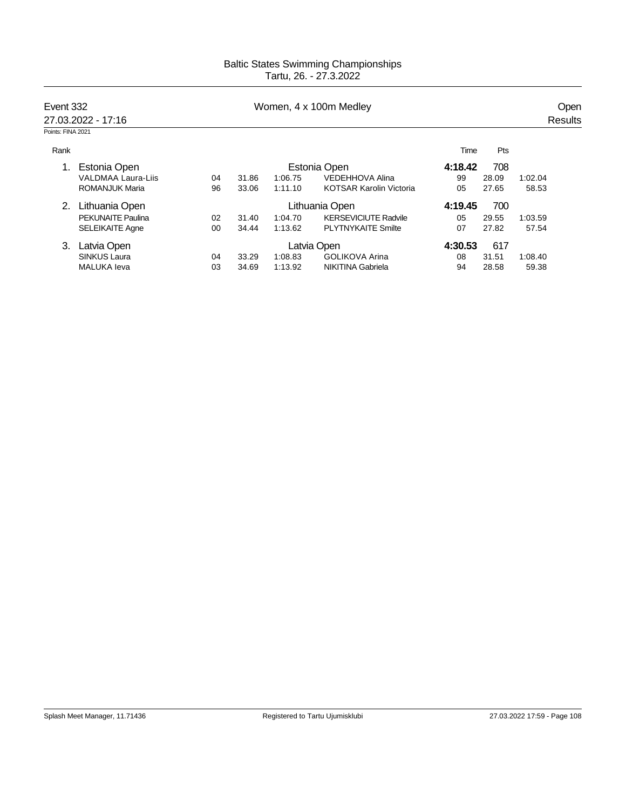| Event 332<br>27.03.2022 - 17:16 |                           | Women, 4 x 100m Medley |                |         |                                |         |       | Open    |  |  |
|---------------------------------|---------------------------|------------------------|----------------|---------|--------------------------------|---------|-------|---------|--|--|
|                                 |                           |                        |                |         |                                |         |       | Results |  |  |
| Points: FINA 2021               |                           |                        |                |         |                                |         |       |         |  |  |
| Rank                            |                           |                        |                |         |                                | Time    | Pts   |         |  |  |
|                                 | Estonia Open              |                        | Estonia Open   |         |                                | 4:18.42 | 708   |         |  |  |
|                                 | <b>VALDMAA Laura-Liis</b> | 04                     | 31.86          | 1:06.75 | VEDEHHOVA Alina                | 99      | 28.09 | 1:02.04 |  |  |
|                                 | <b>ROMANJUK Maria</b>     | 96                     | 33.06          | 1:11.10 | <b>KOTSAR Karolin Victoria</b> | 05      | 27.65 | 58.53   |  |  |
|                                 | Lithuania Open            |                        | Lithuania Open |         |                                | 4:19.45 | 700   |         |  |  |
|                                 | <b>PEKUNAITE Paulina</b>  | 02                     | 31.40          | 1:04.70 | <b>KERSEVICIUTE Radvile</b>    | 05      | 29.55 | 1:03.59 |  |  |
|                                 | <b>SELEIKAITE Agne</b>    | 00                     | 34.44          | 1:13.62 | <b>PLYTNYKAITE Smilte</b>      | 07      | 27.82 | 57.54   |  |  |
| 3.                              | Latvia Open               |                        | Latvia Open    |         |                                | 4:30.53 | 617   |         |  |  |
|                                 | <b>SINKUS Laura</b>       | 04                     | 33.29          | 1:08.83 | <b>GOLIKOVA Arina</b>          | 08      | 31.51 | 1:08.40 |  |  |
|                                 | <b>MALUKA</b> leva        | 03                     | 34.69          | 1:13.92 | <b>NIKITINA Gabriela</b>       | 94      | 28.58 | 59.38   |  |  |
|                                 |                           |                        |                |         |                                |         |       |         |  |  |